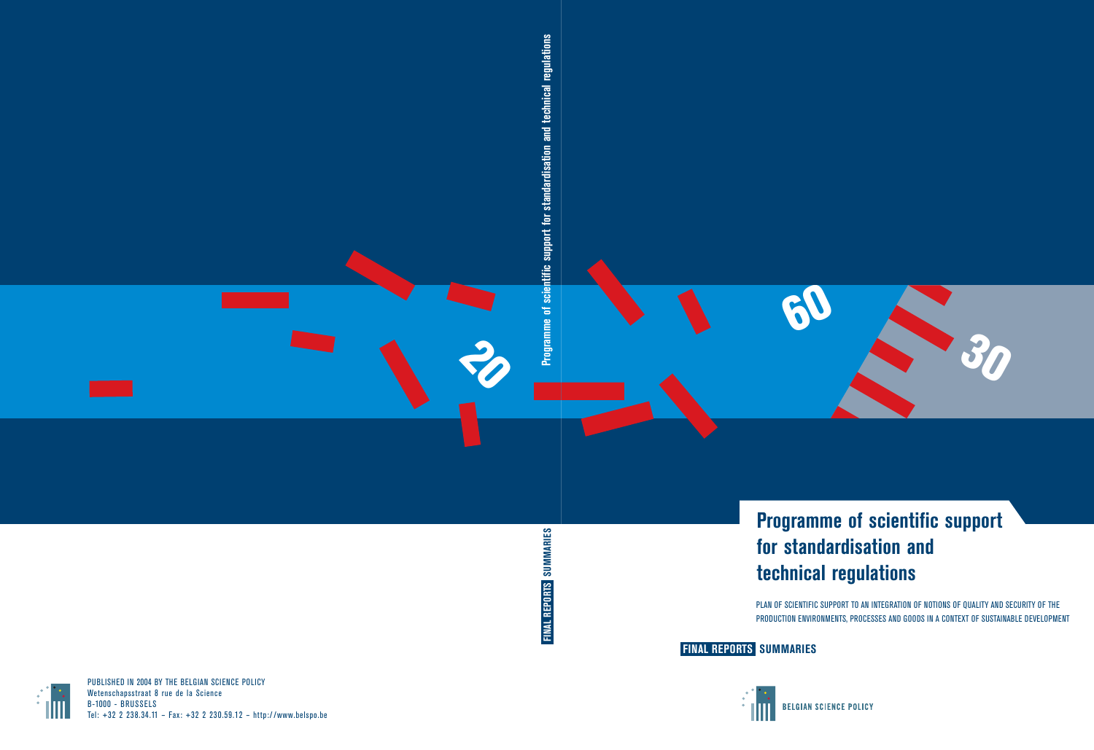

FINAL REPORTS SUMMARIES **FINAL REPORTS SUMMARIES**

# **Programme of scientific support for standardisation and technical regulations**

PLAN OF SCIENTIFIC SUPPORT TO AN INTEGRATION OF NOTIONS OF QUALITY AND SECURITY OF THE PRODUCTION ENVIRONMENTS, PROCESSES AND GOODS IN A CONTEXT OF SUSTAINABLE DEVELOPMENT

**FINAL REPORTS SUMMARIES**





PUBLISHED IN 2004 BY THE BELGIAN SCIENCE POLICY Wetenschapsstraat 8 rue de la Science Tel: +32 2 238.34.11 – Fax: +32 2 230.59.12 – http:/ /www.belspo.be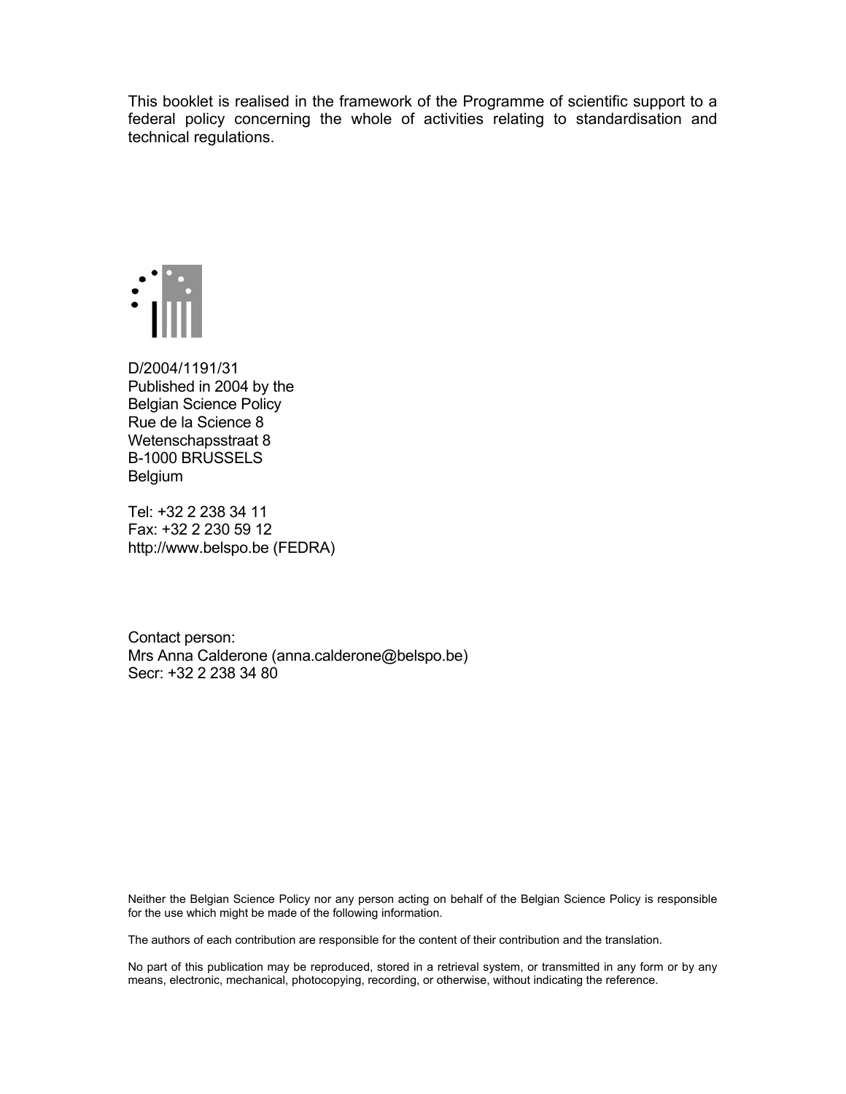This booklet is realised in the framework of the Programme of scientific support to a federal policy concerning the whole of activities relating to standardisation and technical regulations.



D/2004/1191/31 Published in 2004 by the Belgian Science Policy Rue de la Science 8 Wetenschapsstraat 8 B-1000 BRUSSELS Belgium

Tel: +32 2 238 34 11 Fax: +32 2 230 59 12 http://www.belspo.be (FEDRA)

Contact person: Mrs Anna Calderone (anna.calderone@belspo.be) Secr: +32 2 238 34 80

Neither the Belgian Science Policy nor any person acting on behalf of the Belgian Science Policy is responsible for the use which might be made of the following information.

The authors of each contribution are responsible for the content of their contribution and the translation.

No part of this publication may be reproduced, stored in a retrieval system, or transmitted in any form or by any means, electronic, mechanical, photocopying, recording, or otherwise, without indicating the reference.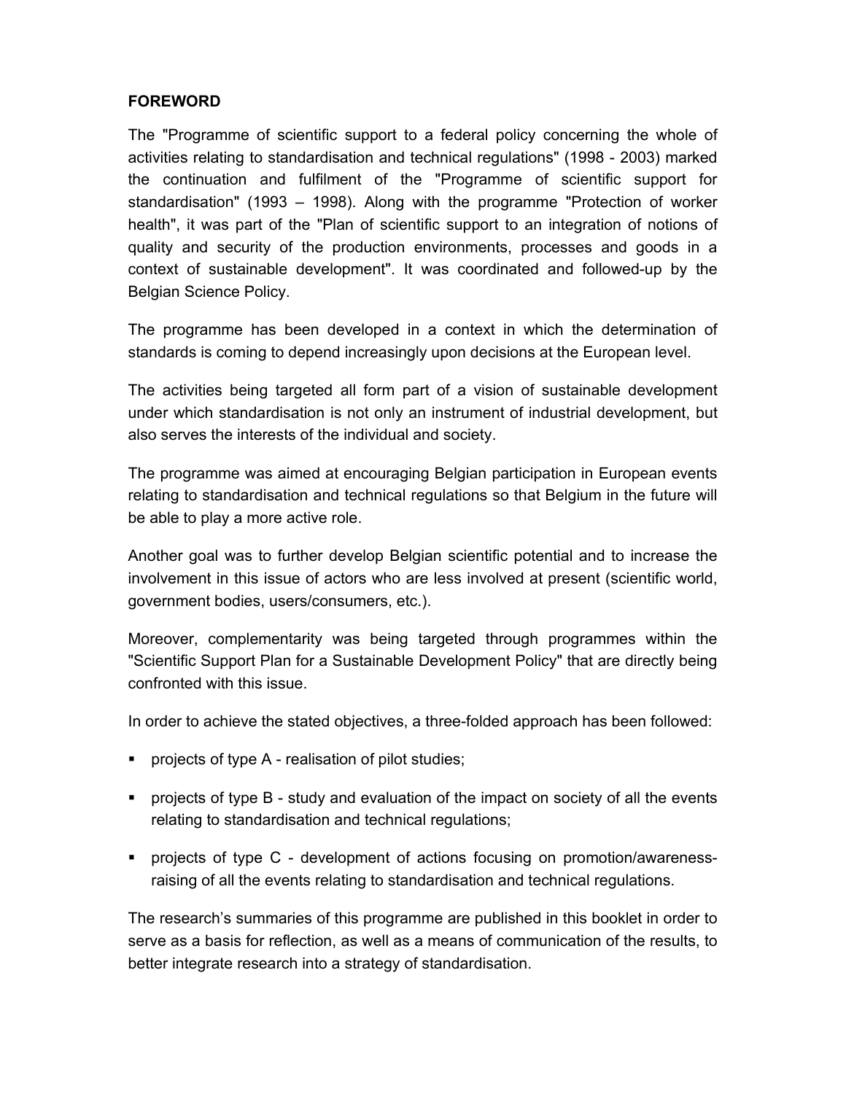#### **FOREWORD**

The "Programme of scientific support to a federal policy concerning the whole of activities relating to standardisation and technical regulations" (1998 - 2003) marked the continuation and fulfilment of the "Programme of scientific support for standardisation" (1993 – 1998). Along with the programme "Protection of worker health", it was part of the "Plan of scientific support to an integration of notions of quality and security of the production environments, processes and goods in a context of sustainable development". It was coordinated and followed-up by the Belgian Science Policy.

The programme has been developed in a context in which the determination of standards is coming to depend increasingly upon decisions at the European level.

The activities being targeted all form part of a vision of sustainable development under which standardisation is not only an instrument of industrial development, but also serves the interests of the individual and society.

The programme was aimed at encouraging Belgian participation in European events relating to standardisation and technical regulations so that Belgium in the future will be able to play a more active role.

Another goal was to further develop Belgian scientific potential and to increase the involvement in this issue of actors who are less involved at present (scientific world, government bodies, users/consumers, etc.).

Moreover, complementarity was being targeted through programmes within the "Scientific Support Plan for a Sustainable Development Policy" that are directly being confronted with this issue.

In order to achieve the stated objectives, a three-folded approach has been followed:

- **PED PROJECTS** of type A realisation of pilot studies;
- projects of type B study and evaluation of the impact on society of all the events relating to standardisation and technical regulations;
- projects of type C development of actions focusing on promotion/awarenessraising of all the events relating to standardisation and technical regulations.

The research's summaries of this programme are published in this booklet in order to serve as a basis for reflection, as well as a means of communication of the results, to better integrate research into a strategy of standardisation.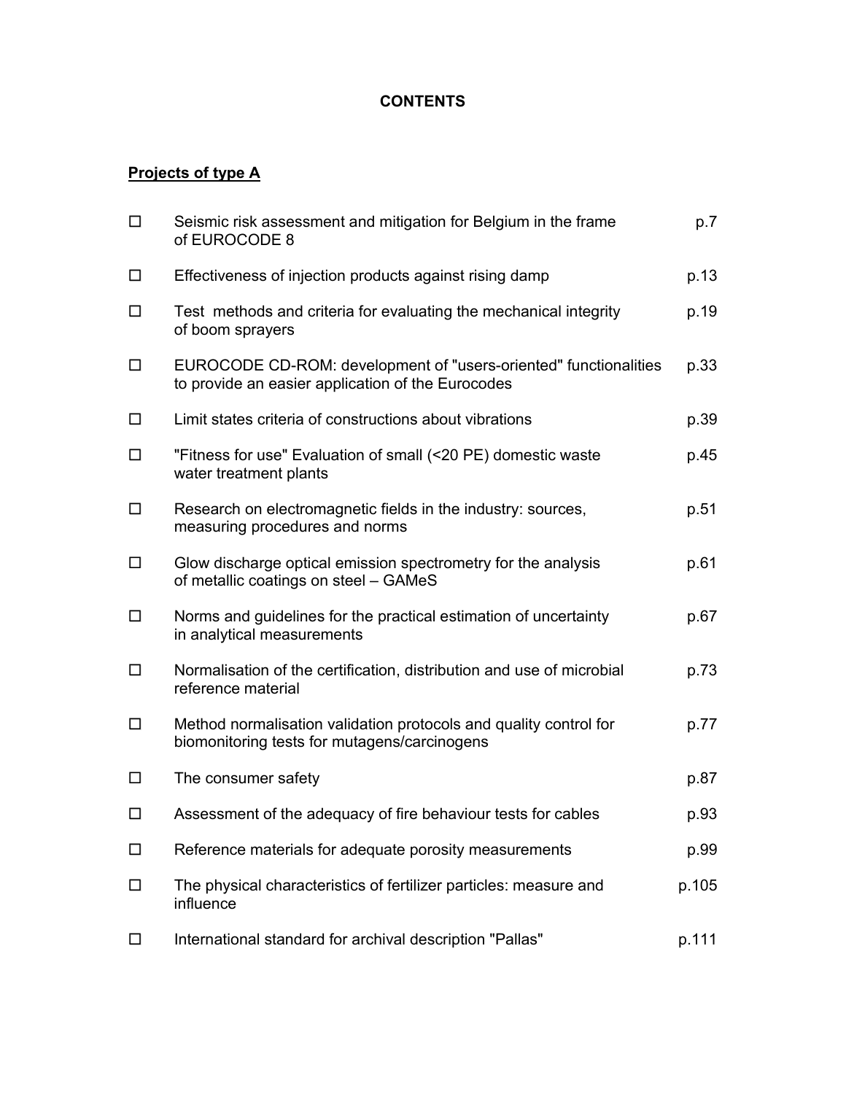#### **CONTENTS**

#### **Projects of type A**

| $\Box$ | Seismic risk assessment and mitigation for Belgium in the frame<br>of EUROCODE 8                                      | p.7   |
|--------|-----------------------------------------------------------------------------------------------------------------------|-------|
| □      | Effectiveness of injection products against rising damp                                                               | p.13  |
| $\Box$ | Test methods and criteria for evaluating the mechanical integrity<br>of boom sprayers                                 | p.19  |
| □      | EUROCODE CD-ROM: development of "users-oriented" functionalities<br>to provide an easier application of the Eurocodes | p.33  |
| □      | Limit states criteria of constructions about vibrations                                                               | p.39  |
| □      | "Fitness for use" Evaluation of small (<20 PE) domestic waste<br>water treatment plants                               | p.45  |
| $\Box$ | Research on electromagnetic fields in the industry: sources,<br>measuring procedures and norms                        | p.51  |
| $\Box$ | Glow discharge optical emission spectrometry for the analysis<br>of metallic coatings on steel - GAMeS                | p.61  |
| $\Box$ | Norms and guidelines for the practical estimation of uncertainty<br>in analytical measurements                        | p.67  |
| □      | Normalisation of the certification, distribution and use of microbial<br>reference material                           | p.73  |
| □      | Method normalisation validation protocols and quality control for<br>biomonitoring tests for mutagens/carcinogens     | p.77  |
| □      | The consumer safety                                                                                                   | p.87  |
| □      | Assessment of the adequacy of fire behaviour tests for cables                                                         | p.93  |
| □      | Reference materials for adequate porosity measurements                                                                | p.99  |
| $\Box$ | The physical characteristics of fertilizer particles: measure and<br>influence                                        | p.105 |
| □      | International standard for archival description "Pallas"                                                              | p.111 |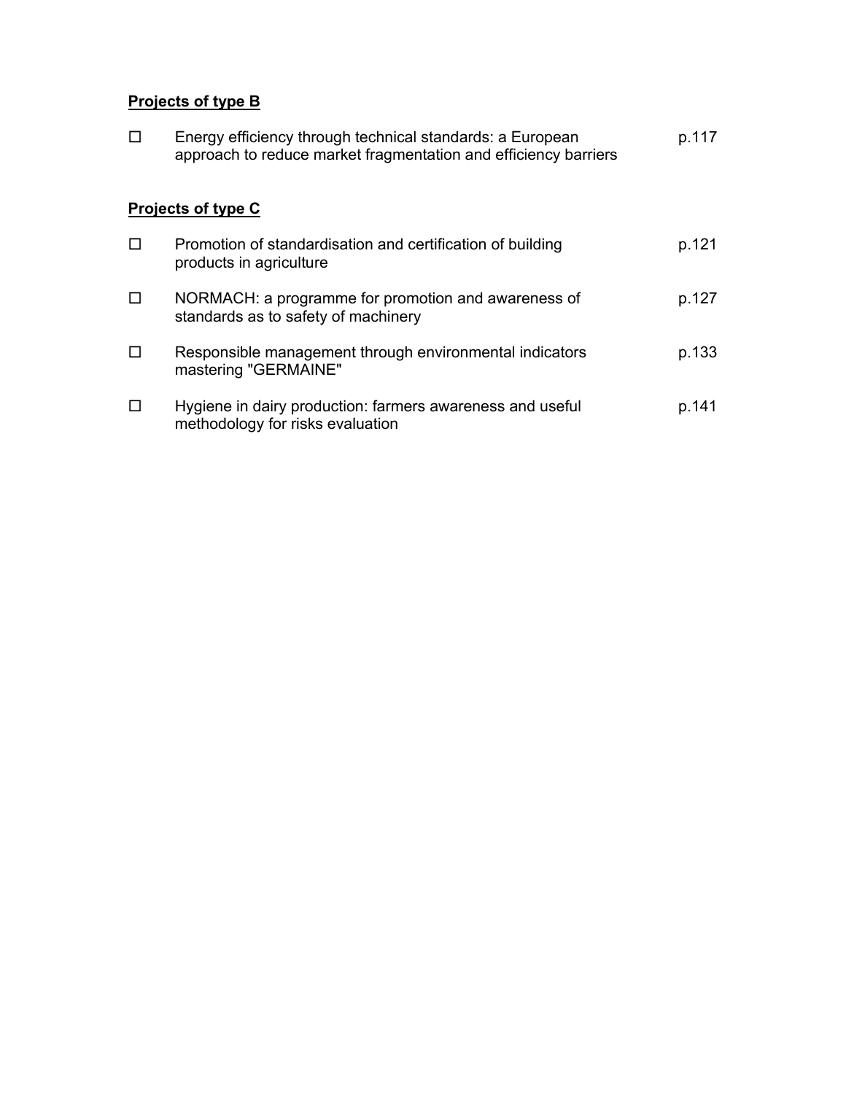## **Projects of type B**

| П                         | Energy efficiency through technical standards: a European<br>approach to reduce market fragmentation and efficiency barriers | p.117 |  |
|---------------------------|------------------------------------------------------------------------------------------------------------------------------|-------|--|
| <b>Projects of type C</b> |                                                                                                                              |       |  |
| П                         | Promotion of standardisation and certification of building<br>products in agriculture                                        | p.121 |  |
| □                         | NORMACH: a programme for promotion and awareness of<br>standards as to safety of machinery                                   | p.127 |  |
| П                         | Responsible management through environmental indicators<br>mastering "GERMAINE"                                              | p.133 |  |
| □                         | Hygiene in dairy production: farmers awareness and useful<br>methodology for risks evaluation                                | p.141 |  |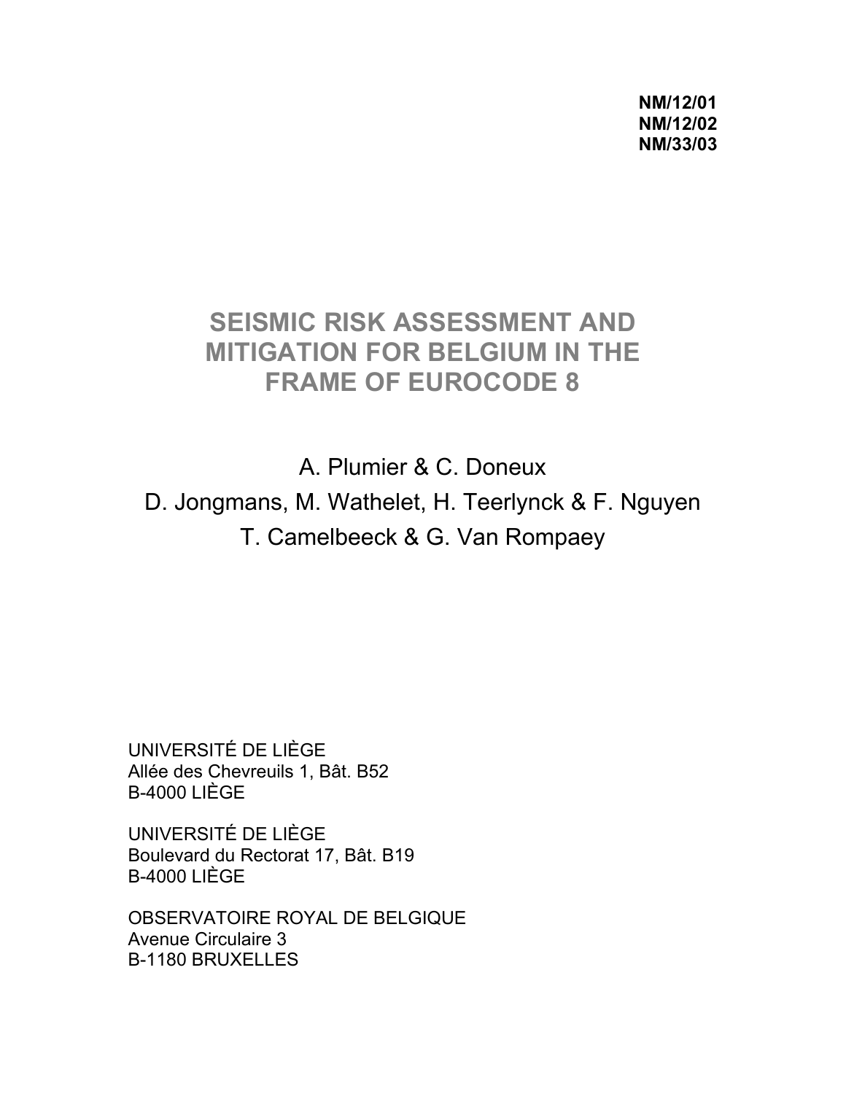**NM/12/01 NM/12/02 NM/33/03** 

## **SEISMIC RISK ASSESSMENT AND MITIGATION FOR BELGIUM IN THE FRAME OF EUROCODE 8**

A. Plumier & C. Doneux D. Jongmans, M. Wathelet, H. Teerlynck & F. Nguyen T. Camelbeeck & G. Van Rompaey

UNIVERSITÉ DE LIÈGE Allée des Chevreuils 1, Bât. B52 B-4000 LIÈGE

UNIVERSITÉ DE LIÈGE Boulevard du Rectorat 17, Bât. B19 B-4000 LIÈGE

OBSERVATOIRE ROYAL DE BELGIQUE Avenue Circulaire 3 B-1180 BRUXELLES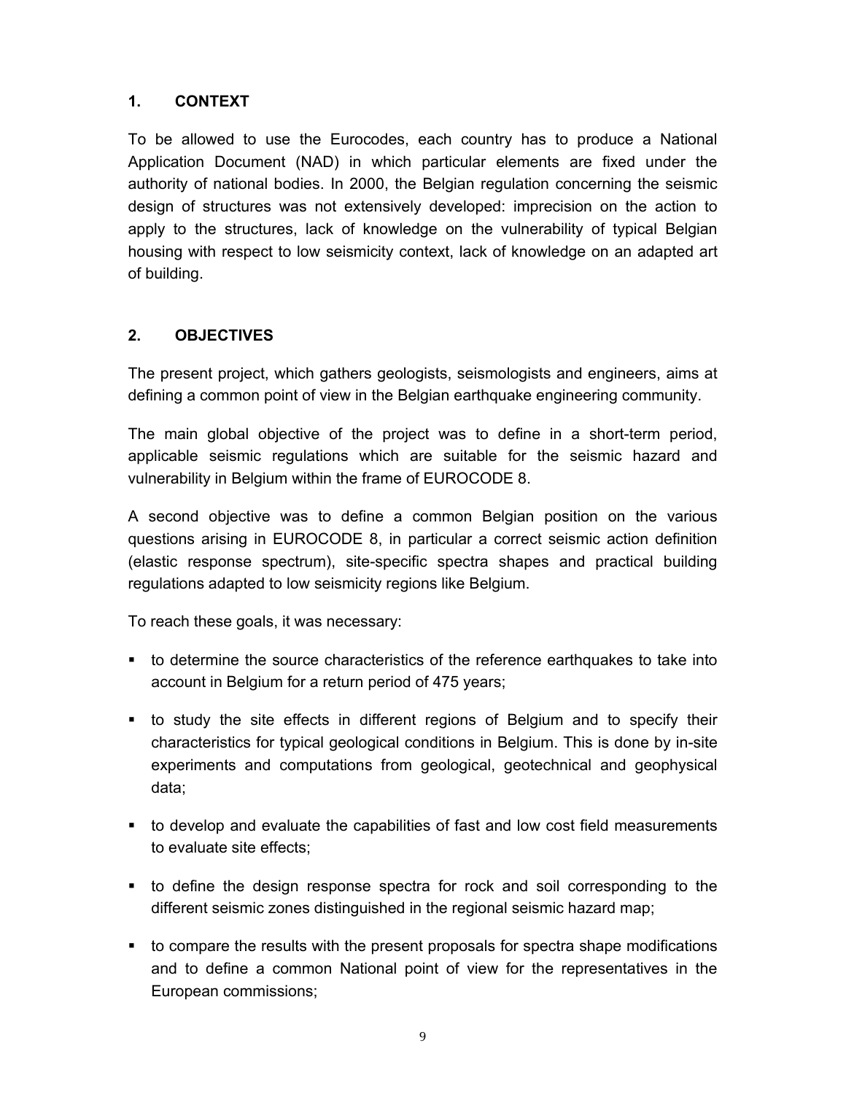#### **1. CONTEXT**

To be allowed to use the Eurocodes, each country has to produce a National Application Document (NAD) in which particular elements are fixed under the authority of national bodies. In 2000, the Belgian regulation concerning the seismic design of structures was not extensively developed: imprecision on the action to apply to the structures, lack of knowledge on the vulnerability of typical Belgian housing with respect to low seismicity context, lack of knowledge on an adapted art of building.

#### **2. OBJECTIVES**

The present project, which gathers geologists, seismologists and engineers, aims at defining a common point of view in the Belgian earthquake engineering community.

The main global objective of the project was to define in a short-term period, applicable seismic regulations which are suitable for the seismic hazard and vulnerability in Belgium within the frame of EUROCODE 8.

A second objective was to define a common Belgian position on the various questions arising in EUROCODE 8, in particular a correct seismic action definition (elastic response spectrum), site-specific spectra shapes and practical building regulations adapted to low seismicity regions like Belgium.

To reach these goals, it was necessary:

- to determine the source characteristics of the reference earthquakes to take into account in Belgium for a return period of 475 years;
- to study the site effects in different regions of Belgium and to specify their characteristics for typical geological conditions in Belgium. This is done by in-site experiments and computations from geological, geotechnical and geophysical data;
- to develop and evaluate the capabilities of fast and low cost field measurements to evaluate site effects;
- to define the design response spectra for rock and soil corresponding to the different seismic zones distinguished in the regional seismic hazard map;
- to compare the results with the present proposals for spectra shape modifications and to define a common National point of view for the representatives in the European commissions;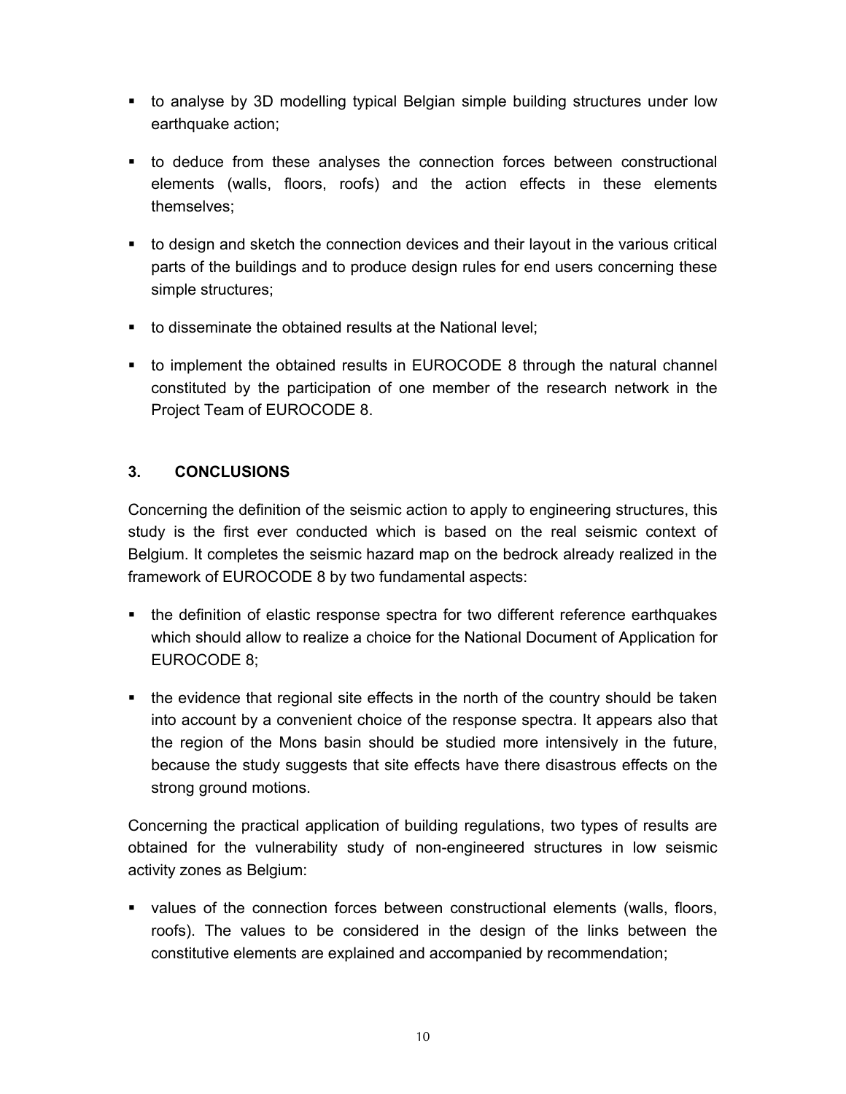- to analyse by 3D modelling typical Belgian simple building structures under low earthquake action;
- to deduce from these analyses the connection forces between constructional elements (walls, floors, roofs) and the action effects in these elements themselves;
- to design and sketch the connection devices and their layout in the various critical parts of the buildings and to produce design rules for end users concerning these simple structures;
- to disseminate the obtained results at the National level;
- to implement the obtained results in EUROCODE 8 through the natural channel constituted by the participation of one member of the research network in the Project Team of EUROCODE 8.

#### **3. CONCLUSIONS**

Concerning the definition of the seismic action to apply to engineering structures, this study is the first ever conducted which is based on the real seismic context of Belgium. It completes the seismic hazard map on the bedrock already realized in the framework of EUROCODE 8 by two fundamental aspects:

- the definition of elastic response spectra for two different reference earthquakes which should allow to realize a choice for the National Document of Application for EUROCODE 8;
- the evidence that regional site effects in the north of the country should be taken into account by a convenient choice of the response spectra. It appears also that the region of the Mons basin should be studied more intensively in the future, because the study suggests that site effects have there disastrous effects on the strong ground motions.

Concerning the practical application of building regulations, two types of results are obtained for the vulnerability study of non-engineered structures in low seismic activity zones as Belgium:

 values of the connection forces between constructional elements (walls, floors, roofs). The values to be considered in the design of the links between the constitutive elements are explained and accompanied by recommendation;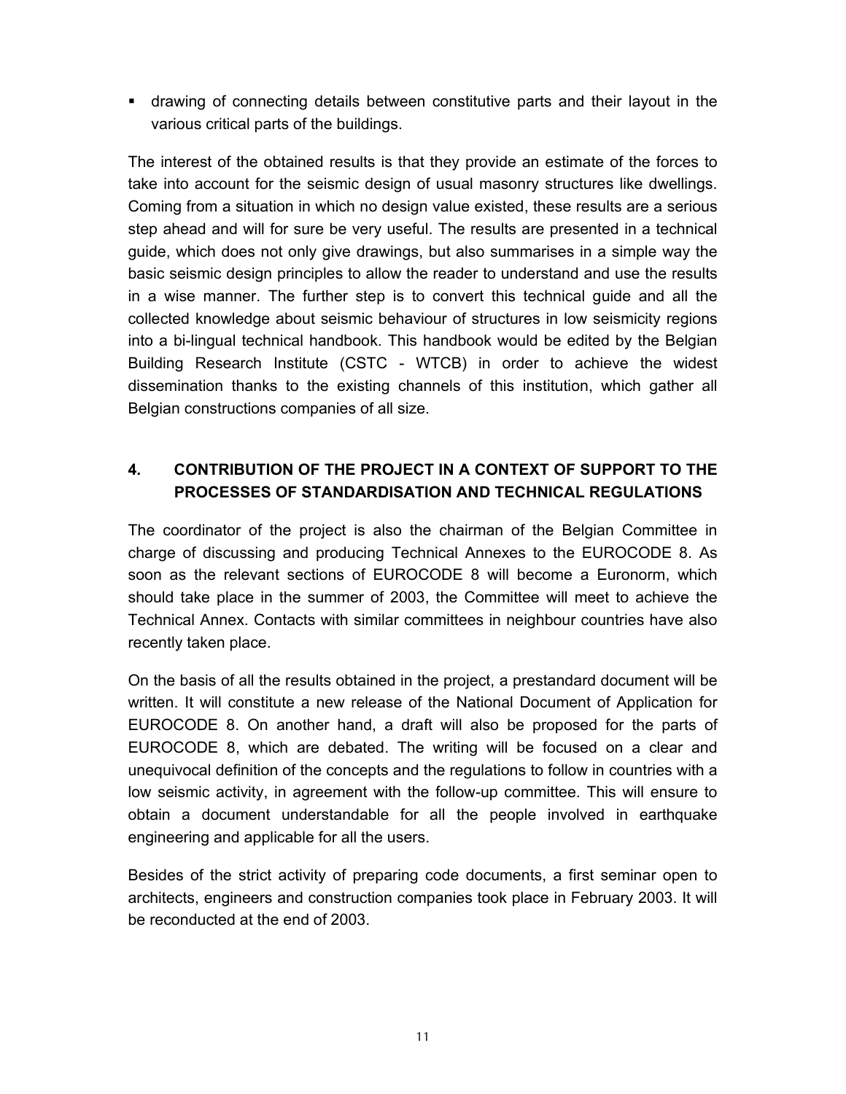drawing of connecting details between constitutive parts and their layout in the various critical parts of the buildings.

The interest of the obtained results is that they provide an estimate of the forces to take into account for the seismic design of usual masonry structures like dwellings. Coming from a situation in which no design value existed, these results are a serious step ahead and will for sure be very useful. The results are presented in a technical guide, which does not only give drawings, but also summarises in a simple way the basic seismic design principles to allow the reader to understand and use the results in a wise manner. The further step is to convert this technical guide and all the collected knowledge about seismic behaviour of structures in low seismicity regions into a bi-lingual technical handbook. This handbook would be edited by the Belgian Building Research Institute (CSTC - WTCB) in order to achieve the widest dissemination thanks to the existing channels of this institution, which gather all Belgian constructions companies of all size.

## **4. CONTRIBUTION OF THE PROJECT IN A CONTEXT OF SUPPORT TO THE PROCESSES OF STANDARDISATION AND TECHNICAL REGULATIONS**

The coordinator of the project is also the chairman of the Belgian Committee in charge of discussing and producing Technical Annexes to the EUROCODE 8. As soon as the relevant sections of EUROCODE 8 will become a Euronorm, which should take place in the summer of 2003, the Committee will meet to achieve the Technical Annex. Contacts with similar committees in neighbour countries have also recently taken place.

On the basis of all the results obtained in the project, a prestandard document will be written. It will constitute a new release of the National Document of Application for EUROCODE 8. On another hand, a draft will also be proposed for the parts of EUROCODE 8, which are debated. The writing will be focused on a clear and unequivocal definition of the concepts and the regulations to follow in countries with a low seismic activity, in agreement with the follow-up committee. This will ensure to obtain a document understandable for all the people involved in earthquake engineering and applicable for all the users.

Besides of the strict activity of preparing code documents, a first seminar open to architects, engineers and construction companies took place in February 2003. It will be reconducted at the end of 2003.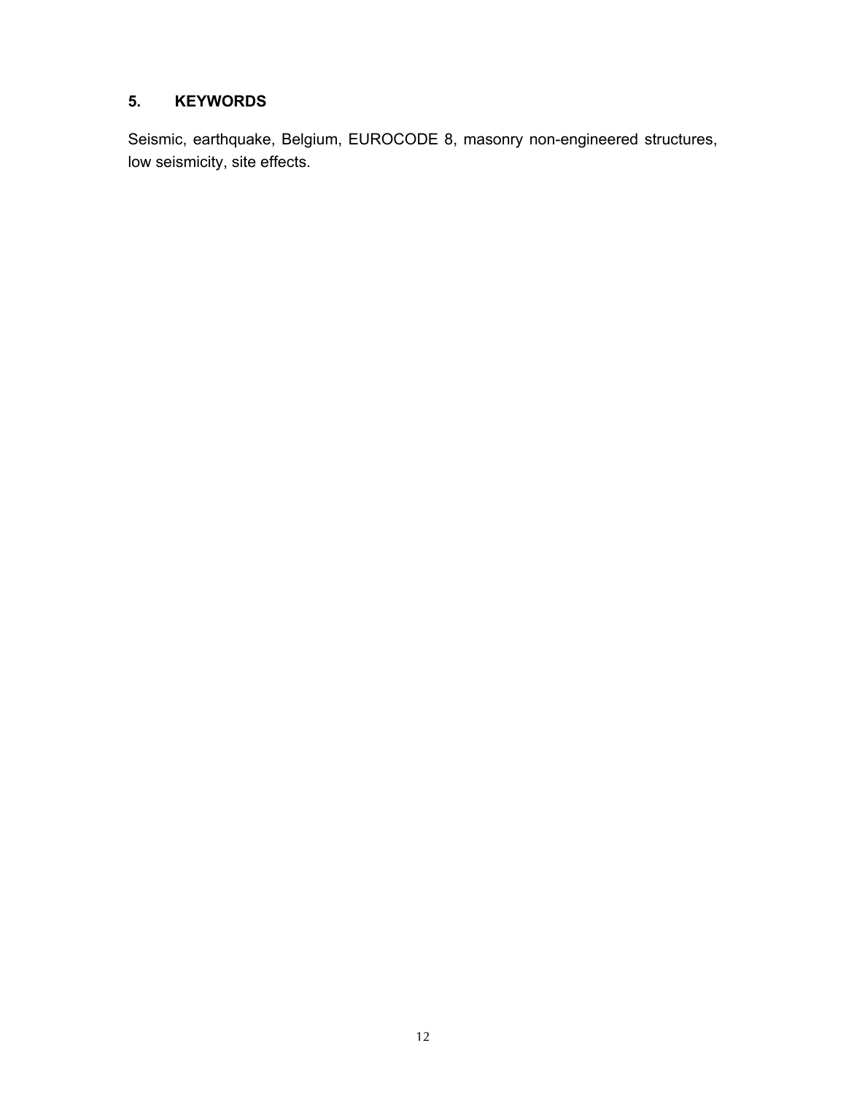#### **5. KEYWORDS**

Seismic, earthquake, Belgium, EUROCODE 8, masonry non-engineered structures, low seismicity, site effects.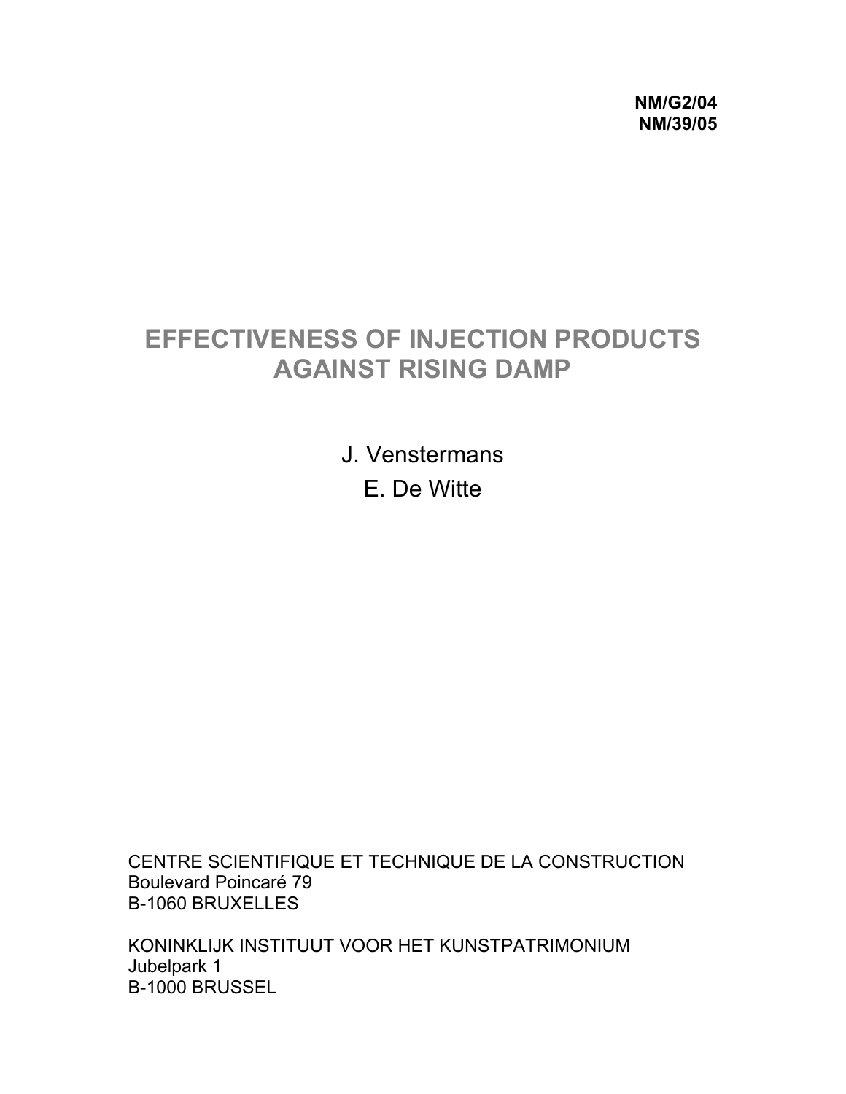**NM/G2/04 NM/39/05** 

# **EFFECTIVENESS OF INJECTION PRODUCTS AGAINST RISING DAMP**

J. Venstermans E. De Witte

CENTRE SCIENTIFIQUE ET TECHNIQUE DE LA CONSTRUCTION Boulevard Poincaré 79 B-1060 BRUXELLES

KONINKLIJK INSTITUUT VOOR HET KUNSTPATRIMONIUM Jubelpark 1 B-1000 BRUSSEL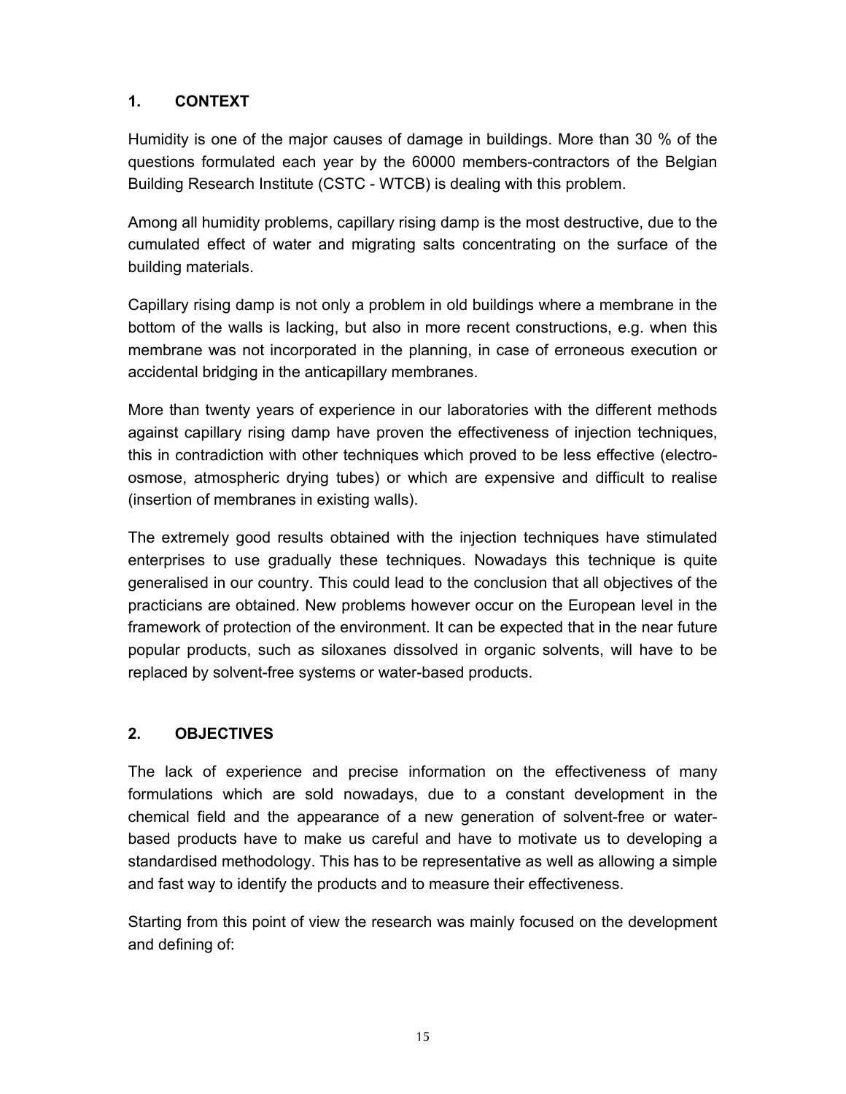## **1. CONTEXT**

Humidity is one of the major causes of damage in buildings. More than 30 % of the questions formulated each year by the 60000 members-contractors of the Belgian Building Research Institute (CSTC - WTCB) is dealing with this problem.

Among all humidity problems, capillary rising damp is the most destructive, due to the cumulated effect of water and migrating salts concentrating on the surface of the building materials.

Capillary rising damp is not only a problem in old buildings where a membrane in the bottom of the walls is lacking, but also in more recent constructions, e.g. when this membrane was not incorporated in the planning, in case of erroneous execution or accidental bridging in the anticapillary membranes.

More than twenty years of experience in our laboratories with the different methods against capillary rising damp have proven the effectiveness of injection techniques, this in contradiction with other techniques which proved to be less effective (electroosmose, atmospheric drying tubes) or which are expensive and difficult to realise (insertion of membranes in existing walls).

The extremely good results obtained with the injection techniques have stimulated enterprises to use gradually these techniques. Nowadays this technique is quite generalised in our country. This could lead to the conclusion that all objectives of the practicians are obtained. New problems however occur on the European level in the framework of protection of the environment. It can be expected that in the near future popular products, such as siloxanes dissolved in organic solvents, will have to be replaced by solvent-free systems or water-based products.

## **2. OBJECTIVES**

The lack of experience and precise information on the effectiveness of many formulations which are sold nowadays, due to a constant development in the chemical field and the appearance of a new generation of solvent-free or waterbased products have to make us careful and have to motivate us to developing a standardised methodology. This has to be representative as well as allowing a simple and fast way to identify the products and to measure their effectiveness.

Starting from this point of view the research was mainly focused on the development and defining of: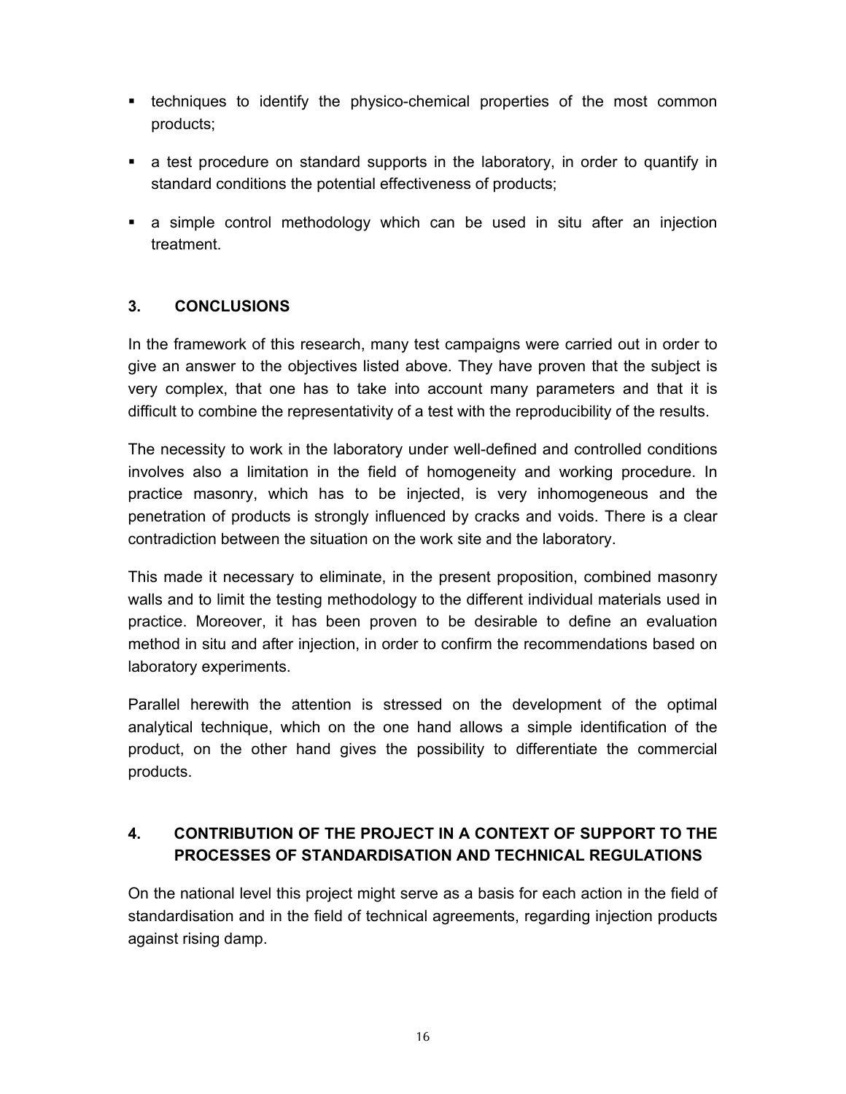- **•** techniques to identify the physico-chemical properties of the most common products;
- a test procedure on standard supports in the laboratory, in order to quantify in standard conditions the potential effectiveness of products;
- a simple control methodology which can be used in situ after an injection treatment.

#### **3. CONCLUSIONS**

In the framework of this research, many test campaigns were carried out in order to give an answer to the objectives listed above. They have proven that the subject is very complex, that one has to take into account many parameters and that it is difficult to combine the representativity of a test with the reproducibility of the results.

The necessity to work in the laboratory under well-defined and controlled conditions involves also a limitation in the field of homogeneity and working procedure. In practice masonry, which has to be injected, is very inhomogeneous and the penetration of products is strongly influenced by cracks and voids. There is a clear contradiction between the situation on the work site and the laboratory.

This made it necessary to eliminate, in the present proposition, combined masonry walls and to limit the testing methodology to the different individual materials used in practice. Moreover, it has been proven to be desirable to define an evaluation method in situ and after injection, in order to confirm the recommendations based on laboratory experiments.

Parallel herewith the attention is stressed on the development of the optimal analytical technique, which on the one hand allows a simple identification of the product, on the other hand gives the possibility to differentiate the commercial products.

## **4. CONTRIBUTION OF THE PROJECT IN A CONTEXT OF SUPPORT TO THE PROCESSES OF STANDARDISATION AND TECHNICAL REGULATIONS**

On the national level this project might serve as a basis for each action in the field of standardisation and in the field of technical agreements, regarding injection products against rising damp.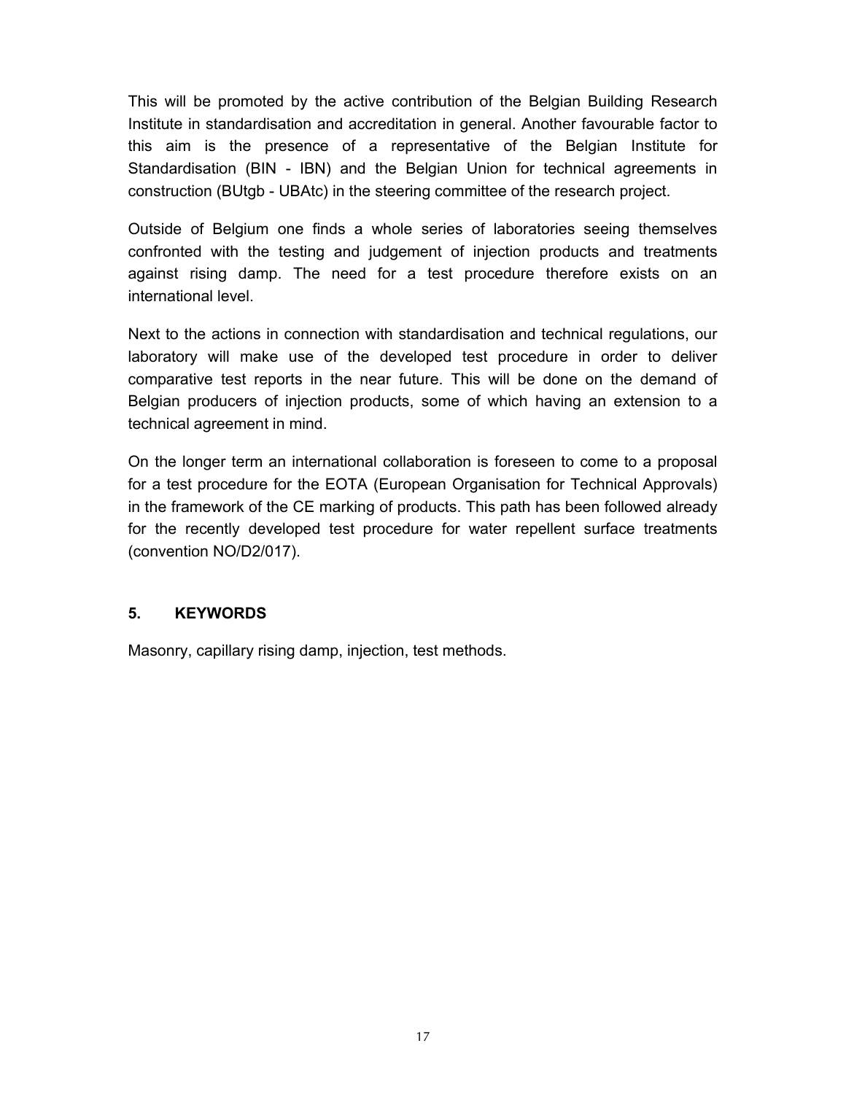This will be promoted by the active contribution of the Belgian Building Research Institute in standardisation and accreditation in general. Another favourable factor to this aim is the presence of a representative of the Belgian Institute for Standardisation (BIN - IBN) and the Belgian Union for technical agreements in construction (BUtgb - UBAtc) in the steering committee of the research project.

Outside of Belgium one finds a whole series of laboratories seeing themselves confronted with the testing and judgement of injection products and treatments against rising damp. The need for a test procedure therefore exists on an international level.

Next to the actions in connection with standardisation and technical regulations, our laboratory will make use of the developed test procedure in order to deliver comparative test reports in the near future. This will be done on the demand of Belgian producers of injection products, some of which having an extension to a technical agreement in mind.

On the longer term an international collaboration is foreseen to come to a proposal for a test procedure for the EOTA (European Organisation for Technical Approvals) in the framework of the CE marking of products. This path has been followed already for the recently developed test procedure for water repellent surface treatments (convention NO/D2/017).

#### **5. KEYWORDS**

Masonry, capillary rising damp, injection, test methods.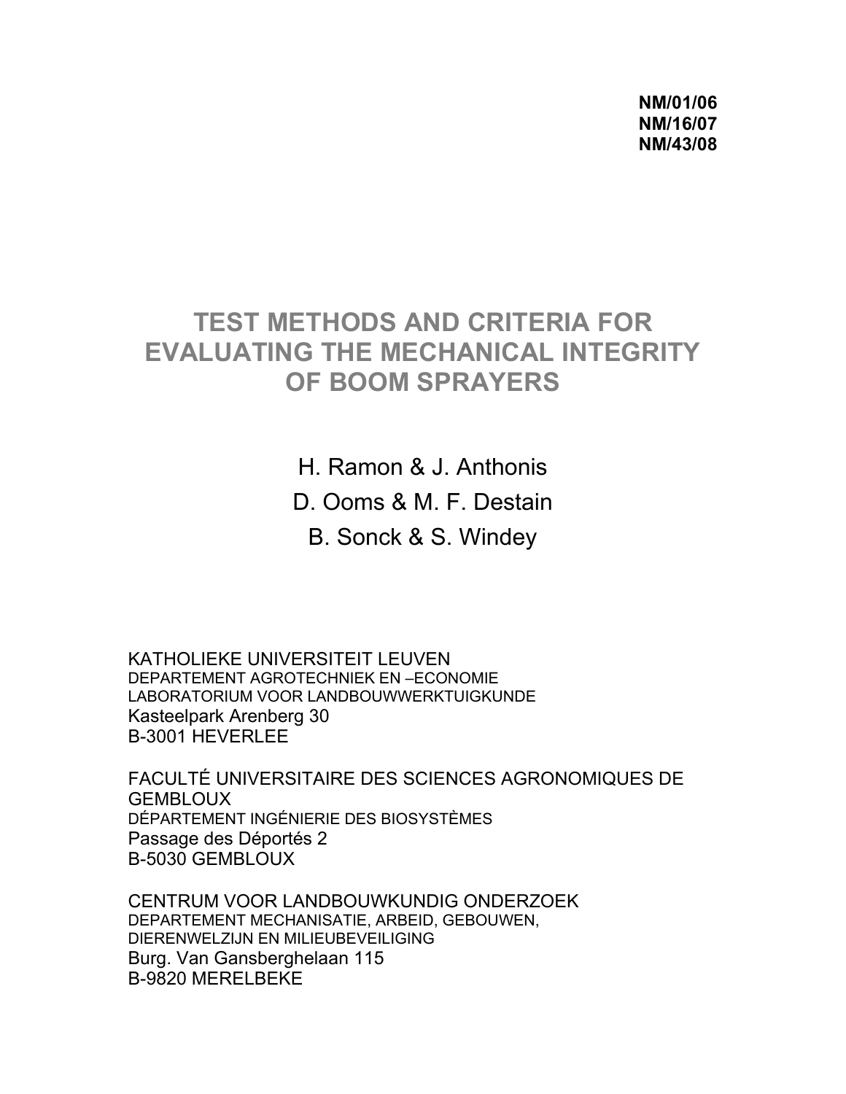**NM/01/06 NM/16/07 NM/43/08** 

## **TEST METHODS AND CRITERIA FOR EVALUATING THE MECHANICAL INTEGRITY OF BOOM SPRAYERS**

H. Ramon & J. Anthonis D. Ooms & M. F. Destain B. Sonck & S. Windey

KATHOLIEKE UNIVERSITEIT LEUVEN DEPARTEMENT AGROTECHNIEK EN –ECONOMIE LABORATORIUM VOOR LANDBOUWWERKTUIGKUNDE Kasteelpark Arenberg 30 B-3001 HEVERLEE

FACULTÉ UNIVERSITAIRE DES SCIENCES AGRONOMIQUES DE **GEMBLOUX** DÉPARTEMENT INGÉNIERIE DES BIOSYSTÈMES Passage des Déportés 2 B-5030 GEMBLOUX

CENTRUM VOOR LANDBOUWKUNDIG ONDERZOEK DEPARTEMENT MECHANISATIE, ARBEID, GEBOUWEN, DIERENWELZIJN EN MILIEUBEVEILIGING Burg. Van Gansberghelaan 115 B-9820 MERELBEKE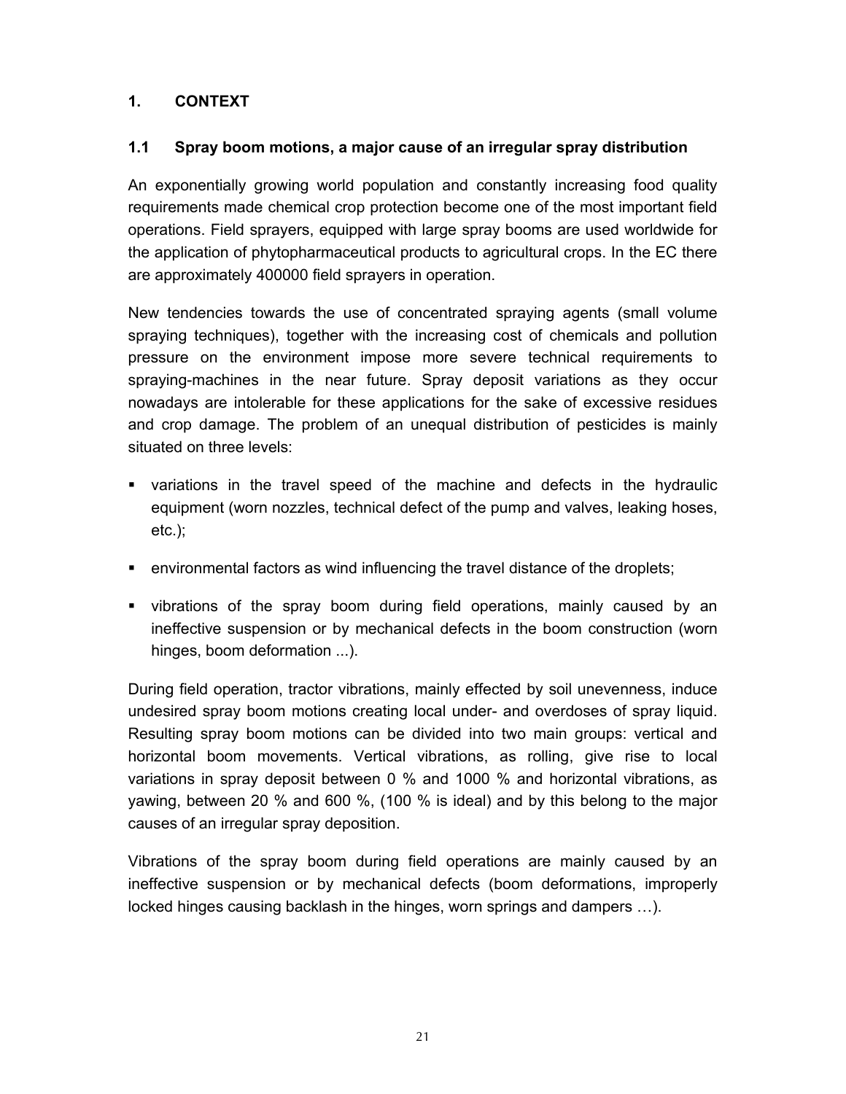#### **1. CONTEXT**

#### **1.1 Spray boom motions, a major cause of an irregular spray distribution**

An exponentially growing world population and constantly increasing food quality requirements made chemical crop protection become one of the most important field operations. Field sprayers, equipped with large spray booms are used worldwide for the application of phytopharmaceutical products to agricultural crops. In the EC there are approximately 400000 field sprayers in operation.

New tendencies towards the use of concentrated spraying agents (small volume spraying techniques), together with the increasing cost of chemicals and pollution pressure on the environment impose more severe technical requirements to spraying-machines in the near future. Spray deposit variations as they occur nowadays are intolerable for these applications for the sake of excessive residues and crop damage. The problem of an unequal distribution of pesticides is mainly situated on three levels:

- variations in the travel speed of the machine and defects in the hydraulic equipment (worn nozzles, technical defect of the pump and valves, leaking hoses,  $etc.$ );
- environmental factors as wind influencing the travel distance of the droplets;
- vibrations of the spray boom during field operations, mainly caused by an ineffective suspension or by mechanical defects in the boom construction (worn hinges, boom deformation ...).

During field operation, tractor vibrations, mainly effected by soil unevenness, induce undesired spray boom motions creating local under- and overdoses of spray liquid. Resulting spray boom motions can be divided into two main groups: vertical and horizontal boom movements. Vertical vibrations, as rolling, give rise to local variations in spray deposit between 0 % and 1000 % and horizontal vibrations, as yawing, between 20 % and 600 %, (100 % is ideal) and by this belong to the major causes of an irregular spray deposition.

Vibrations of the spray boom during field operations are mainly caused by an ineffective suspension or by mechanical defects (boom deformations, improperly locked hinges causing backlash in the hinges, worn springs and dampers …).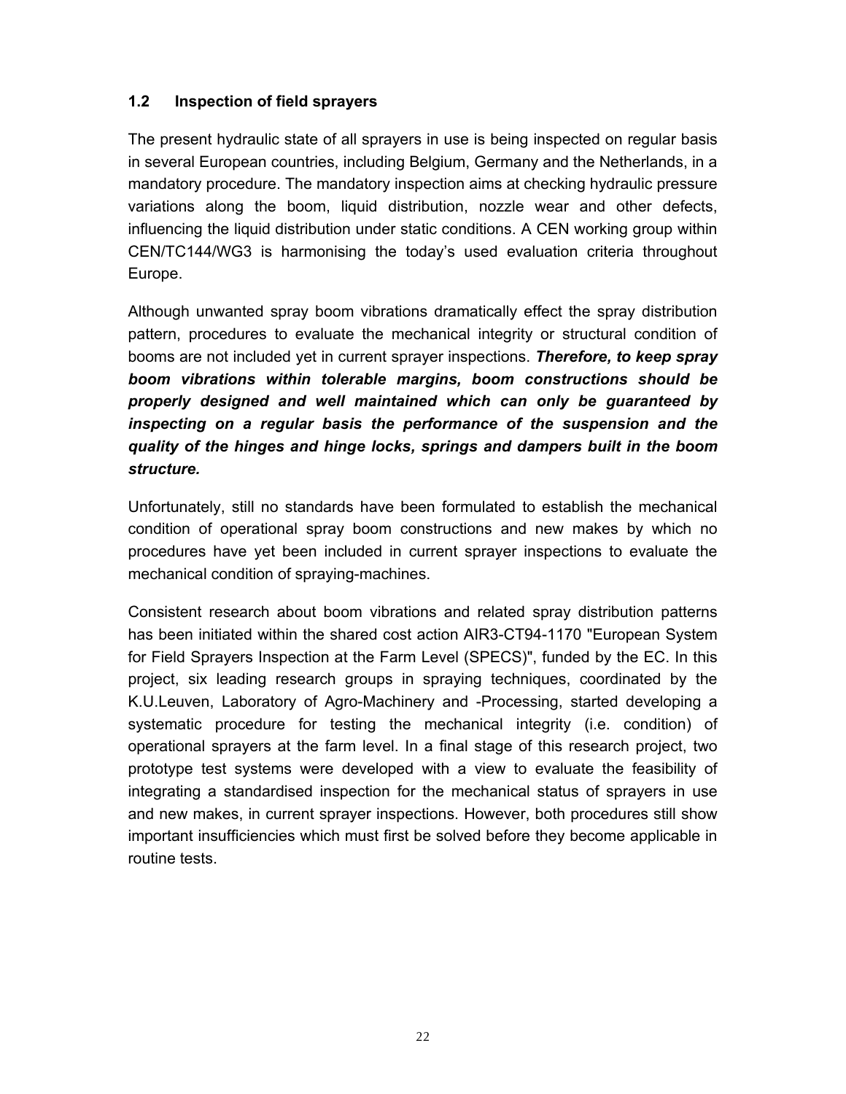#### **1.2 Inspection of field sprayers**

The present hydraulic state of all sprayers in use is being inspected on regular basis in several European countries, including Belgium, Germany and the Netherlands, in a mandatory procedure. The mandatory inspection aims at checking hydraulic pressure variations along the boom, liquid distribution, nozzle wear and other defects, influencing the liquid distribution under static conditions. A CEN working group within CEN/TC144/WG3 is harmonising the today's used evaluation criteria throughout Europe.

Although unwanted spray boom vibrations dramatically effect the spray distribution pattern, procedures to evaluate the mechanical integrity or structural condition of booms are not included yet in current sprayer inspections. *Therefore, to keep spray boom vibrations within tolerable margins, boom constructions should be properly designed and well maintained which can only be guaranteed by inspecting on a regular basis the performance of the suspension and the quality of the hinges and hinge locks, springs and dampers built in the boom structure.* 

Unfortunately, still no standards have been formulated to establish the mechanical condition of operational spray boom constructions and new makes by which no procedures have yet been included in current sprayer inspections to evaluate the mechanical condition of spraying-machines.

Consistent research about boom vibrations and related spray distribution patterns has been initiated within the shared cost action AIR3-CT94-1170 "European System for Field Sprayers Inspection at the Farm Level (SPECS)", funded by the EC. In this project, six leading research groups in spraying techniques, coordinated by the K.U.Leuven, Laboratory of Agro-Machinery and -Processing, started developing a systematic procedure for testing the mechanical integrity (i.e. condition) of operational sprayers at the farm level. In a final stage of this research project, two prototype test systems were developed with a view to evaluate the feasibility of integrating a standardised inspection for the mechanical status of sprayers in use and new makes, in current sprayer inspections. However, both procedures still show important insufficiencies which must first be solved before they become applicable in routine tests.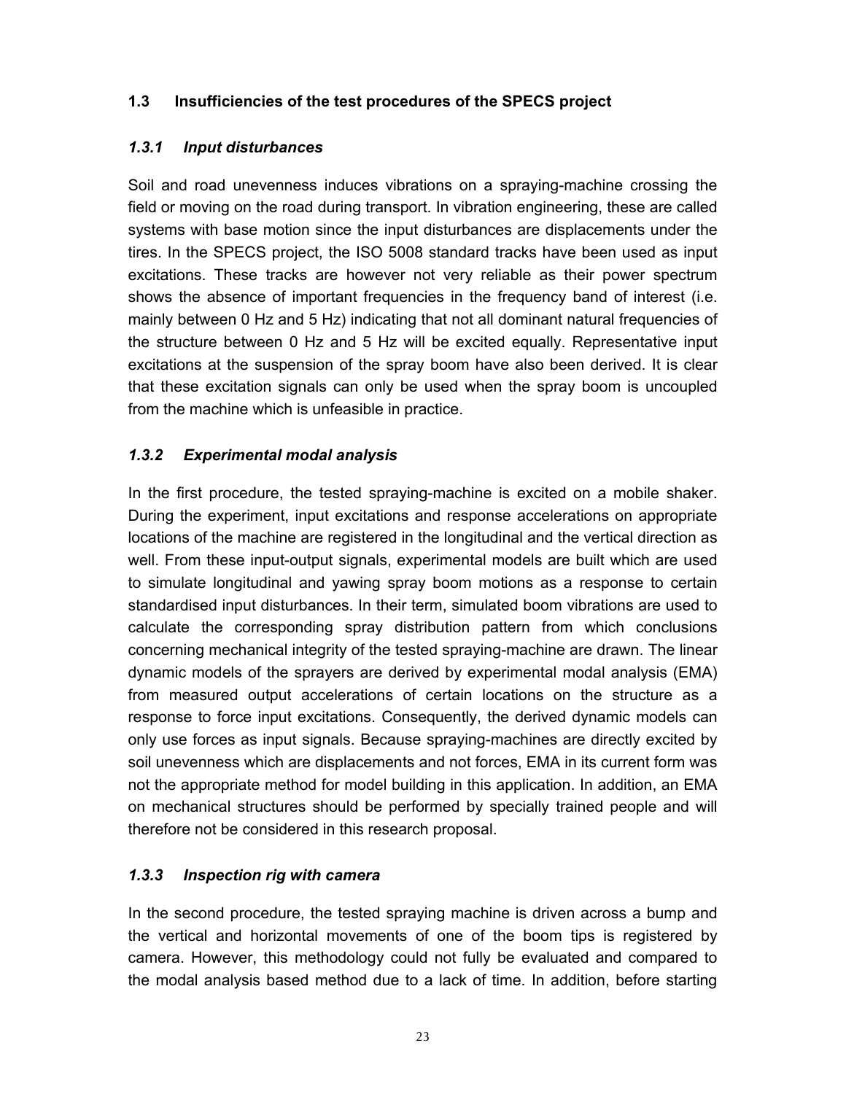#### **1.3 Insufficiencies of the test procedures of the SPECS project**

#### *1.3.1 Input disturbances*

Soil and road unevenness induces vibrations on a spraying-machine crossing the field or moving on the road during transport. In vibration engineering, these are called systems with base motion since the input disturbances are displacements under the tires. In the SPECS project, the ISO 5008 standard tracks have been used as input excitations. These tracks are however not very reliable as their power spectrum shows the absence of important frequencies in the frequency band of interest (i.e. mainly between 0 Hz and 5 Hz) indicating that not all dominant natural frequencies of the structure between 0 Hz and 5 Hz will be excited equally. Representative input excitations at the suspension of the spray boom have also been derived. It is clear that these excitation signals can only be used when the spray boom is uncoupled from the machine which is unfeasible in practice.

#### *1.3.2 Experimental modal analysis*

In the first procedure, the tested spraying-machine is excited on a mobile shaker. During the experiment, input excitations and response accelerations on appropriate locations of the machine are registered in the longitudinal and the vertical direction as well. From these input-output signals, experimental models are built which are used to simulate longitudinal and yawing spray boom motions as a response to certain standardised input disturbances. In their term, simulated boom vibrations are used to calculate the corresponding spray distribution pattern from which conclusions concerning mechanical integrity of the tested spraying-machine are drawn. The linear dynamic models of the sprayers are derived by experimental modal analysis (EMA) from measured output accelerations of certain locations on the structure as a response to force input excitations. Consequently, the derived dynamic models can only use forces as input signals. Because spraying-machines are directly excited by soil unevenness which are displacements and not forces, EMA in its current form was not the appropriate method for model building in this application. In addition, an EMA on mechanical structures should be performed by specially trained people and will therefore not be considered in this research proposal.

#### *1.3.3 Inspection rig with camera*

In the second procedure, the tested spraying machine is driven across a bump and the vertical and horizontal movements of one of the boom tips is registered by camera. However, this methodology could not fully be evaluated and compared to the modal analysis based method due to a lack of time. In addition, before starting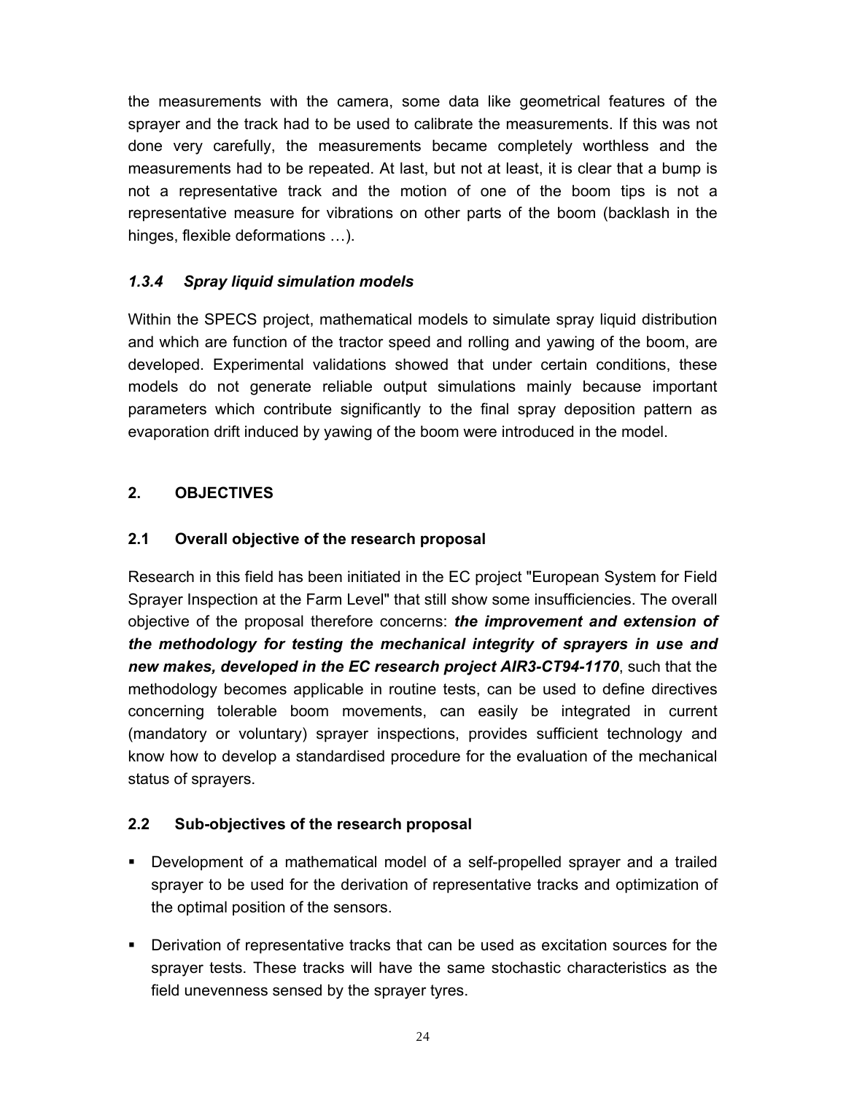the measurements with the camera, some data like geometrical features of the sprayer and the track had to be used to calibrate the measurements. If this was not done very carefully, the measurements became completely worthless and the measurements had to be repeated. At last, but not at least, it is clear that a bump is not a representative track and the motion of one of the boom tips is not a representative measure for vibrations on other parts of the boom (backlash in the hinges, flexible deformations …).

## *1.3.4 Spray liquid simulation models*

Within the SPECS project, mathematical models to simulate spray liquid distribution and which are function of the tractor speed and rolling and yawing of the boom, are developed. Experimental validations showed that under certain conditions, these models do not generate reliable output simulations mainly because important parameters which contribute significantly to the final spray deposition pattern as evaporation drift induced by yawing of the boom were introduced in the model.

## **2. OBJECTIVES**

## **2.1 Overall objective of the research proposal**

Research in this field has been initiated in the EC project "European System for Field Sprayer Inspection at the Farm Level" that still show some insufficiencies. The overall objective of the proposal therefore concerns: *the improvement and extension of the methodology for testing the mechanical integrity of sprayers in use and new makes, developed in the EC research project AIR3-CT94-1170*, such that the methodology becomes applicable in routine tests, can be used to define directives concerning tolerable boom movements, can easily be integrated in current (mandatory or voluntary) sprayer inspections, provides sufficient technology and know how to develop a standardised procedure for the evaluation of the mechanical status of sprayers.

## **2.2 Sub-objectives of the research proposal**

- Development of a mathematical model of a self-propelled sprayer and a trailed sprayer to be used for the derivation of representative tracks and optimization of the optimal position of the sensors.
- Derivation of representative tracks that can be used as excitation sources for the sprayer tests. These tracks will have the same stochastic characteristics as the field unevenness sensed by the sprayer tyres.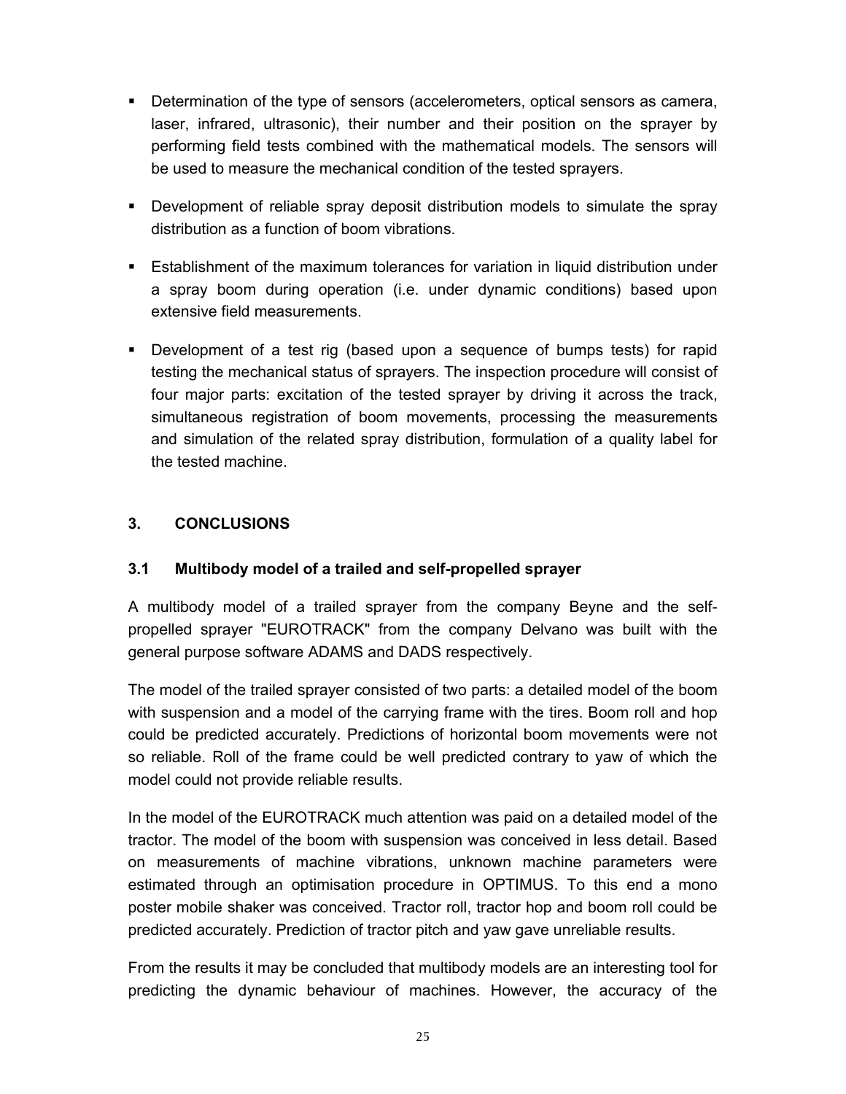- Determination of the type of sensors (accelerometers, optical sensors as camera, laser, infrared, ultrasonic), their number and their position on the sprayer by performing field tests combined with the mathematical models. The sensors will be used to measure the mechanical condition of the tested sprayers.
- Development of reliable spray deposit distribution models to simulate the spray distribution as a function of boom vibrations.
- Establishment of the maximum tolerances for variation in liquid distribution under a spray boom during operation (i.e. under dynamic conditions) based upon extensive field measurements.
- Development of a test rig (based upon a sequence of bumps tests) for rapid testing the mechanical status of sprayers. The inspection procedure will consist of four major parts: excitation of the tested sprayer by driving it across the track, simultaneous registration of boom movements, processing the measurements and simulation of the related spray distribution, formulation of a quality label for the tested machine.

#### **3. CONCLUSIONS**

#### **3.1 Multibody model of a trailed and self-propelled sprayer**

A multibody model of a trailed sprayer from the company Beyne and the selfpropelled sprayer "EUROTRACK" from the company Delvano was built with the general purpose software ADAMS and DADS respectively.

The model of the trailed sprayer consisted of two parts: a detailed model of the boom with suspension and a model of the carrying frame with the tires. Boom roll and hop could be predicted accurately. Predictions of horizontal boom movements were not so reliable. Roll of the frame could be well predicted contrary to yaw of which the model could not provide reliable results.

In the model of the EUROTRACK much attention was paid on a detailed model of the tractor. The model of the boom with suspension was conceived in less detail. Based on measurements of machine vibrations, unknown machine parameters were estimated through an optimisation procedure in OPTIMUS. To this end a mono poster mobile shaker was conceived. Tractor roll, tractor hop and boom roll could be predicted accurately. Prediction of tractor pitch and yaw gave unreliable results.

From the results it may be concluded that multibody models are an interesting tool for predicting the dynamic behaviour of machines. However, the accuracy of the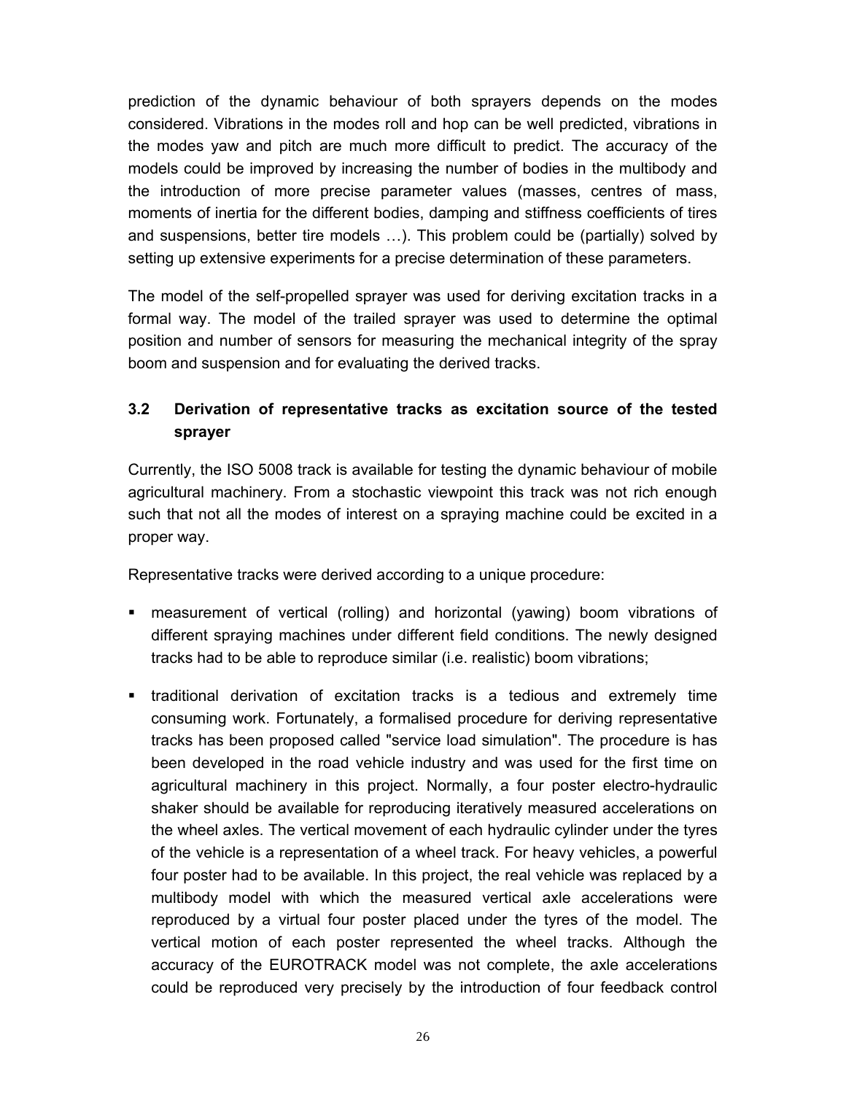prediction of the dynamic behaviour of both sprayers depends on the modes considered. Vibrations in the modes roll and hop can be well predicted, vibrations in the modes yaw and pitch are much more difficult to predict. The accuracy of the models could be improved by increasing the number of bodies in the multibody and the introduction of more precise parameter values (masses, centres of mass, moments of inertia for the different bodies, damping and stiffness coefficients of tires and suspensions, better tire models …). This problem could be (partially) solved by setting up extensive experiments for a precise determination of these parameters.

The model of the self-propelled sprayer was used for deriving excitation tracks in a formal way. The model of the trailed sprayer was used to determine the optimal position and number of sensors for measuring the mechanical integrity of the spray boom and suspension and for evaluating the derived tracks.

## **3.2 Derivation of representative tracks as excitation source of the tested sprayer**

Currently, the ISO 5008 track is available for testing the dynamic behaviour of mobile agricultural machinery. From a stochastic viewpoint this track was not rich enough such that not all the modes of interest on a spraying machine could be excited in a proper way.

Representative tracks were derived according to a unique procedure:

- measurement of vertical (rolling) and horizontal (yawing) boom vibrations of different spraying machines under different field conditions. The newly designed tracks had to be able to reproduce similar (i.e. realistic) boom vibrations;
- traditional derivation of excitation tracks is a tedious and extremely time consuming work. Fortunately, a formalised procedure for deriving representative tracks has been proposed called "service load simulation". The procedure is has been developed in the road vehicle industry and was used for the first time on agricultural machinery in this project. Normally, a four poster electro-hydraulic shaker should be available for reproducing iteratively measured accelerations on the wheel axles. The vertical movement of each hydraulic cylinder under the tyres of the vehicle is a representation of a wheel track. For heavy vehicles, a powerful four poster had to be available. In this project, the real vehicle was replaced by a multibody model with which the measured vertical axle accelerations were reproduced by a virtual four poster placed under the tyres of the model. The vertical motion of each poster represented the wheel tracks. Although the accuracy of the EUROTRACK model was not complete, the axle accelerations could be reproduced very precisely by the introduction of four feedback control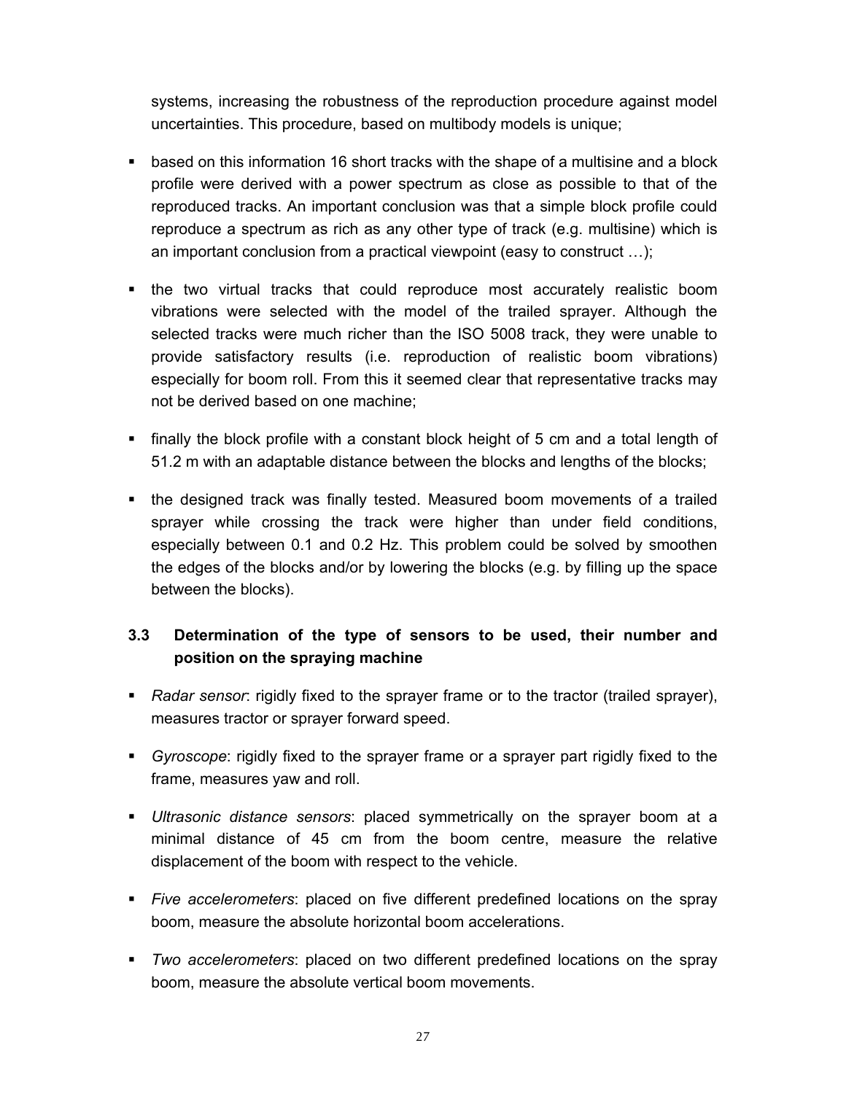systems, increasing the robustness of the reproduction procedure against model uncertainties. This procedure, based on multibody models is unique;

- based on this information 16 short tracks with the shape of a multisine and a block profile were derived with a power spectrum as close as possible to that of the reproduced tracks. An important conclusion was that a simple block profile could reproduce a spectrum as rich as any other type of track (e.g. multisine) which is an important conclusion from a practical viewpoint (easy to construct …);
- the two virtual tracks that could reproduce most accurately realistic boom vibrations were selected with the model of the trailed sprayer. Although the selected tracks were much richer than the ISO 5008 track, they were unable to provide satisfactory results (i.e. reproduction of realistic boom vibrations) especially for boom roll. From this it seemed clear that representative tracks may not be derived based on one machine;
- finally the block profile with a constant block height of 5 cm and a total length of 51.2 m with an adaptable distance between the blocks and lengths of the blocks;
- the designed track was finally tested. Measured boom movements of a trailed sprayer while crossing the track were higher than under field conditions, especially between 0.1 and 0.2 Hz. This problem could be solved by smoothen the edges of the blocks and/or by lowering the blocks (e.g. by filling up the space between the blocks).

## **3.3 Determination of the type of sensors to be used, their number and position on the spraying machine**

- *Radar sensor*: rigidly fixed to the sprayer frame or to the tractor (trailed sprayer), measures tractor or sprayer forward speed.
- *Gyroscope*: rigidly fixed to the sprayer frame or a sprayer part rigidly fixed to the frame, measures yaw and roll.
- *Ultrasonic distance sensors*: placed symmetrically on the sprayer boom at a minimal distance of 45 cm from the boom centre, measure the relative displacement of the boom with respect to the vehicle.
- *Five accelerometers*: placed on five different predefined locations on the spray boom, measure the absolute horizontal boom accelerations.
- *Two accelerometers*: placed on two different predefined locations on the spray boom, measure the absolute vertical boom movements.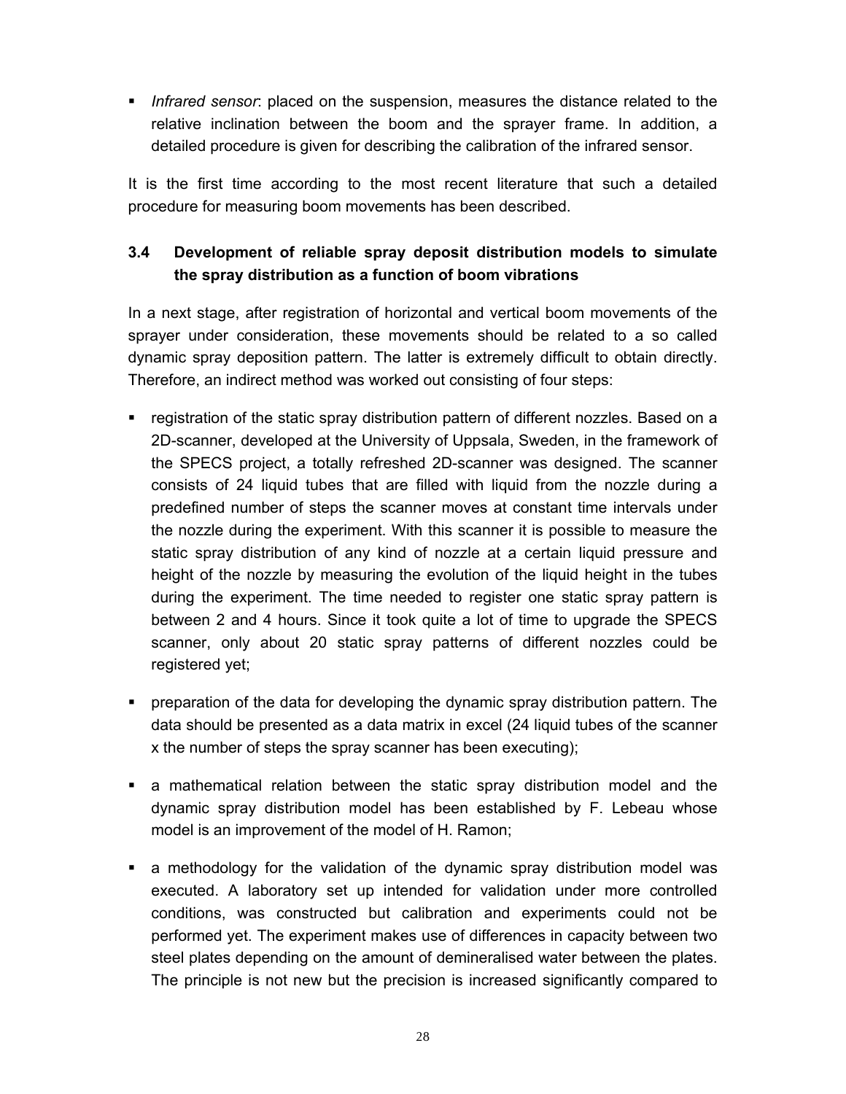*Infrared sensor*: placed on the suspension, measures the distance related to the relative inclination between the boom and the sprayer frame. In addition, a detailed procedure is given for describing the calibration of the infrared sensor.

It is the first time according to the most recent literature that such a detailed procedure for measuring boom movements has been described.

## **3.4 Development of reliable spray deposit distribution models to simulate the spray distribution as a function of boom vibrations**

In a next stage, after registration of horizontal and vertical boom movements of the sprayer under consideration, these movements should be related to a so called dynamic spray deposition pattern. The latter is extremely difficult to obtain directly. Therefore, an indirect method was worked out consisting of four steps:

- registration of the static spray distribution pattern of different nozzles. Based on a 2D-scanner, developed at the University of Uppsala, Sweden, in the framework of the SPECS project, a totally refreshed 2D-scanner was designed. The scanner consists of 24 liquid tubes that are filled with liquid from the nozzle during a predefined number of steps the scanner moves at constant time intervals under the nozzle during the experiment. With this scanner it is possible to measure the static spray distribution of any kind of nozzle at a certain liquid pressure and height of the nozzle by measuring the evolution of the liquid height in the tubes during the experiment. The time needed to register one static spray pattern is between 2 and 4 hours. Since it took quite a lot of time to upgrade the SPECS scanner, only about 20 static spray patterns of different nozzles could be registered yet;
- preparation of the data for developing the dynamic spray distribution pattern. The data should be presented as a data matrix in excel (24 liquid tubes of the scanner x the number of steps the spray scanner has been executing);
- a mathematical relation between the static spray distribution model and the dynamic spray distribution model has been established by F. Lebeau whose model is an improvement of the model of H. Ramon;
- a methodology for the validation of the dynamic spray distribution model was executed. A laboratory set up intended for validation under more controlled conditions, was constructed but calibration and experiments could not be performed yet. The experiment makes use of differences in capacity between two steel plates depending on the amount of demineralised water between the plates. The principle is not new but the precision is increased significantly compared to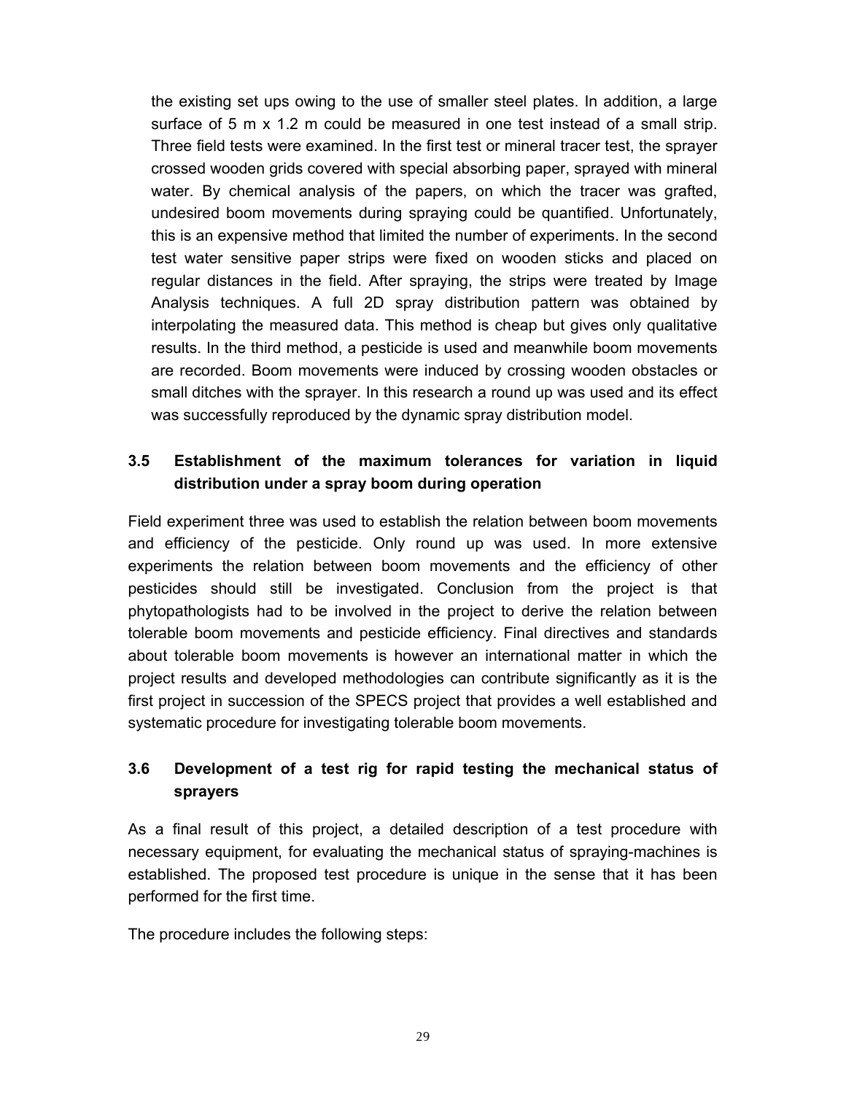the existing set ups owing to the use of smaller steel plates. In addition, a large surface of 5 m x 1.2 m could be measured in one test instead of a small strip. Three field tests were examined. In the first test or mineral tracer test, the sprayer crossed wooden grids covered with special absorbing paper, sprayed with mineral water. By chemical analysis of the papers, on which the tracer was grafted, undesired boom movements during spraying could be quantified. Unfortunately, this is an expensive method that limited the number of experiments. In the second test water sensitive paper strips were fixed on wooden sticks and placed on regular distances in the field. After spraying, the strips were treated by Image Analysis techniques. A full 2D spray distribution pattern was obtained by interpolating the measured data. This method is cheap but gives only qualitative results. In the third method, a pesticide is used and meanwhile boom movements are recorded. Boom movements were induced by crossing wooden obstacles or small ditches with the sprayer. In this research a round up was used and its effect was successfully reproduced by the dynamic spray distribution model.

## **3.5 Establishment of the maximum tolerances for variation in liquid distribution under a spray boom during operation**

Field experiment three was used to establish the relation between boom movements and efficiency of the pesticide. Only round up was used. In more extensive experiments the relation between boom movements and the efficiency of other pesticides should still be investigated. Conclusion from the project is that phytopathologists had to be involved in the project to derive the relation between tolerable boom movements and pesticide efficiency. Final directives and standards about tolerable boom movements is however an international matter in which the project results and developed methodologies can contribute significantly as it is the first project in succession of the SPECS project that provides a well established and systematic procedure for investigating tolerable boom movements.

## **3.6 Development of a test rig for rapid testing the mechanical status of sprayers**

As a final result of this project, a detailed description of a test procedure with necessary equipment, for evaluating the mechanical status of spraying-machines is established. The proposed test procedure is unique in the sense that it has been performed for the first time.

The procedure includes the following steps: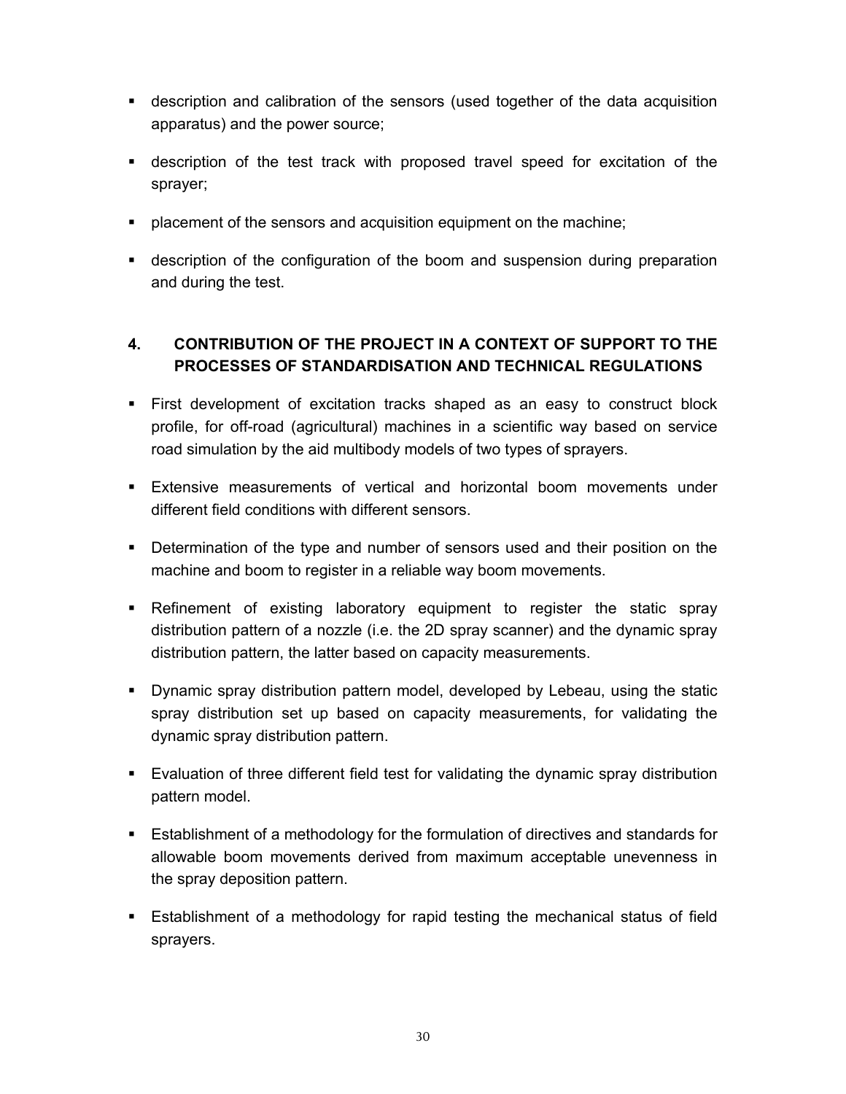- description and calibration of the sensors (used together of the data acquisition apparatus) and the power source;
- description of the test track with proposed travel speed for excitation of the sprayer;
- **•** placement of the sensors and acquisition equipment on the machine;
- description of the configuration of the boom and suspension during preparation and during the test.

## **4. CONTRIBUTION OF THE PROJECT IN A CONTEXT OF SUPPORT TO THE PROCESSES OF STANDARDISATION AND TECHNICAL REGULATIONS**

- First development of excitation tracks shaped as an easy to construct block profile, for off-road (agricultural) machines in a scientific way based on service road simulation by the aid multibody models of two types of sprayers.
- Extensive measurements of vertical and horizontal boom movements under different field conditions with different sensors.
- Determination of the type and number of sensors used and their position on the machine and boom to register in a reliable way boom movements.
- Refinement of existing laboratory equipment to register the static spray distribution pattern of a nozzle (i.e. the 2D spray scanner) and the dynamic spray distribution pattern, the latter based on capacity measurements.
- Dynamic spray distribution pattern model, developed by Lebeau, using the static spray distribution set up based on capacity measurements, for validating the dynamic spray distribution pattern.
- Evaluation of three different field test for validating the dynamic spray distribution pattern model.
- Establishment of a methodology for the formulation of directives and standards for allowable boom movements derived from maximum acceptable unevenness in the spray deposition pattern.
- Establishment of a methodology for rapid testing the mechanical status of field sprayers.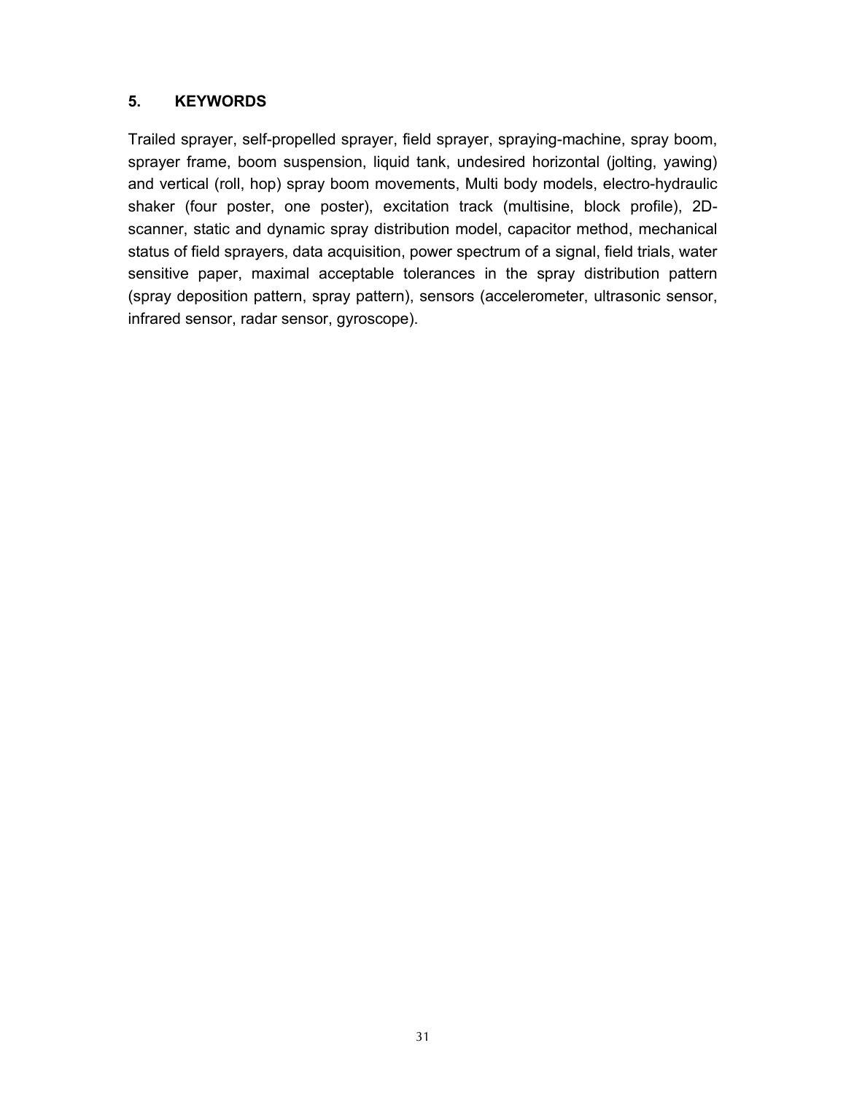#### **5. KEYWORDS**

Trailed sprayer, self-propelled sprayer, field sprayer, spraying-machine, spray boom, sprayer frame, boom suspension, liquid tank, undesired horizontal (jolting, yawing) and vertical (roll, hop) spray boom movements, Multi body models, electro-hydraulic shaker (four poster, one poster), excitation track (multisine, block profile), 2Dscanner, static and dynamic spray distribution model, capacitor method, mechanical status of field sprayers, data acquisition, power spectrum of a signal, field trials, water sensitive paper, maximal acceptable tolerances in the spray distribution pattern (spray deposition pattern, spray pattern), sensors (accelerometer, ultrasonic sensor, infrared sensor, radar sensor, gyroscope).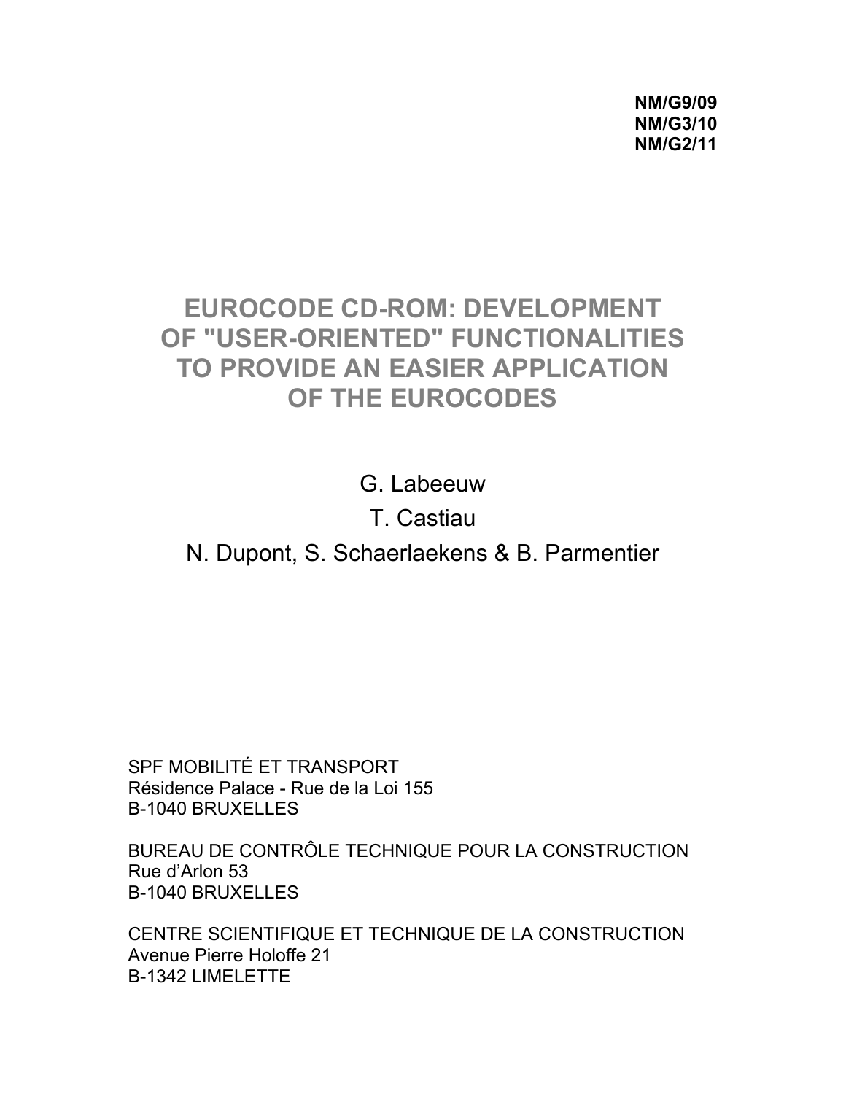**NM/G9/09 NM/G3/10 NM/G2/11** 

# **EUROCODE CD-ROM: DEVELOPMENT OF "USER-ORIENTED" FUNCTIONALITIES TO PROVIDE AN EASIER APPLICATION OF THE EUROCODES**

G. Labeeuw T. Castiau N. Dupont, S. Schaerlaekens & B. Parmentier

SPF MOBILITÉ ET TRANSPORT Résidence Palace - Rue de la Loi 155 B-1040 BRUXELLES

BUREAU DE CONTRÔLE TECHNIQUE POUR LA CONSTRUCTION Rue d'Arlon 53 B-1040 BRUXELLES

CENTRE SCIENTIFIQUE ET TECHNIQUE DE LA CONSTRUCTION Avenue Pierre Holoffe 21 B-1342 LIMELETTE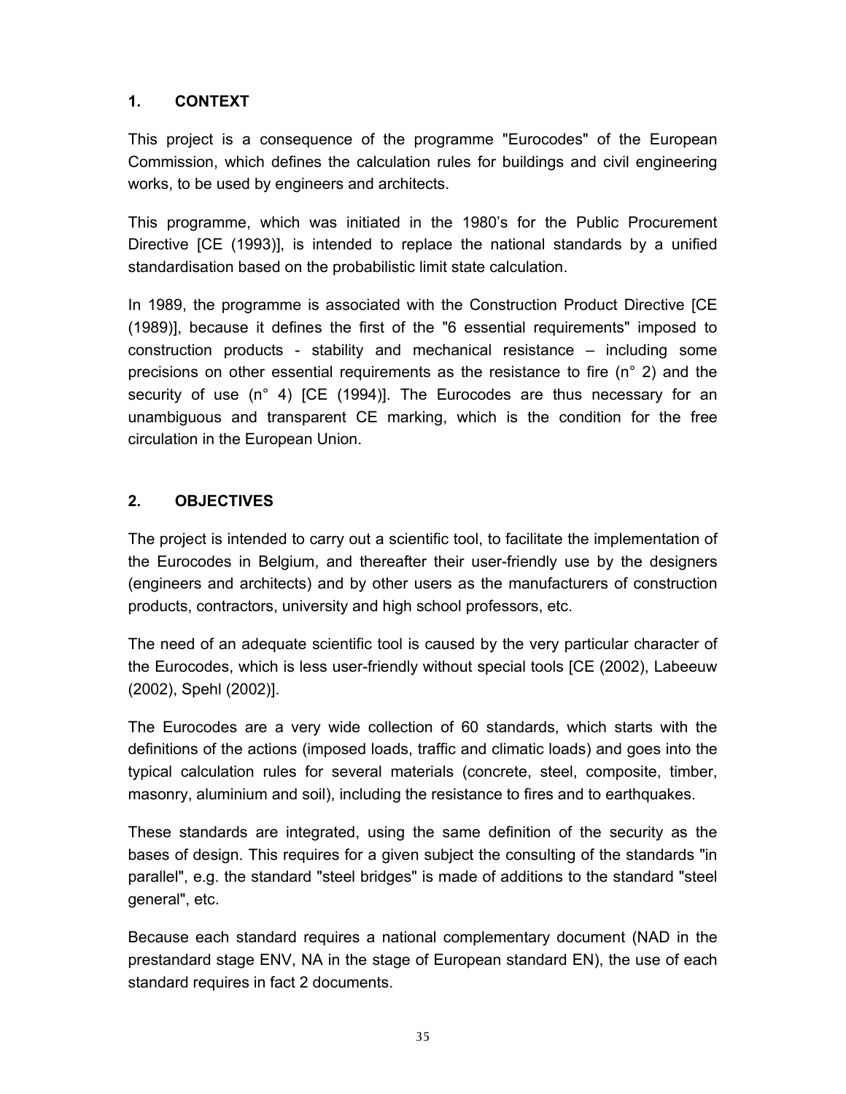#### **1. CONTEXT**

This project is a consequence of the programme "Eurocodes" of the European Commission, which defines the calculation rules for buildings and civil engineering works, to be used by engineers and architects.

This programme, which was initiated in the 1980's for the Public Procurement Directive [CE (1993)], is intended to replace the national standards by a unified standardisation based on the probabilistic limit state calculation.

In 1989, the programme is associated with the Construction Product Directive [CE (1989)], because it defines the first of the "6 essential requirements" imposed to construction products - stability and mechanical resistance – including some precisions on other essential requirements as the resistance to fire (n° 2) and the security of use (n° 4) [CE (1994)]. The Eurocodes are thus necessary for an unambiguous and transparent CE marking, which is the condition for the free circulation in the European Union.

#### **2. OBJECTIVES**

The project is intended to carry out a scientific tool, to facilitate the implementation of the Eurocodes in Belgium, and thereafter their user-friendly use by the designers (engineers and architects) and by other users as the manufacturers of construction products, contractors, university and high school professors, etc.

The need of an adequate scientific tool is caused by the very particular character of the Eurocodes, which is less user-friendly without special tools [CE (2002), Labeeuw (2002), Spehl (2002)].

The Eurocodes are a very wide collection of 60 standards, which starts with the definitions of the actions (imposed loads, traffic and climatic loads) and goes into the typical calculation rules for several materials (concrete, steel, composite, timber, masonry, aluminium and soil), including the resistance to fires and to earthquakes.

These standards are integrated, using the same definition of the security as the bases of design. This requires for a given subject the consulting of the standards "in parallel", e.g. the standard "steel bridges" is made of additions to the standard "steel general", etc.

Because each standard requires a national complementary document (NAD in the prestandard stage ENV, NA in the stage of European standard EN), the use of each standard requires in fact 2 documents.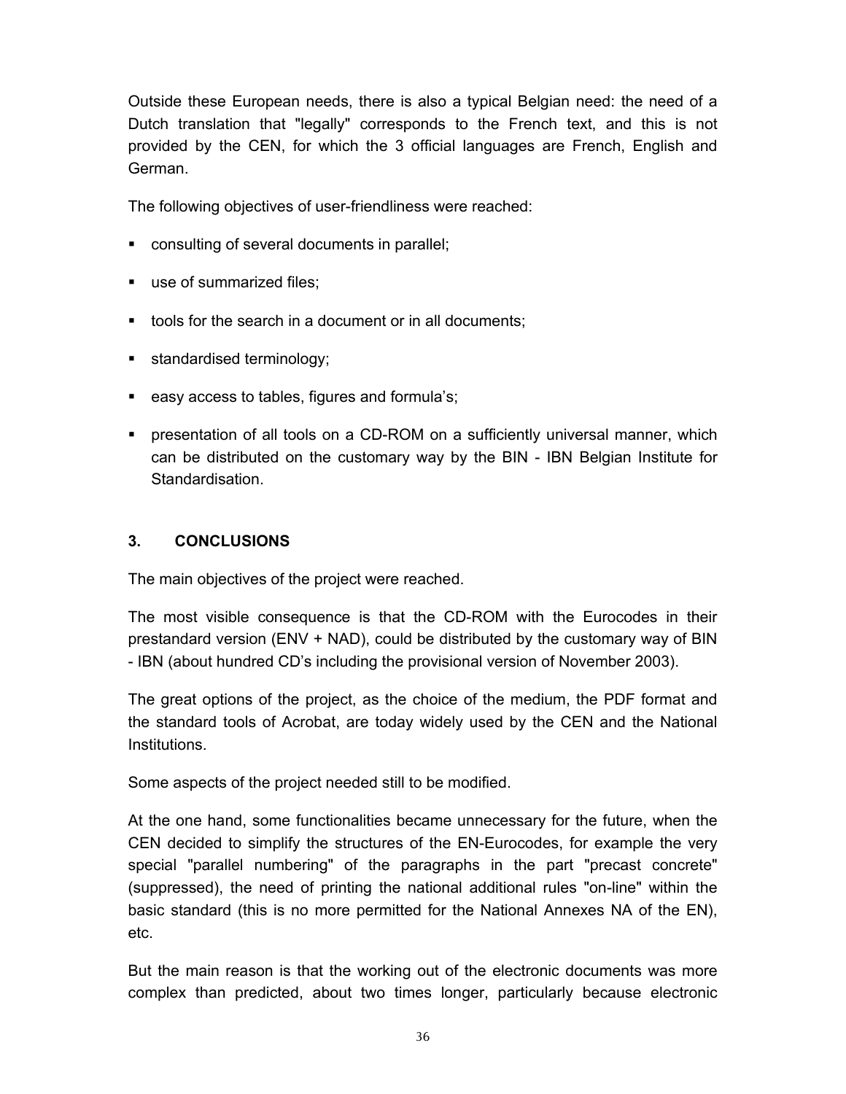Outside these European needs, there is also a typical Belgian need: the need of a Dutch translation that "legally" corresponds to the French text, and this is not provided by the CEN, for which the 3 official languages are French, English and German.

The following objectives of user-friendliness were reached:

- consulting of several documents in parallel;
- use of summarized files:
- tools for the search in a document or in all documents;
- **standardised terminology;**
- easy access to tables, figures and formula's;
- presentation of all tools on a CD-ROM on a sufficiently universal manner, which can be distributed on the customary way by the BIN - IBN Belgian Institute for Standardisation.

#### **3. CONCLUSIONS**

The main objectives of the project were reached.

The most visible consequence is that the CD-ROM with the Eurocodes in their prestandard version (ENV + NAD), could be distributed by the customary way of BIN - IBN (about hundred CD's including the provisional version of November 2003).

The great options of the project, as the choice of the medium, the PDF format and the standard tools of Acrobat, are today widely used by the CEN and the National Institutions.

Some aspects of the project needed still to be modified.

At the one hand, some functionalities became unnecessary for the future, when the CEN decided to simplify the structures of the EN-Eurocodes, for example the very special "parallel numbering" of the paragraphs in the part "precast concrete" (suppressed), the need of printing the national additional rules "on-line" within the basic standard (this is no more permitted for the National Annexes NA of the EN), etc.

But the main reason is that the working out of the electronic documents was more complex than predicted, about two times longer, particularly because electronic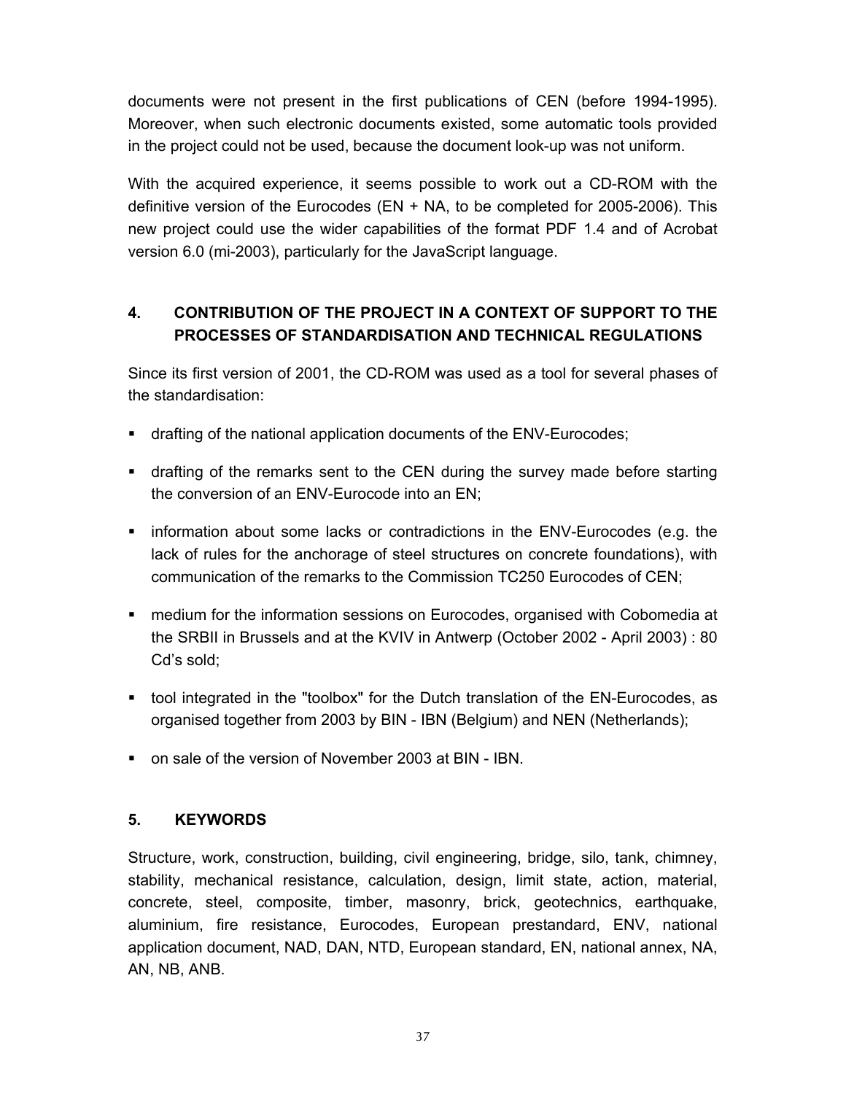documents were not present in the first publications of CEN (before 1994-1995). Moreover, when such electronic documents existed, some automatic tools provided in the project could not be used, because the document look-up was not uniform.

With the acquired experience, it seems possible to work out a CD-ROM with the definitive version of the Eurocodes (EN + NA, to be completed for 2005-2006). This new project could use the wider capabilities of the format PDF 1.4 and of Acrobat version 6.0 (mi-2003), particularly for the JavaScript language.

# **4. CONTRIBUTION OF THE PROJECT IN A CONTEXT OF SUPPORT TO THE PROCESSES OF STANDARDISATION AND TECHNICAL REGULATIONS**

Since its first version of 2001, the CD-ROM was used as a tool for several phases of the standardisation:

- drafting of the national application documents of the ENV-Eurocodes;
- drafting of the remarks sent to the CEN during the survey made before starting the conversion of an ENV-Eurocode into an EN;
- **EXECT** information about some lacks or contradictions in the ENV-Eurocodes (e.g. the lack of rules for the anchorage of steel structures on concrete foundations), with communication of the remarks to the Commission TC250 Eurocodes of CEN;
- medium for the information sessions on Eurocodes, organised with Cobomedia at the SRBII in Brussels and at the KVIV in Antwerp (October 2002 - April 2003) : 80 Cd's sold;
- tool integrated in the "toolbox" for the Dutch translation of the EN-Eurocodes, as organised together from 2003 by BIN - IBN (Belgium) and NEN (Netherlands);
- on sale of the version of November 2003 at BIN IBN.

#### **5. KEYWORDS**

Structure, work, construction, building, civil engineering, bridge, silo, tank, chimney, stability, mechanical resistance, calculation, design, limit state, action, material, concrete, steel, composite, timber, masonry, brick, geotechnics, earthquake, aluminium, fire resistance, Eurocodes, European prestandard, ENV, national application document, NAD, DAN, NTD, European standard, EN, national annex, NA, AN, NB, ANB.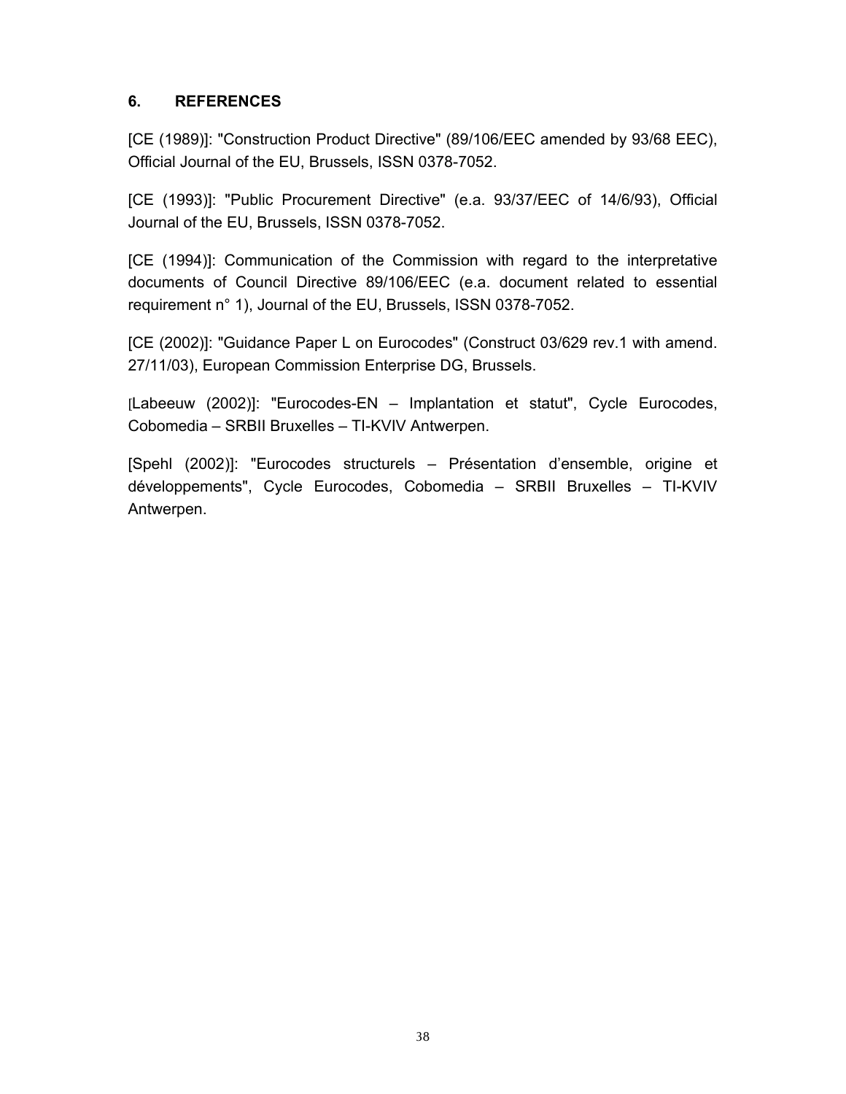#### **6. REFERENCES**

[CE (1989)]: "Construction Product Directive" (89/106/EEC amended by 93/68 EEC), Official Journal of the EU, Brussels, ISSN 0378-7052.

[CE (1993)]: "Public Procurement Directive" (e.a. 93/37/EEC of 14/6/93), Official Journal of the EU, Brussels, ISSN 0378-7052.

[CE (1994)]: Communication of the Commission with regard to the interpretative documents of Council Directive 89/106/EEC (e.a. document related to essential requirement n° 1), Journal of the EU, Brussels, ISSN 0378-7052.

[CE (2002)]: "Guidance Paper L on Eurocodes" (Construct 03/629 rev.1 with amend. 27/11/03), European Commission Enterprise DG, Brussels.

[Labeeuw (2002)]: "Eurocodes-EN – Implantation et statut", Cycle Eurocodes, Cobomedia – SRBII Bruxelles – TI-KVIV Antwerpen.

[Spehl (2002)]: "Eurocodes structurels – Présentation d'ensemble, origine et développements", Cycle Eurocodes, Cobomedia – SRBII Bruxelles – TI-KVIV Antwerpen.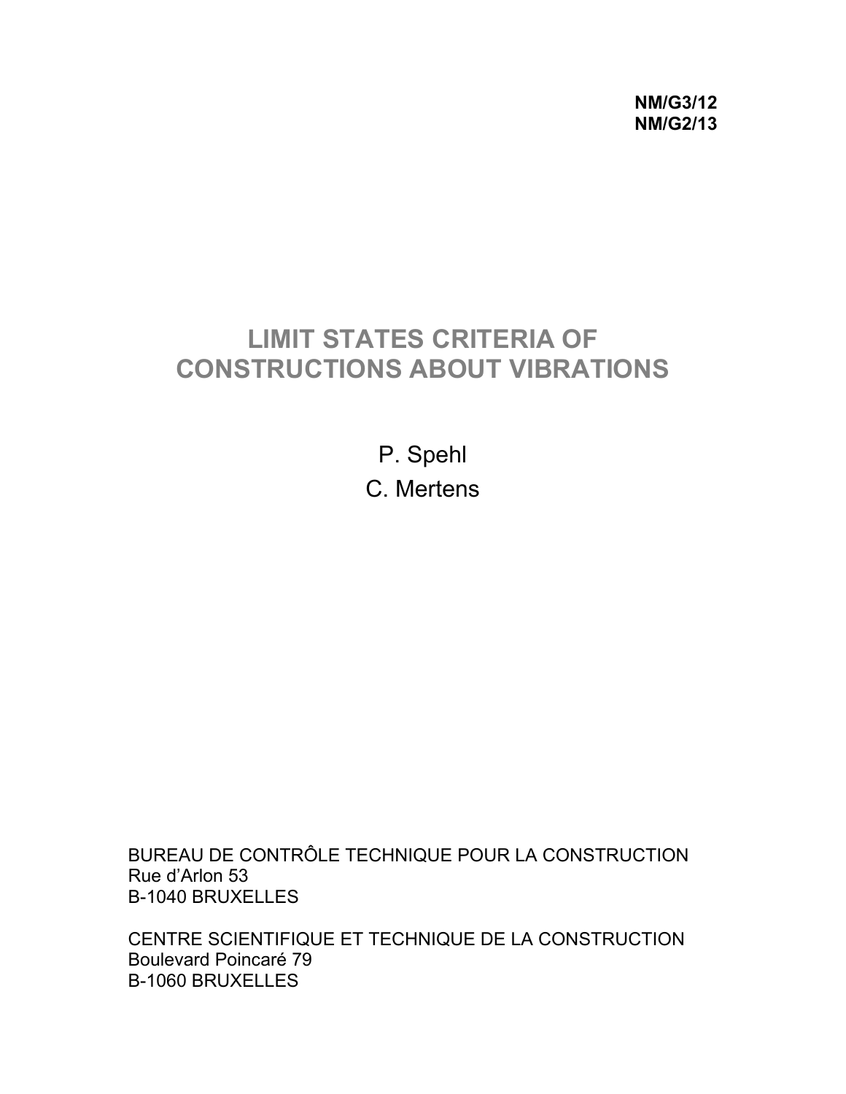**NM/G3/12 NM/G2/13** 

# **LIMIT STATES CRITERIA OF CONSTRUCTIONS ABOUT VIBRATIONS**

P. Spehl C. Mertens

BUREAU DE CONTRÔLE TECHNIQUE POUR LA CONSTRUCTION Rue d'Arlon 53 B-1040 BRUXELLES

CENTRE SCIENTIFIQUE ET TECHNIQUE DE LA CONSTRUCTION Boulevard Poincaré 79 B-1060 BRUXELLES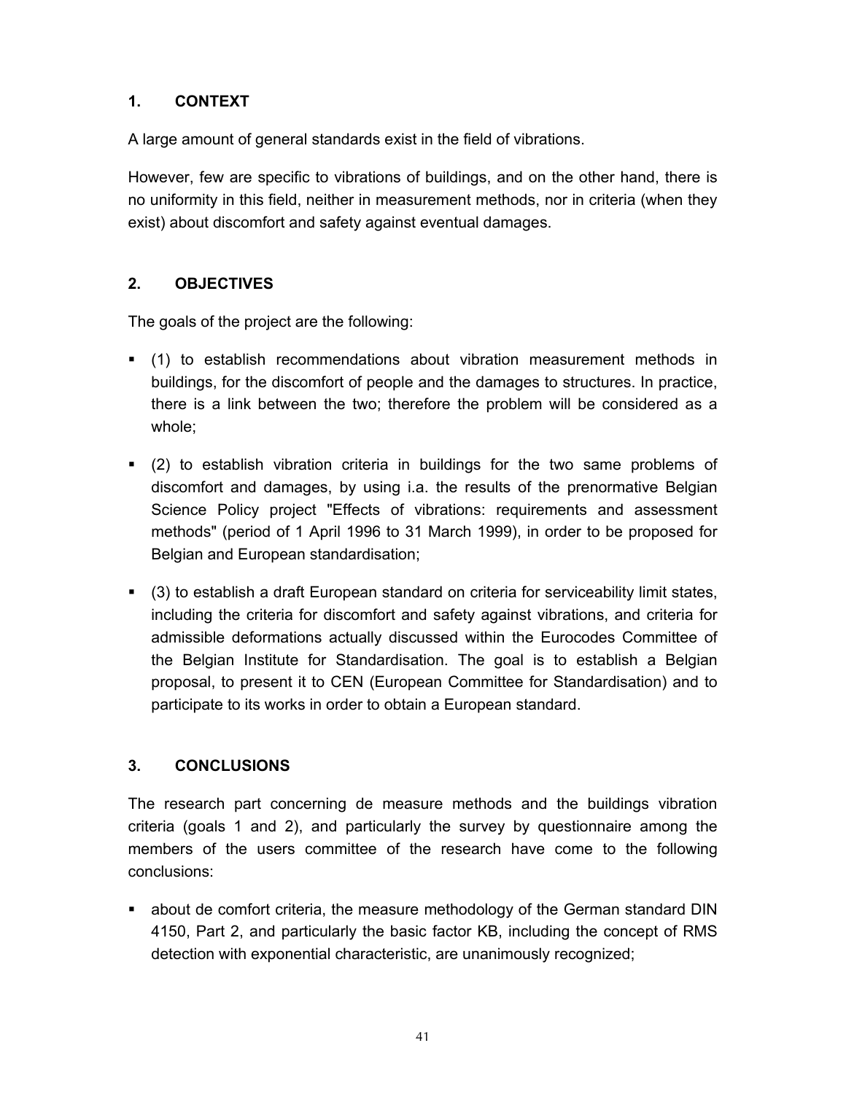## **1. CONTEXT**

A large amount of general standards exist in the field of vibrations.

However, few are specific to vibrations of buildings, and on the other hand, there is no uniformity in this field, neither in measurement methods, nor in criteria (when they exist) about discomfort and safety against eventual damages.

# **2. OBJECTIVES**

The goals of the project are the following:

- (1) to establish recommendations about vibration measurement methods in buildings, for the discomfort of people and the damages to structures. In practice, there is a link between the two; therefore the problem will be considered as a whole;
- (2) to establish vibration criteria in buildings for the two same problems of discomfort and damages, by using i.a. the results of the prenormative Belgian Science Policy project "Effects of vibrations: requirements and assessment methods" (period of 1 April 1996 to 31 March 1999), in order to be proposed for Belgian and European standardisation;
- (3) to establish a draft European standard on criteria for serviceability limit states, including the criteria for discomfort and safety against vibrations, and criteria for admissible deformations actually discussed within the Eurocodes Committee of the Belgian Institute for Standardisation. The goal is to establish a Belgian proposal, to present it to CEN (European Committee for Standardisation) and to participate to its works in order to obtain a European standard.

## **3. CONCLUSIONS**

The research part concerning de measure methods and the buildings vibration criteria (goals 1 and 2), and particularly the survey by questionnaire among the members of the users committee of the research have come to the following conclusions:

 about de comfort criteria, the measure methodology of the German standard DIN 4150, Part 2, and particularly the basic factor KB, including the concept of RMS detection with exponential characteristic, are unanimously recognized;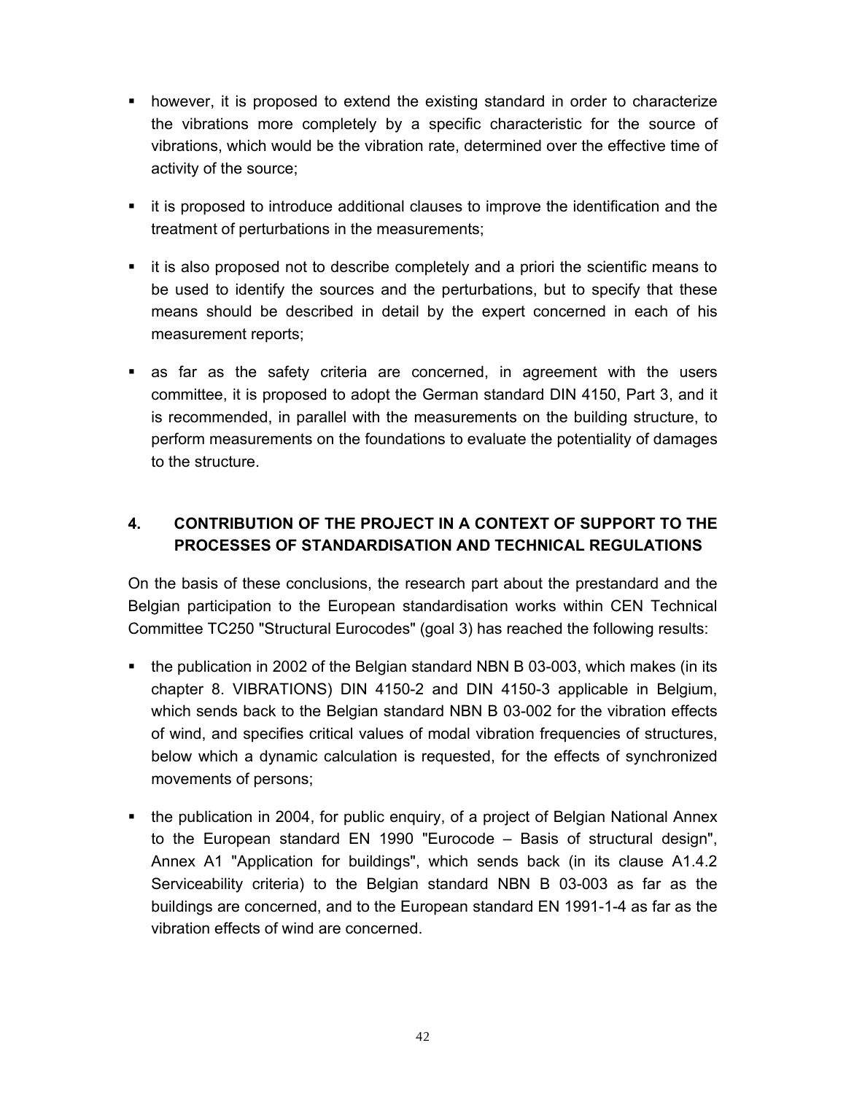- however, it is proposed to extend the existing standard in order to characterize the vibrations more completely by a specific characteristic for the source of vibrations, which would be the vibration rate, determined over the effective time of activity of the source;
- it is proposed to introduce additional clauses to improve the identification and the treatment of perturbations in the measurements;
- it is also proposed not to describe completely and a priori the scientific means to be used to identify the sources and the perturbations, but to specify that these means should be described in detail by the expert concerned in each of his measurement reports;
- as far as the safety criteria are concerned, in agreement with the users committee, it is proposed to adopt the German standard DIN 4150, Part 3, and it is recommended, in parallel with the measurements on the building structure, to perform measurements on the foundations to evaluate the potentiality of damages to the structure.

# **4. CONTRIBUTION OF THE PROJECT IN A CONTEXT OF SUPPORT TO THE PROCESSES OF STANDARDISATION AND TECHNICAL REGULATIONS**

On the basis of these conclusions, the research part about the prestandard and the Belgian participation to the European standardisation works within CEN Technical Committee TC250 "Structural Eurocodes" (goal 3) has reached the following results:

- the publication in 2002 of the Belgian standard NBN B 03-003, which makes (in its chapter 8. VIBRATIONS) DIN 4150-2 and DIN 4150-3 applicable in Belgium, which sends back to the Belgian standard NBN B 03-002 for the vibration effects of wind, and specifies critical values of modal vibration frequencies of structures, below which a dynamic calculation is requested, for the effects of synchronized movements of persons;
- the publication in 2004, for public enquiry, of a project of Belgian National Annex to the European standard EN 1990 "Eurocode – Basis of structural design", Annex A1 "Application for buildings", which sends back (in its clause A1.4.2 Serviceability criteria) to the Belgian standard NBN B 03-003 as far as the buildings are concerned, and to the European standard EN 1991-1-4 as far as the vibration effects of wind are concerned.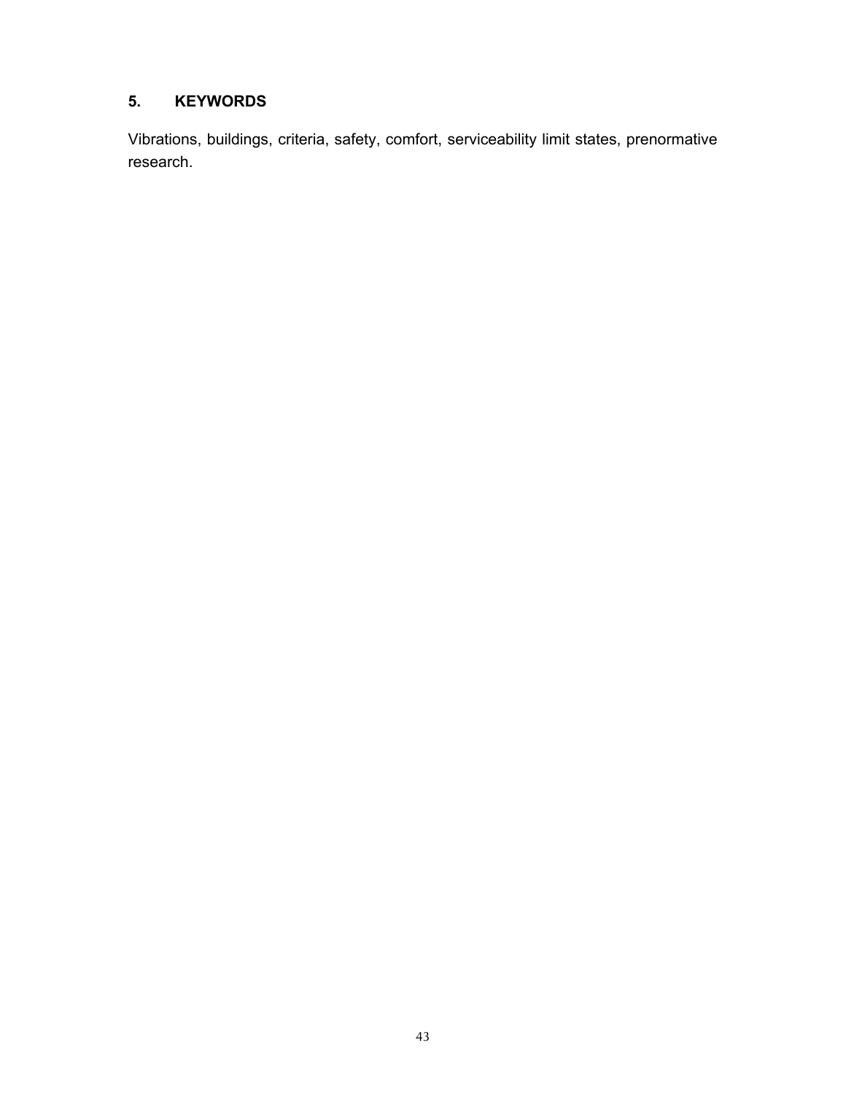#### **5. KEYWORDS**

Vibrations, buildings, criteria, safety, comfort, serviceability limit states, prenormative research.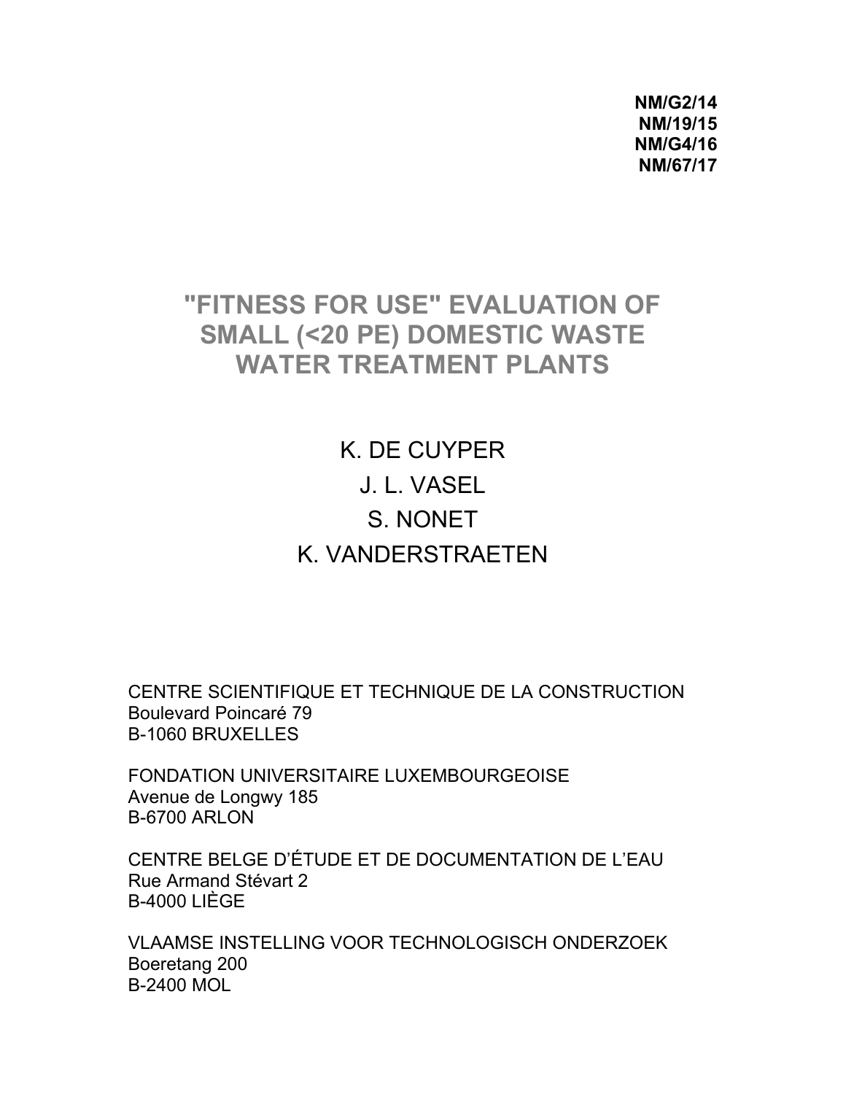**NM/G2/14 NM/19/15 NM/G4/16 NM/67/17** 

# **"FITNESS FOR USE" EVALUATION OF SMALL (<20 PE) DOMESTIC WASTE WATER TREATMENT PLANTS**

K. DE CUYPER J. L. VASEL S. NONET K. VANDERSTRAETEN

CENTRE SCIENTIFIQUE ET TECHNIQUE DE LA CONSTRUCTION Boulevard Poincaré 79 B-1060 BRUXELLES

FONDATION UNIVERSITAIRE LUXEMBOURGEOISE Avenue de Longwy 185 B-6700 ARLON

CENTRE BELGE D'ÉTUDE ET DE DOCUMENTATION DE L'EAU Rue Armand Stévart 2 B-4000 LIÈGE

VLAAMSE INSTELLING VOOR TECHNOLOGISCH ONDERZOEK Boeretang 200 B-2400 MOL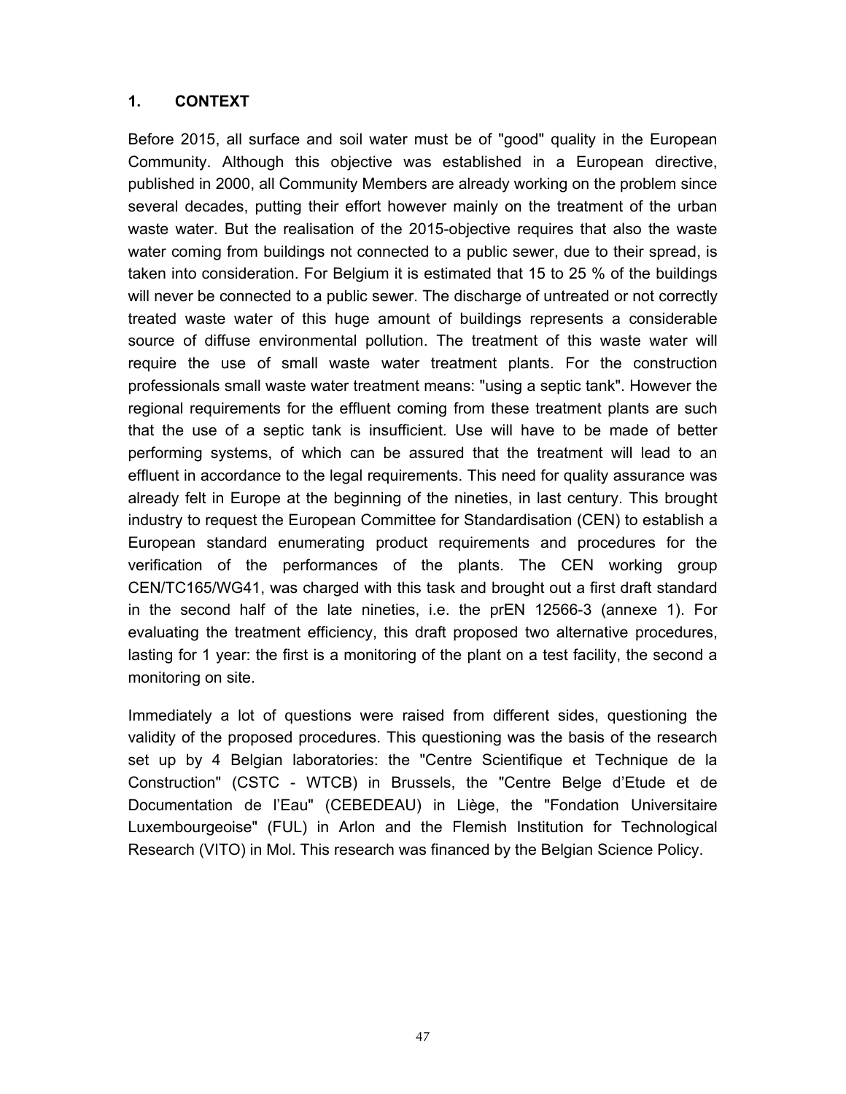#### **1. CONTEXT**

Before 2015, all surface and soil water must be of "good" quality in the European Community. Although this objective was established in a European directive, published in 2000, all Community Members are already working on the problem since several decades, putting their effort however mainly on the treatment of the urban waste water. But the realisation of the 2015-objective requires that also the waste water coming from buildings not connected to a public sewer, due to their spread, is taken into consideration. For Belgium it is estimated that 15 to 25 % of the buildings will never be connected to a public sewer. The discharge of untreated or not correctly treated waste water of this huge amount of buildings represents a considerable source of diffuse environmental pollution. The treatment of this waste water will require the use of small waste water treatment plants. For the construction professionals small waste water treatment means: "using a septic tank". However the regional requirements for the effluent coming from these treatment plants are such that the use of a septic tank is insufficient. Use will have to be made of better performing systems, of which can be assured that the treatment will lead to an effluent in accordance to the legal requirements. This need for quality assurance was already felt in Europe at the beginning of the nineties, in last century. This brought industry to request the European Committee for Standardisation (CEN) to establish a European standard enumerating product requirements and procedures for the verification of the performances of the plants. The CEN working group CEN/TC165/WG41, was charged with this task and brought out a first draft standard in the second half of the late nineties, i.e. the prEN 12566-3 (annexe 1). For evaluating the treatment efficiency, this draft proposed two alternative procedures, lasting for 1 year: the first is a monitoring of the plant on a test facility, the second a monitoring on site.

Immediately a lot of questions were raised from different sides, questioning the validity of the proposed procedures. This questioning was the basis of the research set up by 4 Belgian laboratories: the "Centre Scientifique et Technique de la Construction" (CSTC - WTCB) in Brussels, the "Centre Belge d'Etude et de Documentation de l'Eau" (CEBEDEAU) in Liège, the "Fondation Universitaire Luxembourgeoise" (FUL) in Arlon and the Flemish Institution for Technological Research (VITO) in Mol. This research was financed by the Belgian Science Policy.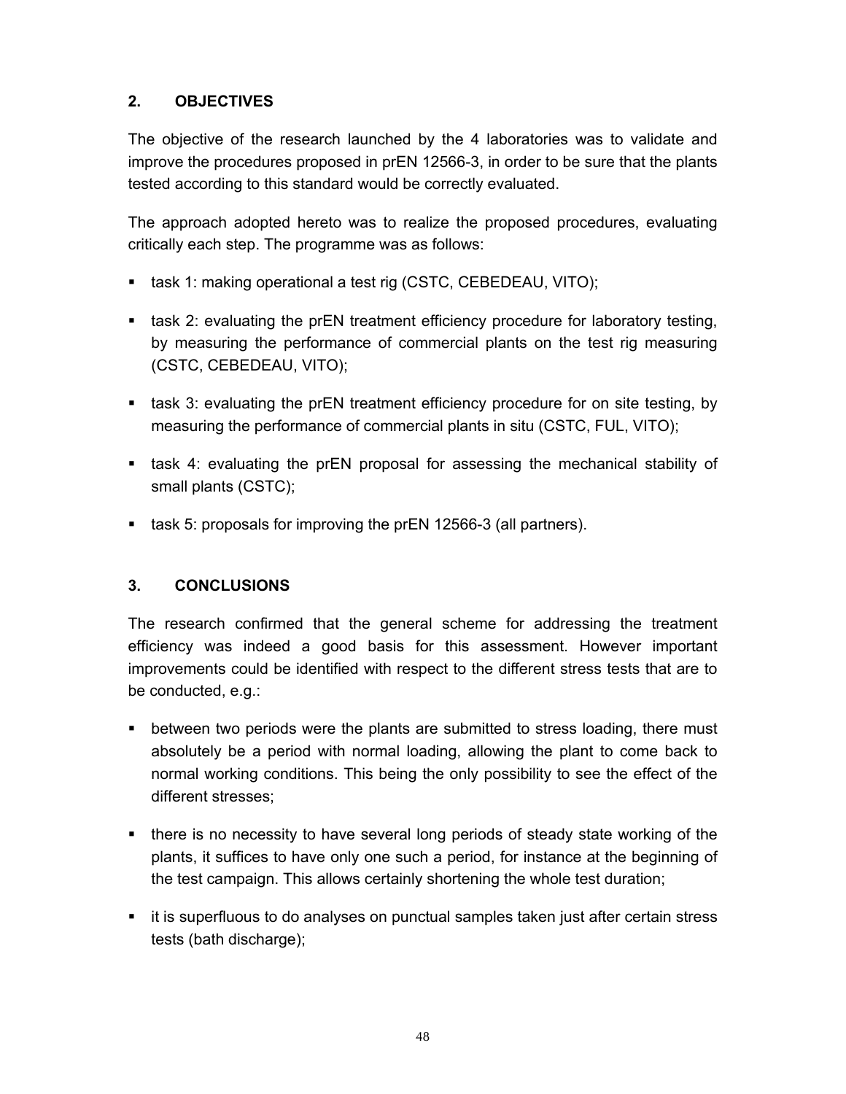## **2. OBJECTIVES**

The objective of the research launched by the 4 laboratories was to validate and improve the procedures proposed in prEN 12566-3, in order to be sure that the plants tested according to this standard would be correctly evaluated.

The approach adopted hereto was to realize the proposed procedures, evaluating critically each step. The programme was as follows:

- **task 1: making operational a test rig (CSTC, CEBEDEAU, VITO);**
- task 2: evaluating the prEN treatment efficiency procedure for laboratory testing, by measuring the performance of commercial plants on the test rig measuring (CSTC, CEBEDEAU, VITO);
- task 3: evaluating the prEN treatment efficiency procedure for on site testing, by measuring the performance of commercial plants in situ (CSTC, FUL, VITO);
- task 4: evaluating the prEN proposal for assessing the mechanical stability of small plants (CSTC);
- task 5: proposals for improving the prEN 12566-3 (all partners).

## **3. CONCLUSIONS**

The research confirmed that the general scheme for addressing the treatment efficiency was indeed a good basis for this assessment. However important improvements could be identified with respect to the different stress tests that are to be conducted, e.g.:

- **•** between two periods were the plants are submitted to stress loading, there must absolutely be a period with normal loading, allowing the plant to come back to normal working conditions. This being the only possibility to see the effect of the different stresses;
- there is no necessity to have several long periods of steady state working of the plants, it suffices to have only one such a period, for instance at the beginning of the test campaign. This allows certainly shortening the whole test duration;
- it is superfluous to do analyses on punctual samples taken just after certain stress tests (bath discharge);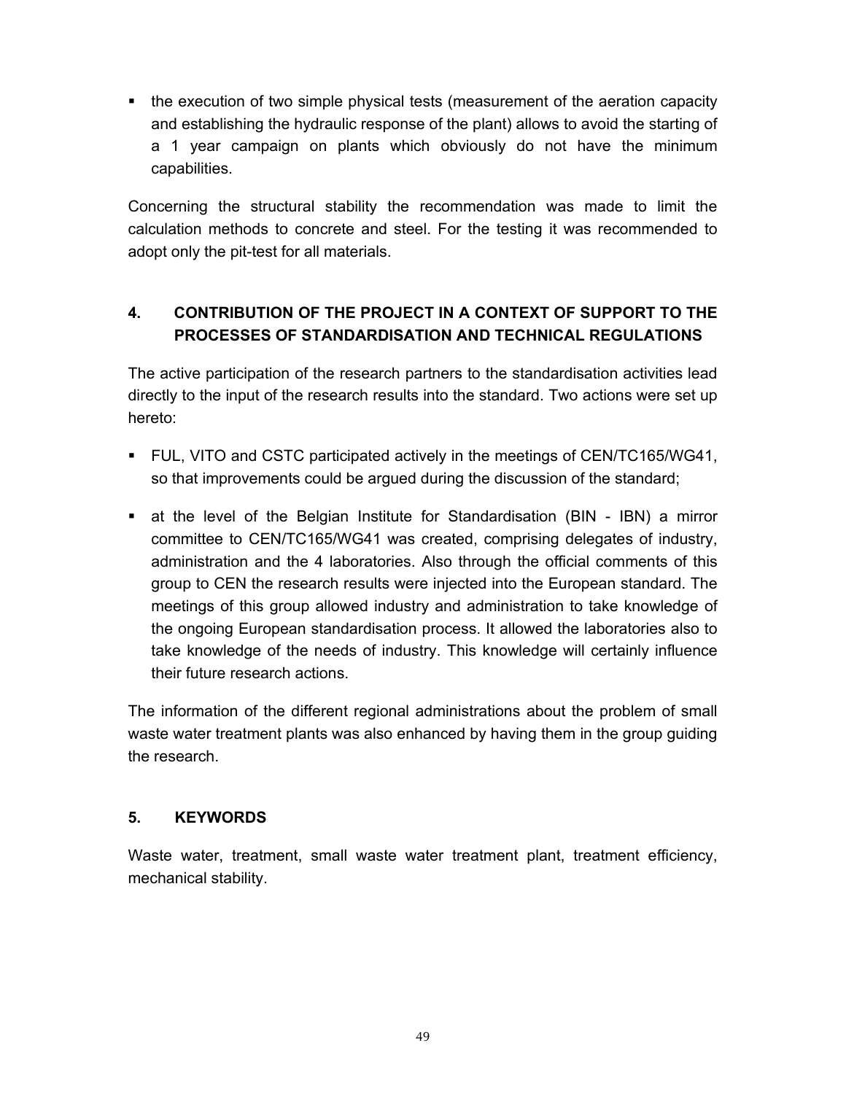• the execution of two simple physical tests (measurement of the aeration capacity and establishing the hydraulic response of the plant) allows to avoid the starting of a 1 year campaign on plants which obviously do not have the minimum capabilities.

Concerning the structural stability the recommendation was made to limit the calculation methods to concrete and steel. For the testing it was recommended to adopt only the pit-test for all materials.

# **4. CONTRIBUTION OF THE PROJECT IN A CONTEXT OF SUPPORT TO THE PROCESSES OF STANDARDISATION AND TECHNICAL REGULATIONS**

The active participation of the research partners to the standardisation activities lead directly to the input of the research results into the standard. Two actions were set up hereto:

- FUL, VITO and CSTC participated actively in the meetings of CEN/TC165/WG41, so that improvements could be argued during the discussion of the standard;
- at the level of the Belgian Institute for Standardisation (BIN IBN) a mirror committee to CEN/TC165/WG41 was created, comprising delegates of industry, administration and the 4 laboratories. Also through the official comments of this group to CEN the research results were injected into the European standard. The meetings of this group allowed industry and administration to take knowledge of the ongoing European standardisation process. It allowed the laboratories also to take knowledge of the needs of industry. This knowledge will certainly influence their future research actions.

The information of the different regional administrations about the problem of small waste water treatment plants was also enhanced by having them in the group guiding the research.

## **5. KEYWORDS**

Waste water, treatment, small waste water treatment plant, treatment efficiency, mechanical stability.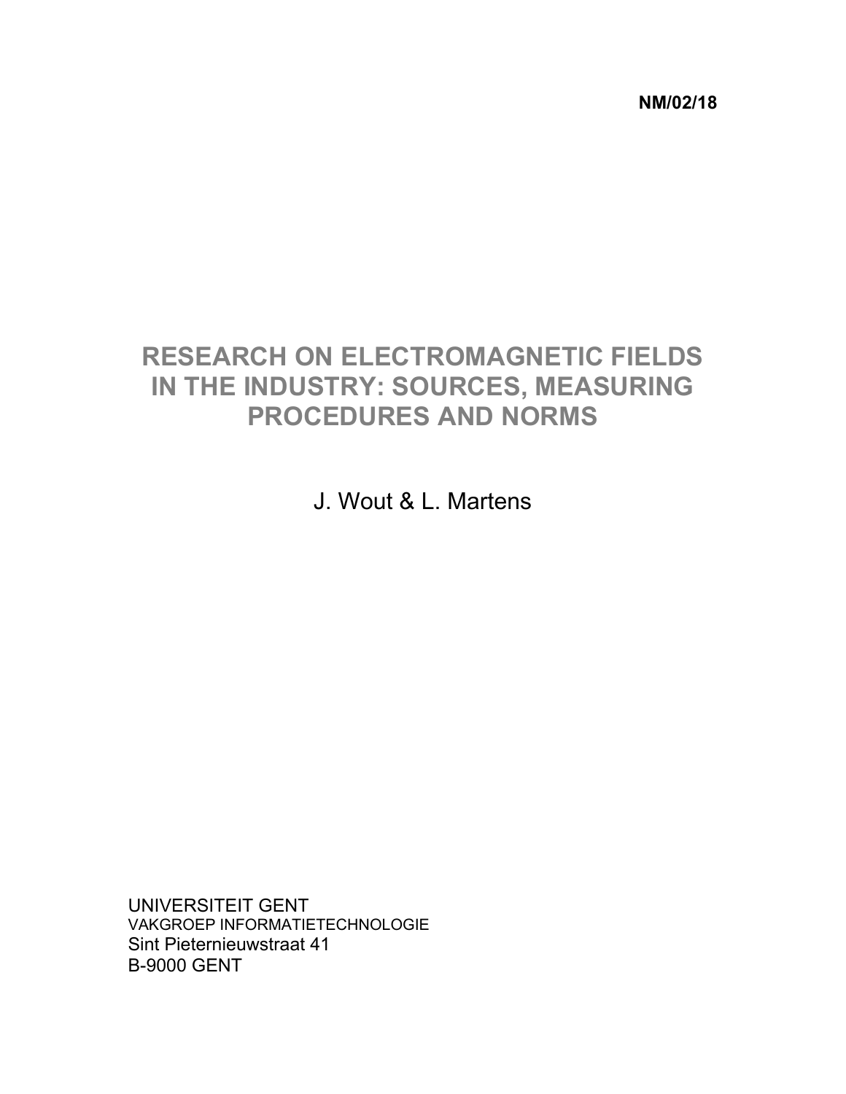**NM/02/18** 

# **RESEARCH ON ELECTROMAGNETIC FIELDS IN THE INDUSTRY: SOURCES, MEASURING PROCEDURES AND NORMS**

J. Wout & L. Martens

UNIVERSITEIT GENT VAKGROEP INFORMATIETECHNOLOGIE Sint Pieternieuwstraat 41 B-9000 GENT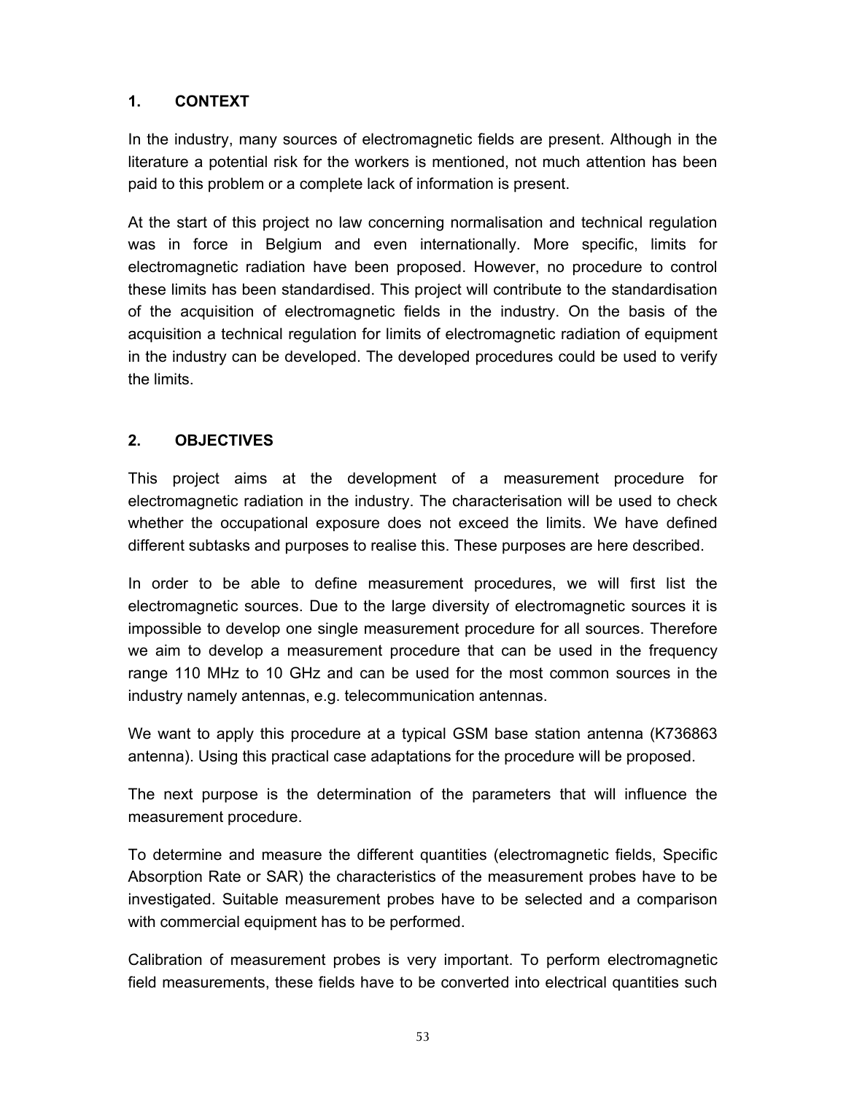## **1. CONTEXT**

In the industry, many sources of electromagnetic fields are present. Although in the literature a potential risk for the workers is mentioned, not much attention has been paid to this problem or a complete lack of information is present.

At the start of this project no law concerning normalisation and technical regulation was in force in Belgium and even internationally. More specific, limits for electromagnetic radiation have been proposed. However, no procedure to control these limits has been standardised. This project will contribute to the standardisation of the acquisition of electromagnetic fields in the industry. On the basis of the acquisition a technical regulation for limits of electromagnetic radiation of equipment in the industry can be developed. The developed procedures could be used to verify the limits.

#### **2. OBJECTIVES**

This project aims at the development of a measurement procedure for electromagnetic radiation in the industry. The characterisation will be used to check whether the occupational exposure does not exceed the limits. We have defined different subtasks and purposes to realise this. These purposes are here described.

In order to be able to define measurement procedures, we will first list the electromagnetic sources. Due to the large diversity of electromagnetic sources it is impossible to develop one single measurement procedure for all sources. Therefore we aim to develop a measurement procedure that can be used in the frequency range 110 MHz to 10 GHz and can be used for the most common sources in the industry namely antennas, e.g. telecommunication antennas.

We want to apply this procedure at a typical GSM base station antenna (K736863 antenna). Using this practical case adaptations for the procedure will be proposed.

The next purpose is the determination of the parameters that will influence the measurement procedure.

To determine and measure the different quantities (electromagnetic fields, Specific Absorption Rate or SAR) the characteristics of the measurement probes have to be investigated. Suitable measurement probes have to be selected and a comparison with commercial equipment has to be performed.

Calibration of measurement probes is very important. To perform electromagnetic field measurements, these fields have to be converted into electrical quantities such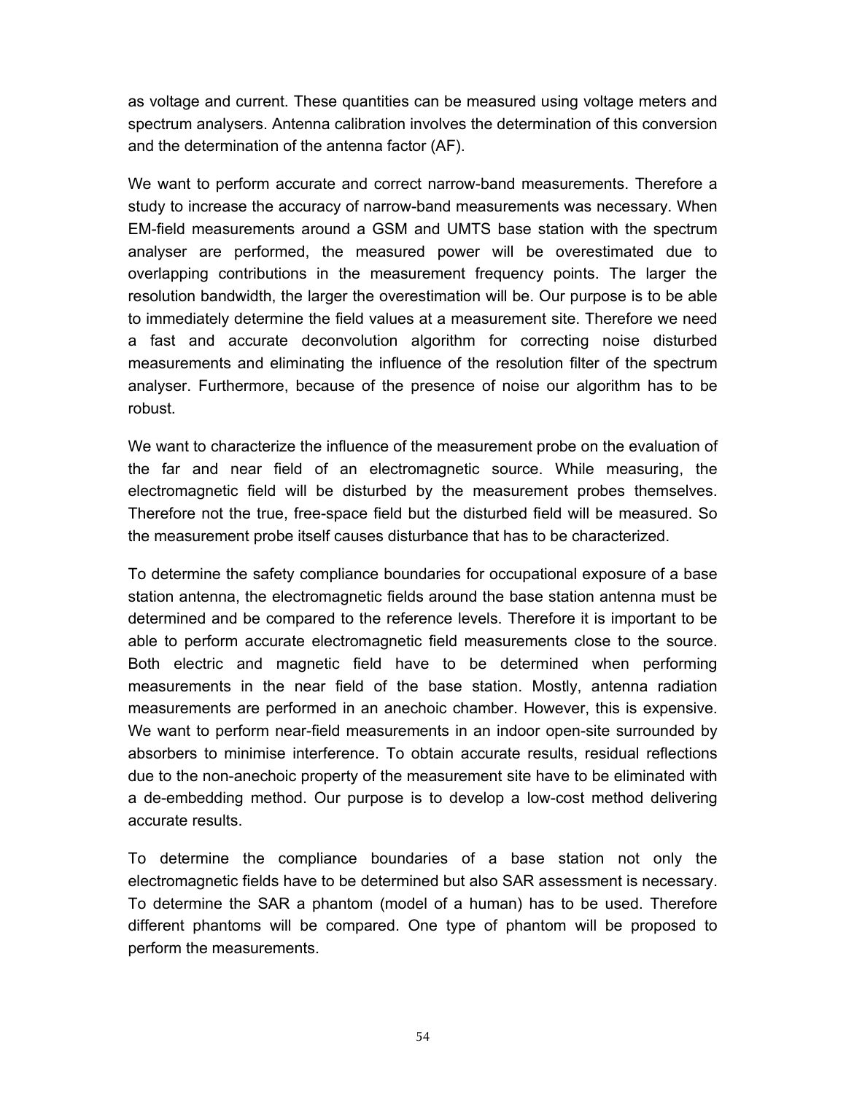as voltage and current. These quantities can be measured using voltage meters and spectrum analysers. Antenna calibration involves the determination of this conversion and the determination of the antenna factor (AF).

We want to perform accurate and correct narrow-band measurements. Therefore a study to increase the accuracy of narrow-band measurements was necessary. When EM-field measurements around a GSM and UMTS base station with the spectrum analyser are performed, the measured power will be overestimated due to overlapping contributions in the measurement frequency points. The larger the resolution bandwidth, the larger the overestimation will be. Our purpose is to be able to immediately determine the field values at a measurement site. Therefore we need a fast and accurate deconvolution algorithm for correcting noise disturbed measurements and eliminating the influence of the resolution filter of the spectrum analyser. Furthermore, because of the presence of noise our algorithm has to be robust.

We want to characterize the influence of the measurement probe on the evaluation of the far and near field of an electromagnetic source. While measuring, the electromagnetic field will be disturbed by the measurement probes themselves. Therefore not the true, free-space field but the disturbed field will be measured. So the measurement probe itself causes disturbance that has to be characterized.

To determine the safety compliance boundaries for occupational exposure of a base station antenna, the electromagnetic fields around the base station antenna must be determined and be compared to the reference levels. Therefore it is important to be able to perform accurate electromagnetic field measurements close to the source. Both electric and magnetic field have to be determined when performing measurements in the near field of the base station. Mostly, antenna radiation measurements are performed in an anechoic chamber. However, this is expensive. We want to perform near-field measurements in an indoor open-site surrounded by absorbers to minimise interference. To obtain accurate results, residual reflections due to the non-anechoic property of the measurement site have to be eliminated with a de-embedding method. Our purpose is to develop a low-cost method delivering accurate results.

To determine the compliance boundaries of a base station not only the electromagnetic fields have to be determined but also SAR assessment is necessary. To determine the SAR a phantom (model of a human) has to be used. Therefore different phantoms will be compared. One type of phantom will be proposed to perform the measurements.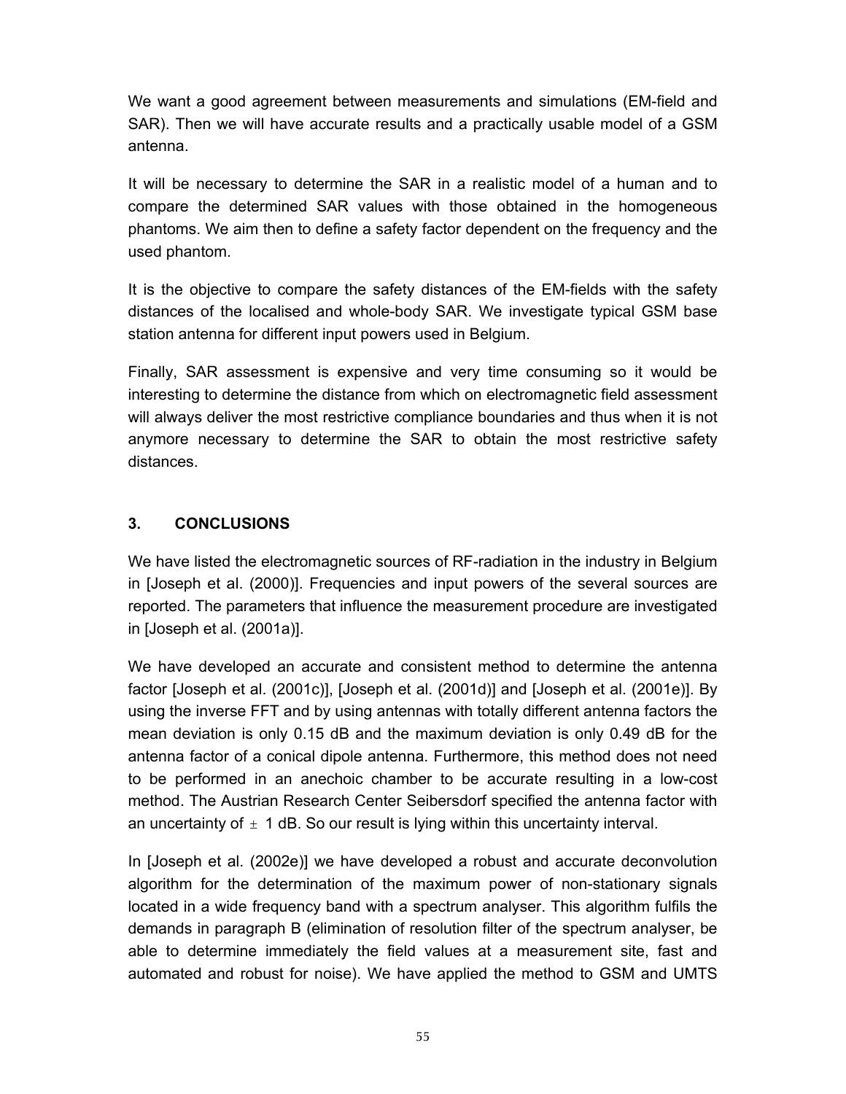We want a good agreement between measurements and simulations (EM-field and SAR). Then we will have accurate results and a practically usable model of a GSM antenna.

It will be necessary to determine the SAR in a realistic model of a human and to compare the determined SAR values with those obtained in the homogeneous phantoms. We aim then to define a safety factor dependent on the frequency and the used phantom.

It is the objective to compare the safety distances of the EM-fields with the safety distances of the localised and whole-body SAR. We investigate typical GSM base station antenna for different input powers used in Belgium.

Finally, SAR assessment is expensive and very time consuming so it would be interesting to determine the distance from which on electromagnetic field assessment will always deliver the most restrictive compliance boundaries and thus when it is not anymore necessary to determine the SAR to obtain the most restrictive safety distances.

#### **3. CONCLUSIONS**

We have listed the electromagnetic sources of RF-radiation in the industry in Belgium in [Joseph et al. (2000)]. Frequencies and input powers of the several sources are reported. The parameters that influence the measurement procedure are investigated in [Joseph et al. (2001a)].

We have developed an accurate and consistent method to determine the antenna factor [Joseph et al. (2001c)], [Joseph et al. (2001d)] and [Joseph et al. (2001e)]. By using the inverse FFT and by using antennas with totally different antenna factors the mean deviation is only 0.15 dB and the maximum deviation is only 0.49 dB for the antenna factor of a conical dipole antenna. Furthermore, this method does not need to be performed in an anechoic chamber to be accurate resulting in a low-cost method. The Austrian Research Center Seibersdorf specified the antenna factor with an uncertainty of  $\pm$  1 dB. So our result is lying within this uncertainty interval.

In [Joseph et al. (2002e)] we have developed a robust and accurate deconvolution algorithm for the determination of the maximum power of non-stationary signals located in a wide frequency band with a spectrum analyser. This algorithm fulfils the demands in paragraph B (elimination of resolution filter of the spectrum analyser, be able to determine immediately the field values at a measurement site, fast and automated and robust for noise). We have applied the method to GSM and UMTS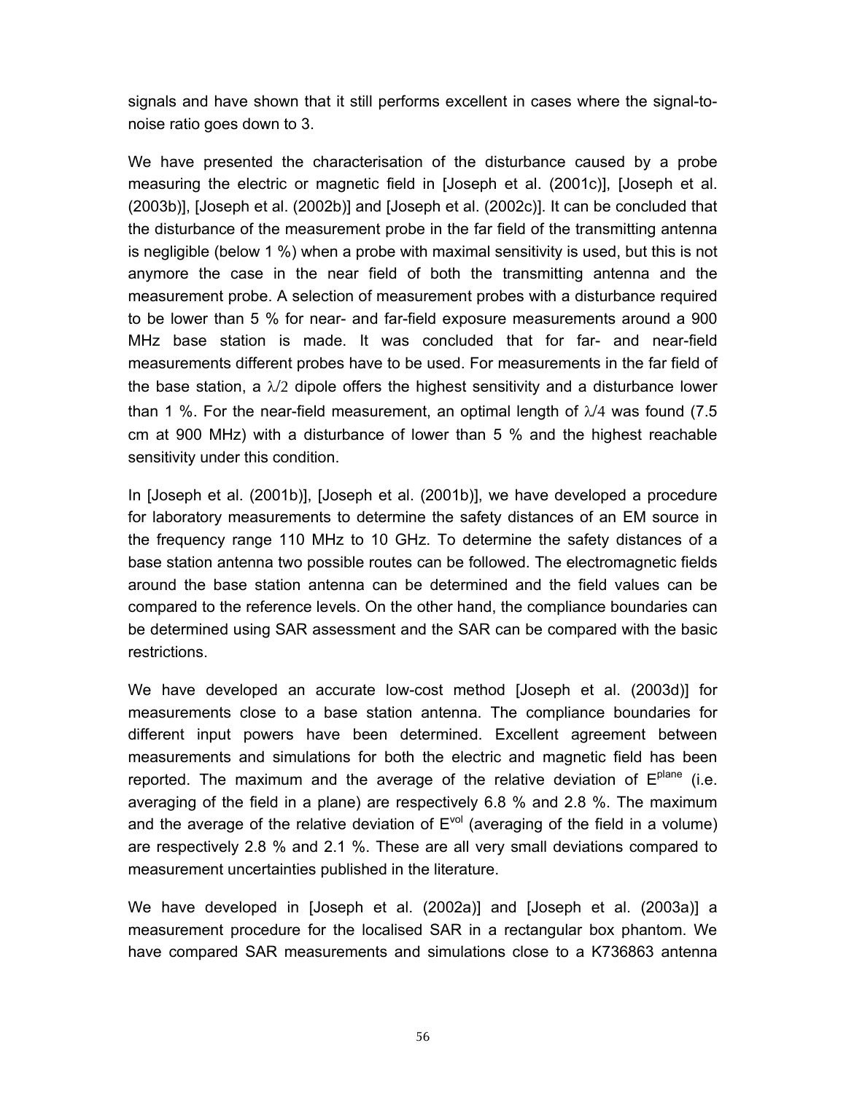signals and have shown that it still performs excellent in cases where the signal-tonoise ratio goes down to 3.

We have presented the characterisation of the disturbance caused by a probe measuring the electric or magnetic field in [Joseph et al. (2001c)], [Joseph et al. (2003b)], [Joseph et al. (2002b)] and [Joseph et al. (2002c)]. It can be concluded that the disturbance of the measurement probe in the far field of the transmitting antenna is negligible (below 1 %) when a probe with maximal sensitivity is used, but this is not anymore the case in the near field of both the transmitting antenna and the measurement probe. A selection of measurement probes with a disturbance required to be lower than 5 % for near- and far-field exposure measurements around a 900 MHz base station is made. It was concluded that for far- and near-field measurements different probes have to be used. For measurements in the far field of the base station, a  $\lambda/2$  dipole offers the highest sensitivity and a disturbance lower than 1 %. For the near-field measurement, an optimal length of  $\lambda/4$  was found (7.5) cm at 900 MHz) with a disturbance of lower than 5 % and the highest reachable sensitivity under this condition.

In [Joseph et al. (2001b)], [Joseph et al. (2001b)], we have developed a procedure for laboratory measurements to determine the safety distances of an EM source in the frequency range 110 MHz to 10 GHz. To determine the safety distances of a base station antenna two possible routes can be followed. The electromagnetic fields around the base station antenna can be determined and the field values can be compared to the reference levels. On the other hand, the compliance boundaries can be determined using SAR assessment and the SAR can be compared with the basic restrictions.

We have developed an accurate low-cost method [Joseph et al. (2003d)] for measurements close to a base station antenna. The compliance boundaries for different input powers have been determined. Excellent agreement between measurements and simulations for both the electric and magnetic field has been reported. The maximum and the average of the relative deviation of  $E<sup>plane</sup>$  (i.e. averaging of the field in a plane) are respectively 6.8 % and 2.8 %. The maximum and the average of the relative deviation of  $E<sup>vol</sup>$  (averaging of the field in a volume) are respectively 2.8 % and 2.1 %. These are all very small deviations compared to measurement uncertainties published in the literature.

We have developed in [Joseph et al. (2002a)] and [Joseph et al. (2003a)] a measurement procedure for the localised SAR in a rectangular box phantom. We have compared SAR measurements and simulations close to a K736863 antenna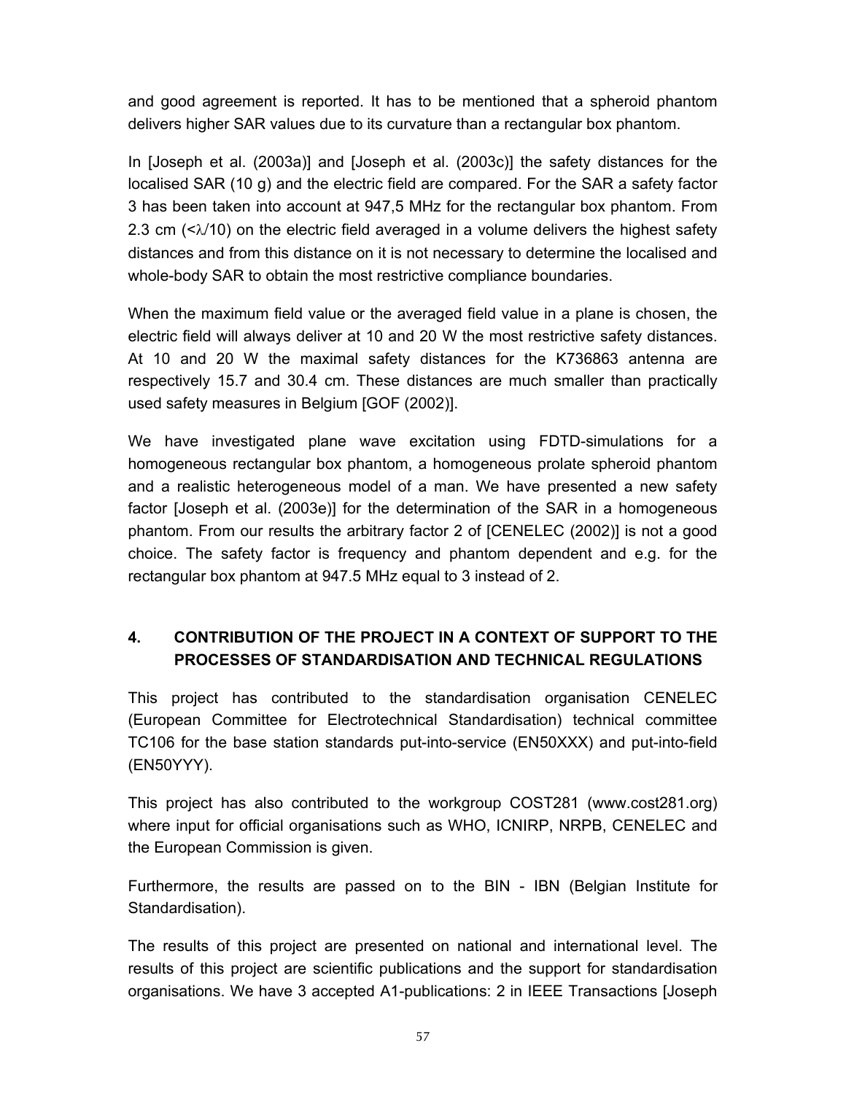and good agreement is reported. It has to be mentioned that a spheroid phantom delivers higher SAR values due to its curvature than a rectangular box phantom.

In [Joseph et al. (2003a)] and [Joseph et al. (2003c)] the safety distances for the localised SAR (10 g) and the electric field are compared. For the SAR a safety factor 3 has been taken into account at 947,5 MHz for the rectangular box phantom. From 2.3 cm  $( $\lambda$ /10)$  on the electric field averaged in a volume delivers the highest safety distances and from this distance on it is not necessary to determine the localised and whole-body SAR to obtain the most restrictive compliance boundaries.

When the maximum field value or the averaged field value in a plane is chosen, the electric field will always deliver at 10 and 20 W the most restrictive safety distances. At 10 and 20 W the maximal safety distances for the K736863 antenna are respectively 15.7 and 30.4 cm. These distances are much smaller than practically used safety measures in Belgium [GOF (2002)].

We have investigated plane wave excitation using FDTD-simulations for a homogeneous rectangular box phantom, a homogeneous prolate spheroid phantom and a realistic heterogeneous model of a man. We have presented a new safety factor [Joseph et al. (2003e)] for the determination of the SAR in a homogeneous phantom. From our results the arbitrary factor 2 of [CENELEC (2002)] is not a good choice. The safety factor is frequency and phantom dependent and e.g. for the rectangular box phantom at 947.5 MHz equal to 3 instead of 2.

# **4. CONTRIBUTION OF THE PROJECT IN A CONTEXT OF SUPPORT TO THE PROCESSES OF STANDARDISATION AND TECHNICAL REGULATIONS**

This project has contributed to the standardisation organisation CENELEC (European Committee for Electrotechnical Standardisation) technical committee TC106 for the base station standards put-into-service (EN50XXX) and put-into-field (EN50YYY).

This project has also contributed to the workgroup COST281 (www.cost281.org) where input for official organisations such as WHO, ICNIRP, NRPB, CENELEC and the European Commission is given.

Furthermore, the results are passed on to the BIN - IBN (Belgian Institute for Standardisation).

The results of this project are presented on national and international level. The results of this project are scientific publications and the support for standardisation organisations. We have 3 accepted A1-publications: 2 in IEEE Transactions [Joseph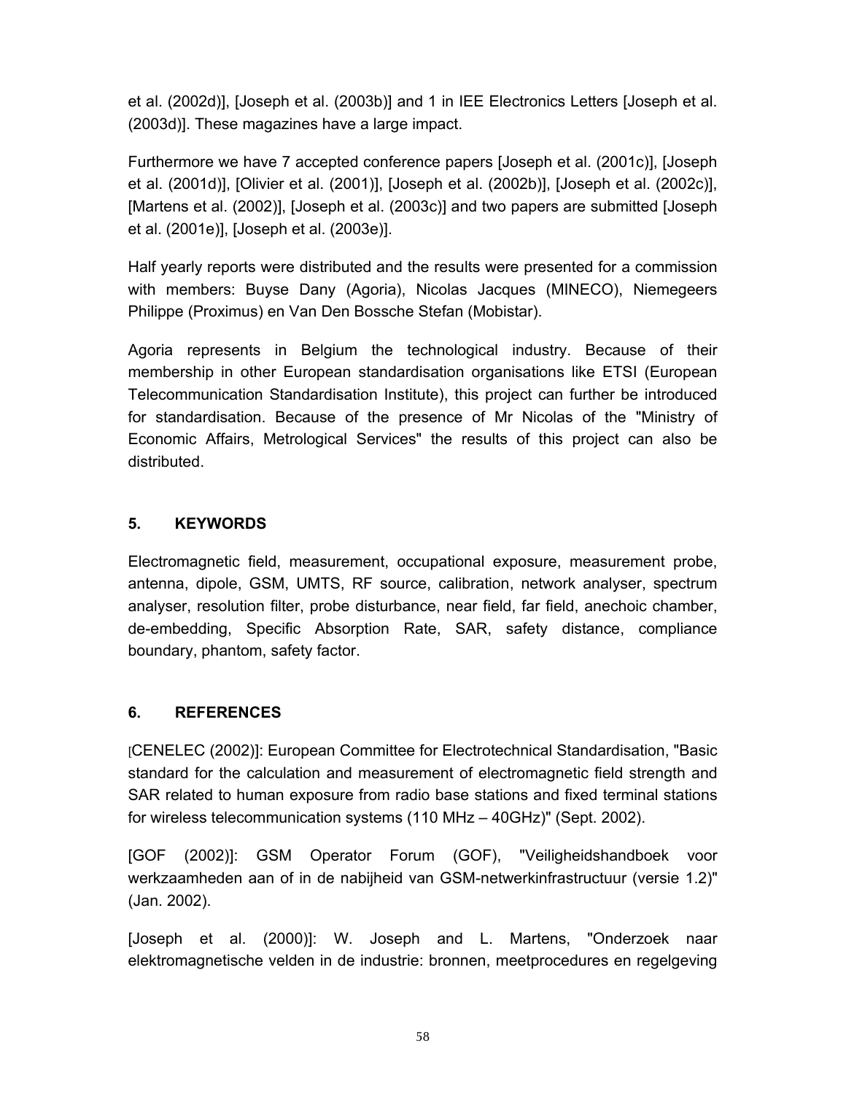et al. (2002d)], [Joseph et al. (2003b)] and 1 in IEE Electronics Letters [Joseph et al. (2003d)]. These magazines have a large impact.

Furthermore we have 7 accepted conference papers [Joseph et al. (2001c)], [Joseph et al. (2001d)], [Olivier et al. (2001)], [Joseph et al. (2002b)], [Joseph et al. (2002c)], [Martens et al. (2002)], [Joseph et al. (2003c)] and two papers are submitted [Joseph et al. (2001e)], [Joseph et al. (2003e)].

Half yearly reports were distributed and the results were presented for a commission with members: Buyse Dany (Agoria), Nicolas Jacques (MINECO), Niemegeers Philippe (Proximus) en Van Den Bossche Stefan (Mobistar).

Agoria represents in Belgium the technological industry. Because of their membership in other European standardisation organisations like ETSI (European Telecommunication Standardisation Institute), this project can further be introduced for standardisation. Because of the presence of Mr Nicolas of the "Ministry of Economic Affairs, Metrological Services" the results of this project can also be distributed.

#### **5. KEYWORDS**

Electromagnetic field, measurement, occupational exposure, measurement probe, antenna, dipole, GSM, UMTS, RF source, calibration, network analyser, spectrum analyser, resolution filter, probe disturbance, near field, far field, anechoic chamber, de-embedding, Specific Absorption Rate, SAR, safety distance, compliance boundary, phantom, safety factor.

#### **6. REFERENCES**

[CENELEC (2002)]: European Committee for Electrotechnical Standardisation, "Basic standard for the calculation and measurement of electromagnetic field strength and SAR related to human exposure from radio base stations and fixed terminal stations for wireless telecommunication systems (110 MHz – 40GHz)" (Sept. 2002).

[GOF (2002)]: GSM Operator Forum (GOF), "Veiligheidshandboek voor werkzaamheden aan of in de nabijheid van GSM-netwerkinfrastructuur (versie 1.2)" (Jan. 2002).

[Joseph et al. (2000)]: W. Joseph and L. Martens, "Onderzoek naar elektromagnetische velden in de industrie: bronnen, meetprocedures en regelgeving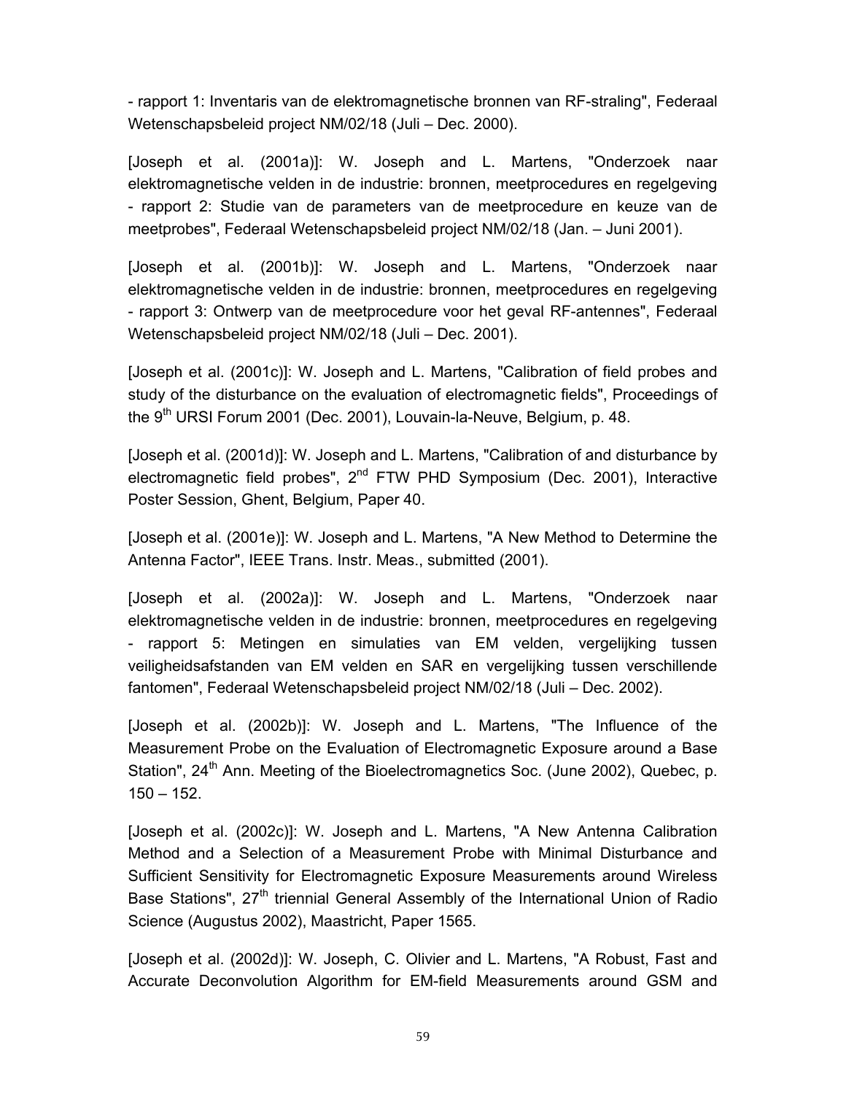- rapport 1: Inventaris van de elektromagnetische bronnen van RF-straling", Federaal Wetenschapsbeleid project NM/02/18 (Juli – Dec. 2000).

[Joseph et al. (2001a)]: W. Joseph and L. Martens, "Onderzoek naar elektromagnetische velden in de industrie: bronnen, meetprocedures en regelgeving - rapport 2: Studie van de parameters van de meetprocedure en keuze van de meetprobes", Federaal Wetenschapsbeleid project NM/02/18 (Jan. – Juni 2001).

[Joseph et al. (2001b)]: W. Joseph and L. Martens, "Onderzoek naar elektromagnetische velden in de industrie: bronnen, meetprocedures en regelgeving - rapport 3: Ontwerp van de meetprocedure voor het geval RF-antennes", Federaal Wetenschapsbeleid project NM/02/18 (Juli – Dec. 2001).

[Joseph et al. (2001c)]: W. Joseph and L. Martens, "Calibration of field probes and study of the disturbance on the evaluation of electromagnetic fields", Proceedings of the  $9<sup>th</sup> URSI$  Forum 2001 (Dec. 2001), Louvain-la-Neuve, Belgium, p. 48.

[Joseph et al. (2001d)]: W. Joseph and L. Martens, "Calibration of and disturbance by electromagnetic field probes",  $2^{nd}$  FTW PHD Symposium (Dec. 2001), Interactive Poster Session, Ghent, Belgium, Paper 40.

[Joseph et al. (2001e)]: W. Joseph and L. Martens, "A New Method to Determine the Antenna Factor", IEEE Trans. Instr. Meas., submitted (2001).

[Joseph et al. (2002a)]: W. Joseph and L. Martens, "Onderzoek naar elektromagnetische velden in de industrie: bronnen, meetprocedures en regelgeving - rapport 5: Metingen en simulaties van EM velden, vergelijking tussen veiligheidsafstanden van EM velden en SAR en vergelijking tussen verschillende fantomen", Federaal Wetenschapsbeleid project NM/02/18 (Juli – Dec. 2002).

[Joseph et al. (2002b)]: W. Joseph and L. Martens, "The Influence of the Measurement Probe on the Evaluation of Electromagnetic Exposure around a Base Station", 24<sup>th</sup> Ann. Meeting of the Bioelectromagnetics Soc. (June 2002), Quebec, p.  $150 - 152$ .

[Joseph et al. (2002c)]: W. Joseph and L. Martens, "A New Antenna Calibration Method and a Selection of a Measurement Probe with Minimal Disturbance and Sufficient Sensitivity for Electromagnetic Exposure Measurements around Wireless Base Stations", 27<sup>th</sup> triennial General Assembly of the International Union of Radio Science (Augustus 2002), Maastricht, Paper 1565.

[Joseph et al. (2002d)]: W. Joseph, C. Olivier and L. Martens, "A Robust, Fast and Accurate Deconvolution Algorithm for EM-field Measurements around GSM and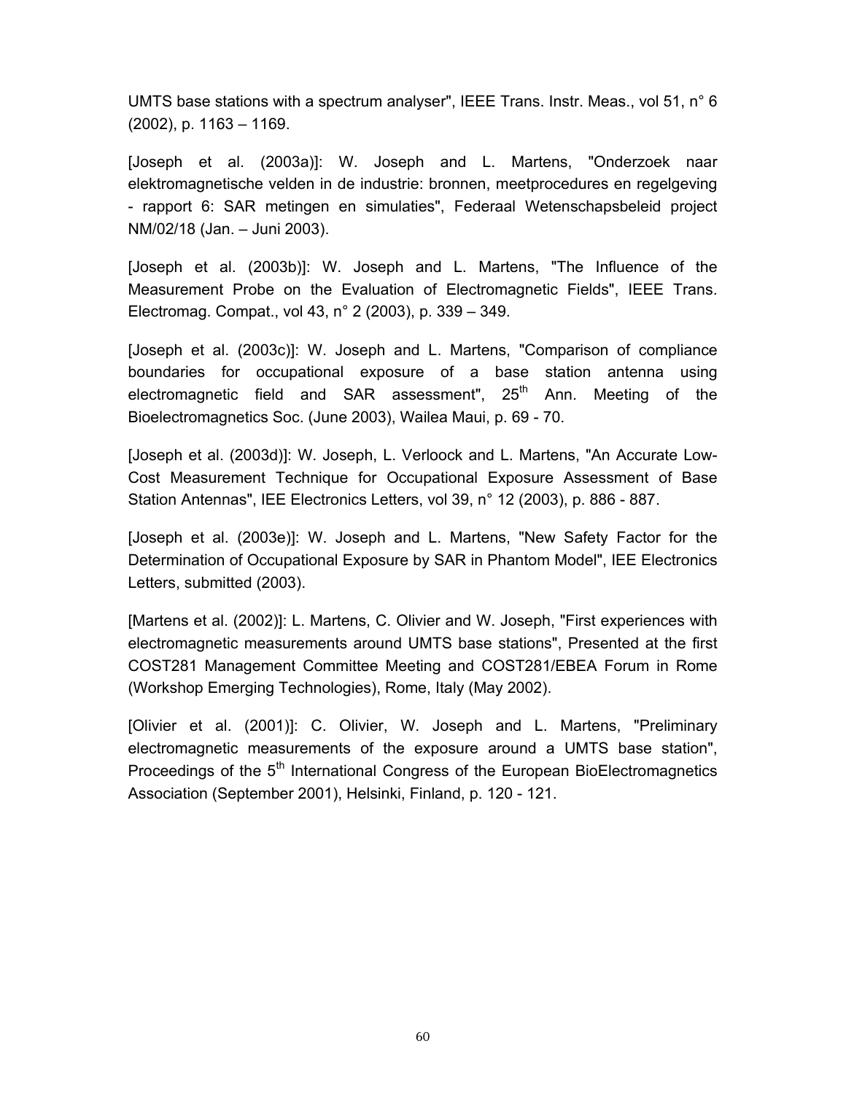UMTS base stations with a spectrum analyser", IEEE Trans. Instr. Meas., vol 51, n° 6 (2002), p. 1163 – 1169.

[Joseph et al. (2003a)]: W. Joseph and L. Martens, "Onderzoek naar elektromagnetische velden in de industrie: bronnen, meetprocedures en regelgeving - rapport 6: SAR metingen en simulaties", Federaal Wetenschapsbeleid project NM/02/18 (Jan. – Juni 2003).

[Joseph et al. (2003b)]: W. Joseph and L. Martens, "The Influence of the Measurement Probe on the Evaluation of Electromagnetic Fields", IEEE Trans. Electromag. Compat., vol 43, n° 2 (2003), p. 339 – 349.

[Joseph et al. (2003c)]: W. Joseph and L. Martens, "Comparison of compliance boundaries for occupational exposure of a base station antenna using electromagnetic field and SAR assessment",  $25<sup>th</sup>$  Ann. Meeting of the Bioelectromagnetics Soc. (June 2003), Wailea Maui, p. 69 - 70.

[Joseph et al. (2003d)]: W. Joseph, L. Verloock and L. Martens, "An Accurate Low-Cost Measurement Technique for Occupational Exposure Assessment of Base Station Antennas", IEE Electronics Letters, vol 39, n° 12 (2003), p. 886 - 887.

[Joseph et al. (2003e)]: W. Joseph and L. Martens, "New Safety Factor for the Determination of Occupational Exposure by SAR in Phantom Model", IEE Electronics Letters, submitted (2003).

[Martens et al. (2002)]: L. Martens, C. Olivier and W. Joseph, "First experiences with electromagnetic measurements around UMTS base stations", Presented at the first COST281 Management Committee Meeting and COST281/EBEA Forum in Rome (Workshop Emerging Technologies), Rome, Italy (May 2002).

[Olivier et al. (2001)]: C. Olivier, W. Joseph and L. Martens, "Preliminary electromagnetic measurements of the exposure around a UMTS base station", Proceedings of the 5<sup>th</sup> International Congress of the European BioElectromagnetics Association (September 2001), Helsinki, Finland, p. 120 - 121.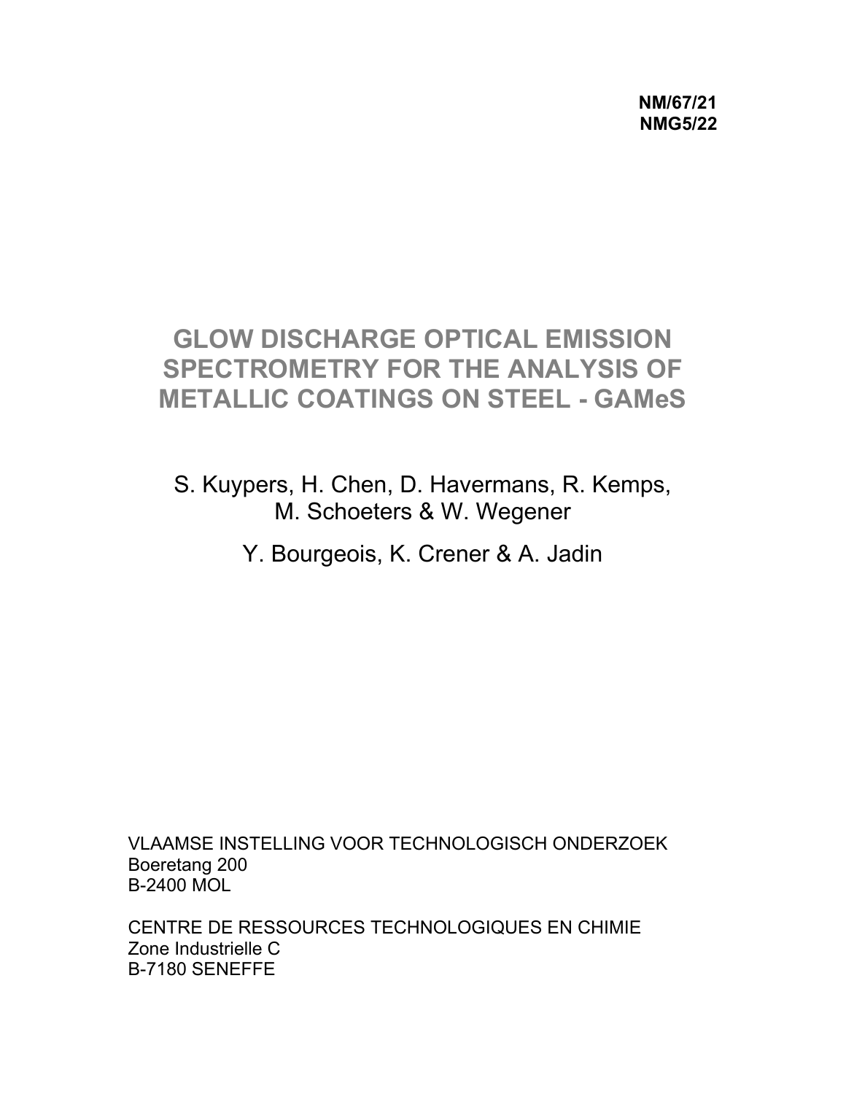**NM/67/21 NMG5/22** 

# **GLOW DISCHARGE OPTICAL EMISSION SPECTROMETRY FOR THE ANALYSIS OF METALLIC COATINGS ON STEEL - GAMeS**

S. Kuypers, H. Chen, D. Havermans, R. Kemps, M. Schoeters & W. Wegener

Y. Bourgeois, K. Crener & A. Jadin

VLAAMSE INSTELLING VOOR TECHNOLOGISCH ONDERZOEK Boeretang 200 B-2400 MOL

CENTRE DE RESSOURCES TECHNOLOGIQUES EN CHIMIE Zone Industrielle C B-7180 SENEFFE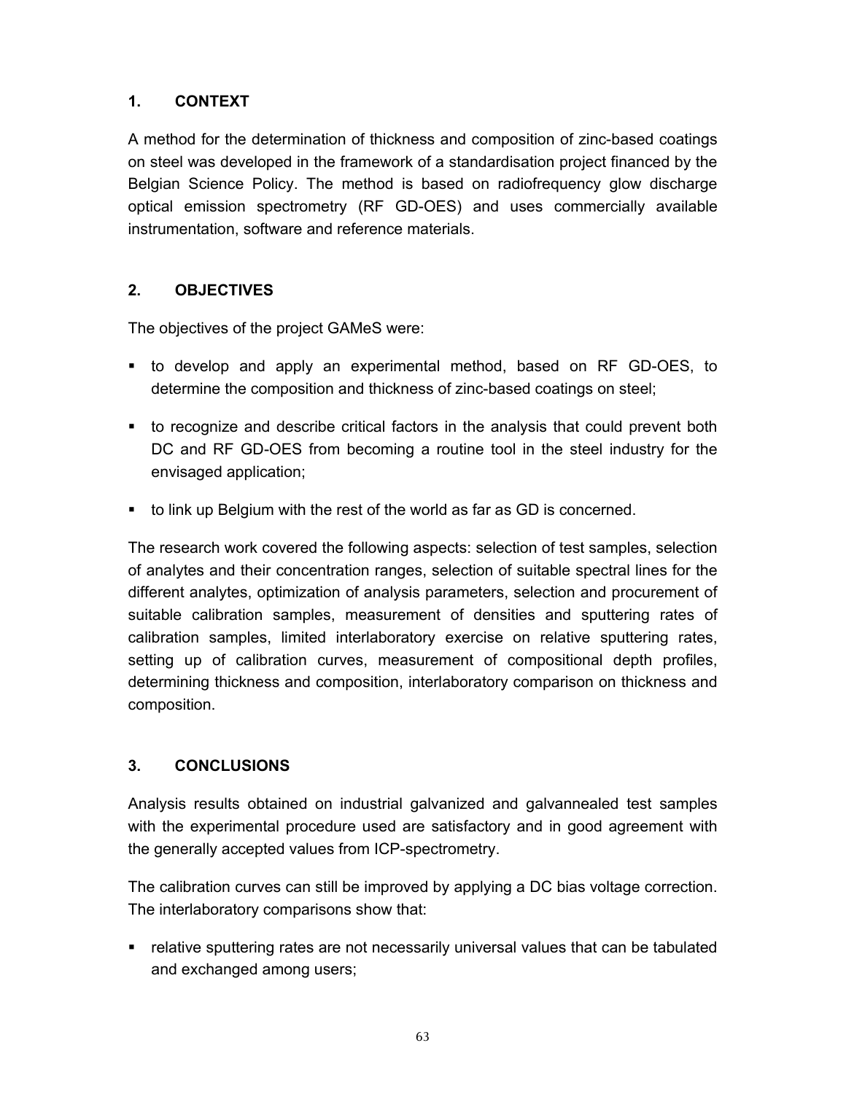## **1. CONTEXT**

A method for the determination of thickness and composition of zinc-based coatings on steel was developed in the framework of a standardisation project financed by the Belgian Science Policy. The method is based on radiofrequency glow discharge optical emission spectrometry (RF GD-OES) and uses commercially available instrumentation, software and reference materials.

#### **2. OBJECTIVES**

The objectives of the project GAMeS were:

- to develop and apply an experimental method, based on RF GD-OES, to determine the composition and thickness of zinc-based coatings on steel;
- to recognize and describe critical factors in the analysis that could prevent both DC and RF GD-OES from becoming a routine tool in the steel industry for the envisaged application;
- to link up Belgium with the rest of the world as far as GD is concerned.

The research work covered the following aspects: selection of test samples, selection of analytes and their concentration ranges, selection of suitable spectral lines for the different analytes, optimization of analysis parameters, selection and procurement of suitable calibration samples, measurement of densities and sputtering rates of calibration samples, limited interlaboratory exercise on relative sputtering rates, setting up of calibration curves, measurement of compositional depth profiles, determining thickness and composition, interlaboratory comparison on thickness and composition.

#### **3. CONCLUSIONS**

Analysis results obtained on industrial galvanized and galvannealed test samples with the experimental procedure used are satisfactory and in good agreement with the generally accepted values from ICP-spectrometry.

The calibration curves can still be improved by applying a DC bias voltage correction. The interlaboratory comparisons show that:

• relative sputtering rates are not necessarily universal values that can be tabulated and exchanged among users;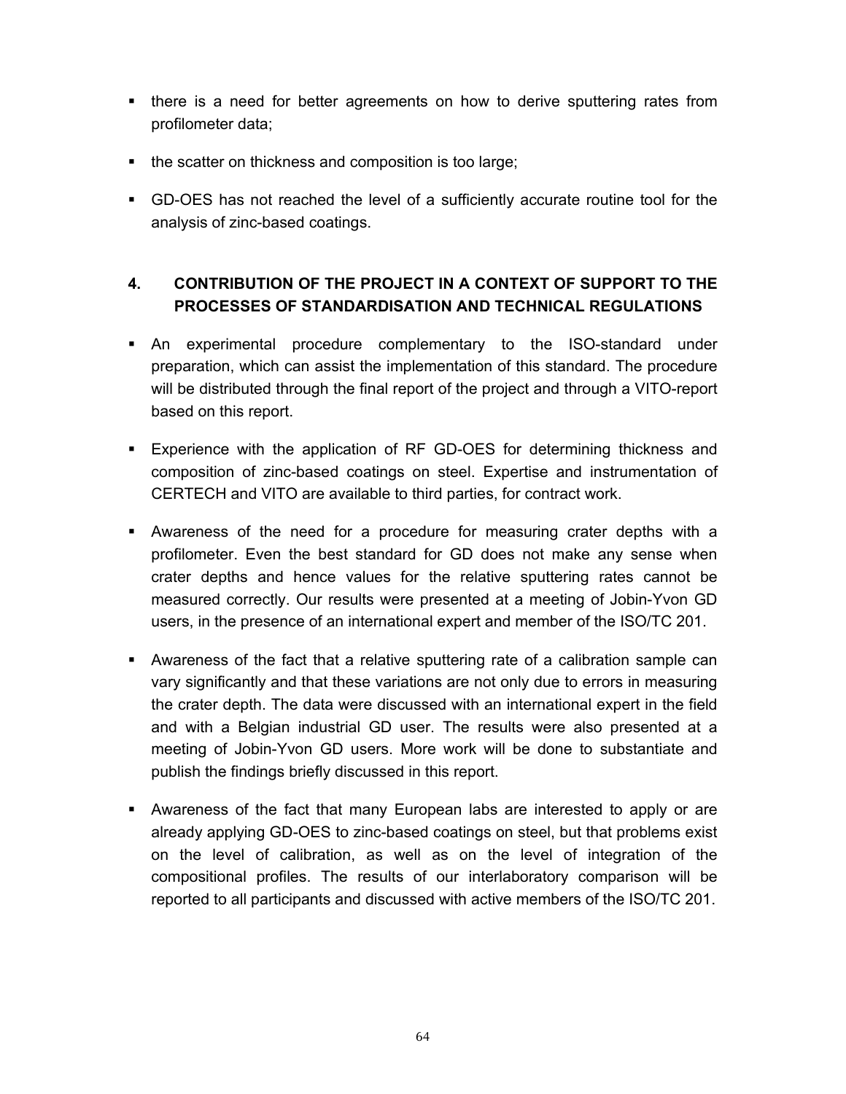- there is a need for better agreements on how to derive sputtering rates from profilometer data;
- the scatter on thickness and composition is too large;
- GD-OES has not reached the level of a sufficiently accurate routine tool for the analysis of zinc-based coatings.

# **4. CONTRIBUTION OF THE PROJECT IN A CONTEXT OF SUPPORT TO THE PROCESSES OF STANDARDISATION AND TECHNICAL REGULATIONS**

- An experimental procedure complementary to the ISO-standard under preparation, which can assist the implementation of this standard. The procedure will be distributed through the final report of the project and through a VITO-report based on this report.
- Experience with the application of RF GD-OES for determining thickness and composition of zinc-based coatings on steel. Expertise and instrumentation of CERTECH and VITO are available to third parties, for contract work.
- Awareness of the need for a procedure for measuring crater depths with a profilometer. Even the best standard for GD does not make any sense when crater depths and hence values for the relative sputtering rates cannot be measured correctly. Our results were presented at a meeting of Jobin-Yvon GD users, in the presence of an international expert and member of the ISO/TC 201.
- Awareness of the fact that a relative sputtering rate of a calibration sample can vary significantly and that these variations are not only due to errors in measuring the crater depth. The data were discussed with an international expert in the field and with a Belgian industrial GD user. The results were also presented at a meeting of Jobin-Yvon GD users. More work will be done to substantiate and publish the findings briefly discussed in this report.
- Awareness of the fact that many European labs are interested to apply or are already applying GD-OES to zinc-based coatings on steel, but that problems exist on the level of calibration, as well as on the level of integration of the compositional profiles. The results of our interlaboratory comparison will be reported to all participants and discussed with active members of the ISO/TC 201.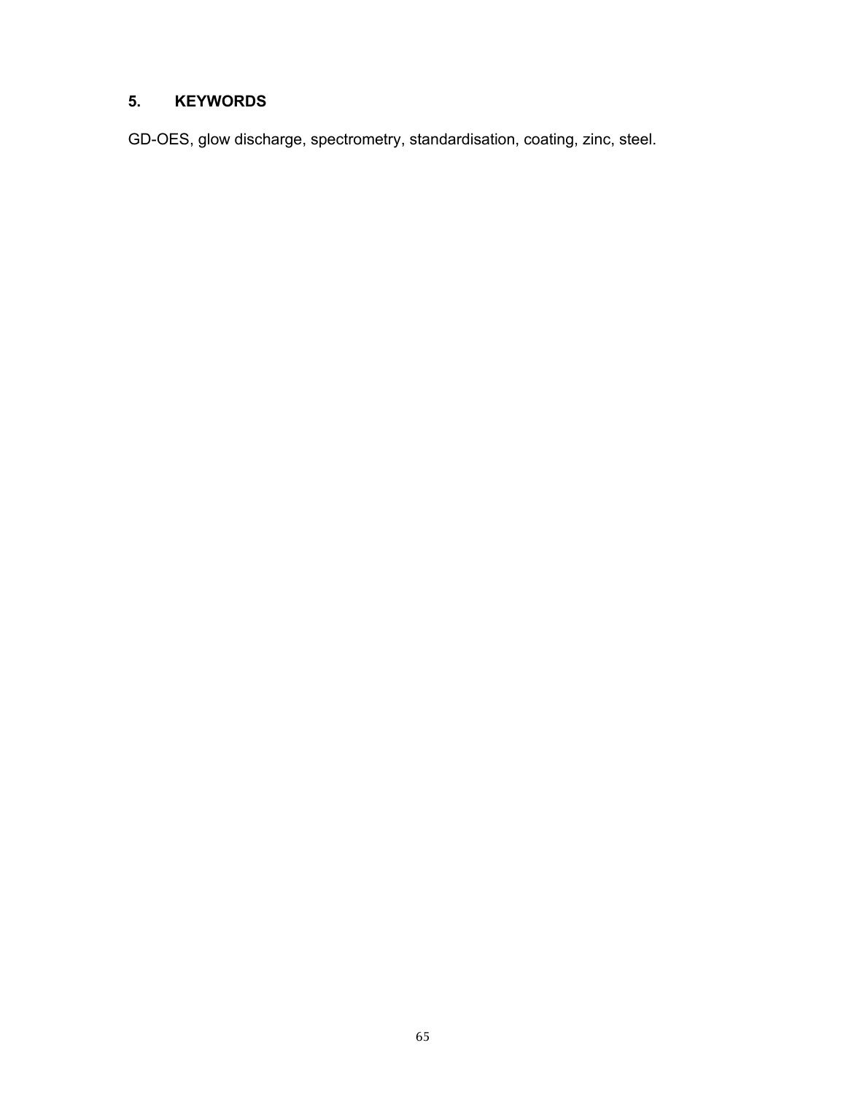## **5. KEYWORDS**

GD-OES, glow discharge, spectrometry, standardisation, coating, zinc, steel.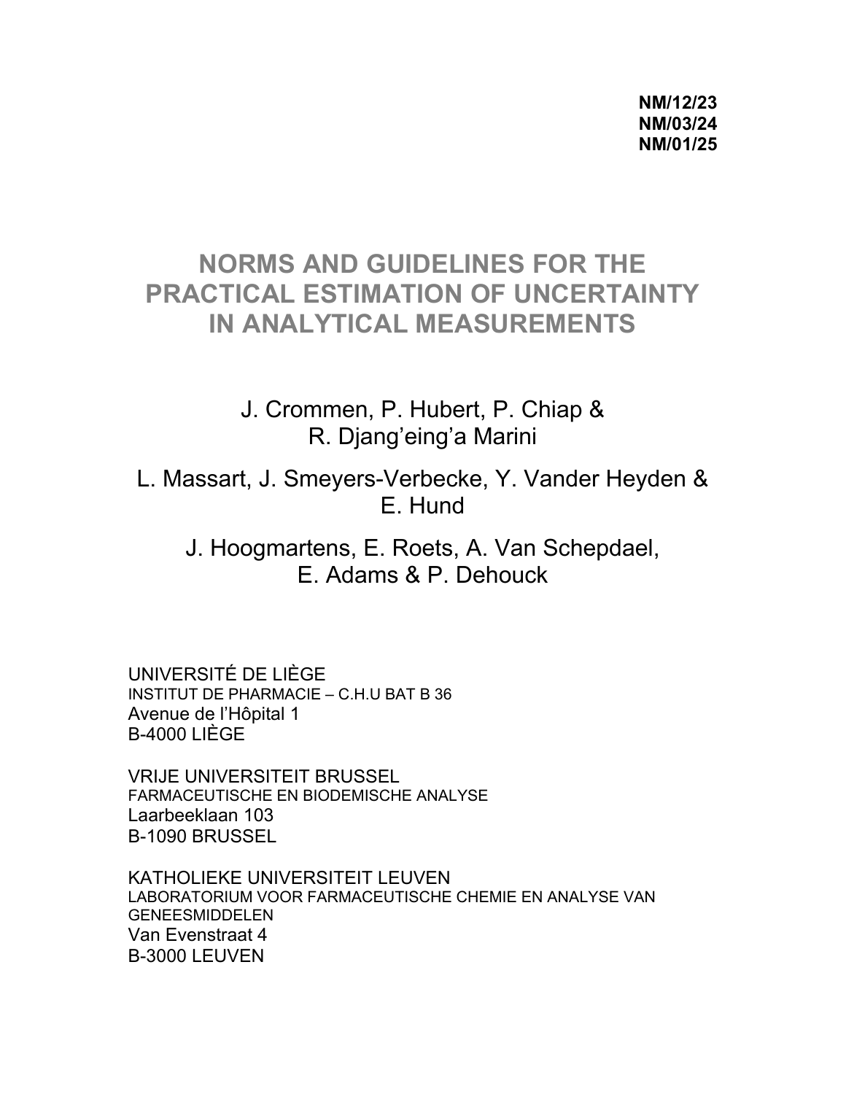# **NORMS AND GUIDELINES FOR THE PRACTICAL ESTIMATION OF UNCERTAINTY IN ANALYTICAL MEASUREMENTS**

J. Crommen, P. Hubert, P. Chiap & R. Djang'eing'a Marini

L. Massart, J. Smeyers-Verbecke, Y. Vander Heyden & E. Hund

J. Hoogmartens, E. Roets, A. Van Schepdael, E. Adams & P. Dehouck

UNIVERSITÉ DE LIÈGE INSTITUT DE PHARMACIE – C.H.U BAT B 36 Avenue de l'Hôpital 1 B-4000 LIÈGE

VRIJE UNIVERSITEIT BRUSSEL FARMACEUTISCHE EN BIODEMISCHE ANALYSE Laarbeeklaan 103 B-1090 BRUSSEL

KATHOLIEKE UNIVERSITEIT LEUVEN LABORATORIUM VOOR FARMACEUTISCHE CHEMIE EN ANALYSE VAN GENEESMIDDELEN Van Evenstraat 4 B-3000 LEUVEN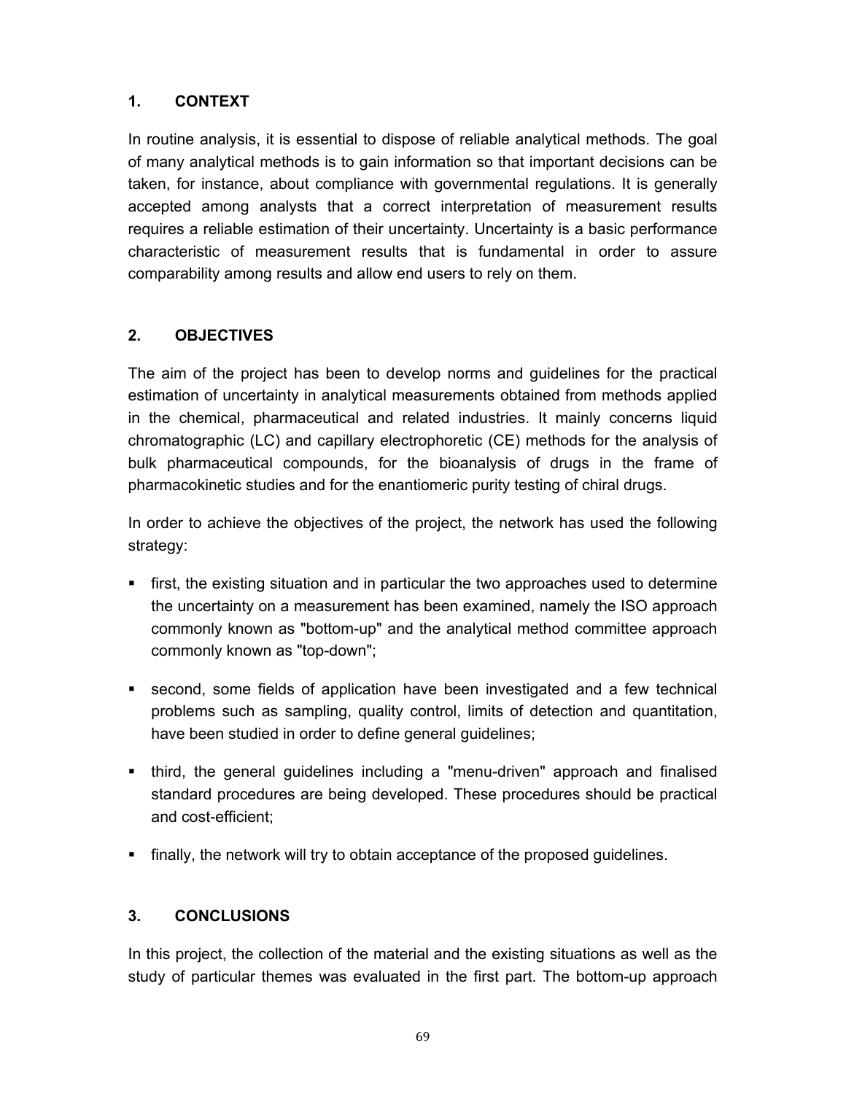## **1. CONTEXT**

In routine analysis, it is essential to dispose of reliable analytical methods. The goal of many analytical methods is to gain information so that important decisions can be taken, for instance, about compliance with governmental regulations. It is generally accepted among analysts that a correct interpretation of measurement results requires a reliable estimation of their uncertainty. Uncertainty is a basic performance characteristic of measurement results that is fundamental in order to assure comparability among results and allow end users to rely on them.

## **2. OBJECTIVES**

The aim of the project has been to develop norms and guidelines for the practical estimation of uncertainty in analytical measurements obtained from methods applied in the chemical, pharmaceutical and related industries. It mainly concerns liquid chromatographic (LC) and capillary electrophoretic (CE) methods for the analysis of bulk pharmaceutical compounds, for the bioanalysis of drugs in the frame of pharmacokinetic studies and for the enantiomeric purity testing of chiral drugs.

In order to achieve the objectives of the project, the network has used the following strategy:

- **First, the existing situation and in particular the two approaches used to determine** the uncertainty on a measurement has been examined, namely the ISO approach commonly known as "bottom-up" and the analytical method committee approach commonly known as "top-down";
- second, some fields of application have been investigated and a few technical problems such as sampling, quality control, limits of detection and quantitation, have been studied in order to define general guidelines;
- third, the general guidelines including a "menu-driven" approach and finalised standard procedures are being developed. These procedures should be practical and cost-efficient;
- finally, the network will try to obtain acceptance of the proposed guidelines.

# **3. CONCLUSIONS**

In this project, the collection of the material and the existing situations as well as the study of particular themes was evaluated in the first part. The bottom-up approach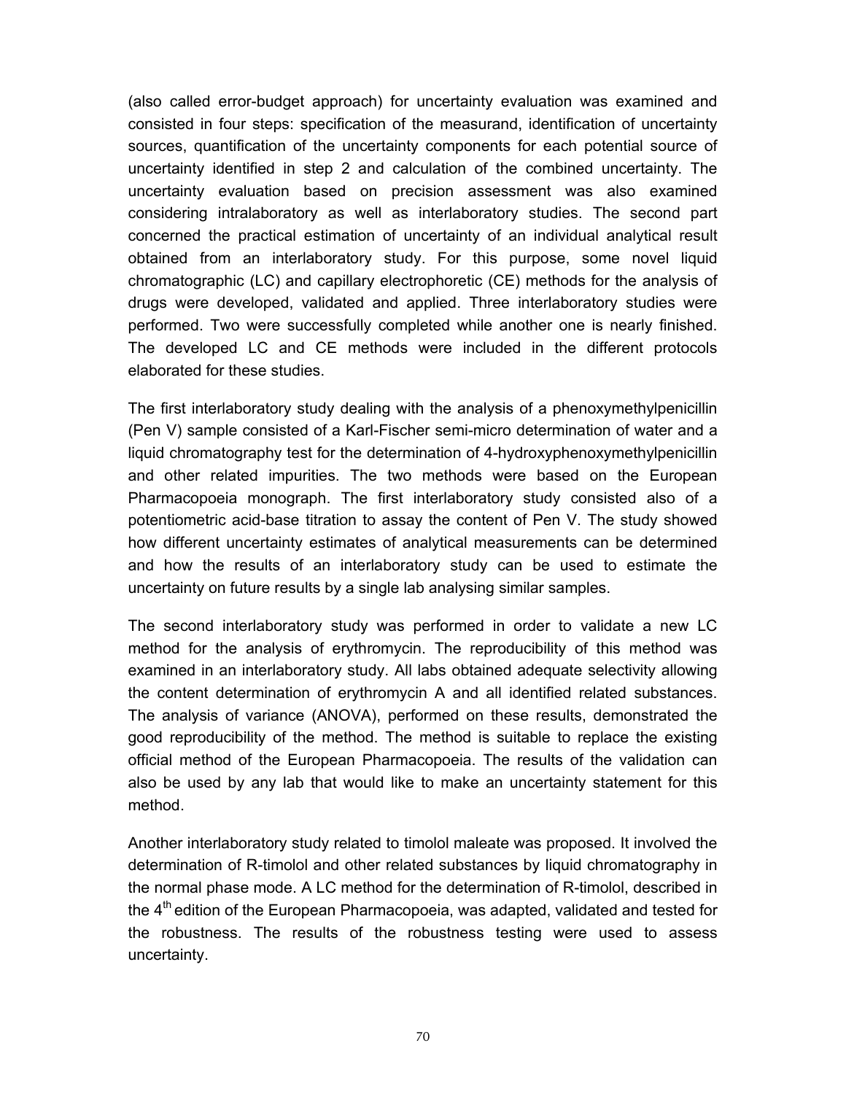(also called error-budget approach) for uncertainty evaluation was examined and consisted in four steps: specification of the measurand, identification of uncertainty sources, quantification of the uncertainty components for each potential source of uncertainty identified in step 2 and calculation of the combined uncertainty. The uncertainty evaluation based on precision assessment was also examined considering intralaboratory as well as interlaboratory studies. The second part concerned the practical estimation of uncertainty of an individual analytical result obtained from an interlaboratory study. For this purpose, some novel liquid chromatographic (LC) and capillary electrophoretic (CE) methods for the analysis of drugs were developed, validated and applied. Three interlaboratory studies were performed. Two were successfully completed while another one is nearly finished. The developed LC and CE methods were included in the different protocols elaborated for these studies.

The first interlaboratory study dealing with the analysis of a phenoxymethylpenicillin (Pen V) sample consisted of a Karl-Fischer semi-micro determination of water and a liquid chromatography test for the determination of 4-hydroxyphenoxymethylpenicillin and other related impurities. The two methods were based on the European Pharmacopoeia monograph. The first interlaboratory study consisted also of a potentiometric acid-base titration to assay the content of Pen V. The study showed how different uncertainty estimates of analytical measurements can be determined and how the results of an interlaboratory study can be used to estimate the uncertainty on future results by a single lab analysing similar samples.

The second interlaboratory study was performed in order to validate a new LC method for the analysis of erythromycin. The reproducibility of this method was examined in an interlaboratory study. All labs obtained adequate selectivity allowing the content determination of erythromycin A and all identified related substances. The analysis of variance (ANOVA), performed on these results, demonstrated the good reproducibility of the method. The method is suitable to replace the existing official method of the European Pharmacopoeia. The results of the validation can also be used by any lab that would like to make an uncertainty statement for this method.

Another interlaboratory study related to timolol maleate was proposed. It involved the determination of R-timolol and other related substances by liquid chromatography in the normal phase mode. A LC method for the determination of R-timolol, described in the  $4<sup>th</sup>$  edition of the European Pharmacopoeia, was adapted, validated and tested for the robustness. The results of the robustness testing were used to assess uncertainty.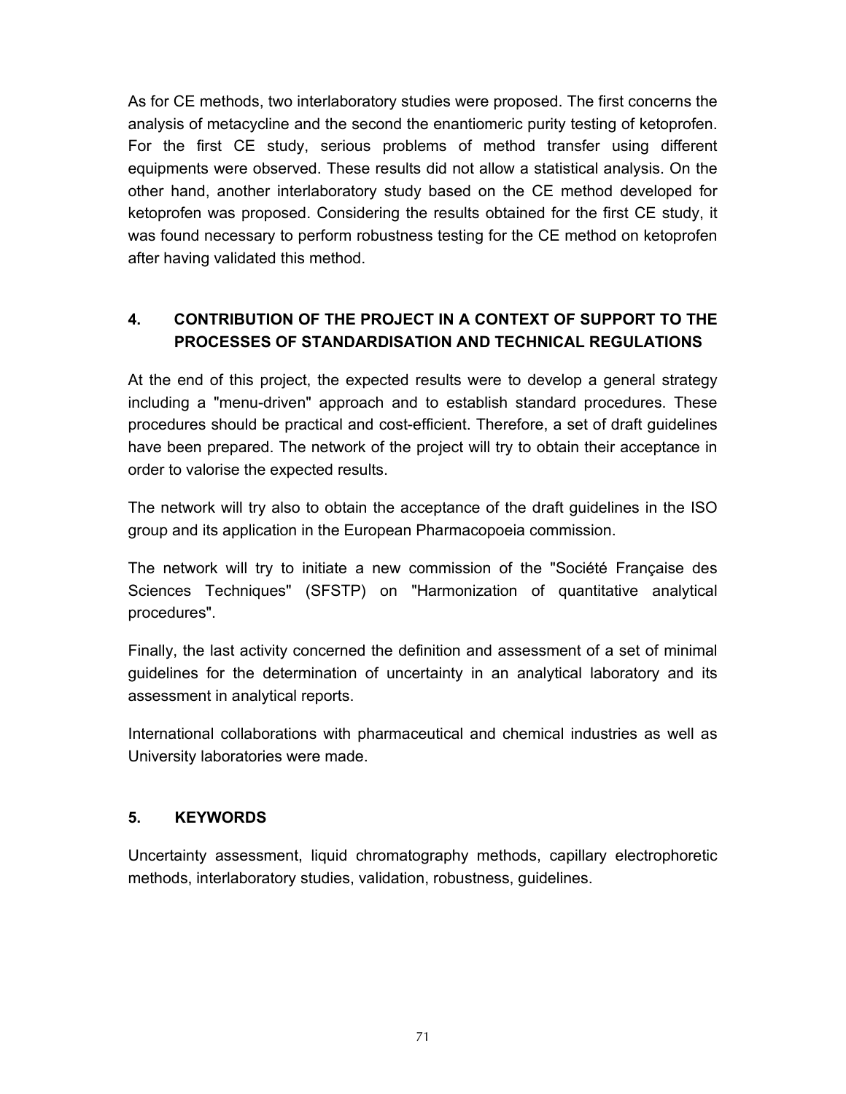As for CE methods, two interlaboratory studies were proposed. The first concerns the analysis of metacycline and the second the enantiomeric purity testing of ketoprofen. For the first CE study, serious problems of method transfer using different equipments were observed. These results did not allow a statistical analysis. On the other hand, another interlaboratory study based on the CE method developed for ketoprofen was proposed. Considering the results obtained for the first CE study, it was found necessary to perform robustness testing for the CE method on ketoprofen after having validated this method.

# **4. CONTRIBUTION OF THE PROJECT IN A CONTEXT OF SUPPORT TO THE PROCESSES OF STANDARDISATION AND TECHNICAL REGULATIONS**

At the end of this project, the expected results were to develop a general strategy including a "menu-driven" approach and to establish standard procedures. These procedures should be practical and cost-efficient. Therefore, a set of draft guidelines have been prepared. The network of the project will try to obtain their acceptance in order to valorise the expected results.

The network will try also to obtain the acceptance of the draft guidelines in the ISO group and its application in the European Pharmacopoeia commission.

The network will try to initiate a new commission of the "Société Française des Sciences Techniques" (SFSTP) on "Harmonization of quantitative analytical procedures".

Finally, the last activity concerned the definition and assessment of a set of minimal guidelines for the determination of uncertainty in an analytical laboratory and its assessment in analytical reports.

International collaborations with pharmaceutical and chemical industries as well as University laboratories were made.

## **5. KEYWORDS**

Uncertainty assessment, liquid chromatography methods, capillary electrophoretic methods, interlaboratory studies, validation, robustness, guidelines.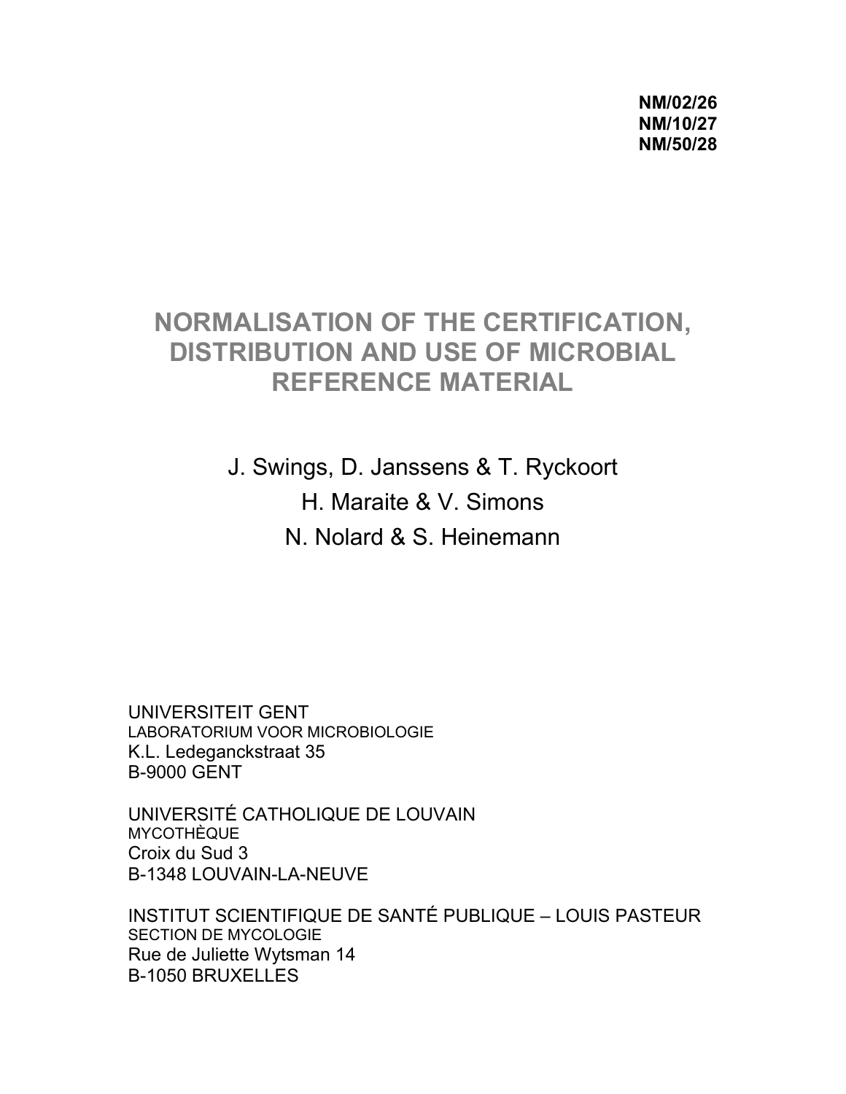**NM/02/26 NM/10/27 NM/50/28** 

# **NORMALISATION OF THE CERTIFICATION, DISTRIBUTION AND USE OF MICROBIAL REFERENCE MATERIAL**

J. Swings, D. Janssens & T. Ryckoort H. Maraite & V. Simons N. Nolard & S. Heinemann

UNIVERSITEIT GENT LABORATORIUM VOOR MICROBIOLOGIE K.L. Ledeganckstraat 35 B-9000 GENT

UNIVERSITÉ CATHOLIQUE DE LOUVAIN **MYCOTHÈQUE** Croix du Sud 3 B-1348 LOUVAIN-LA-NEUVE

INSTITUT SCIENTIFIQUE DE SANTÉ PUBLIQUE – LOUIS PASTEUR SECTION DE MYCOLOGIE Rue de Juliette Wytsman 14 B-1050 BRUXELLES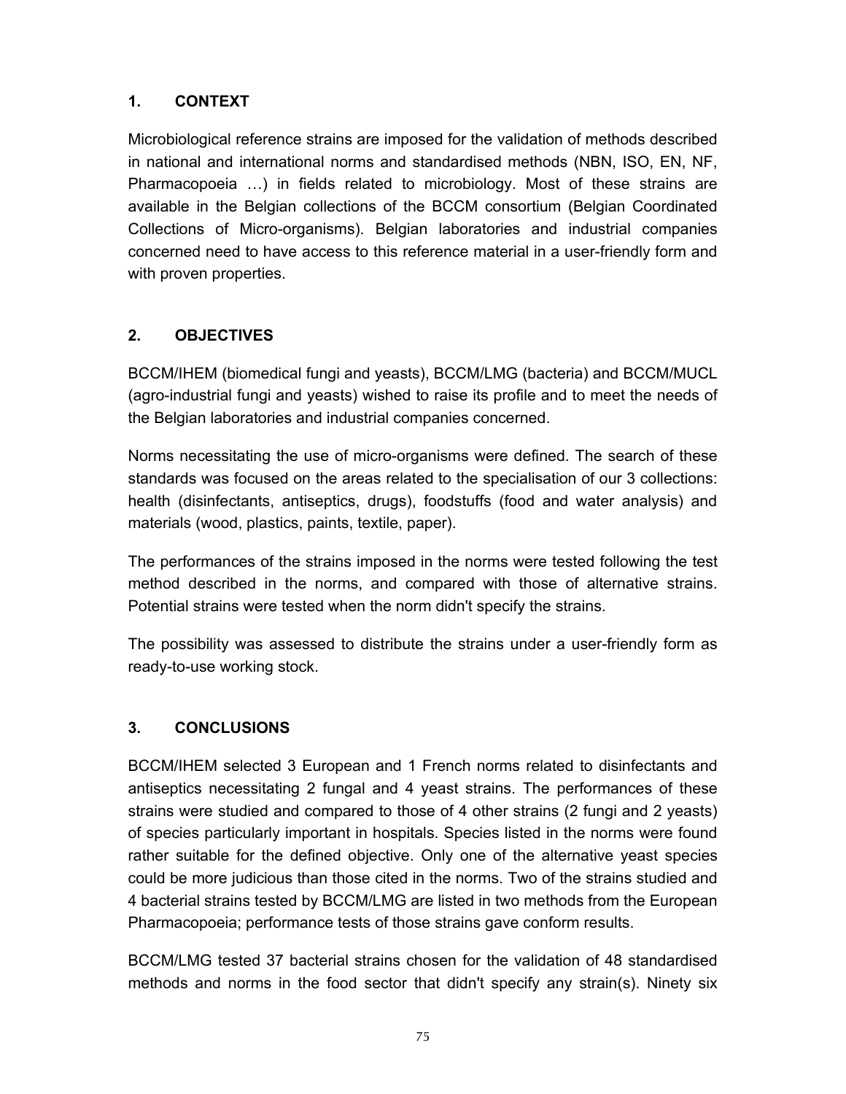Microbiological reference strains are imposed for the validation of methods described in national and international norms and standardised methods (NBN, ISO, EN, NF, Pharmacopoeia …) in fields related to microbiology. Most of these strains are available in the Belgian collections of the BCCM consortium (Belgian Coordinated Collections of Micro-organisms). Belgian laboratories and industrial companies concerned need to have access to this reference material in a user-friendly form and with proven properties.

## **2. OBJECTIVES**

BCCM/IHEM (biomedical fungi and yeasts), BCCM/LMG (bacteria) and BCCM/MUCL (agro-industrial fungi and yeasts) wished to raise its profile and to meet the needs of the Belgian laboratories and industrial companies concerned.

Norms necessitating the use of micro-organisms were defined. The search of these standards was focused on the areas related to the specialisation of our 3 collections: health (disinfectants, antiseptics, drugs), foodstuffs (food and water analysis) and materials (wood, plastics, paints, textile, paper).

The performances of the strains imposed in the norms were tested following the test method described in the norms, and compared with those of alternative strains. Potential strains were tested when the norm didn't specify the strains.

The possibility was assessed to distribute the strains under a user-friendly form as ready-to-use working stock.

## **3. CONCLUSIONS**

BCCM/IHEM selected 3 European and 1 French norms related to disinfectants and antiseptics necessitating 2 fungal and 4 yeast strains. The performances of these strains were studied and compared to those of 4 other strains (2 fungi and 2 yeasts) of species particularly important in hospitals. Species listed in the norms were found rather suitable for the defined objective. Only one of the alternative yeast species could be more judicious than those cited in the norms. Two of the strains studied and 4 bacterial strains tested by BCCM/LMG are listed in two methods from the European Pharmacopoeia; performance tests of those strains gave conform results.

BCCM/LMG tested 37 bacterial strains chosen for the validation of 48 standardised methods and norms in the food sector that didn't specify any strain(s). Ninety six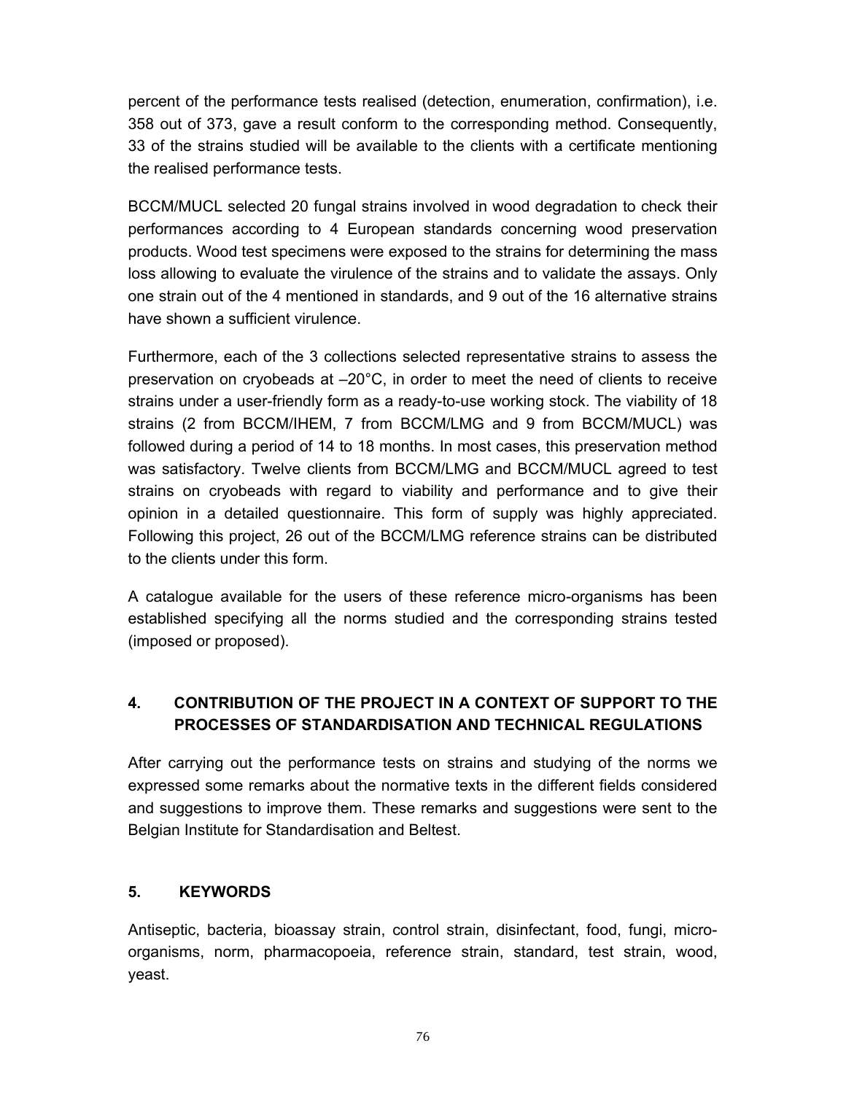percent of the performance tests realised (detection, enumeration, confirmation), i.e. 358 out of 373, gave a result conform to the corresponding method. Consequently, 33 of the strains studied will be available to the clients with a certificate mentioning the realised performance tests.

BCCM/MUCL selected 20 fungal strains involved in wood degradation to check their performances according to 4 European standards concerning wood preservation products. Wood test specimens were exposed to the strains for determining the mass loss allowing to evaluate the virulence of the strains and to validate the assays. Only one strain out of the 4 mentioned in standards, and 9 out of the 16 alternative strains have shown a sufficient virulence.

Furthermore, each of the 3 collections selected representative strains to assess the preservation on cryobeads at –20°C, in order to meet the need of clients to receive strains under a user-friendly form as a ready-to-use working stock. The viability of 18 strains (2 from BCCM/IHEM, 7 from BCCM/LMG and 9 from BCCM/MUCL) was followed during a period of 14 to 18 months. In most cases, this preservation method was satisfactory. Twelve clients from BCCM/LMG and BCCM/MUCL agreed to test strains on cryobeads with regard to viability and performance and to give their opinion in a detailed questionnaire. This form of supply was highly appreciated. Following this project, 26 out of the BCCM/LMG reference strains can be distributed to the clients under this form.

A catalogue available for the users of these reference micro-organisms has been established specifying all the norms studied and the corresponding strains tested (imposed or proposed).

# **4. CONTRIBUTION OF THE PROJECT IN A CONTEXT OF SUPPORT TO THE PROCESSES OF STANDARDISATION AND TECHNICAL REGULATIONS**

After carrying out the performance tests on strains and studying of the norms we expressed some remarks about the normative texts in the different fields considered and suggestions to improve them. These remarks and suggestions were sent to the Belgian Institute for Standardisation and Beltest.

#### **5. KEYWORDS**

Antiseptic, bacteria, bioassay strain, control strain, disinfectant, food, fungi, microorganisms, norm, pharmacopoeia, reference strain, standard, test strain, wood, yeast.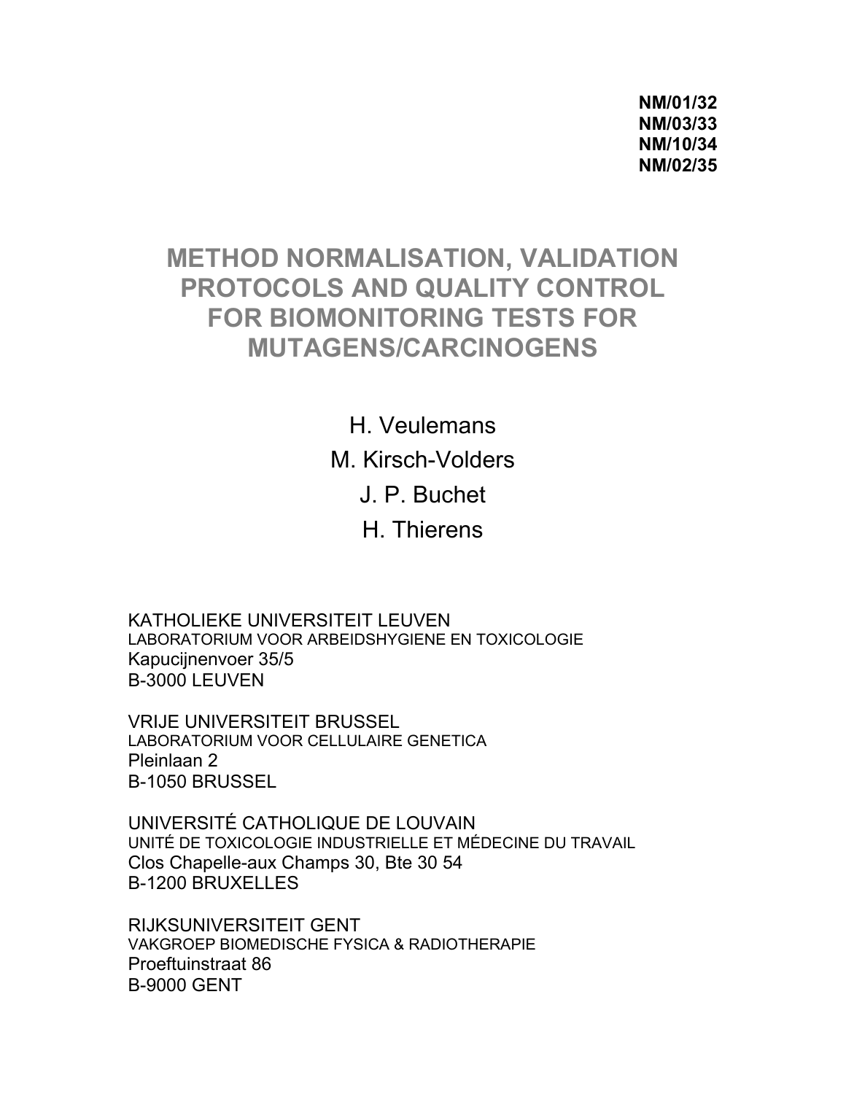**NM/01/32 NM/03/33 NM/10/34 NM/02/35** 

# **METHOD NORMALISATION, VALIDATION PROTOCOLS AND QUALITY CONTROL FOR BIOMONITORING TESTS FOR MUTAGENS/CARCINOGENS**

H. Veulemans M. Kirsch-Volders J. P. Buchet H. Thierens

KATHOLIEKE UNIVERSITEIT LEUVEN LABORATORIUM VOOR ARBEIDSHYGIENE EN TOXICOLOGIE Kapucijnenvoer 35/5 B-3000 LEUVEN

VRIJE UNIVERSITEIT BRUSSEL LABORATORIUM VOOR CELLULAIRE GENETICA Pleinlaan 2 B-1050 BRUSSEL

UNIVERSITÉ CATHOLIQUE DE LOUVAIN UNITÉ DE TOXICOLOGIE INDUSTRIELLE ET MÉDECINE DU TRAVAIL Clos Chapelle-aux Champs 30, Bte 30 54 B-1200 BRUXELLES

RIJKSUNIVERSITEIT GENT VAKGROEP BIOMEDISCHE FYSICA & RADIOTHERAPIE Proeftuinstraat 86 B-9000 GENT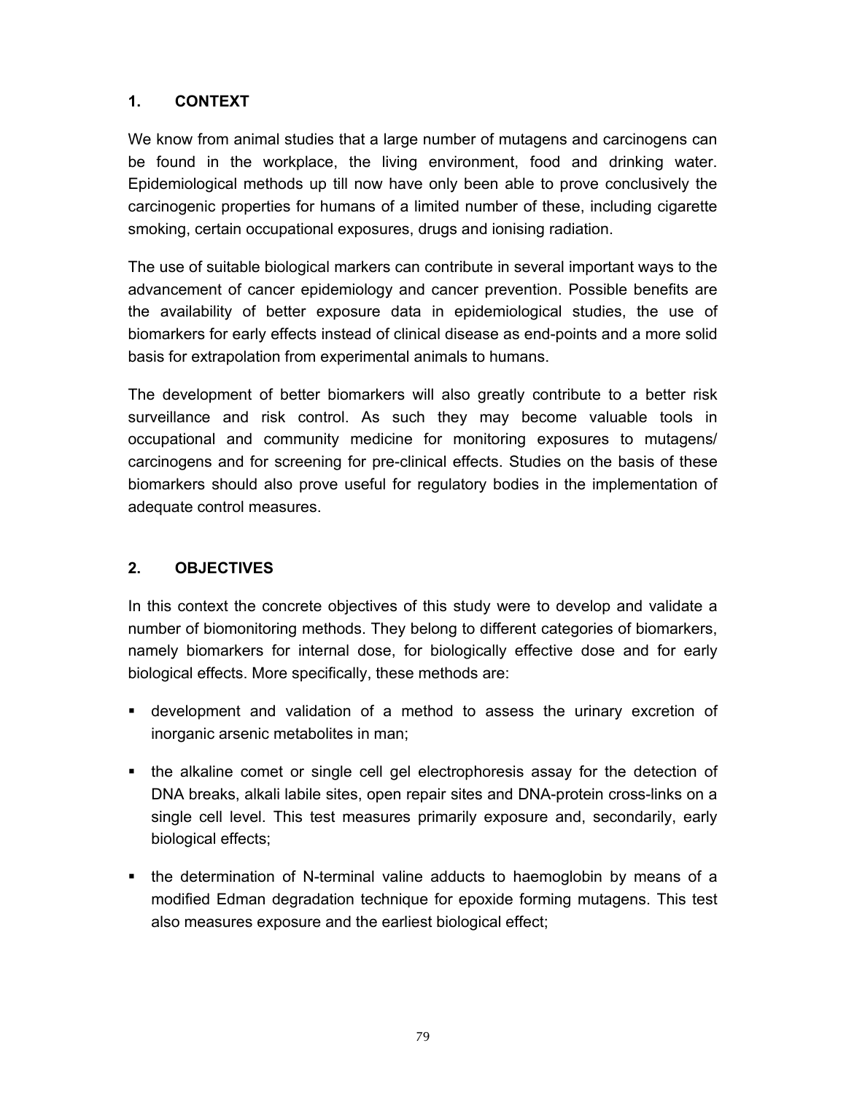We know from animal studies that a large number of mutagens and carcinogens can be found in the workplace, the living environment, food and drinking water. Epidemiological methods up till now have only been able to prove conclusively the carcinogenic properties for humans of a limited number of these, including cigarette smoking, certain occupational exposures, drugs and ionising radiation.

The use of suitable biological markers can contribute in several important ways to the advancement of cancer epidemiology and cancer prevention. Possible benefits are the availability of better exposure data in epidemiological studies, the use of biomarkers for early effects instead of clinical disease as end-points and a more solid basis for extrapolation from experimental animals to humans.

The development of better biomarkers will also greatly contribute to a better risk surveillance and risk control. As such they may become valuable tools in occupational and community medicine for monitoring exposures to mutagens/ carcinogens and for screening for pre-clinical effects. Studies on the basis of these biomarkers should also prove useful for regulatory bodies in the implementation of adequate control measures.

## **2. OBJECTIVES**

In this context the concrete objectives of this study were to develop and validate a number of biomonitoring methods. They belong to different categories of biomarkers, namely biomarkers for internal dose, for biologically effective dose and for early biological effects. More specifically, these methods are:

- development and validation of a method to assess the urinary excretion of inorganic arsenic metabolites in man;
- the alkaline comet or single cell gel electrophoresis assay for the detection of DNA breaks, alkali labile sites, open repair sites and DNA-protein cross-links on a single cell level. This test measures primarily exposure and, secondarily, early biological effects;
- the determination of N-terminal valine adducts to haemoglobin by means of a modified Edman degradation technique for epoxide forming mutagens. This test also measures exposure and the earliest biological effect;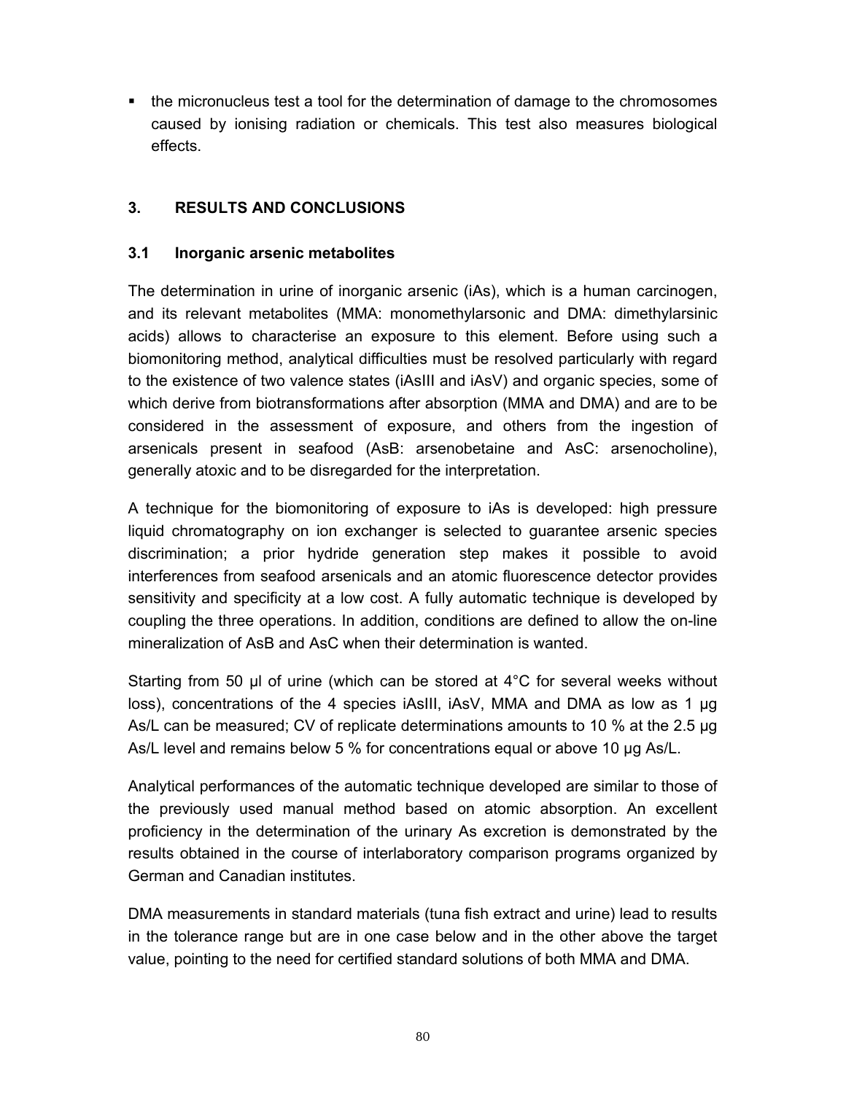• the micronucleus test a tool for the determination of damage to the chromosomes caused by ionising radiation or chemicals. This test also measures biological effects.

## **3. RESULTS AND CONCLUSIONS**

#### **3.1 Inorganic arsenic metabolites**

The determination in urine of inorganic arsenic (iAs), which is a human carcinogen, and its relevant metabolites (MMA: monomethylarsonic and DMA: dimethylarsinic acids) allows to characterise an exposure to this element. Before using such a biomonitoring method, analytical difficulties must be resolved particularly with regard to the existence of two valence states (iAsIII and iAsV) and organic species, some of which derive from biotransformations after absorption (MMA and DMA) and are to be considered in the assessment of exposure, and others from the ingestion of arsenicals present in seafood (AsB: arsenobetaine and AsC: arsenocholine), generally atoxic and to be disregarded for the interpretation.

A technique for the biomonitoring of exposure to iAs is developed: high pressure liquid chromatography on ion exchanger is selected to guarantee arsenic species discrimination; a prior hydride generation step makes it possible to avoid interferences from seafood arsenicals and an atomic fluorescence detector provides sensitivity and specificity at a low cost. A fully automatic technique is developed by coupling the three operations. In addition, conditions are defined to allow the on-line mineralization of AsB and AsC when their determination is wanted.

Starting from 50 µl of urine (which can be stored at 4°C for several weeks without loss), concentrations of the 4 species iAsIII, iAsV, MMA and DMA as low as 1 µg As/L can be measured; CV of replicate determinations amounts to 10 % at the 2.5 µg As/L level and remains below 5 % for concentrations equal or above 10 µg As/L.

Analytical performances of the automatic technique developed are similar to those of the previously used manual method based on atomic absorption. An excellent proficiency in the determination of the urinary As excretion is demonstrated by the results obtained in the course of interlaboratory comparison programs organized by German and Canadian institutes.

DMA measurements in standard materials (tuna fish extract and urine) lead to results in the tolerance range but are in one case below and in the other above the target value, pointing to the need for certified standard solutions of both MMA and DMA.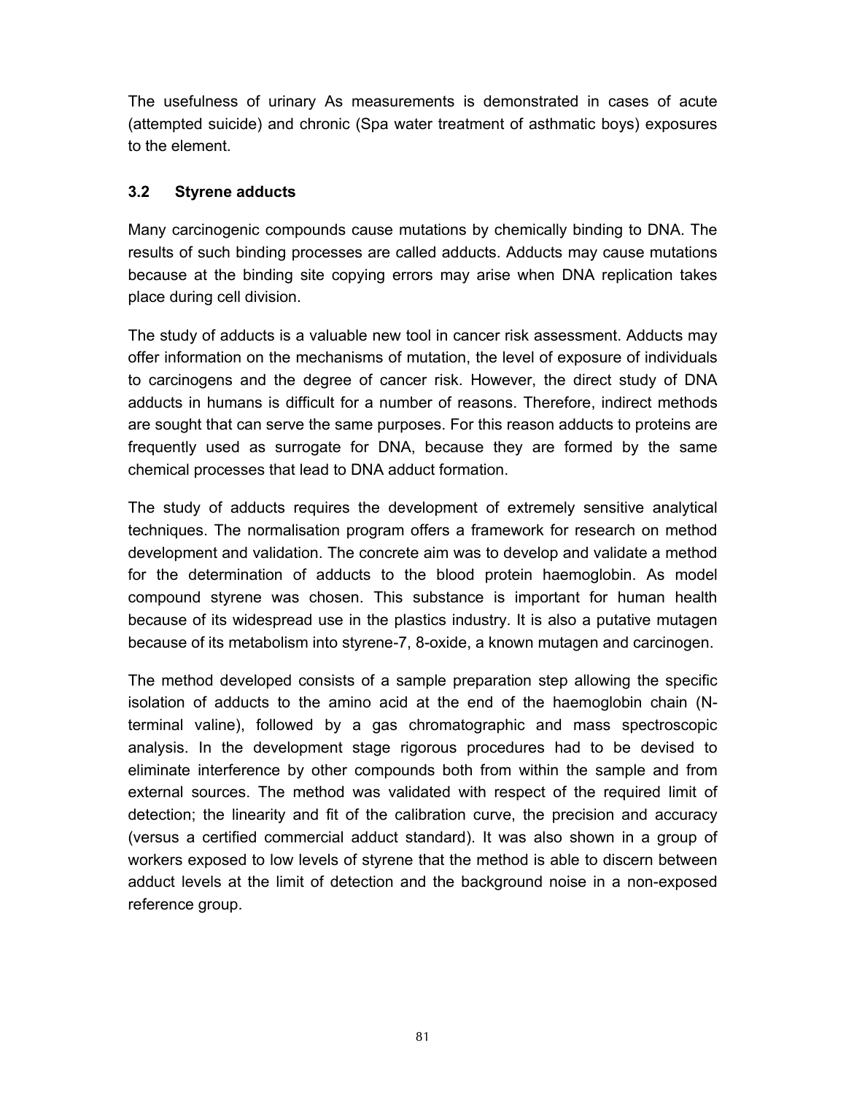The usefulness of urinary As measurements is demonstrated in cases of acute (attempted suicide) and chronic (Spa water treatment of asthmatic boys) exposures to the element.

#### **3.2 Styrene adducts**

Many carcinogenic compounds cause mutations by chemically binding to DNA. The results of such binding processes are called adducts. Adducts may cause mutations because at the binding site copying errors may arise when DNA replication takes place during cell division.

The study of adducts is a valuable new tool in cancer risk assessment. Adducts may offer information on the mechanisms of mutation, the level of exposure of individuals to carcinogens and the degree of cancer risk. However, the direct study of DNA adducts in humans is difficult for a number of reasons. Therefore, indirect methods are sought that can serve the same purposes. For this reason adducts to proteins are frequently used as surrogate for DNA, because they are formed by the same chemical processes that lead to DNA adduct formation.

The study of adducts requires the development of extremely sensitive analytical techniques. The normalisation program offers a framework for research on method development and validation. The concrete aim was to develop and validate a method for the determination of adducts to the blood protein haemoglobin. As model compound styrene was chosen. This substance is important for human health because of its widespread use in the plastics industry. It is also a putative mutagen because of its metabolism into styrene-7, 8-oxide, a known mutagen and carcinogen.

The method developed consists of a sample preparation step allowing the specific isolation of adducts to the amino acid at the end of the haemoglobin chain (Nterminal valine), followed by a gas chromatographic and mass spectroscopic analysis. In the development stage rigorous procedures had to be devised to eliminate interference by other compounds both from within the sample and from external sources. The method was validated with respect of the required limit of detection; the linearity and fit of the calibration curve, the precision and accuracy (versus a certified commercial adduct standard). It was also shown in a group of workers exposed to low levels of styrene that the method is able to discern between adduct levels at the limit of detection and the background noise in a non-exposed reference group.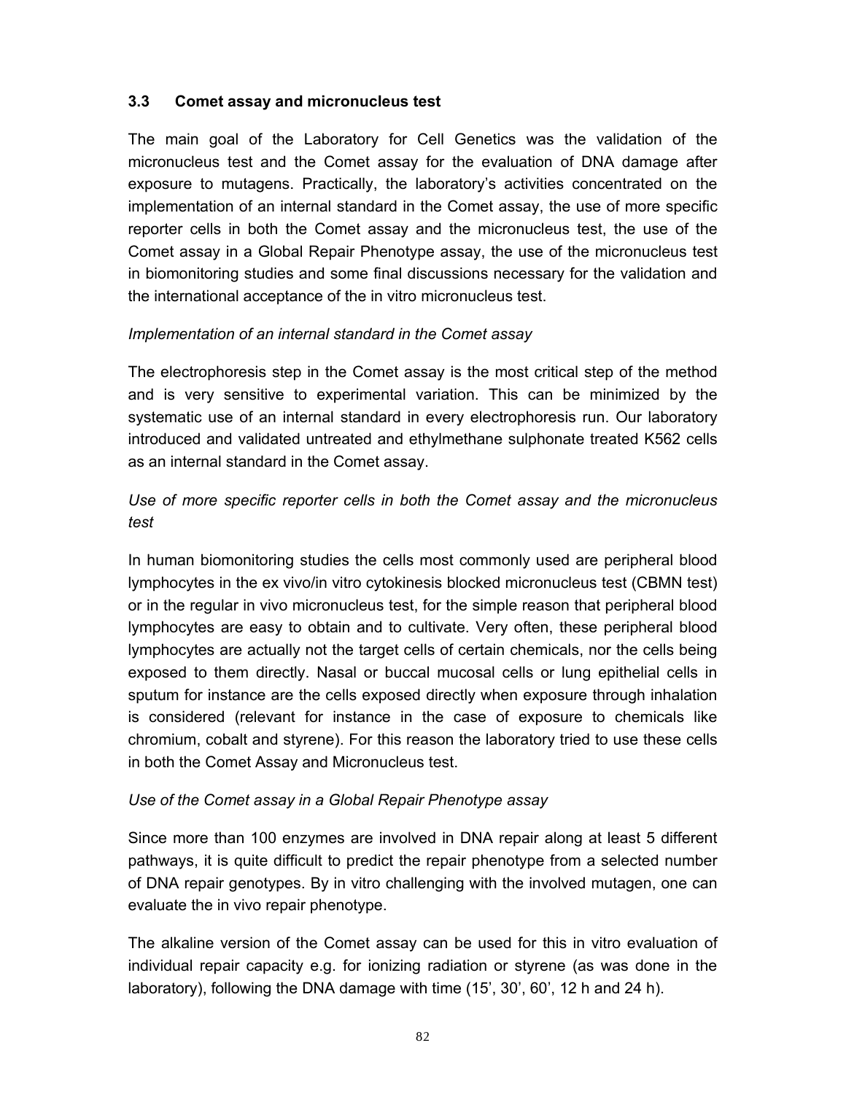#### **3.3 Comet assay and micronucleus test**

The main goal of the Laboratory for Cell Genetics was the validation of the micronucleus test and the Comet assay for the evaluation of DNA damage after exposure to mutagens. Practically, the laboratory's activities concentrated on the implementation of an internal standard in the Comet assay, the use of more specific reporter cells in both the Comet assay and the micronucleus test, the use of the Comet assay in a Global Repair Phenotype assay, the use of the micronucleus test in biomonitoring studies and some final discussions necessary for the validation and the international acceptance of the in vitro micronucleus test.

### *Implementation of an internal standard in the Comet assay*

The electrophoresis step in the Comet assay is the most critical step of the method and is very sensitive to experimental variation. This can be minimized by the systematic use of an internal standard in every electrophoresis run. Our laboratory introduced and validated untreated and ethylmethane sulphonate treated K562 cells as an internal standard in the Comet assay.

*Use of more specific reporter cells in both the Comet assay and the micronucleus test* 

In human biomonitoring studies the cells most commonly used are peripheral blood lymphocytes in the ex vivo/in vitro cytokinesis blocked micronucleus test (CBMN test) or in the regular in vivo micronucleus test, for the simple reason that peripheral blood lymphocytes are easy to obtain and to cultivate. Very often, these peripheral blood lymphocytes are actually not the target cells of certain chemicals, nor the cells being exposed to them directly. Nasal or buccal mucosal cells or lung epithelial cells in sputum for instance are the cells exposed directly when exposure through inhalation is considered (relevant for instance in the case of exposure to chemicals like chromium, cobalt and styrene). For this reason the laboratory tried to use these cells in both the Comet Assay and Micronucleus test.

#### *Use of the Comet assay in a Global Repair Phenotype assay*

Since more than 100 enzymes are involved in DNA repair along at least 5 different pathways, it is quite difficult to predict the repair phenotype from a selected number of DNA repair genotypes. By in vitro challenging with the involved mutagen, one can evaluate the in vivo repair phenotype.

The alkaline version of the Comet assay can be used for this in vitro evaluation of individual repair capacity e.g. for ionizing radiation or styrene (as was done in the laboratory), following the DNA damage with time (15', 30', 60', 12 h and 24 h).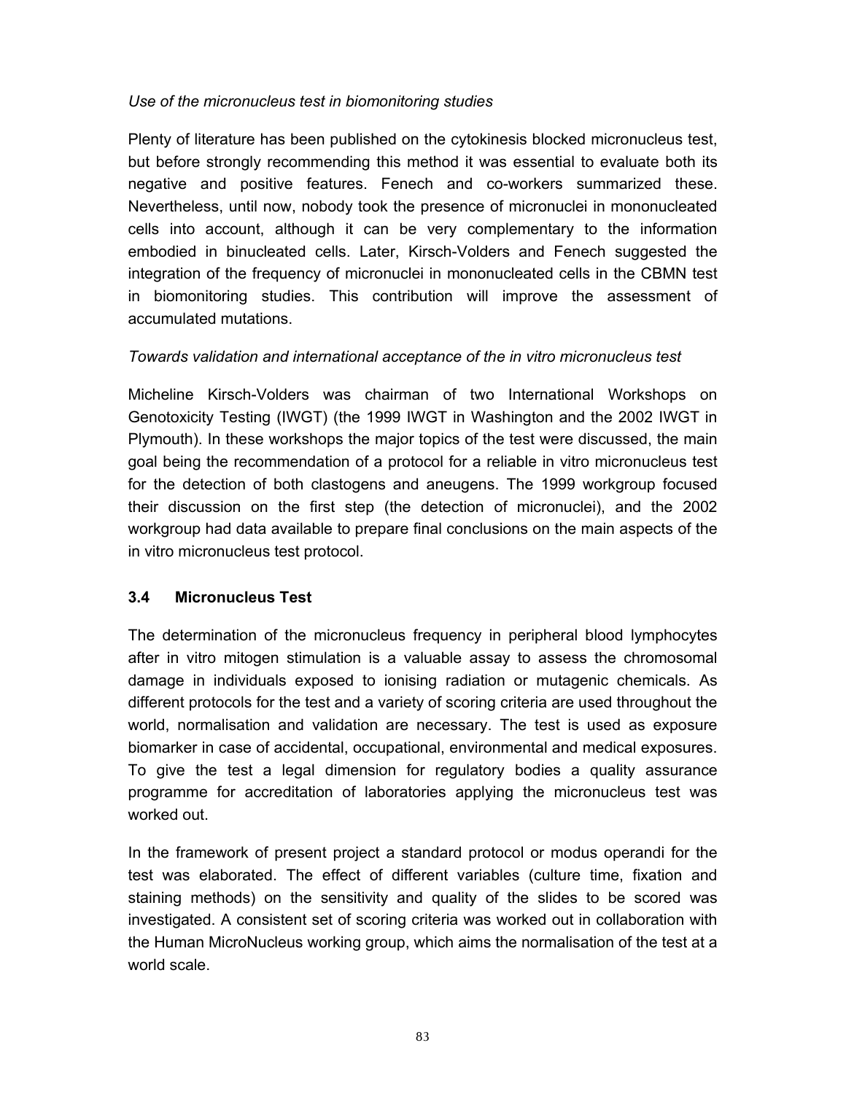#### *Use of the micronucleus test in biomonitoring studies*

Plenty of literature has been published on the cytokinesis blocked micronucleus test, but before strongly recommending this method it was essential to evaluate both its negative and positive features. Fenech and co-workers summarized these. Nevertheless, until now, nobody took the presence of micronuclei in mononucleated cells into account, although it can be very complementary to the information embodied in binucleated cells. Later, Kirsch-Volders and Fenech suggested the integration of the frequency of micronuclei in mononucleated cells in the CBMN test in biomonitoring studies. This contribution will improve the assessment of accumulated mutations.

### *Towards validation and international acceptance of the in vitro micronucleus test*

Micheline Kirsch-Volders was chairman of two International Workshops on Genotoxicity Testing (IWGT) (the 1999 IWGT in Washington and the 2002 IWGT in Plymouth). In these workshops the major topics of the test were discussed, the main goal being the recommendation of a protocol for a reliable in vitro micronucleus test for the detection of both clastogens and aneugens. The 1999 workgroup focused their discussion on the first step (the detection of micronuclei), and the 2002 workgroup had data available to prepare final conclusions on the main aspects of the in vitro micronucleus test protocol.

#### **3.4 Micronucleus Test**

The determination of the micronucleus frequency in peripheral blood lymphocytes after in vitro mitogen stimulation is a valuable assay to assess the chromosomal damage in individuals exposed to ionising radiation or mutagenic chemicals. As different protocols for the test and a variety of scoring criteria are used throughout the world, normalisation and validation are necessary. The test is used as exposure biomarker in case of accidental, occupational, environmental and medical exposures. To give the test a legal dimension for regulatory bodies a quality assurance programme for accreditation of laboratories applying the micronucleus test was worked out.

In the framework of present project a standard protocol or modus operandi for the test was elaborated. The effect of different variables (culture time, fixation and staining methods) on the sensitivity and quality of the slides to be scored was investigated. A consistent set of scoring criteria was worked out in collaboration with the Human MicroNucleus working group, which aims the normalisation of the test at a world scale.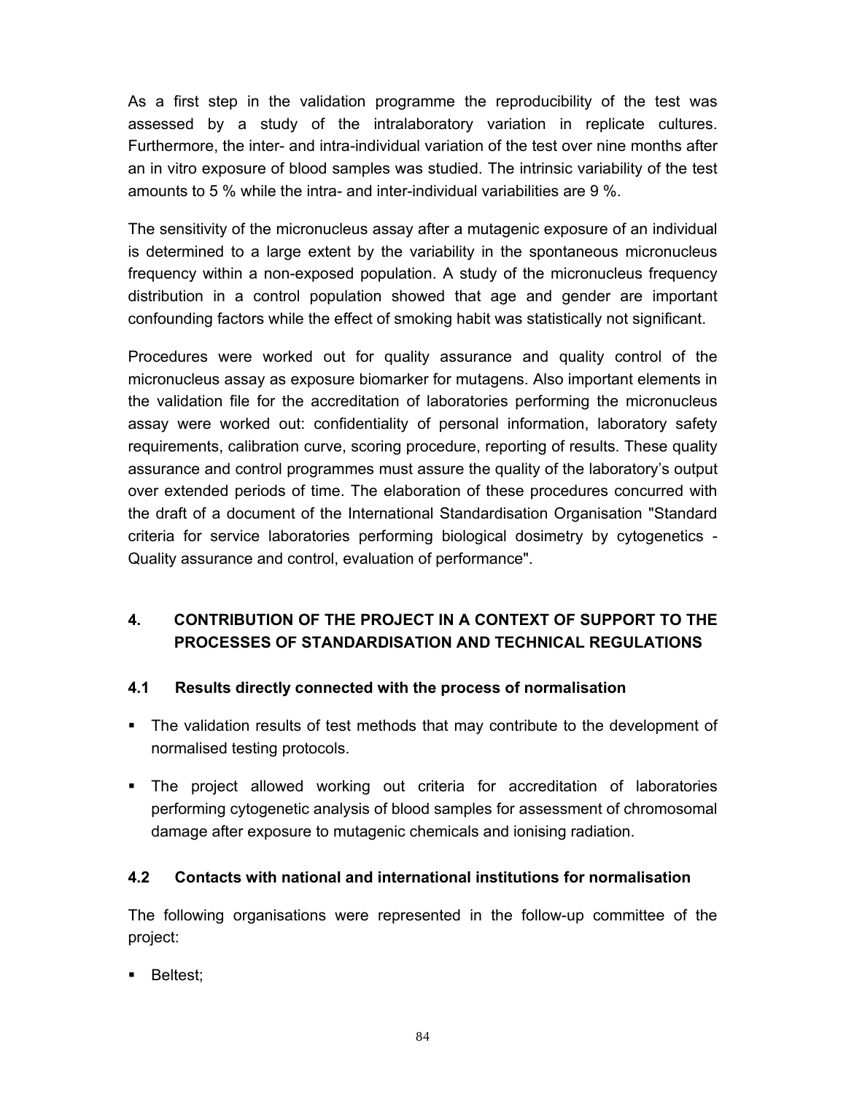As a first step in the validation programme the reproducibility of the test was assessed by a study of the intralaboratory variation in replicate cultures. Furthermore, the inter- and intra-individual variation of the test over nine months after an in vitro exposure of blood samples was studied. The intrinsic variability of the test amounts to 5 % while the intra- and inter-individual variabilities are 9 %.

The sensitivity of the micronucleus assay after a mutagenic exposure of an individual is determined to a large extent by the variability in the spontaneous micronucleus frequency within a non-exposed population. A study of the micronucleus frequency distribution in a control population showed that age and gender are important confounding factors while the effect of smoking habit was statistically not significant.

Procedures were worked out for quality assurance and quality control of the micronucleus assay as exposure biomarker for mutagens. Also important elements in the validation file for the accreditation of laboratories performing the micronucleus assay were worked out: confidentiality of personal information, laboratory safety requirements, calibration curve, scoring procedure, reporting of results. These quality assurance and control programmes must assure the quality of the laboratory's output over extended periods of time. The elaboration of these procedures concurred with the draft of a document of the International Standardisation Organisation "Standard criteria for service laboratories performing biological dosimetry by cytogenetics - Quality assurance and control, evaluation of performance".

# **4. CONTRIBUTION OF THE PROJECT IN A CONTEXT OF SUPPORT TO THE PROCESSES OF STANDARDISATION AND TECHNICAL REGULATIONS**

#### **4.1 Results directly connected with the process of normalisation**

- The validation results of test methods that may contribute to the development of normalised testing protocols.
- The project allowed working out criteria for accreditation of laboratories performing cytogenetic analysis of blood samples for assessment of chromosomal damage after exposure to mutagenic chemicals and ionising radiation.

#### **4.2 Contacts with national and international institutions for normalisation**

The following organisations were represented in the follow-up committee of the project:

**Beltest**: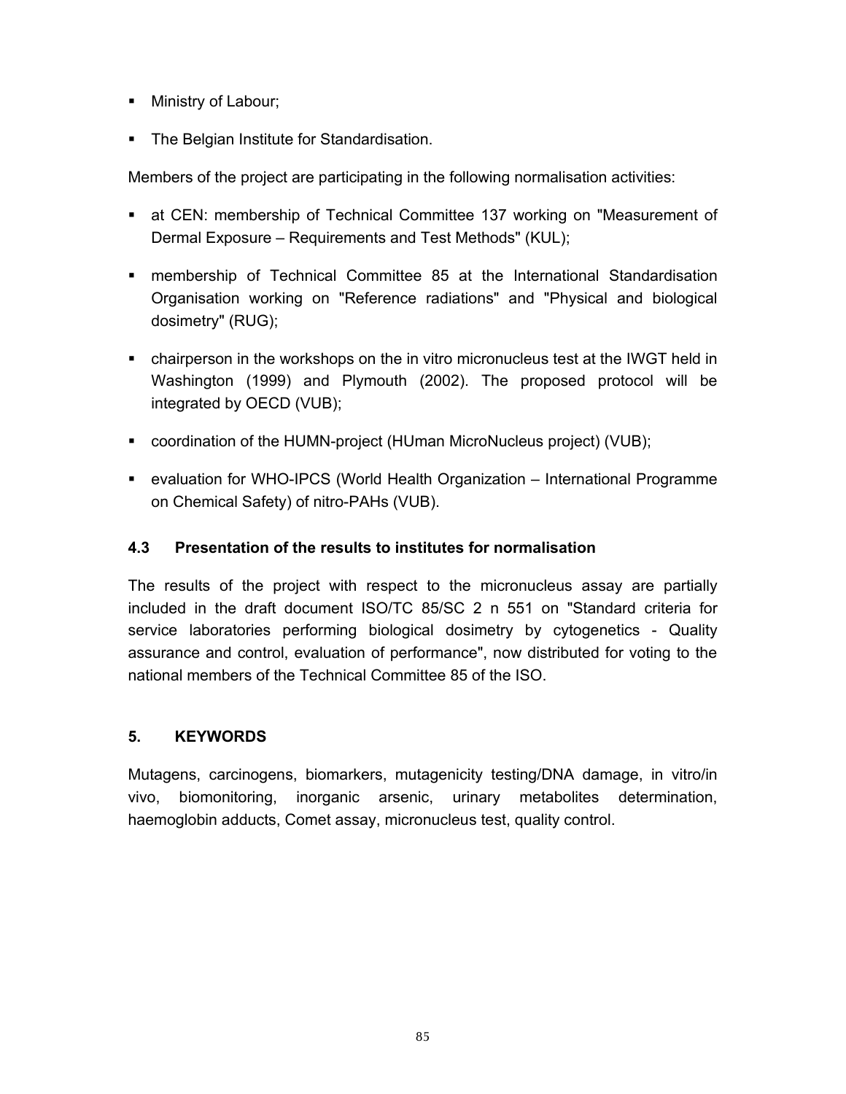- **Ministry of Labour;**
- The Belgian Institute for Standardisation.

Members of the project are participating in the following normalisation activities:

- at CEN: membership of Technical Committee 137 working on "Measurement of Dermal Exposure – Requirements and Test Methods" (KUL);
- membership of Technical Committee 85 at the International Standardisation Organisation working on "Reference radiations" and "Physical and biological dosimetry" (RUG);
- chairperson in the workshops on the in vitro micronucleus test at the IWGT held in Washington (1999) and Plymouth (2002). The proposed protocol will be integrated by OECD (VUB);
- coordination of the HUMN-project (HUman MicroNucleus project) (VUB);
- evaluation for WHO-IPCS (World Health Organization International Programme on Chemical Safety) of nitro-PAHs (VUB).

## **4.3 Presentation of the results to institutes for normalisation**

The results of the project with respect to the micronucleus assay are partially included in the draft document ISO/TC 85/SC 2 n 551 on "Standard criteria for service laboratories performing biological dosimetry by cytogenetics - Quality assurance and control, evaluation of performance", now distributed for voting to the national members of the Technical Committee 85 of the ISO.

#### **5. KEYWORDS**

Mutagens, carcinogens, biomarkers, mutagenicity testing/DNA damage, in vitro/in vivo, biomonitoring, inorganic arsenic, urinary metabolites determination, haemoglobin adducts, Comet assay, micronucleus test, quality control.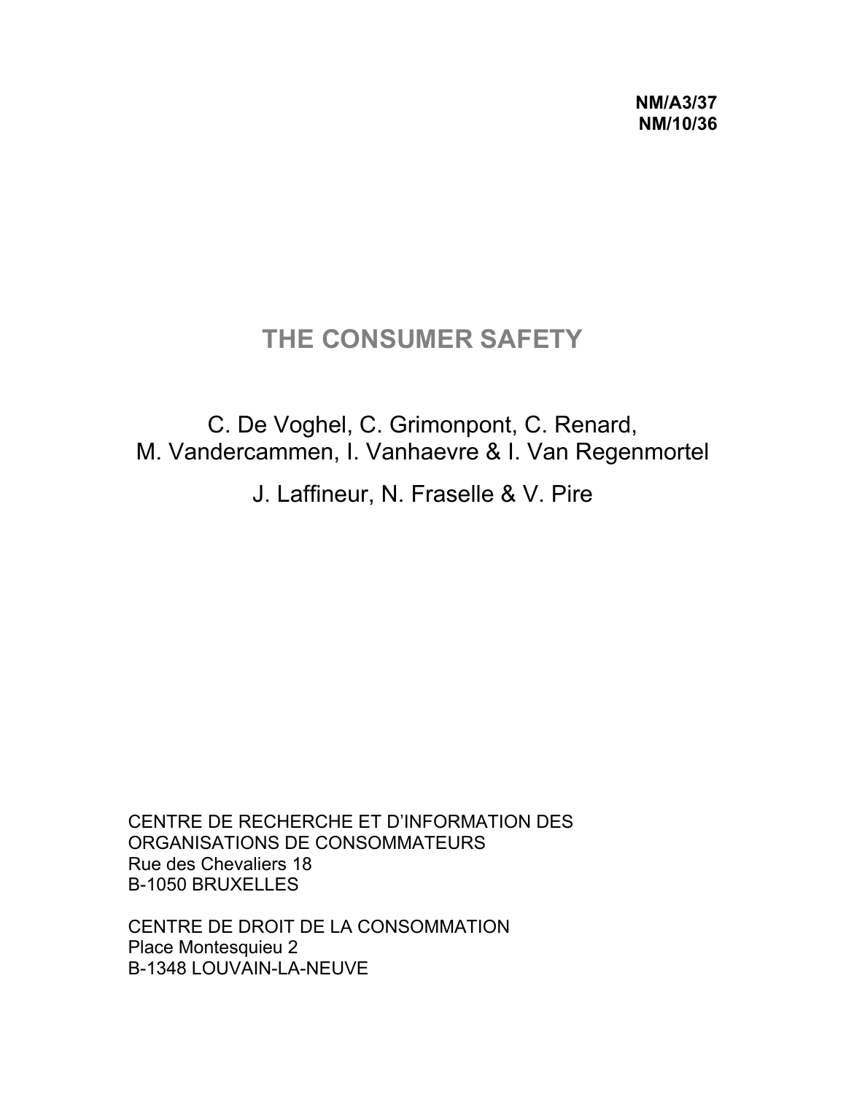**NM/A3/37 NM/10/36** 

# **THE CONSUMER SAFETY**

C. De Voghel, C. Grimonpont, C. Renard, M. Vandercammen, I. Vanhaevre & I. Van Regenmortel

J. Laffineur, N. Fraselle & V. Pire

CENTRE DE RECHERCHE ET D'INFORMATION DES ORGANISATIONS DE CONSOMMATEURS Rue des Chevaliers 18 B-1050 BRUXELLES

CENTRE DE DROIT DE LA CONSOMMATION Place Montesquieu 2 B-1348 LOUVAIN-LA-NEUVE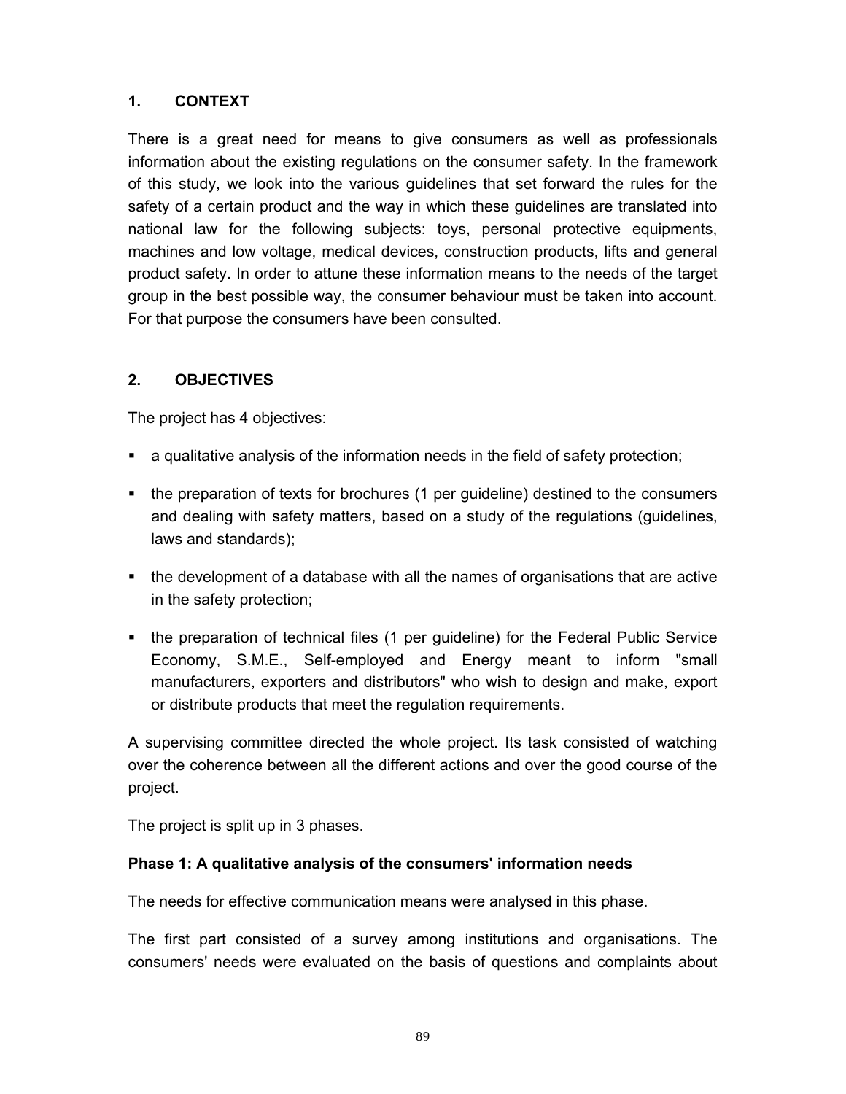There is a great need for means to give consumers as well as professionals information about the existing regulations on the consumer safety. In the framework of this study, we look into the various guidelines that set forward the rules for the safety of a certain product and the way in which these guidelines are translated into national law for the following subjects: toys, personal protective equipments, machines and low voltage, medical devices, construction products, lifts and general product safety. In order to attune these information means to the needs of the target group in the best possible way, the consumer behaviour must be taken into account. For that purpose the consumers have been consulted.

### **2. OBJECTIVES**

The project has 4 objectives:

- a qualitative analysis of the information needs in the field of safety protection;
- the preparation of texts for brochures (1 per guideline) destined to the consumers and dealing with safety matters, based on a study of the regulations (guidelines, laws and standards);
- the development of a database with all the names of organisations that are active in the safety protection;
- the preparation of technical files (1 per guideline) for the Federal Public Service Economy, S.M.E., Self-employed and Energy meant to inform "small manufacturers, exporters and distributors" who wish to design and make, export or distribute products that meet the regulation requirements.

A supervising committee directed the whole project. Its task consisted of watching over the coherence between all the different actions and over the good course of the project.

The project is split up in 3 phases.

#### **Phase 1: A qualitative analysis of the consumers' information needs**

The needs for effective communication means were analysed in this phase.

The first part consisted of a survey among institutions and organisations. The consumers' needs were evaluated on the basis of questions and complaints about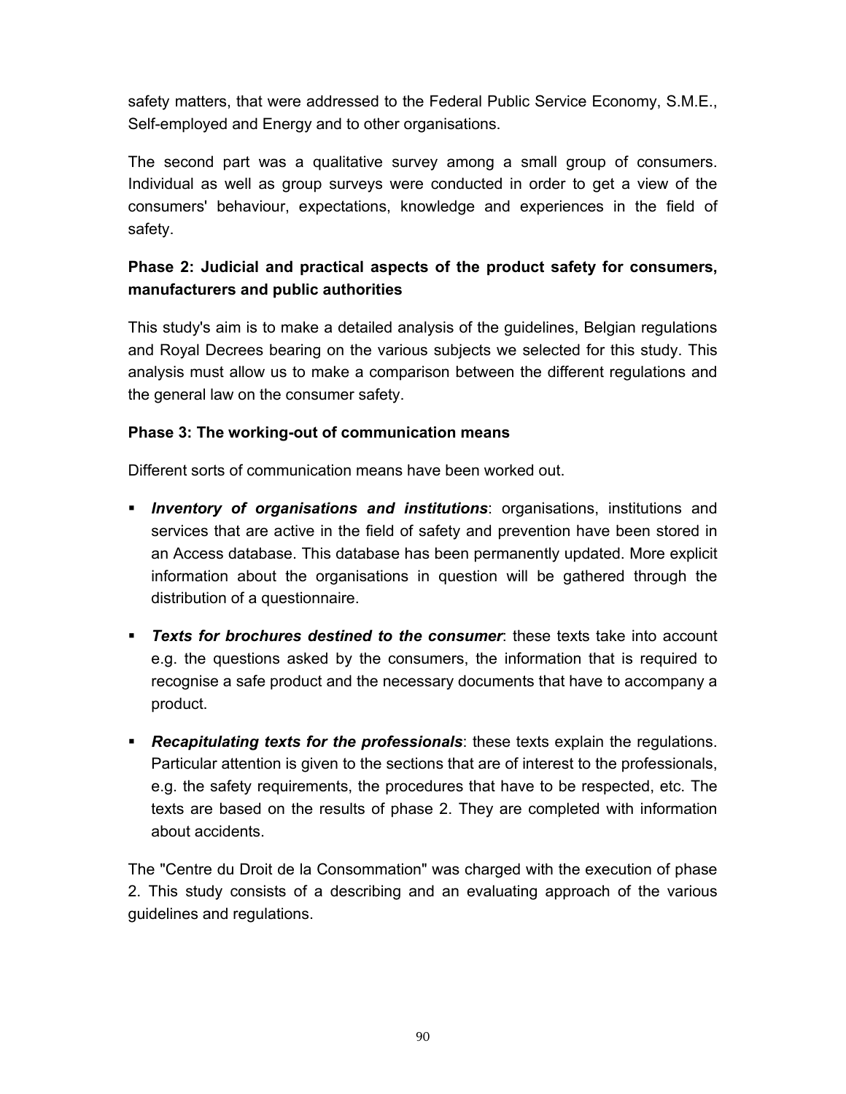safety matters, that were addressed to the Federal Public Service Economy, S.M.E., Self-employed and Energy and to other organisations.

The second part was a qualitative survey among a small group of consumers. Individual as well as group surveys were conducted in order to get a view of the consumers' behaviour, expectations, knowledge and experiences in the field of safety.

# **Phase 2: Judicial and practical aspects of the product safety for consumers, manufacturers and public authorities**

This study's aim is to make a detailed analysis of the guidelines, Belgian regulations and Royal Decrees bearing on the various subjects we selected for this study. This analysis must allow us to make a comparison between the different regulations and the general law on the consumer safety.

### **Phase 3: The working-out of communication means**

Different sorts of communication means have been worked out.

- *Inventory of organisations and institutions*: organisations, institutions and services that are active in the field of safety and prevention have been stored in an Access database. This database has been permanently updated. More explicit information about the organisations in question will be gathered through the distribution of a questionnaire.
- *Texts for brochures destined to the consumer*: these texts take into account e.g. the questions asked by the consumers, the information that is required to recognise a safe product and the necessary documents that have to accompany a product.
- *Recapitulating texts for the professionals*: these texts explain the regulations. Particular attention is given to the sections that are of interest to the professionals, e.g. the safety requirements, the procedures that have to be respected, etc. The texts are based on the results of phase 2. They are completed with information about accidents.

The "Centre du Droit de la Consommation" was charged with the execution of phase 2. This study consists of a describing and an evaluating approach of the various guidelines and regulations.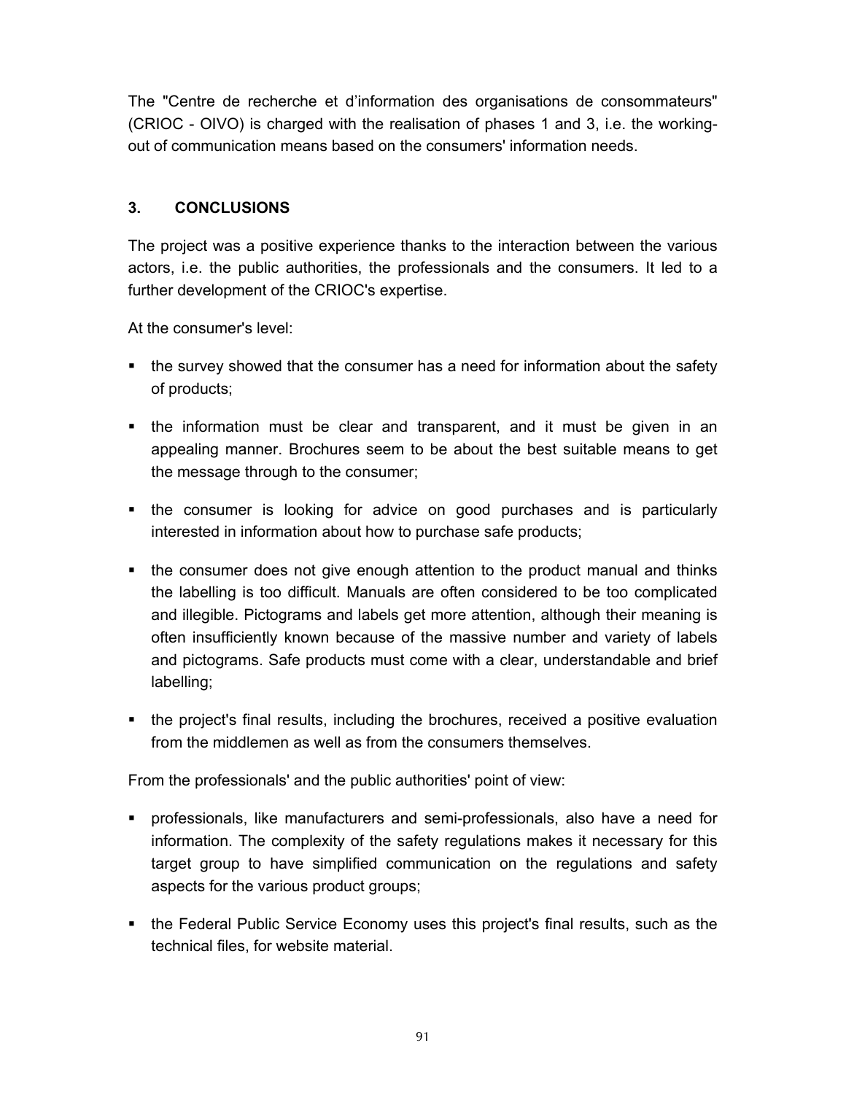The "Centre de recherche et d'information des organisations de consommateurs" (CRIOC - OIVO) is charged with the realisation of phases 1 and 3, i.e. the workingout of communication means based on the consumers' information needs.

## **3. CONCLUSIONS**

The project was a positive experience thanks to the interaction between the various actors, i.e. the public authorities, the professionals and the consumers. It led to a further development of the CRIOC's expertise.

At the consumer's level:

- the survey showed that the consumer has a need for information about the safety of products;
- the information must be clear and transparent, and it must be given in an appealing manner. Brochures seem to be about the best suitable means to get the message through to the consumer;
- the consumer is looking for advice on good purchases and is particularly interested in information about how to purchase safe products;
- the consumer does not give enough attention to the product manual and thinks the labelling is too difficult. Manuals are often considered to be too complicated and illegible. Pictograms and labels get more attention, although their meaning is often insufficiently known because of the massive number and variety of labels and pictograms. Safe products must come with a clear, understandable and brief labelling;
- the project's final results, including the brochures, received a positive evaluation from the middlemen as well as from the consumers themselves.

From the professionals' and the public authorities' point of view:

- professionals, like manufacturers and semi-professionals, also have a need for information. The complexity of the safety regulations makes it necessary for this target group to have simplified communication on the regulations and safety aspects for the various product groups;
- the Federal Public Service Economy uses this project's final results, such as the technical files, for website material.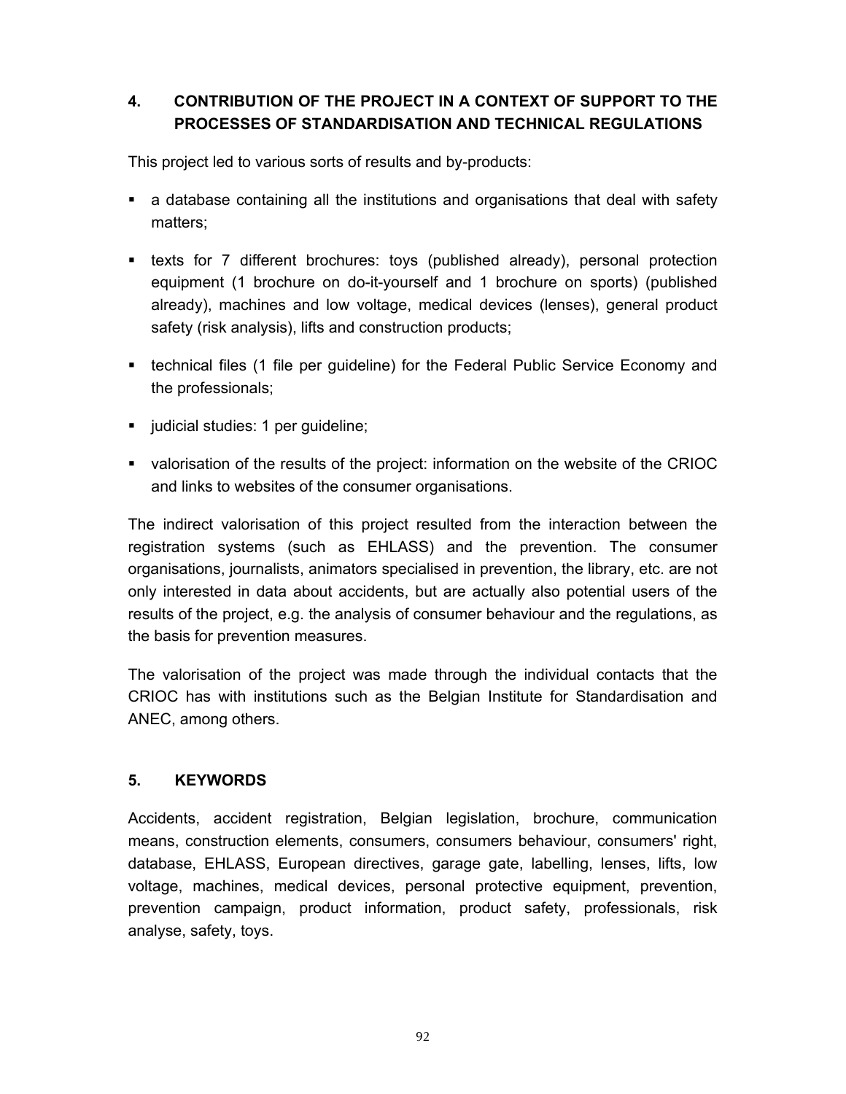# **4. CONTRIBUTION OF THE PROJECT IN A CONTEXT OF SUPPORT TO THE PROCESSES OF STANDARDISATION AND TECHNICAL REGULATIONS**

This project led to various sorts of results and by-products:

- a database containing all the institutions and organisations that deal with safety matters;
- texts for 7 different brochures: toys (published already), personal protection equipment (1 brochure on do-it-yourself and 1 brochure on sports) (published already), machines and low voltage, medical devices (lenses), general product safety (risk analysis), lifts and construction products;
- technical files (1 file per guideline) for the Federal Public Service Economy and the professionals;
- judicial studies: 1 per guideline;
- valorisation of the results of the project: information on the website of the CRIOC and links to websites of the consumer organisations.

The indirect valorisation of this project resulted from the interaction between the registration systems (such as EHLASS) and the prevention. The consumer organisations, journalists, animators specialised in prevention, the library, etc. are not only interested in data about accidents, but are actually also potential users of the results of the project, e.g. the analysis of consumer behaviour and the regulations, as the basis for prevention measures.

The valorisation of the project was made through the individual contacts that the CRIOC has with institutions such as the Belgian Institute for Standardisation and ANEC, among others.

#### **5. KEYWORDS**

Accidents, accident registration, Belgian legislation, brochure, communication means, construction elements, consumers, consumers behaviour, consumers' right, database, EHLASS, European directives, garage gate, labelling, lenses, lifts, low voltage, machines, medical devices, personal protective equipment, prevention, prevention campaign, product information, product safety, professionals, risk analyse, safety, toys.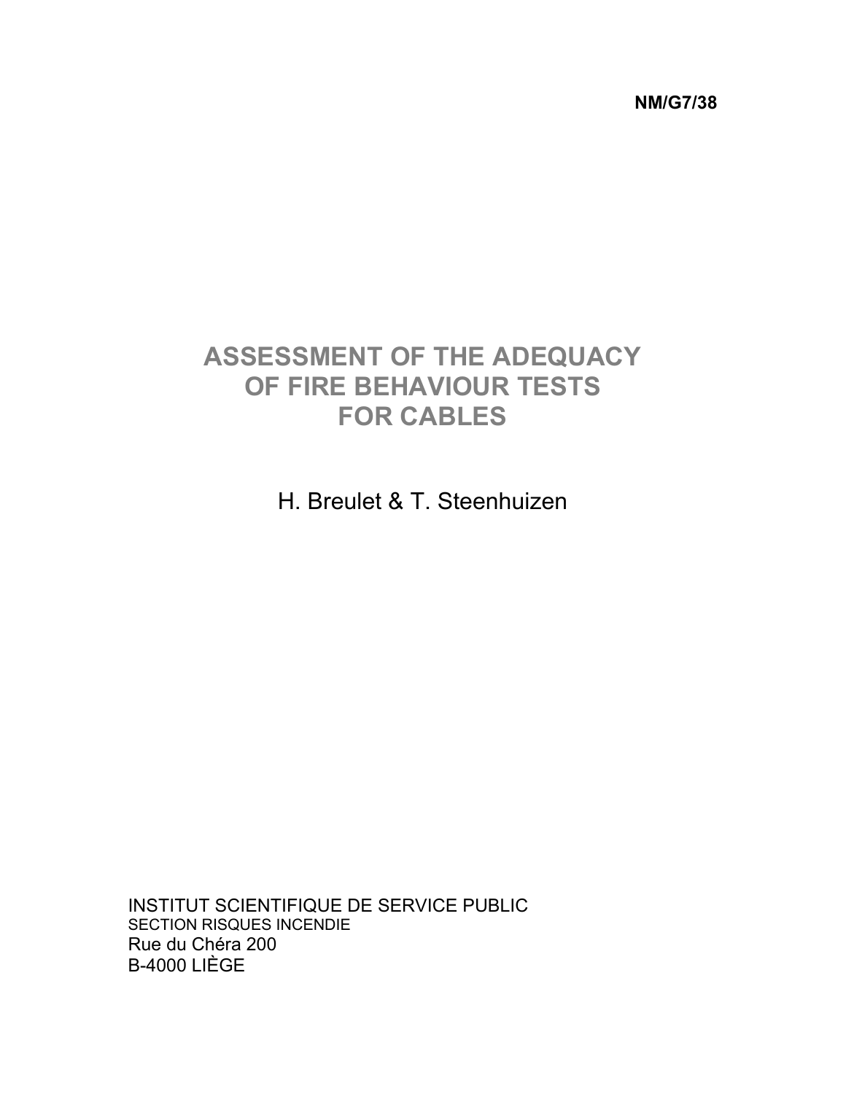**NM/G7/38** 

# **ASSESSMENT OF THE ADEQUACY OF FIRE BEHAVIOUR TESTS FOR CABLES**

H. Breulet & T. Steenhuizen

INSTITUT SCIENTIFIQUE DE SERVICE PUBLIC SECTION RISQUES INCENDIE Rue du Chéra 200 B-4000 LIÈGE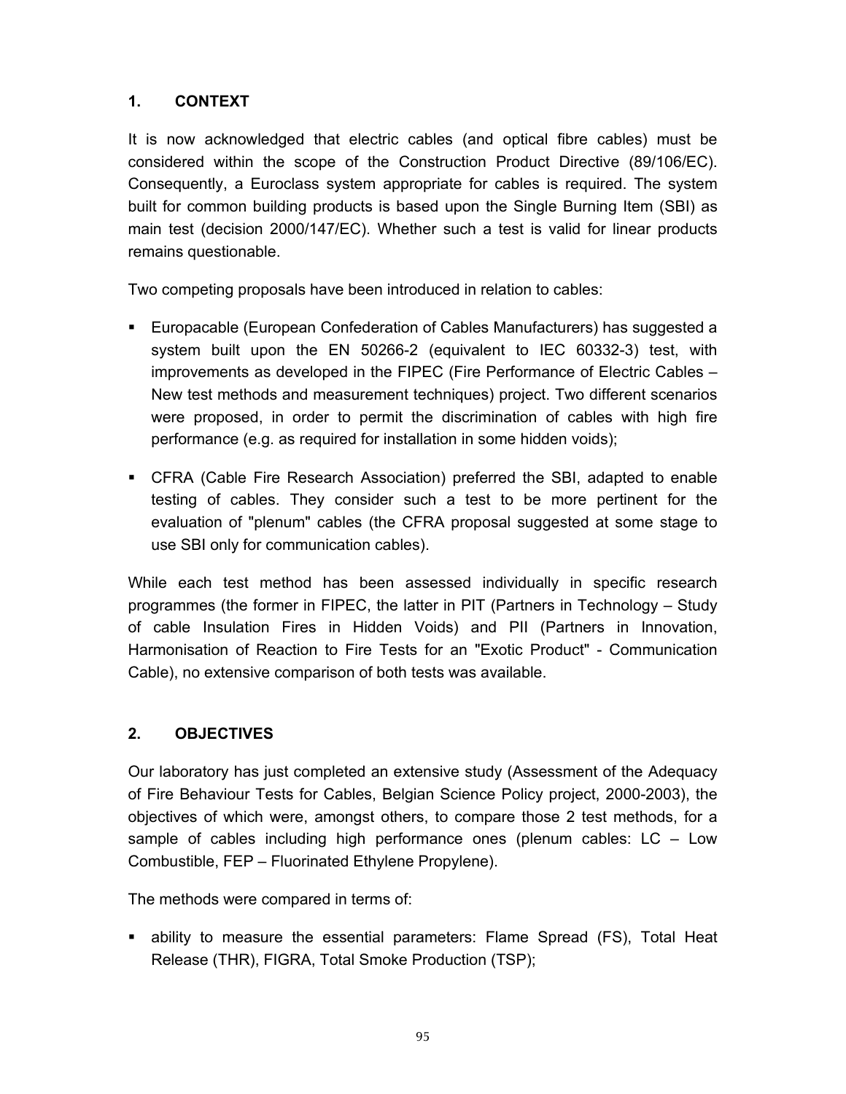It is now acknowledged that electric cables (and optical fibre cables) must be considered within the scope of the Construction Product Directive (89/106/EC). Consequently, a Euroclass system appropriate for cables is required. The system built for common building products is based upon the Single Burning Item (SBI) as main test (decision 2000/147/EC). Whether such a test is valid for linear products remains questionable.

Two competing proposals have been introduced in relation to cables:

- Europacable (European Confederation of Cables Manufacturers) has suggested a system built upon the EN 50266-2 (equivalent to IEC 60332-3) test, with improvements as developed in the FIPEC (Fire Performance of Electric Cables – New test methods and measurement techniques) project. Two different scenarios were proposed, in order to permit the discrimination of cables with high fire performance (e.g. as required for installation in some hidden voids);
- CFRA (Cable Fire Research Association) preferred the SBI, adapted to enable testing of cables. They consider such a test to be more pertinent for the evaluation of "plenum" cables (the CFRA proposal suggested at some stage to use SBI only for communication cables).

While each test method has been assessed individually in specific research programmes (the former in FIPEC, the latter in PIT (Partners in Technology – Study of cable Insulation Fires in Hidden Voids) and PII (Partners in Innovation, Harmonisation of Reaction to Fire Tests for an "Exotic Product" - Communication Cable), no extensive comparison of both tests was available.

#### **2. OBJECTIVES**

Our laboratory has just completed an extensive study (Assessment of the Adequacy of Fire Behaviour Tests for Cables, Belgian Science Policy project, 2000-2003), the objectives of which were, amongst others, to compare those 2 test methods, for a sample of cables including high performance ones (plenum cables: LC – Low Combustible, FEP – Fluorinated Ethylene Propylene).

The methods were compared in terms of:

 ability to measure the essential parameters: Flame Spread (FS), Total Heat Release (THR), FIGRA, Total Smoke Production (TSP);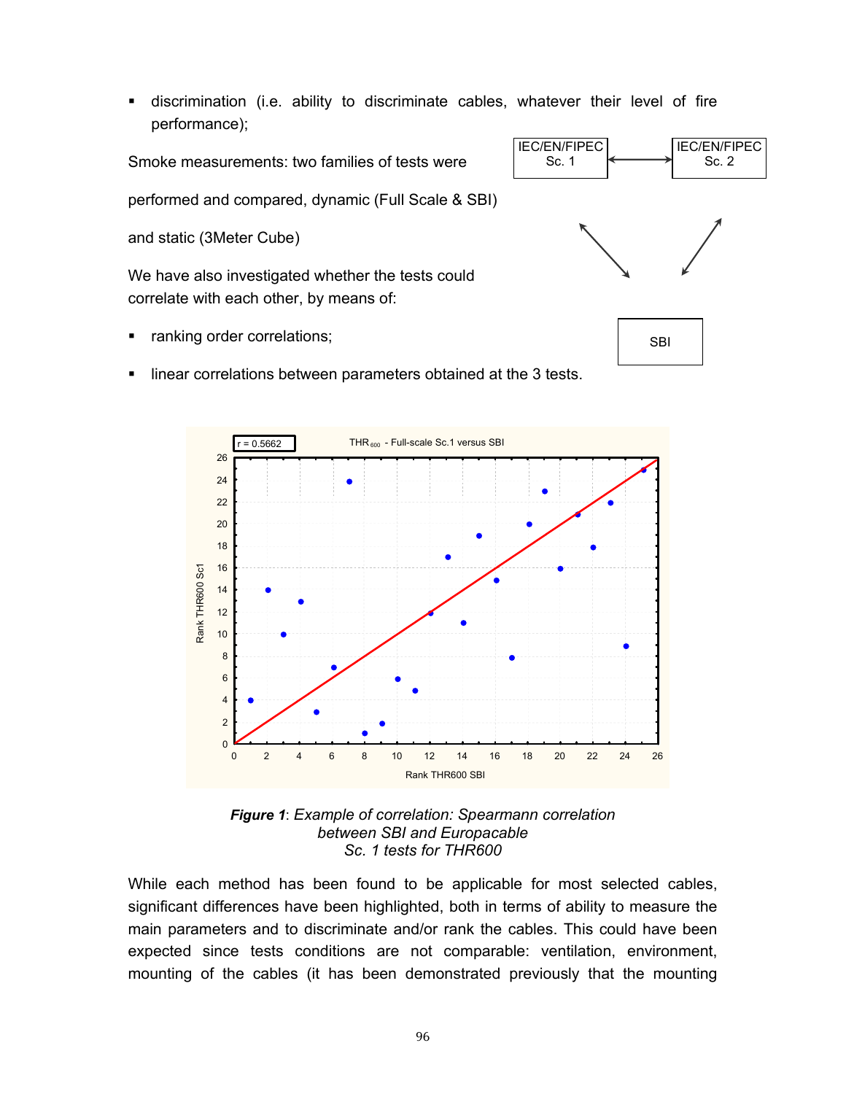discrimination (i.e. ability to discriminate cables, whatever their level of fire performance);

Smoke measurements: two families of tests were

performed and compared, dynamic (Full Scale & SBI)

and static (3Meter Cube)

We have also investigated whether the tests could correlate with each other, by means of:

- ranking order correlations;
- **IF** linear correlations between parameters obtained at the 3 tests.





While each method has been found to be applicable for most selected cables, significant differences have been highlighted, both in terms of ability to measure the main parameters and to discriminate and/or rank the cables. This could have been expected since tests conditions are not comparable: ventilation, environment, mounting of the cables (it has been demonstrated previously that the mounting

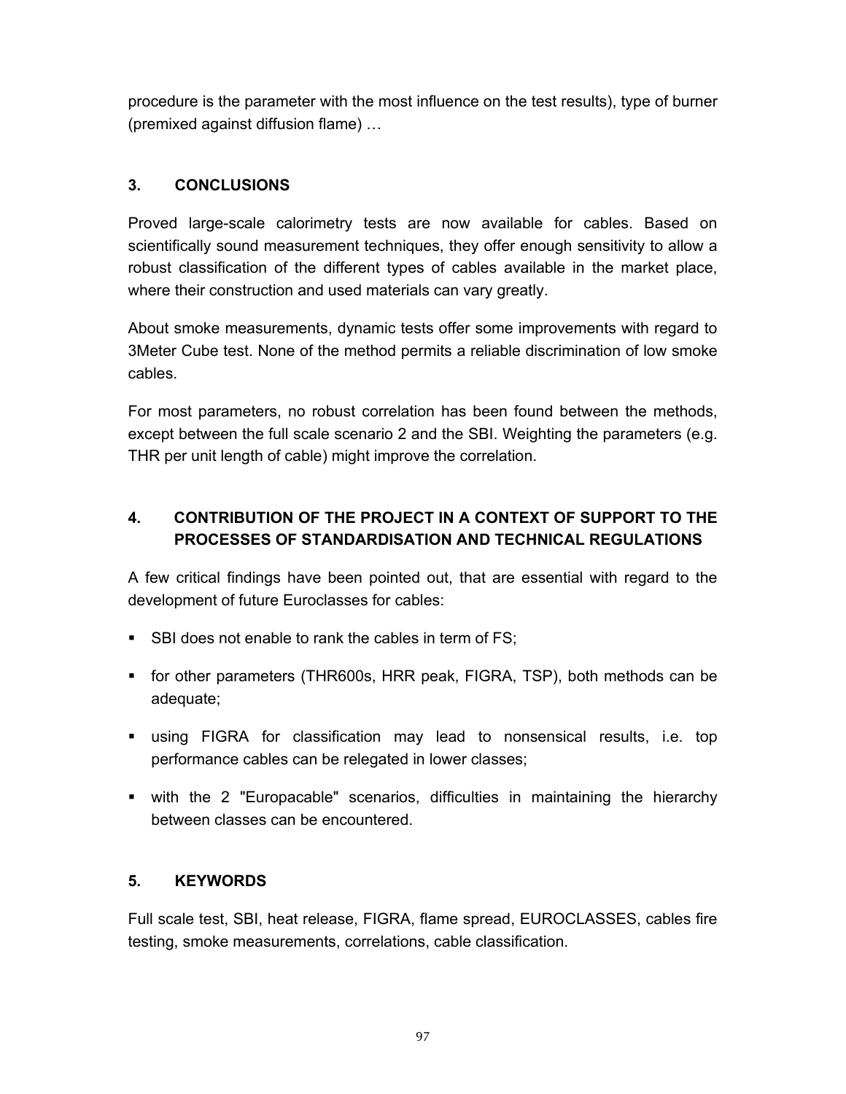procedure is the parameter with the most influence on the test results), type of burner (premixed against diffusion flame) …

## **3. CONCLUSIONS**

Proved large-scale calorimetry tests are now available for cables. Based on scientifically sound measurement techniques, they offer enough sensitivity to allow a robust classification of the different types of cables available in the market place, where their construction and used materials can vary greatly.

About smoke measurements, dynamic tests offer some improvements with regard to 3Meter Cube test. None of the method permits a reliable discrimination of low smoke cables.

For most parameters, no robust correlation has been found between the methods, except between the full scale scenario 2 and the SBI. Weighting the parameters (e.g. THR per unit length of cable) might improve the correlation.

# **4. CONTRIBUTION OF THE PROJECT IN A CONTEXT OF SUPPORT TO THE PROCESSES OF STANDARDISATION AND TECHNICAL REGULATIONS**

A few critical findings have been pointed out, that are essential with regard to the development of future Euroclasses for cables:

- SBI does not enable to rank the cables in term of FS;
- for other parameters (THR600s, HRR peak, FIGRA, TSP), both methods can be adequate;
- using FIGRA for classification may lead to nonsensical results, i.e. top performance cables can be relegated in lower classes;
- with the 2 "Europacable" scenarios, difficulties in maintaining the hierarchy between classes can be encountered.

#### **5. KEYWORDS**

Full scale test, SBI, heat release, FIGRA, flame spread, EUROCLASSES, cables fire testing, smoke measurements, correlations, cable classification.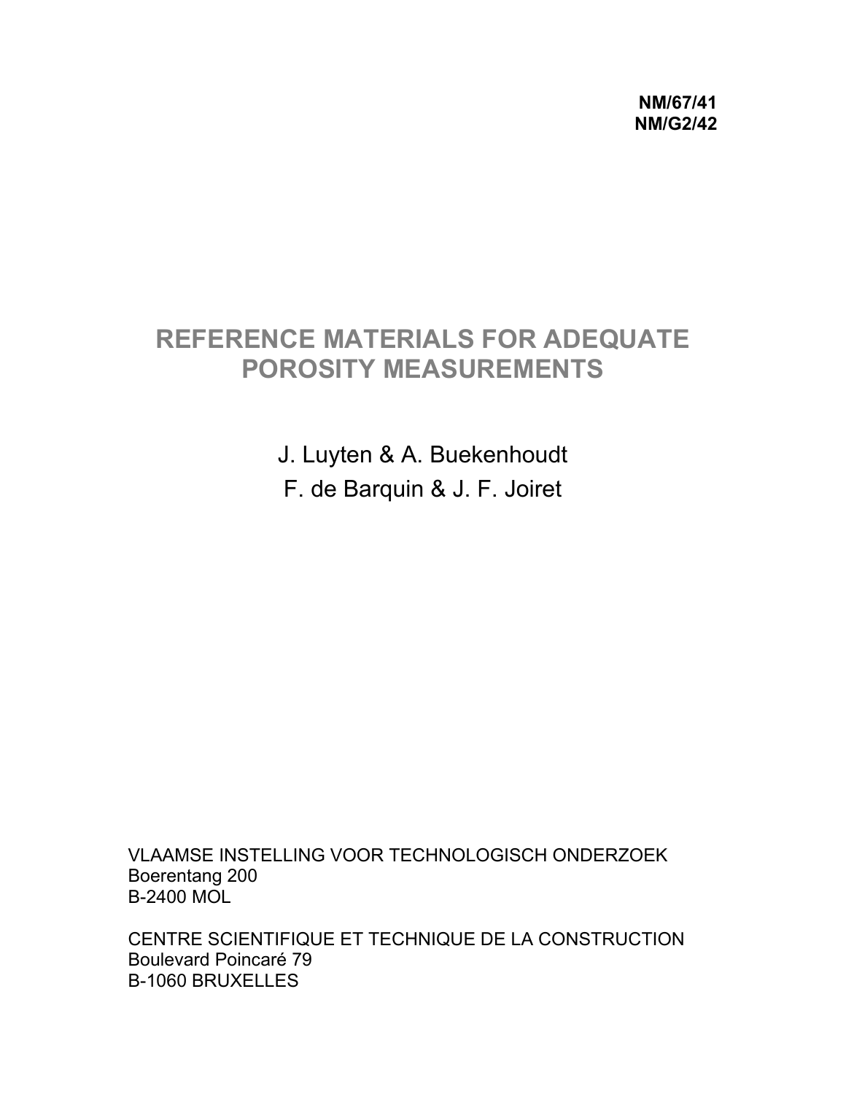**NM/67/41 NM/G2/42** 

# **REFERENCE MATERIALS FOR ADEQUATE POROSITY MEASUREMENTS**

J. Luyten & A. Buekenhoudt F. de Barquin & J. F. Joiret

VLAAMSE INSTELLING VOOR TECHNOLOGISCH ONDERZOEK Boerentang 200 B-2400 MOL

CENTRE SCIENTIFIQUE ET TECHNIQUE DE LA CONSTRUCTION Boulevard Poincaré 79 B-1060 BRUXELLES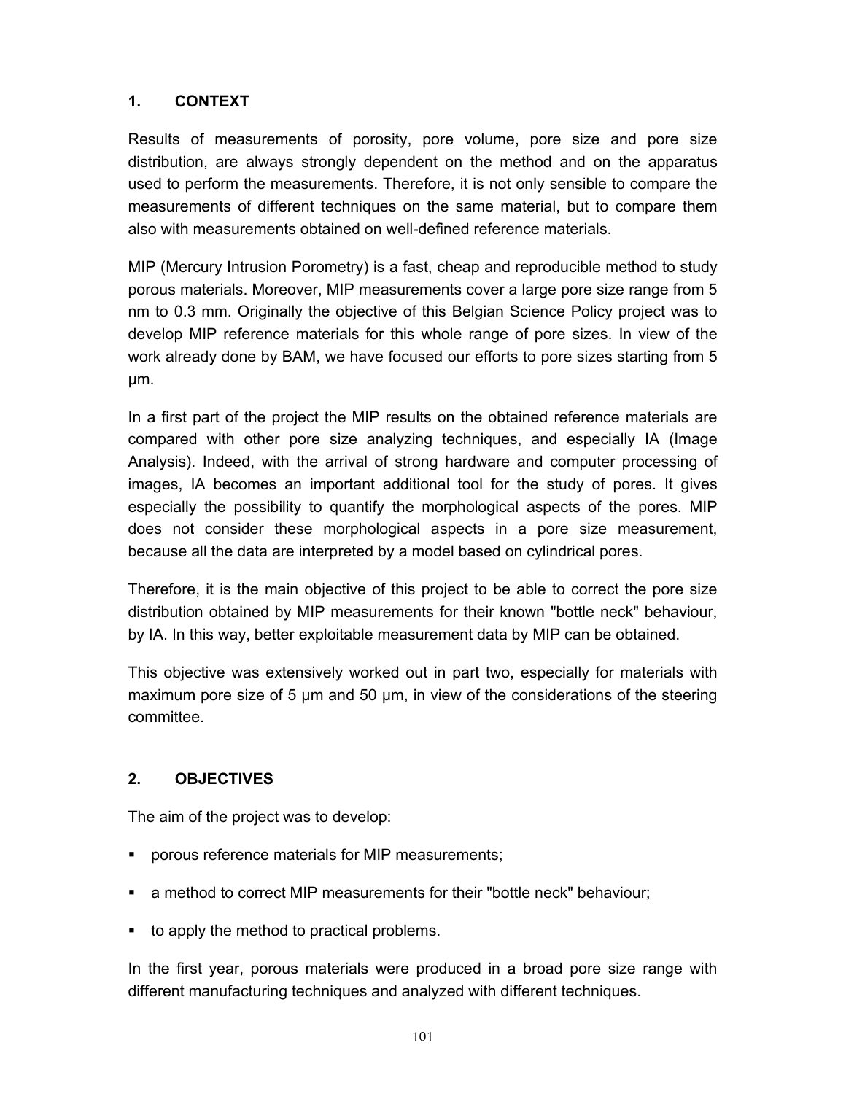Results of measurements of porosity, pore volume, pore size and pore size distribution, are always strongly dependent on the method and on the apparatus used to perform the measurements. Therefore, it is not only sensible to compare the measurements of different techniques on the same material, but to compare them also with measurements obtained on well-defined reference materials.

MIP (Mercury Intrusion Porometry) is a fast, cheap and reproducible method to study porous materials. Moreover, MIP measurements cover a large pore size range from 5 nm to 0.3 mm. Originally the objective of this Belgian Science Policy project was to develop MIP reference materials for this whole range of pore sizes. In view of the work already done by BAM, we have focused our efforts to pore sizes starting from 5 µm.

In a first part of the project the MIP results on the obtained reference materials are compared with other pore size analyzing techniques, and especially IA (Image Analysis). Indeed, with the arrival of strong hardware and computer processing of images, IA becomes an important additional tool for the study of pores. It gives especially the possibility to quantify the morphological aspects of the pores. MIP does not consider these morphological aspects in a pore size measurement, because all the data are interpreted by a model based on cylindrical pores.

Therefore, it is the main objective of this project to be able to correct the pore size distribution obtained by MIP measurements for their known "bottle neck" behaviour, by IA. In this way, better exploitable measurement data by MIP can be obtained.

This objective was extensively worked out in part two, especially for materials with maximum pore size of 5 µm and 50 µm, in view of the considerations of the steering committee.

#### **2. OBJECTIVES**

The aim of the project was to develop:

- **•** porous reference materials for MIP measurements;
- a method to correct MIP measurements for their "bottle neck" behaviour;
- to apply the method to practical problems.

In the first year, porous materials were produced in a broad pore size range with different manufacturing techniques and analyzed with different techniques.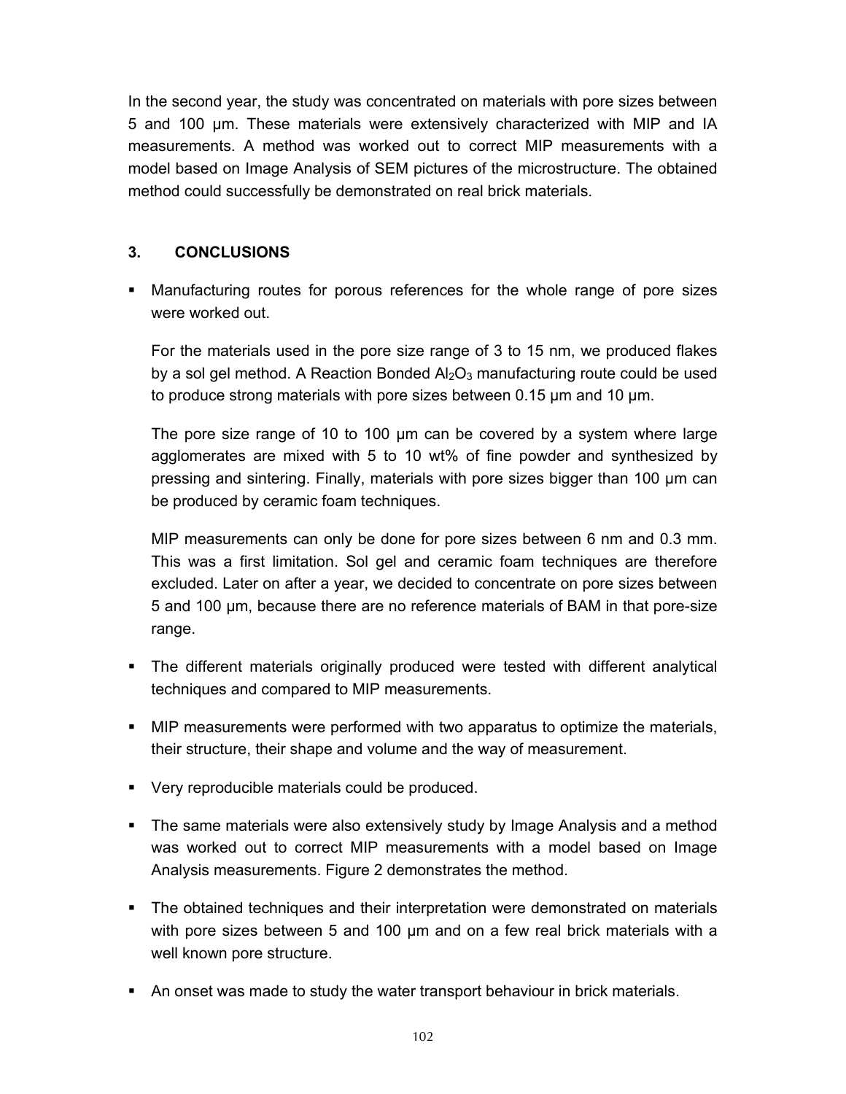In the second year, the study was concentrated on materials with pore sizes between 5 and 100 µm. These materials were extensively characterized with MIP and IA measurements. A method was worked out to correct MIP measurements with a model based on Image Analysis of SEM pictures of the microstructure. The obtained method could successfully be demonstrated on real brick materials.

## **3. CONCLUSIONS**

 Manufacturing routes for porous references for the whole range of pore sizes were worked out.

For the materials used in the pore size range of 3 to 15 nm, we produced flakes by a sol gel method. A Reaction Bonded  $Al<sub>2</sub>O<sub>3</sub>$  manufacturing route could be used to produce strong materials with pore sizes between 0.15 µm and 10 µm.

The pore size range of 10 to 100 µm can be covered by a system where large agglomerates are mixed with 5 to 10 wt% of fine powder and synthesized by pressing and sintering. Finally, materials with pore sizes bigger than 100 µm can be produced by ceramic foam techniques.

MIP measurements can only be done for pore sizes between 6 nm and 0.3 mm. This was a first limitation. Sol gel and ceramic foam techniques are therefore excluded. Later on after a year, we decided to concentrate on pore sizes between 5 and 100 µm, because there are no reference materials of BAM in that pore-size range.

- The different materials originally produced were tested with different analytical techniques and compared to MIP measurements.
- MIP measurements were performed with two apparatus to optimize the materials, their structure, their shape and volume and the way of measurement.
- Very reproducible materials could be produced.
- The same materials were also extensively study by Image Analysis and a method was worked out to correct MIP measurements with a model based on Image Analysis measurements. Figure 2 demonstrates the method.
- The obtained techniques and their interpretation were demonstrated on materials with pore sizes between 5 and 100 µm and on a few real brick materials with a well known pore structure.
- An onset was made to study the water transport behaviour in brick materials.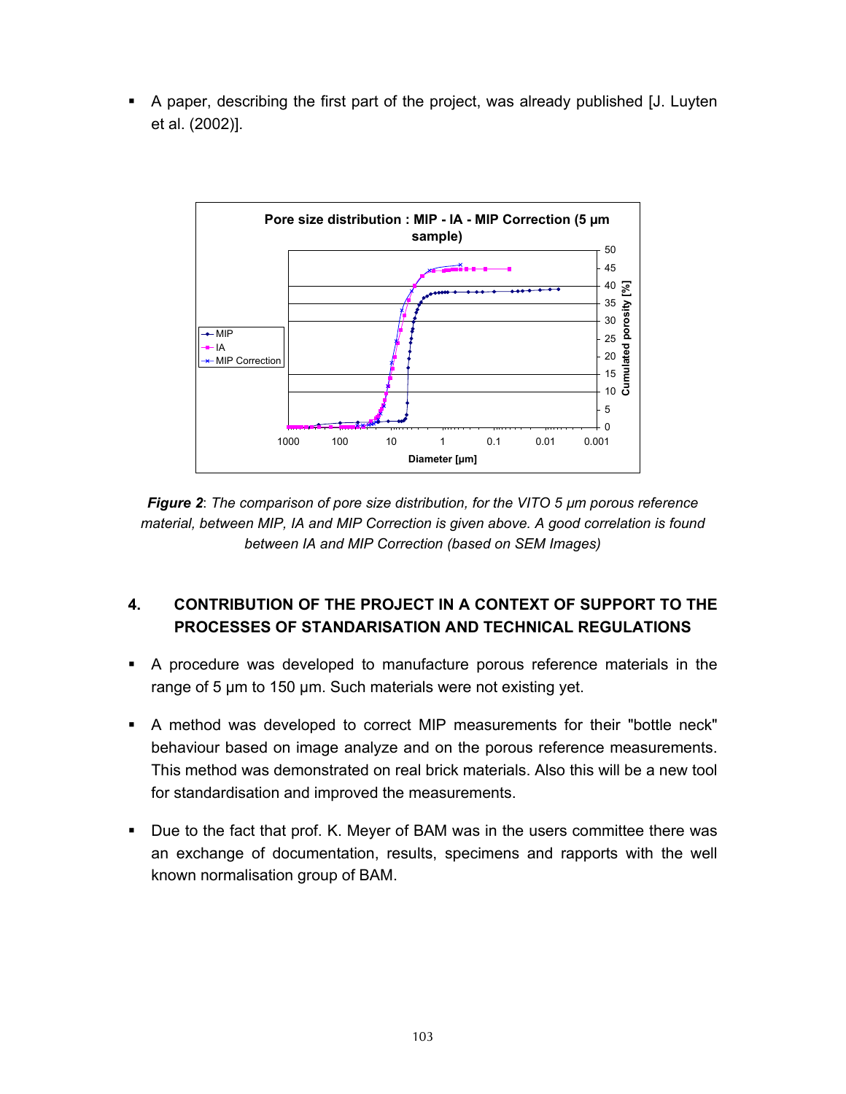A paper, describing the first part of the project, was already published [J. Luyten et al. (2002)].



*Figure 2*: *The comparison of pore size distribution, for the VITO 5 µm porous reference material, between MIP, IA and MIP Correction is given above. A good correlation is found between IA and MIP Correction (based on SEM Images)* 

# **4. CONTRIBUTION OF THE PROJECT IN A CONTEXT OF SUPPORT TO THE PROCESSES OF STANDARISATION AND TECHNICAL REGULATIONS**

- A procedure was developed to manufacture porous reference materials in the range of 5 µm to 150 µm. Such materials were not existing yet.
- A method was developed to correct MIP measurements for their "bottle neck" behaviour based on image analyze and on the porous reference measurements. This method was demonstrated on real brick materials. Also this will be a new tool for standardisation and improved the measurements.
- Due to the fact that prof. K. Meyer of BAM was in the users committee there was an exchange of documentation, results, specimens and rapports with the well known normalisation group of BAM.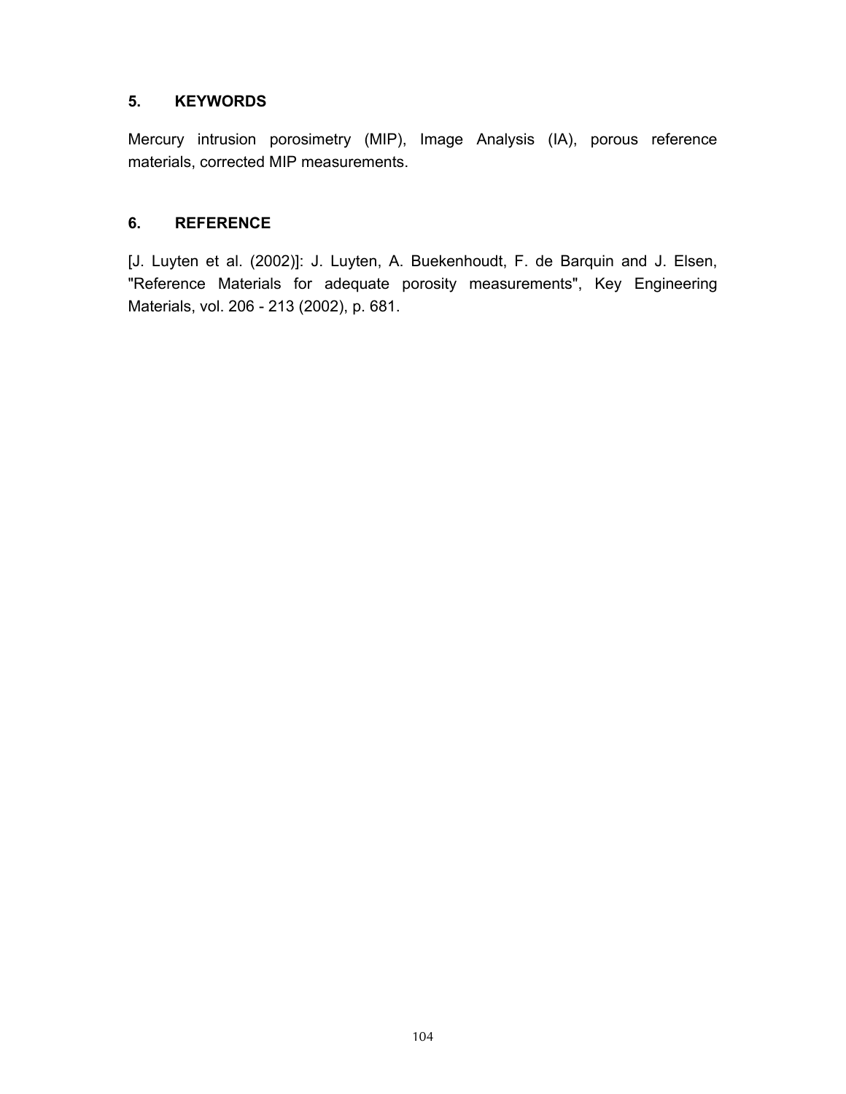#### **5. KEYWORDS**

Mercury intrusion porosimetry (MIP), Image Analysis (IA), porous reference materials, corrected MIP measurements.

#### **6. REFERENCE**

[J. Luyten et al. (2002)]: J. Luyten, A. Buekenhoudt, F. de Barquin and J. Elsen, "Reference Materials for adequate porosity measurements", Key Engineering Materials, vol. 206 - 213 (2002), p. 681.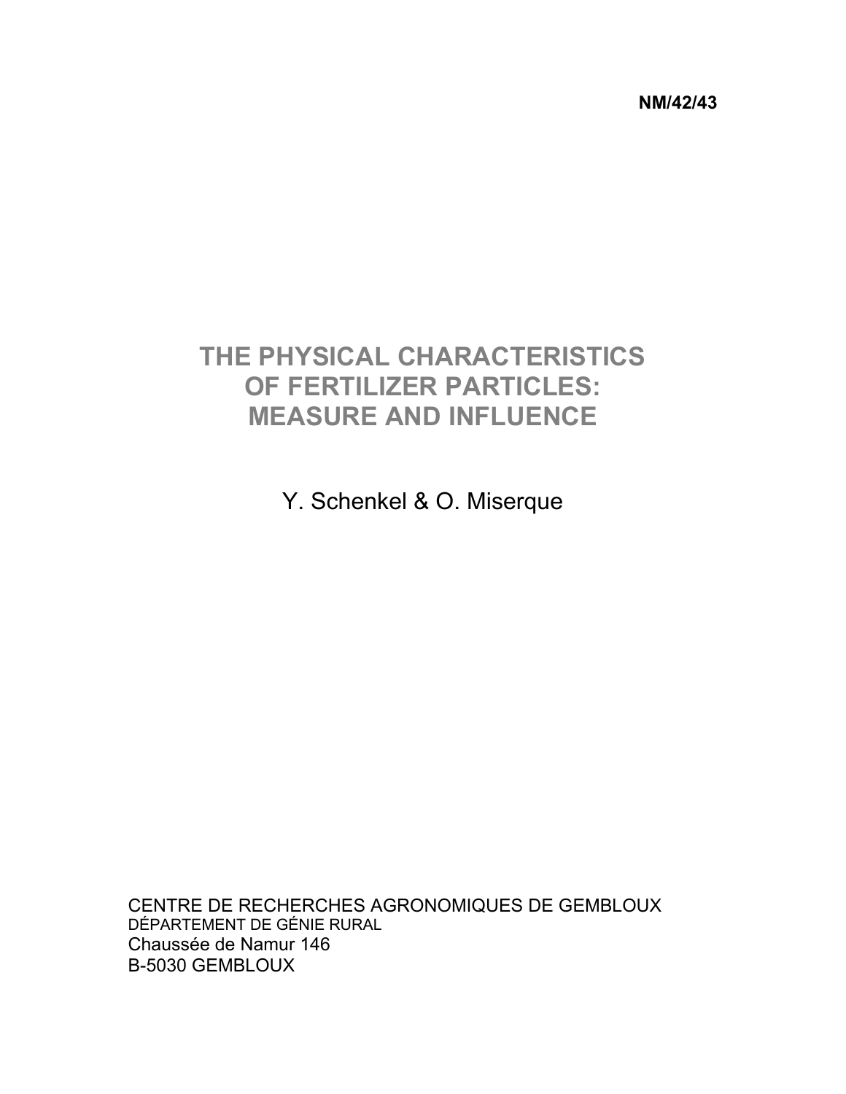**NM/42/43** 

# **THE PHYSICAL CHARACTERISTICS OF FERTILIZER PARTICLES: MEASURE AND INFLUENCE**

Y. Schenkel & O. Miserque

CENTRE DE RECHERCHES AGRONOMIQUES DE GEMBLOUX DÉPARTEMENT DE GÉNIE RURAL Chaussée de Namur 146 B-5030 GEMBLOUX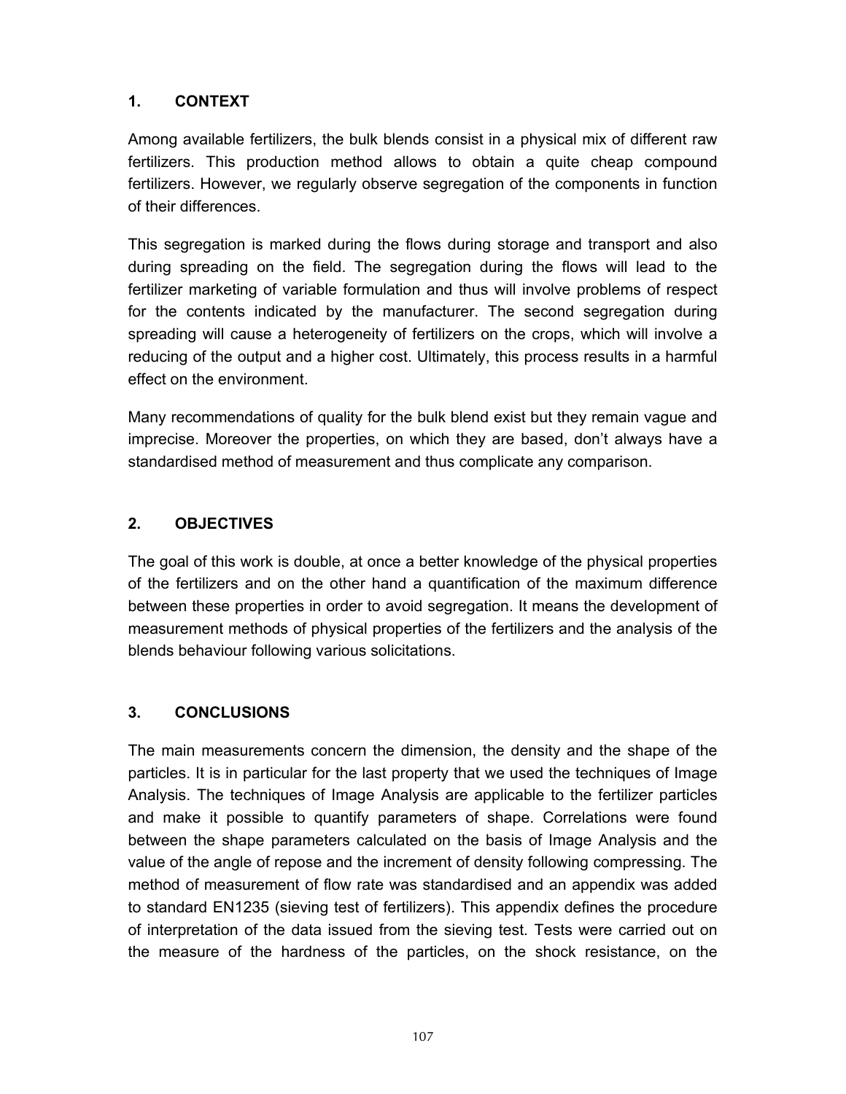Among available fertilizers, the bulk blends consist in a physical mix of different raw fertilizers. This production method allows to obtain a quite cheap compound fertilizers. However, we regularly observe segregation of the components in function of their differences.

This segregation is marked during the flows during storage and transport and also during spreading on the field. The segregation during the flows will lead to the fertilizer marketing of variable formulation and thus will involve problems of respect for the contents indicated by the manufacturer. The second segregation during spreading will cause a heterogeneity of fertilizers on the crops, which will involve a reducing of the output and a higher cost. Ultimately, this process results in a harmful effect on the environment.

Many recommendations of quality for the bulk blend exist but they remain vague and imprecise. Moreover the properties, on which they are based, don't always have a standardised method of measurement and thus complicate any comparison.

## **2. OBJECTIVES**

The goal of this work is double, at once a better knowledge of the physical properties of the fertilizers and on the other hand a quantification of the maximum difference between these properties in order to avoid segregation. It means the development of measurement methods of physical properties of the fertilizers and the analysis of the blends behaviour following various solicitations.

## **3. CONCLUSIONS**

The main measurements concern the dimension, the density and the shape of the particles. It is in particular for the last property that we used the techniques of Image Analysis. The techniques of Image Analysis are applicable to the fertilizer particles and make it possible to quantify parameters of shape. Correlations were found between the shape parameters calculated on the basis of Image Analysis and the value of the angle of repose and the increment of density following compressing. The method of measurement of flow rate was standardised and an appendix was added to standard EN1235 (sieving test of fertilizers). This appendix defines the procedure of interpretation of the data issued from the sieving test. Tests were carried out on the measure of the hardness of the particles, on the shock resistance, on the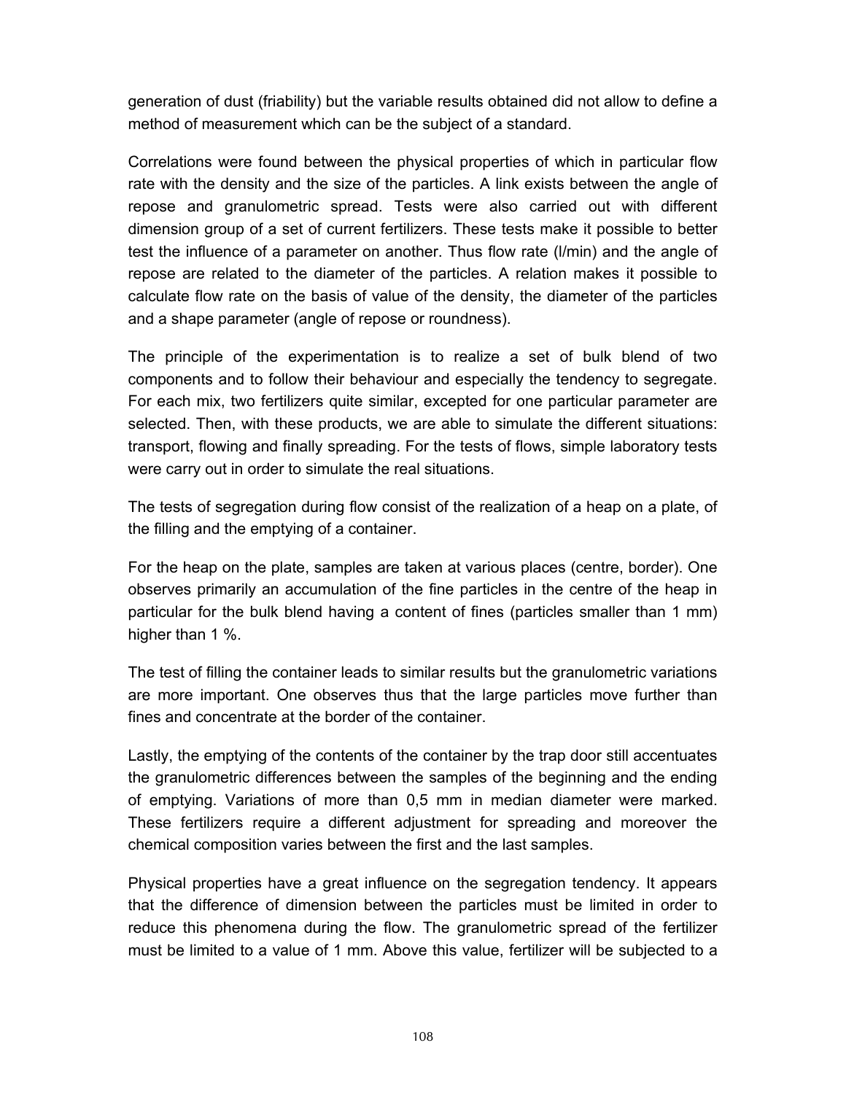generation of dust (friability) but the variable results obtained did not allow to define a method of measurement which can be the subject of a standard.

Correlations were found between the physical properties of which in particular flow rate with the density and the size of the particles. A link exists between the angle of repose and granulometric spread. Tests were also carried out with different dimension group of a set of current fertilizers. These tests make it possible to better test the influence of a parameter on another. Thus flow rate (l/min) and the angle of repose are related to the diameter of the particles. A relation makes it possible to calculate flow rate on the basis of value of the density, the diameter of the particles and a shape parameter (angle of repose or roundness).

The principle of the experimentation is to realize a set of bulk blend of two components and to follow their behaviour and especially the tendency to segregate. For each mix, two fertilizers quite similar, excepted for one particular parameter are selected. Then, with these products, we are able to simulate the different situations: transport, flowing and finally spreading. For the tests of flows, simple laboratory tests were carry out in order to simulate the real situations.

The tests of segregation during flow consist of the realization of a heap on a plate, of the filling and the emptying of a container.

For the heap on the plate, samples are taken at various places (centre, border). One observes primarily an accumulation of the fine particles in the centre of the heap in particular for the bulk blend having a content of fines (particles smaller than 1 mm) higher than 1 %.

The test of filling the container leads to similar results but the granulometric variations are more important. One observes thus that the large particles move further than fines and concentrate at the border of the container.

Lastly, the emptying of the contents of the container by the trap door still accentuates the granulometric differences between the samples of the beginning and the ending of emptying. Variations of more than 0,5 mm in median diameter were marked. These fertilizers require a different adjustment for spreading and moreover the chemical composition varies between the first and the last samples.

Physical properties have a great influence on the segregation tendency. It appears that the difference of dimension between the particles must be limited in order to reduce this phenomena during the flow. The granulometric spread of the fertilizer must be limited to a value of 1 mm. Above this value, fertilizer will be subjected to a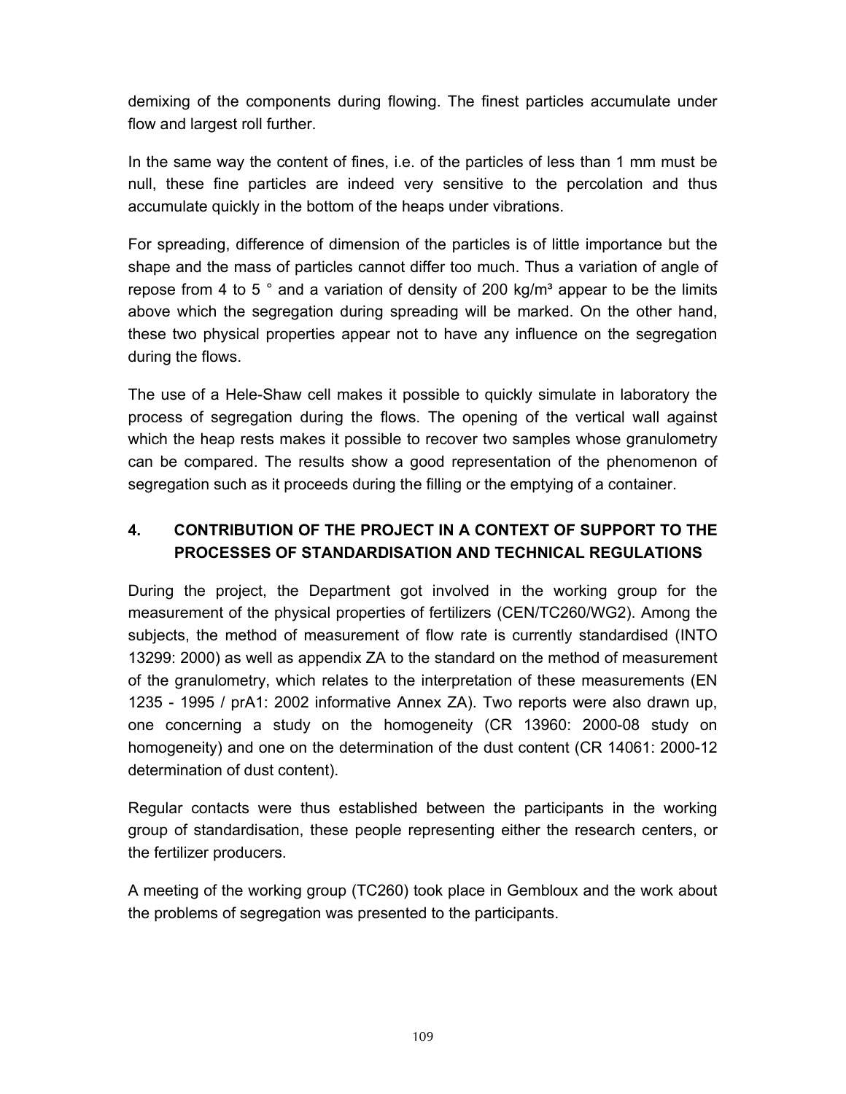demixing of the components during flowing. The finest particles accumulate under flow and largest roll further.

In the same way the content of fines, i.e. of the particles of less than 1 mm must be null, these fine particles are indeed very sensitive to the percolation and thus accumulate quickly in the bottom of the heaps under vibrations.

For spreading, difference of dimension of the particles is of little importance but the shape and the mass of particles cannot differ too much. Thus a variation of angle of repose from 4 to 5 $\degree$  and a variation of density of 200 kg/m $\degree$  appear to be the limits above which the segregation during spreading will be marked. On the other hand, these two physical properties appear not to have any influence on the segregation during the flows.

The use of a Hele-Shaw cell makes it possible to quickly simulate in laboratory the process of segregation during the flows. The opening of the vertical wall against which the heap rests makes it possible to recover two samples whose granulometry can be compared. The results show a good representation of the phenomenon of segregation such as it proceeds during the filling or the emptying of a container.

## **4. CONTRIBUTION OF THE PROJECT IN A CONTEXT OF SUPPORT TO THE PROCESSES OF STANDARDISATION AND TECHNICAL REGULATIONS**

During the project, the Department got involved in the working group for the measurement of the physical properties of fertilizers (CEN/TC260/WG2). Among the subjects, the method of measurement of flow rate is currently standardised (INTO 13299: 2000) as well as appendix ZA to the standard on the method of measurement of the granulometry, which relates to the interpretation of these measurements (EN 1235 - 1995 / prA1: 2002 informative Annex ZA). Two reports were also drawn up, one concerning a study on the homogeneity (CR 13960: 2000-08 study on homogeneity) and one on the determination of the dust content (CR 14061: 2000-12 determination of dust content).

Regular contacts were thus established between the participants in the working group of standardisation, these people representing either the research centers, or the fertilizer producers.

A meeting of the working group (TC260) took place in Gembloux and the work about the problems of segregation was presented to the participants.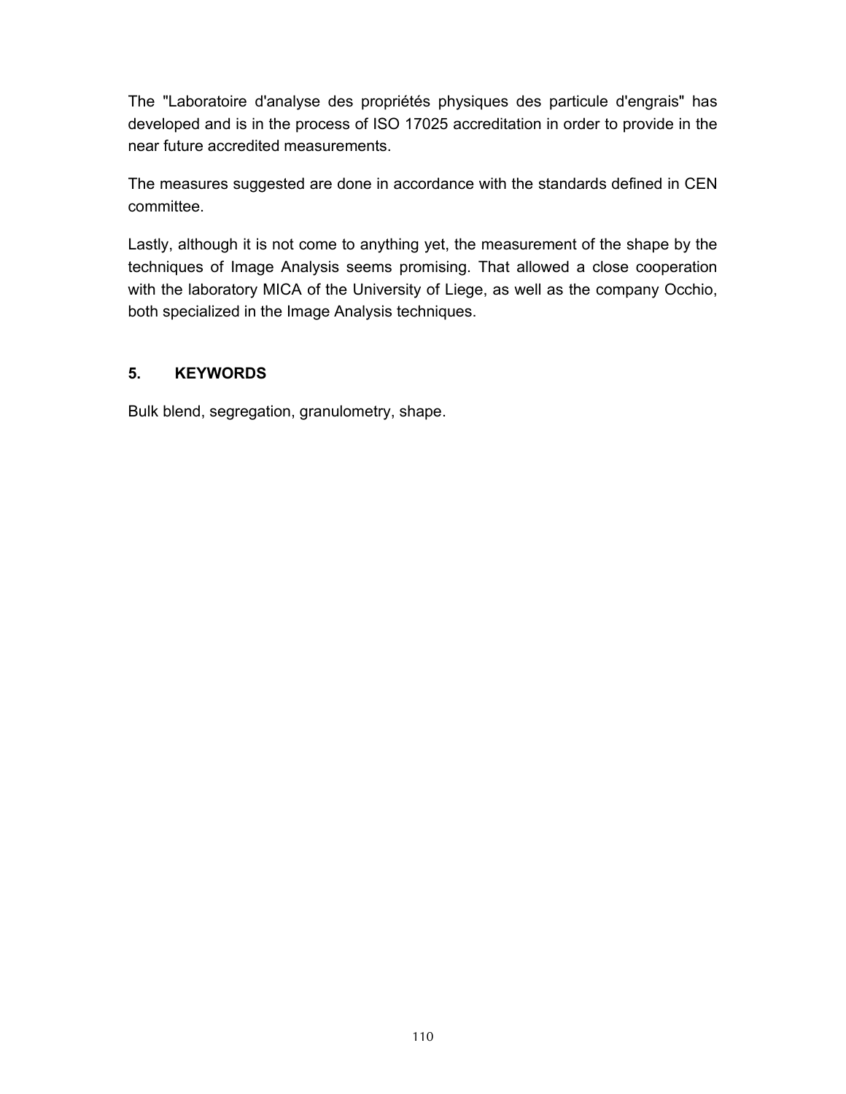The "Laboratoire d'analyse des propriétés physiques des particule d'engrais" has developed and is in the process of ISO 17025 accreditation in order to provide in the near future accredited measurements.

The measures suggested are done in accordance with the standards defined in CEN committee.

Lastly, although it is not come to anything yet, the measurement of the shape by the techniques of Image Analysis seems promising. That allowed a close cooperation with the laboratory MICA of the University of Liege, as well as the company Occhio, both specialized in the Image Analysis techniques.

#### **5. KEYWORDS**

Bulk blend, segregation, granulometry, shape.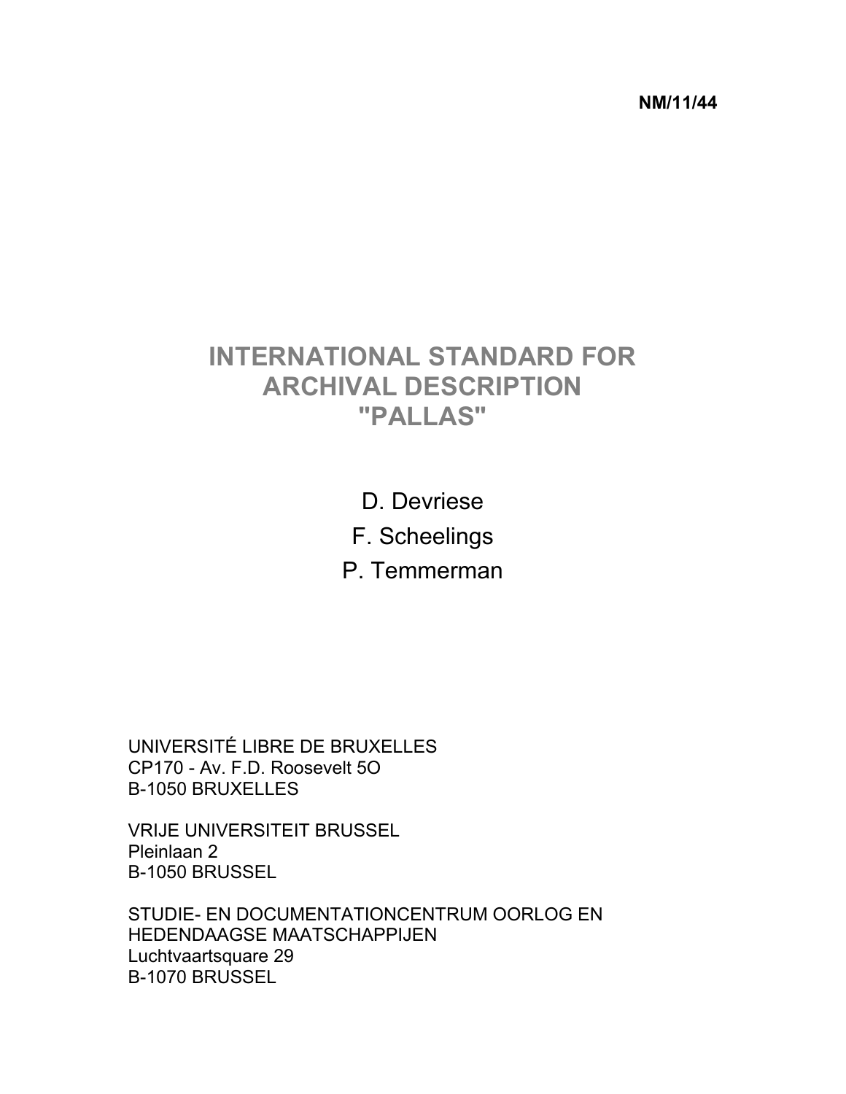**NM/11/44** 

## **INTERNATIONAL STANDARD FOR ARCHIVAL DESCRIPTION "PALLAS"**

D. Devriese

F. Scheelings

P. Temmerman

UNIVERSITÉ LIBRE DE BRUXELLES CP170 - Av. F.D. Roosevelt 5O B-1050 BRUXELLES

VRIJE UNIVERSITEIT BRUSSEL Pleinlaan 2 B-1050 BRUSSEL

STUDIE- EN DOCUMENTATIONCENTRUM OORLOG EN HEDENDAAGSE MAATSCHAPPIJEN Luchtvaartsquare 29 B-1070 BRUSSEL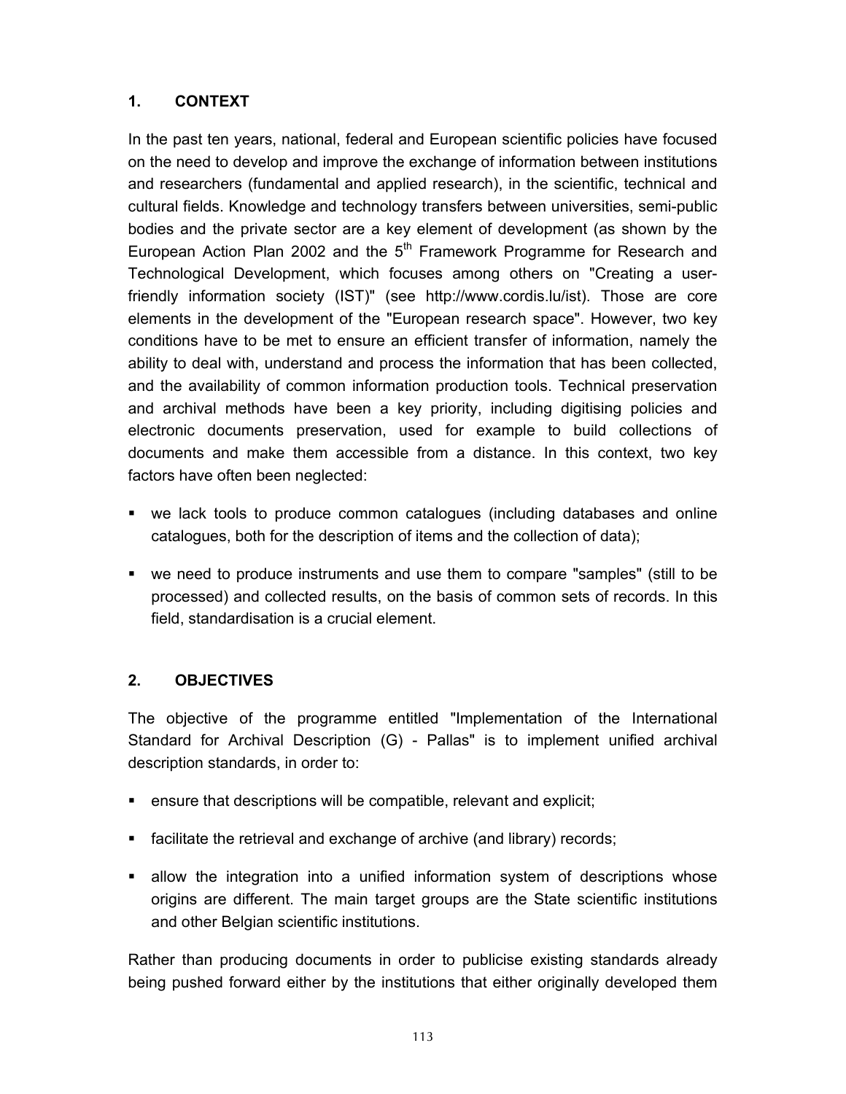In the past ten years, national, federal and European scientific policies have focused on the need to develop and improve the exchange of information between institutions and researchers (fundamental and applied research), in the scientific, technical and cultural fields. Knowledge and technology transfers between universities, semi-public bodies and the private sector are a key element of development (as shown by the European Action Plan 2002 and the  $5<sup>th</sup>$  Framework Programme for Research and Technological Development, which focuses among others on "Creating a userfriendly information society (IST)" (see http://www.cordis.lu/ist). Those are core elements in the development of the "European research space". However, two key conditions have to be met to ensure an efficient transfer of information, namely the ability to deal with, understand and process the information that has been collected, and the availability of common information production tools. Technical preservation and archival methods have been a key priority, including digitising policies and electronic documents preservation, used for example to build collections of documents and make them accessible from a distance. In this context, two key factors have often been neglected:

- we lack tools to produce common catalogues (including databases and online catalogues, both for the description of items and the collection of data);
- we need to produce instruments and use them to compare "samples" (still to be processed) and collected results, on the basis of common sets of records. In this field, standardisation is a crucial element.

### **2. OBJECTIVES**

The objective of the programme entitled "Implementation of the International Standard for Archival Description (G) - Pallas" is to implement unified archival description standards, in order to:

- ensure that descriptions will be compatible, relevant and explicit;
- facilitate the retrieval and exchange of archive (and library) records;
- allow the integration into a unified information system of descriptions whose origins are different. The main target groups are the State scientific institutions and other Belgian scientific institutions.

Rather than producing documents in order to publicise existing standards already being pushed forward either by the institutions that either originally developed them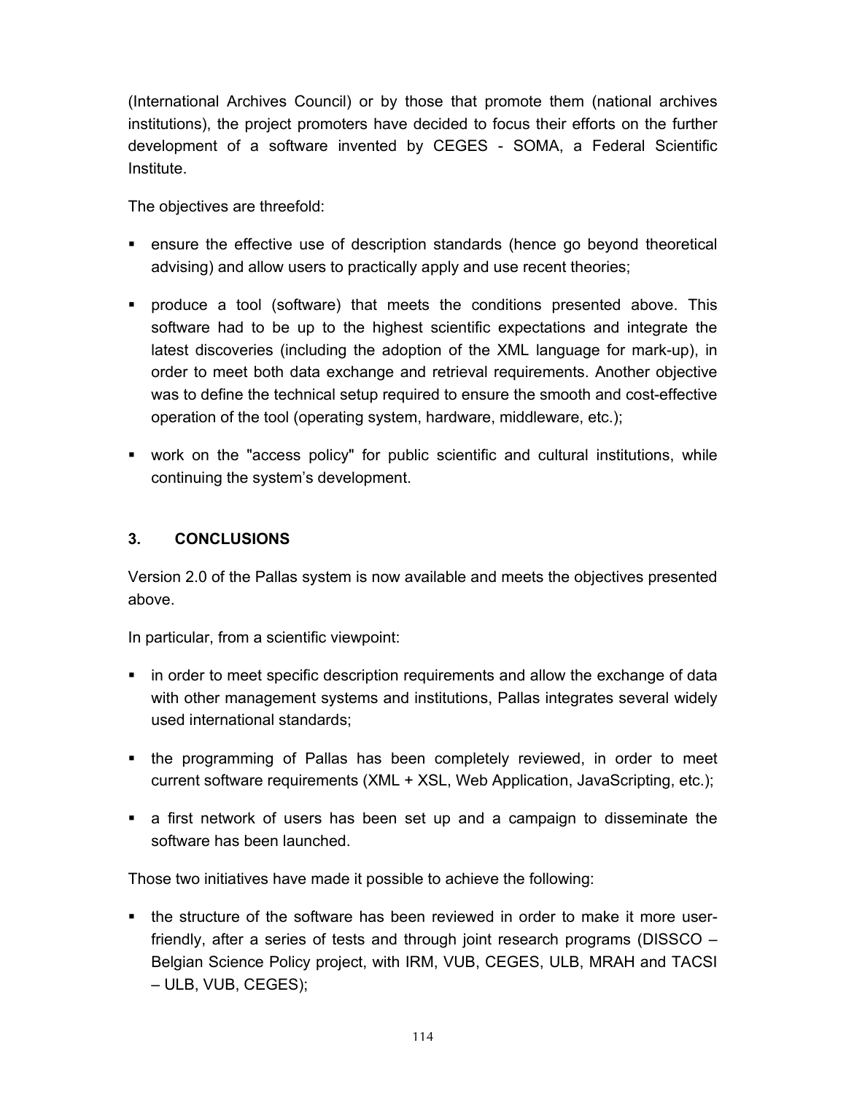(International Archives Council) or by those that promote them (national archives institutions), the project promoters have decided to focus their efforts on the further development of a software invented by CEGES - SOMA, a Federal Scientific Institute.

The objectives are threefold:

- ensure the effective use of description standards (hence go beyond theoretical advising) and allow users to practically apply and use recent theories;
- produce a tool (software) that meets the conditions presented above. This software had to be up to the highest scientific expectations and integrate the latest discoveries (including the adoption of the XML language for mark-up), in order to meet both data exchange and retrieval requirements. Another objective was to define the technical setup required to ensure the smooth and cost-effective operation of the tool (operating system, hardware, middleware, etc.);
- work on the "access policy" for public scientific and cultural institutions, while continuing the system's development.

#### **3. CONCLUSIONS**

Version 2.0 of the Pallas system is now available and meets the objectives presented above.

In particular, from a scientific viewpoint:

- **in order to meet specific description requirements and allow the exchange of data** with other management systems and institutions, Pallas integrates several widely used international standards;
- the programming of Pallas has been completely reviewed, in order to meet current software requirements (XML + XSL, Web Application, JavaScripting, etc.);
- a first network of users has been set up and a campaign to disseminate the software has been launched.

Those two initiatives have made it possible to achieve the following:

• the structure of the software has been reviewed in order to make it more userfriendly, after a series of tests and through joint research programs (DISSCO – Belgian Science Policy project, with IRM, VUB, CEGES, ULB, MRAH and TACSI – ULB, VUB, CEGES);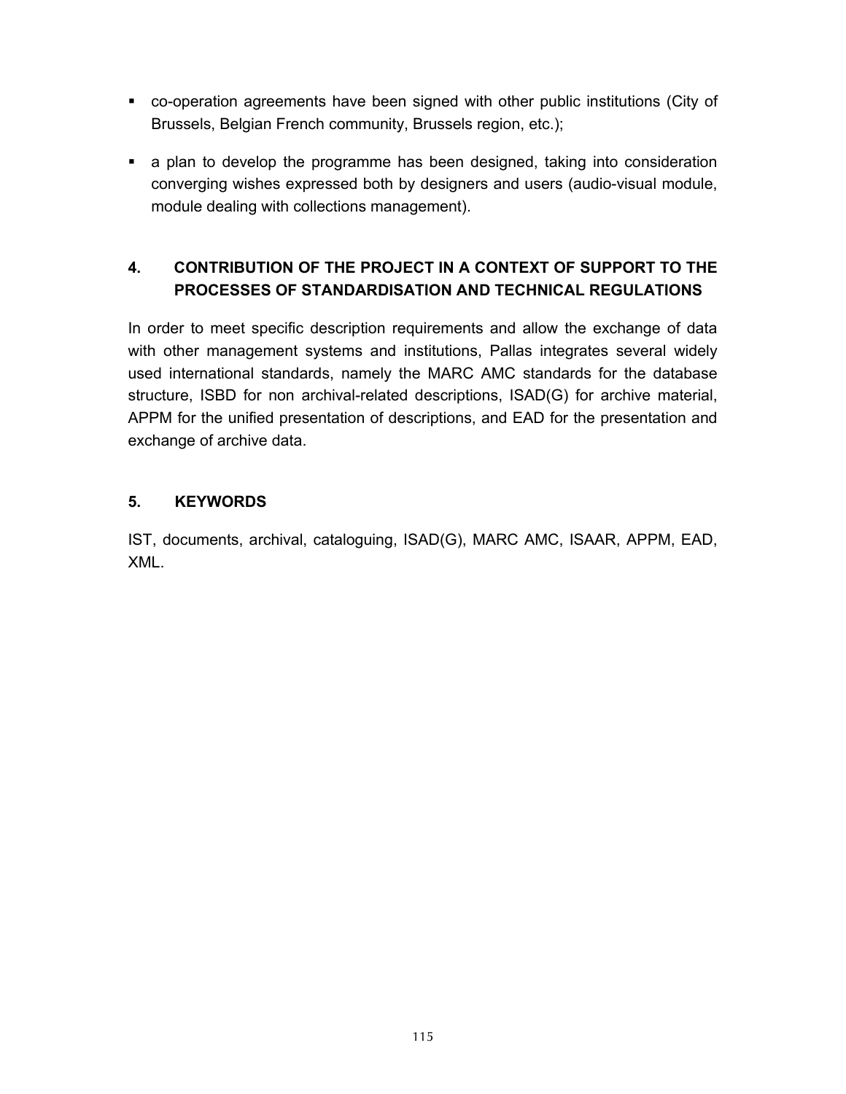- co-operation agreements have been signed with other public institutions (City of Brussels, Belgian French community, Brussels region, etc.);
- a plan to develop the programme has been designed, taking into consideration converging wishes expressed both by designers and users (audio-visual module, module dealing with collections management).

## **4. CONTRIBUTION OF THE PROJECT IN A CONTEXT OF SUPPORT TO THE PROCESSES OF STANDARDISATION AND TECHNICAL REGULATIONS**

In order to meet specific description requirements and allow the exchange of data with other management systems and institutions, Pallas integrates several widely used international standards, namely the MARC AMC standards for the database structure, ISBD for non archival-related descriptions, ISAD(G) for archive material, APPM for the unified presentation of descriptions, and EAD for the presentation and exchange of archive data.

## **5. KEYWORDS**

IST, documents, archival, cataloguing, ISAD(G), MARC AMC, ISAAR, APPM, EAD, XML.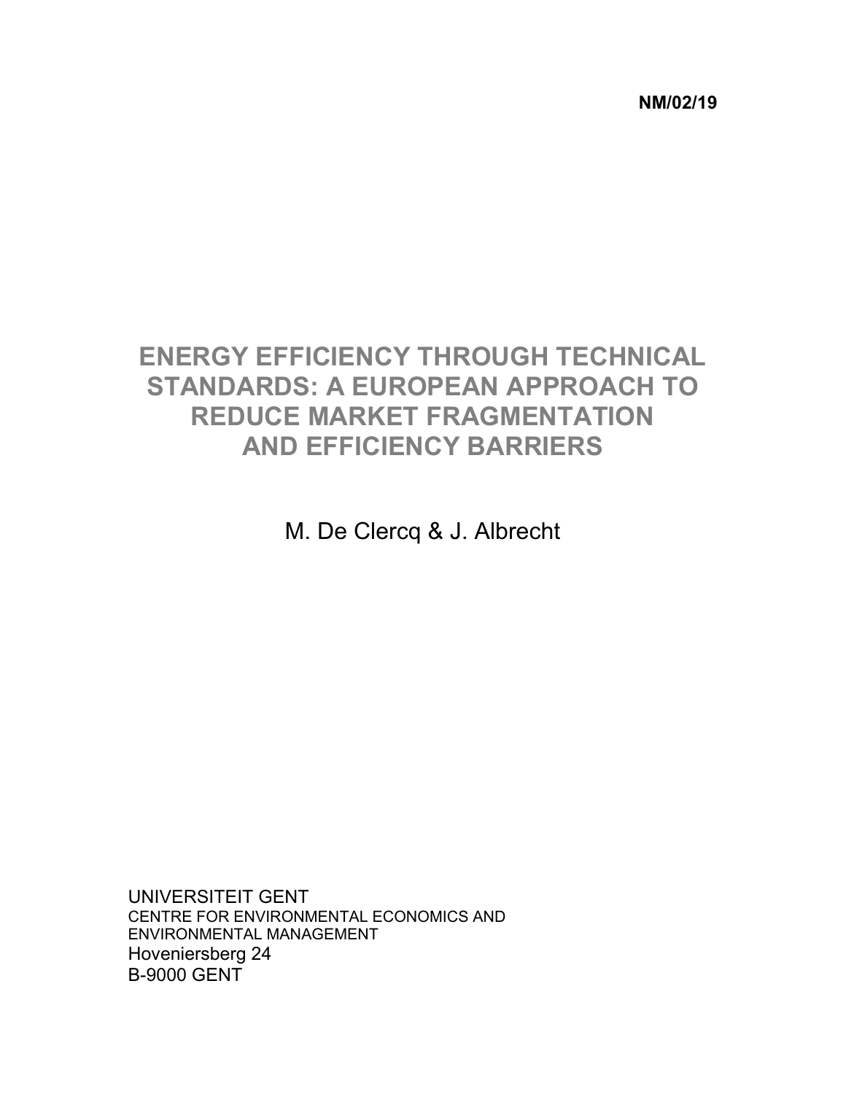**NM/02/19** 

# **ENERGY EFFICIENCY THROUGH TECHNICAL STANDARDS: A EUROPEAN APPROACH TO REDUCE MARKET FRAGMENTATION AND EFFICIENCY BARRIERS**

M. De Clercq & J. Albrecht

UNIVERSITEIT GENT CENTRE FOR ENVIRONMENTAL ECONOMICS AND ENVIRONMENTAL MANAGEMENT Hoveniersberg 24 B-9000 GENT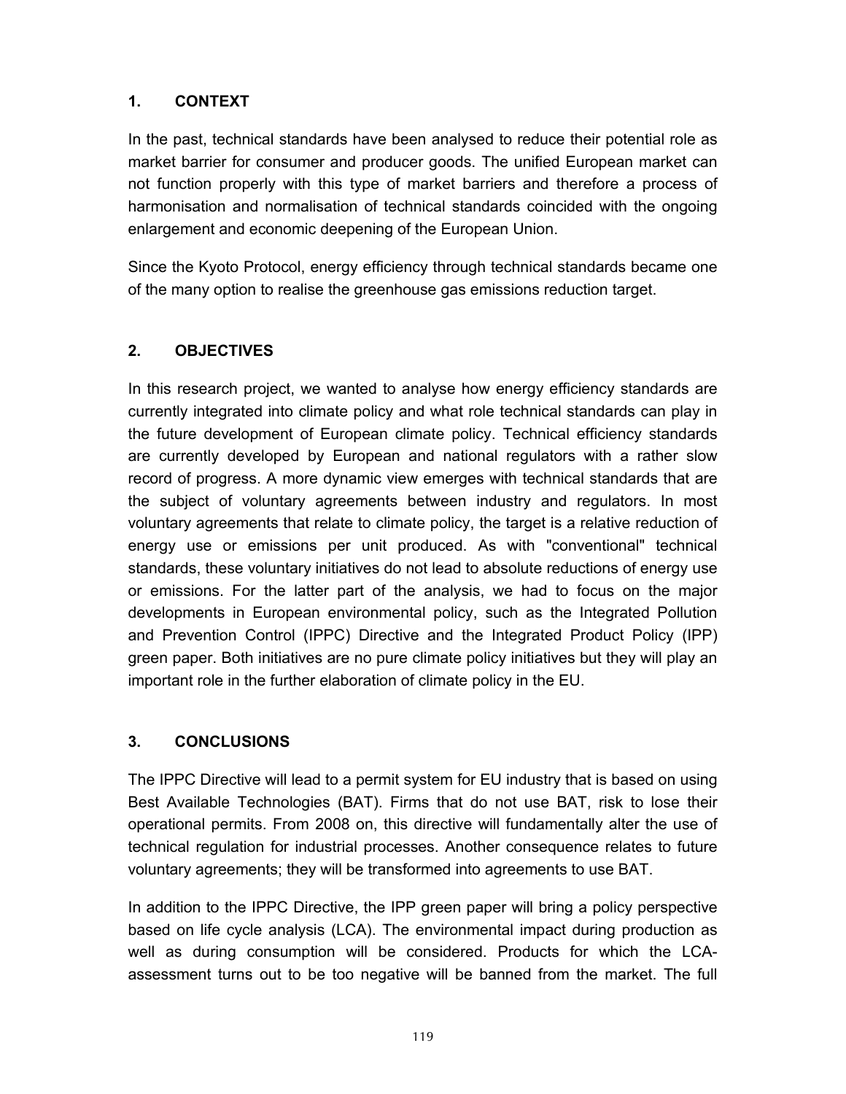In the past, technical standards have been analysed to reduce their potential role as market barrier for consumer and producer goods. The unified European market can not function properly with this type of market barriers and therefore a process of harmonisation and normalisation of technical standards coincided with the ongoing enlargement and economic deepening of the European Union.

Since the Kyoto Protocol, energy efficiency through technical standards became one of the many option to realise the greenhouse gas emissions reduction target.

## **2. OBJECTIVES**

In this research project, we wanted to analyse how energy efficiency standards are currently integrated into climate policy and what role technical standards can play in the future development of European climate policy. Technical efficiency standards are currently developed by European and national regulators with a rather slow record of progress. A more dynamic view emerges with technical standards that are the subject of voluntary agreements between industry and regulators. In most voluntary agreements that relate to climate policy, the target is a relative reduction of energy use or emissions per unit produced. As with "conventional" technical standards, these voluntary initiatives do not lead to absolute reductions of energy use or emissions. For the latter part of the analysis, we had to focus on the major developments in European environmental policy, such as the Integrated Pollution and Prevention Control (IPPC) Directive and the Integrated Product Policy (IPP) green paper. Both initiatives are no pure climate policy initiatives but they will play an important role in the further elaboration of climate policy in the EU.

### **3. CONCLUSIONS**

The IPPC Directive will lead to a permit system for EU industry that is based on using Best Available Technologies (BAT). Firms that do not use BAT, risk to lose their operational permits. From 2008 on, this directive will fundamentally alter the use of technical regulation for industrial processes. Another consequence relates to future voluntary agreements; they will be transformed into agreements to use BAT.

In addition to the IPPC Directive, the IPP green paper will bring a policy perspective based on life cycle analysis (LCA). The environmental impact during production as well as during consumption will be considered. Products for which the LCAassessment turns out to be too negative will be banned from the market. The full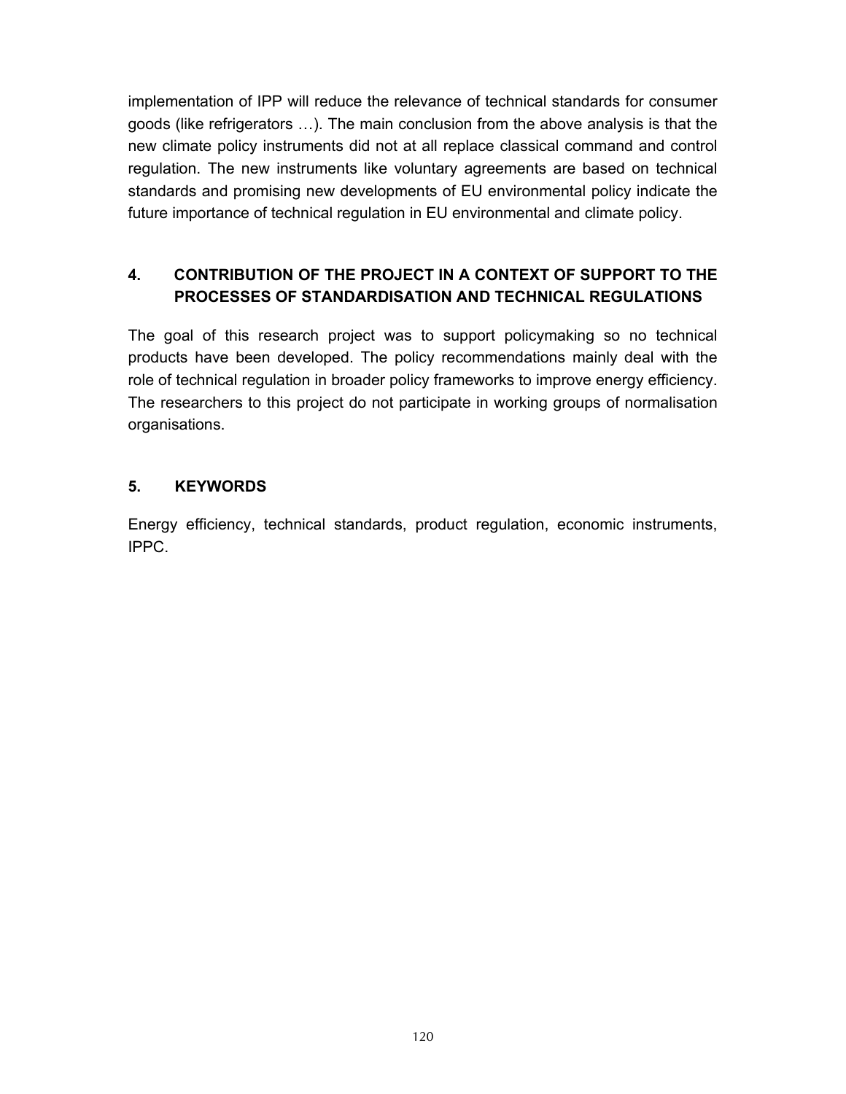implementation of IPP will reduce the relevance of technical standards for consumer goods (like refrigerators …). The main conclusion from the above analysis is that the new climate policy instruments did not at all replace classical command and control regulation. The new instruments like voluntary agreements are based on technical standards and promising new developments of EU environmental policy indicate the future importance of technical regulation in EU environmental and climate policy.

## **4. CONTRIBUTION OF THE PROJECT IN A CONTEXT OF SUPPORT TO THE PROCESSES OF STANDARDISATION AND TECHNICAL REGULATIONS**

The goal of this research project was to support policymaking so no technical products have been developed. The policy recommendations mainly deal with the role of technical regulation in broader policy frameworks to improve energy efficiency. The researchers to this project do not participate in working groups of normalisation organisations.

## **5. KEYWORDS**

Energy efficiency, technical standards, product regulation, economic instruments, IPPC.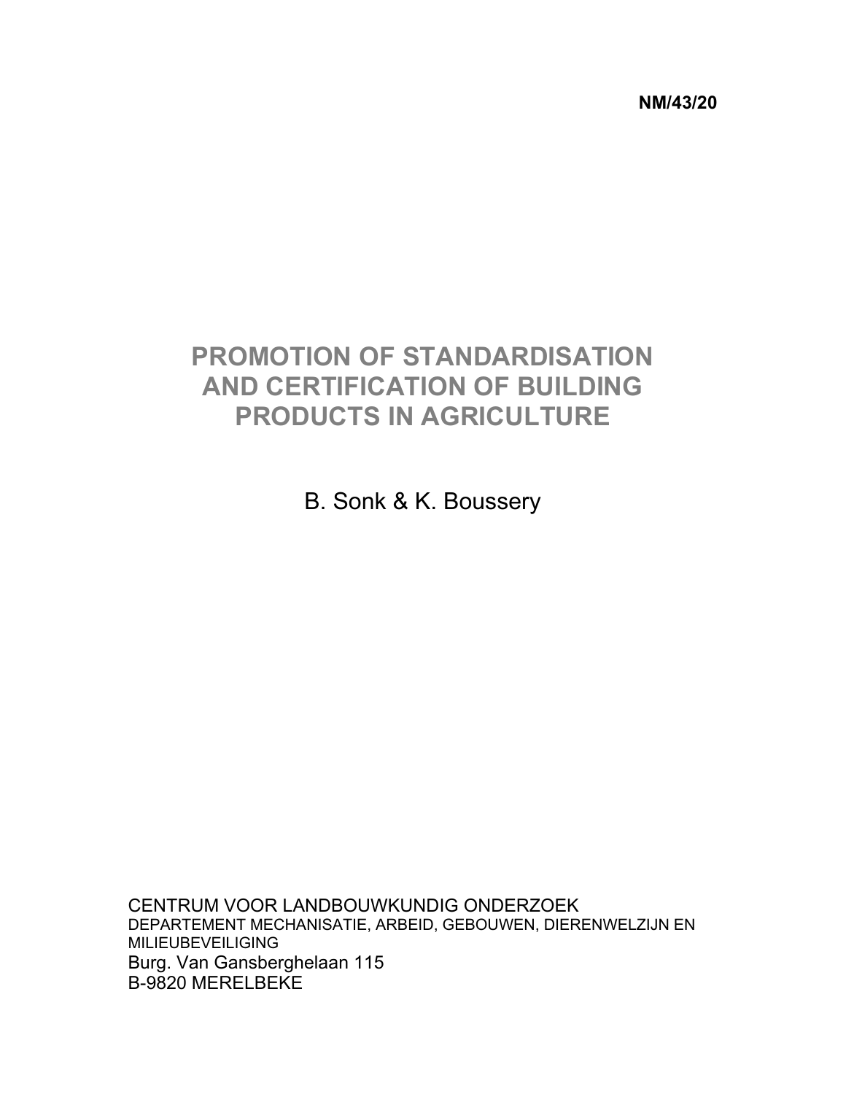**NM/43/20** 

# **PROMOTION OF STANDARDISATION AND CERTIFICATION OF BUILDING PRODUCTS IN AGRICULTURE**

B. Sonk & K. Boussery

CENTRUM VOOR LANDBOUWKUNDIG ONDERZOEK DEPARTEMENT MECHANISATIE, ARBEID, GEBOUWEN, DIERENWELZIJN EN MILIEUBEVEILIGING Burg. Van Gansberghelaan 115 B-9820 MERELBEKE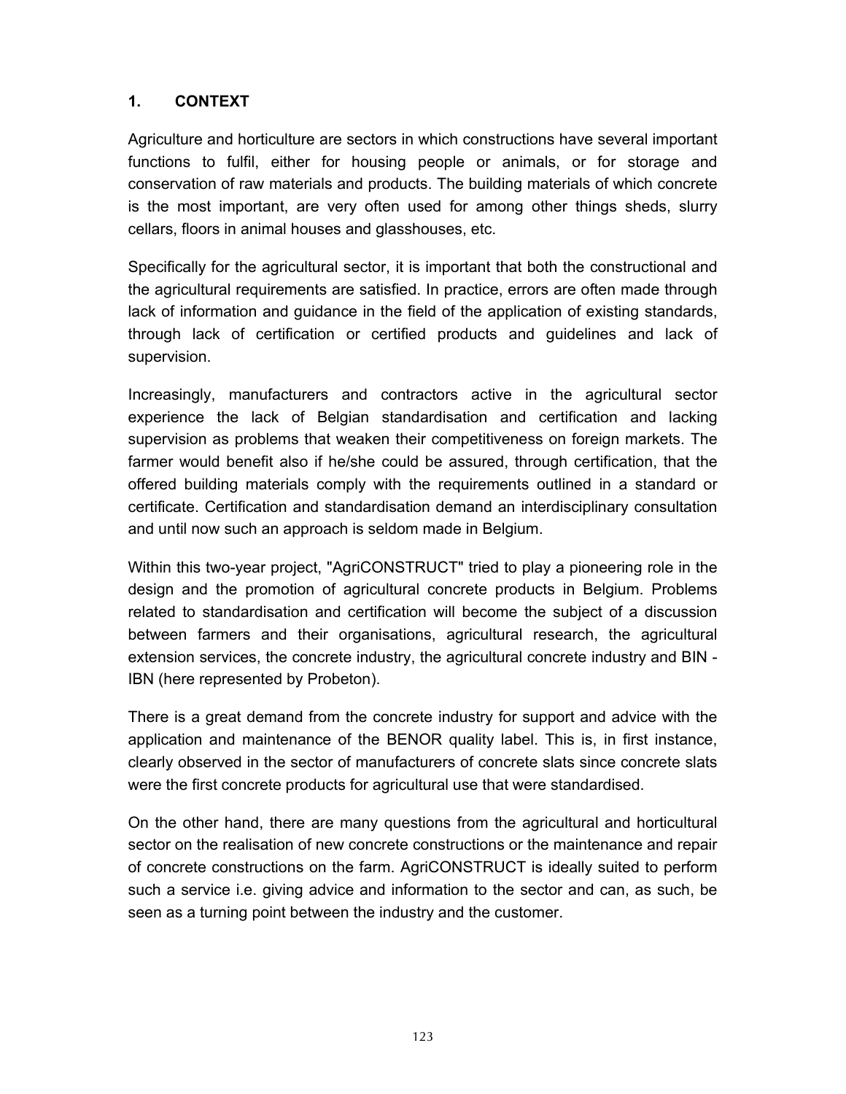Agriculture and horticulture are sectors in which constructions have several important functions to fulfil, either for housing people or animals, or for storage and conservation of raw materials and products. The building materials of which concrete is the most important, are very often used for among other things sheds, slurry cellars, floors in animal houses and glasshouses, etc.

Specifically for the agricultural sector, it is important that both the constructional and the agricultural requirements are satisfied. In practice, errors are often made through lack of information and guidance in the field of the application of existing standards, through lack of certification or certified products and guidelines and lack of supervision.

Increasingly, manufacturers and contractors active in the agricultural sector experience the lack of Belgian standardisation and certification and lacking supervision as problems that weaken their competitiveness on foreign markets. The farmer would benefit also if he/she could be assured, through certification, that the offered building materials comply with the requirements outlined in a standard or certificate. Certification and standardisation demand an interdisciplinary consultation and until now such an approach is seldom made in Belgium.

Within this two-year project, "AgriCONSTRUCT" tried to play a pioneering role in the design and the promotion of agricultural concrete products in Belgium. Problems related to standardisation and certification will become the subject of a discussion between farmers and their organisations, agricultural research, the agricultural extension services, the concrete industry, the agricultural concrete industry and BIN - IBN (here represented by Probeton).

There is a great demand from the concrete industry for support and advice with the application and maintenance of the BENOR quality label. This is, in first instance, clearly observed in the sector of manufacturers of concrete slats since concrete slats were the first concrete products for agricultural use that were standardised.

On the other hand, there are many questions from the agricultural and horticultural sector on the realisation of new concrete constructions or the maintenance and repair of concrete constructions on the farm. AgriCONSTRUCT is ideally suited to perform such a service i.e. giving advice and information to the sector and can, as such, be seen as a turning point between the industry and the customer.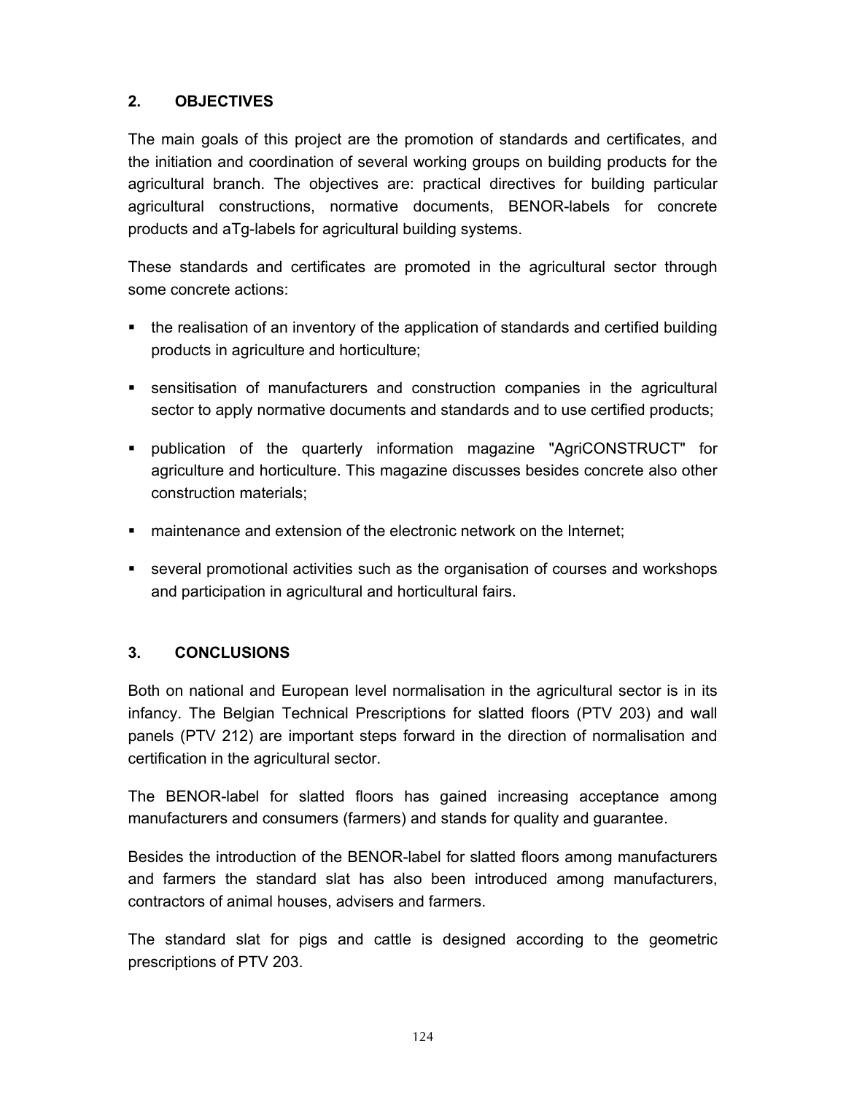#### **2. OBJECTIVES**

The main goals of this project are the promotion of standards and certificates, and the initiation and coordination of several working groups on building products for the agricultural branch. The objectives are: practical directives for building particular agricultural constructions, normative documents, BENOR-labels for concrete products and aTg-labels for agricultural building systems.

These standards and certificates are promoted in the agricultural sector through some concrete actions:

- the realisation of an inventory of the application of standards and certified building products in agriculture and horticulture;
- sensitisation of manufacturers and construction companies in the agricultural sector to apply normative documents and standards and to use certified products;
- publication of the quarterly information magazine "AgriCONSTRUCT" for agriculture and horticulture. This magazine discusses besides concrete also other construction materials;
- maintenance and extension of the electronic network on the Internet;
- several promotional activities such as the organisation of courses and workshops and participation in agricultural and horticultural fairs.

#### **3. CONCLUSIONS**

Both on national and European level normalisation in the agricultural sector is in its infancy. The Belgian Technical Prescriptions for slatted floors (PTV 203) and wall panels (PTV 212) are important steps forward in the direction of normalisation and certification in the agricultural sector.

The BENOR-label for slatted floors has gained increasing acceptance among manufacturers and consumers (farmers) and stands for quality and guarantee.

Besides the introduction of the BENOR-label for slatted floors among manufacturers and farmers the standard slat has also been introduced among manufacturers, contractors of animal houses, advisers and farmers.

The standard slat for pigs and cattle is designed according to the geometric prescriptions of PTV 203.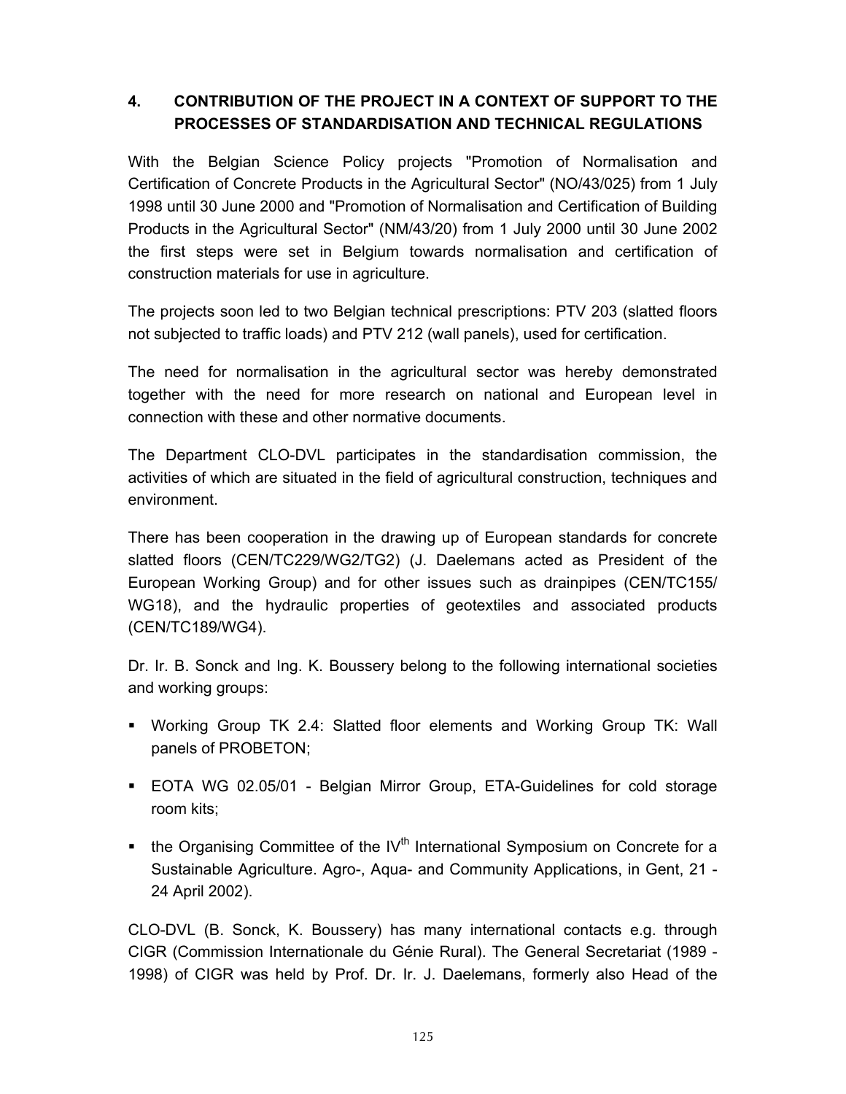## **4. CONTRIBUTION OF THE PROJECT IN A CONTEXT OF SUPPORT TO THE PROCESSES OF STANDARDISATION AND TECHNICAL REGULATIONS**

With the Belgian Science Policy projects "Promotion of Normalisation and Certification of Concrete Products in the Agricultural Sector" (NO/43/025) from 1 July 1998 until 30 June 2000 and "Promotion of Normalisation and Certification of Building Products in the Agricultural Sector" (NM/43/20) from 1 July 2000 until 30 June 2002 the first steps were set in Belgium towards normalisation and certification of construction materials for use in agriculture.

The projects soon led to two Belgian technical prescriptions: PTV 203 (slatted floors not subjected to traffic loads) and PTV 212 (wall panels), used for certification.

The need for normalisation in the agricultural sector was hereby demonstrated together with the need for more research on national and European level in connection with these and other normative documents.

The Department CLO-DVL participates in the standardisation commission, the activities of which are situated in the field of agricultural construction, techniques and environment.

There has been cooperation in the drawing up of European standards for concrete slatted floors (CEN/TC229/WG2/TG2) (J. Daelemans acted as President of the European Working Group) and for other issues such as drainpipes (CEN/TC155/ WG18), and the hydraulic properties of geotextiles and associated products (CEN/TC189/WG4).

Dr. Ir. B. Sonck and Ing. K. Boussery belong to the following international societies and working groups:

- Working Group TK 2.4: Slatted floor elements and Working Group TK: Wall panels of PROBETON;
- EOTA WG 02.05/01 Belgian Mirror Group, ETA-Guidelines for cold storage room kits;
- **the Organising Committee of the IV<sup>th</sup> International Symposium on Concrete for a** Sustainable Agriculture. Agro-, Aqua- and Community Applications, in Gent, 21 - 24 April 2002).

CLO-DVL (B. Sonck, K. Boussery) has many international contacts e.g. through CIGR (Commission Internationale du Génie Rural). The General Secretariat (1989 - 1998) of CIGR was held by Prof. Dr. Ir. J. Daelemans, formerly also Head of the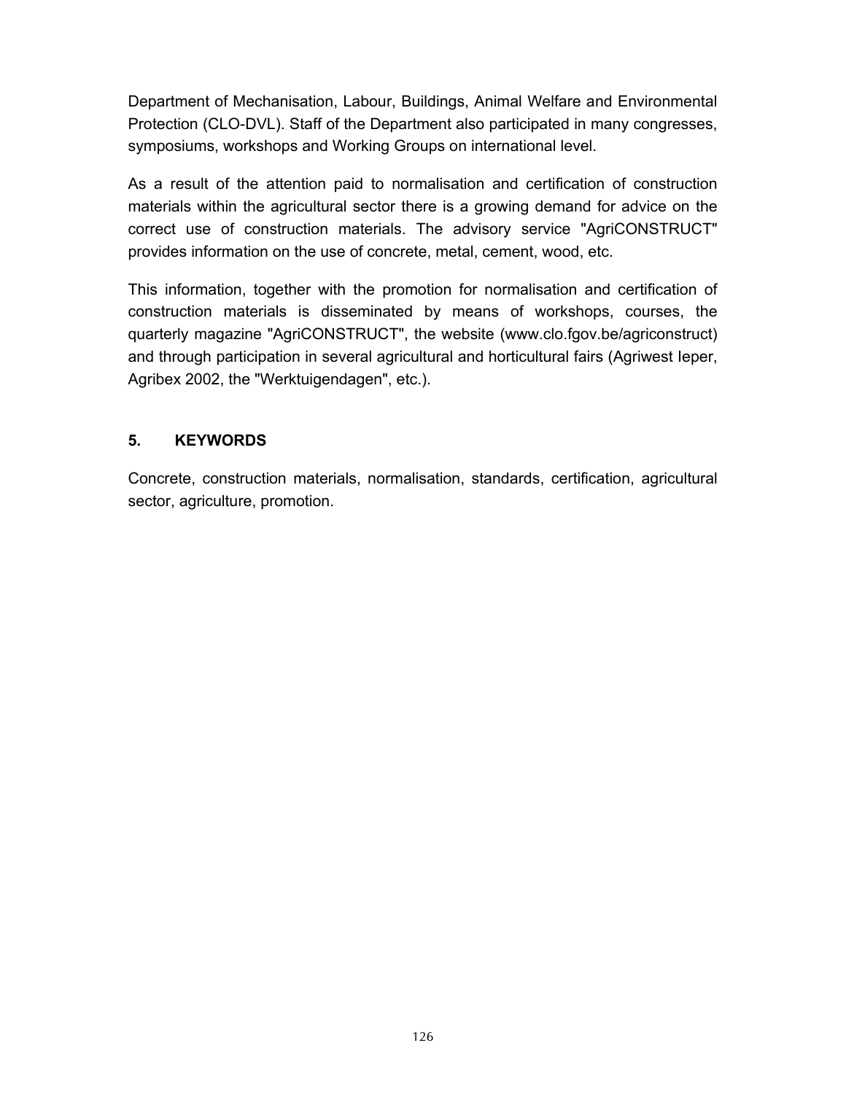Department of Mechanisation, Labour, Buildings, Animal Welfare and Environmental Protection (CLO-DVL). Staff of the Department also participated in many congresses, symposiums, workshops and Working Groups on international level.

As a result of the attention paid to normalisation and certification of construction materials within the agricultural sector there is a growing demand for advice on the correct use of construction materials. The advisory service "AgriCONSTRUCT" provides information on the use of concrete, metal, cement, wood, etc.

This information, together with the promotion for normalisation and certification of construction materials is disseminated by means of workshops, courses, the quarterly magazine "AgriCONSTRUCT", the website (www.clo.fgov.be/agriconstruct) and through participation in several agricultural and horticultural fairs (Agriwest Ieper, Agribex 2002, the "Werktuigendagen", etc.).

#### **5. KEYWORDS**

Concrete, construction materials, normalisation, standards, certification, agricultural sector, agriculture, promotion.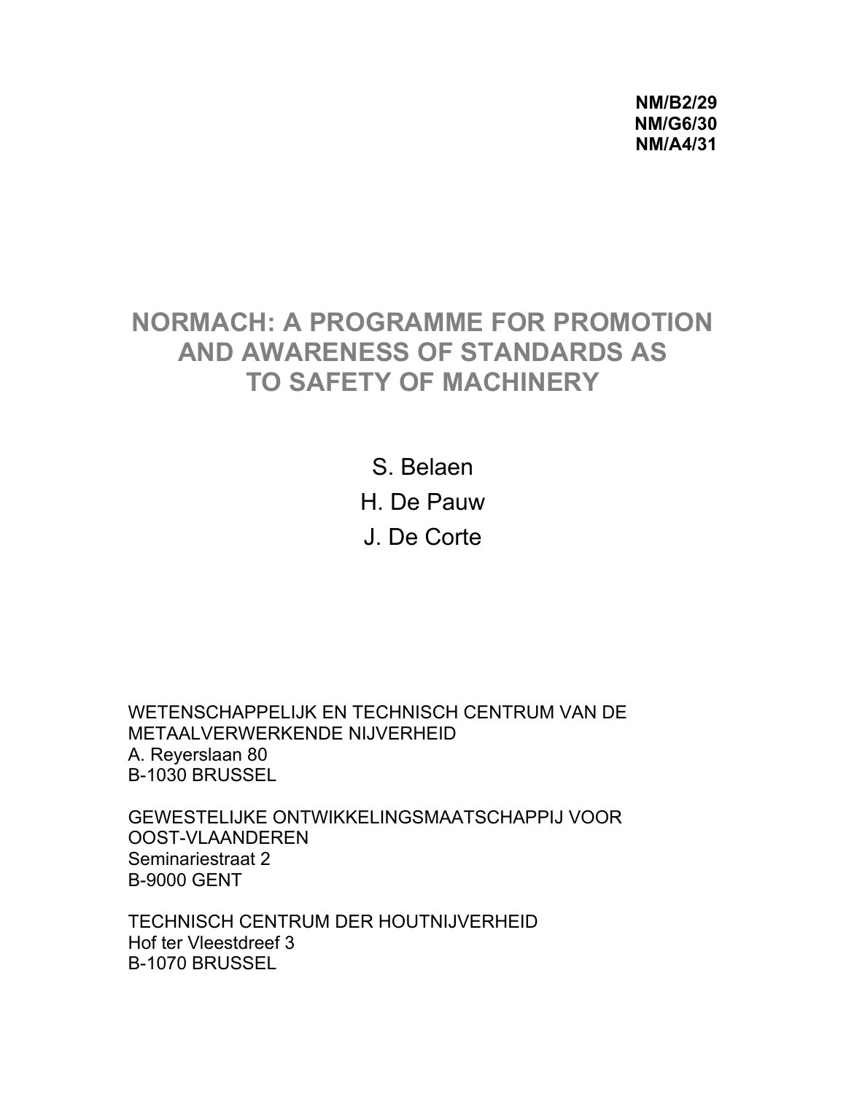**NM/B2/29 NM/G6/30 NM/A4/31** 

# **NORMACH: A PROGRAMME FOR PROMOTION AND AWARENESS OF STANDARDS AS TO SAFETY OF MACHINERY**

S. Belaen H. De Pauw J. De Corte

WETENSCHAPPELIJK EN TECHNISCH CENTRUM VAN DE METAALVERWERKENDE NIJVERHEID A. Reyerslaan 80 B-1030 BRUSSEL

GEWESTELIJKE ONTWIKKELINGSMAATSCHAPPIJ VOOR OOST-VLAANDEREN Seminariestraat 2 B-9000 GENT

TECHNISCH CENTRUM DER HOUTNIJVERHEID Hof ter Vleestdreef 3 B-1070 BRUSSEL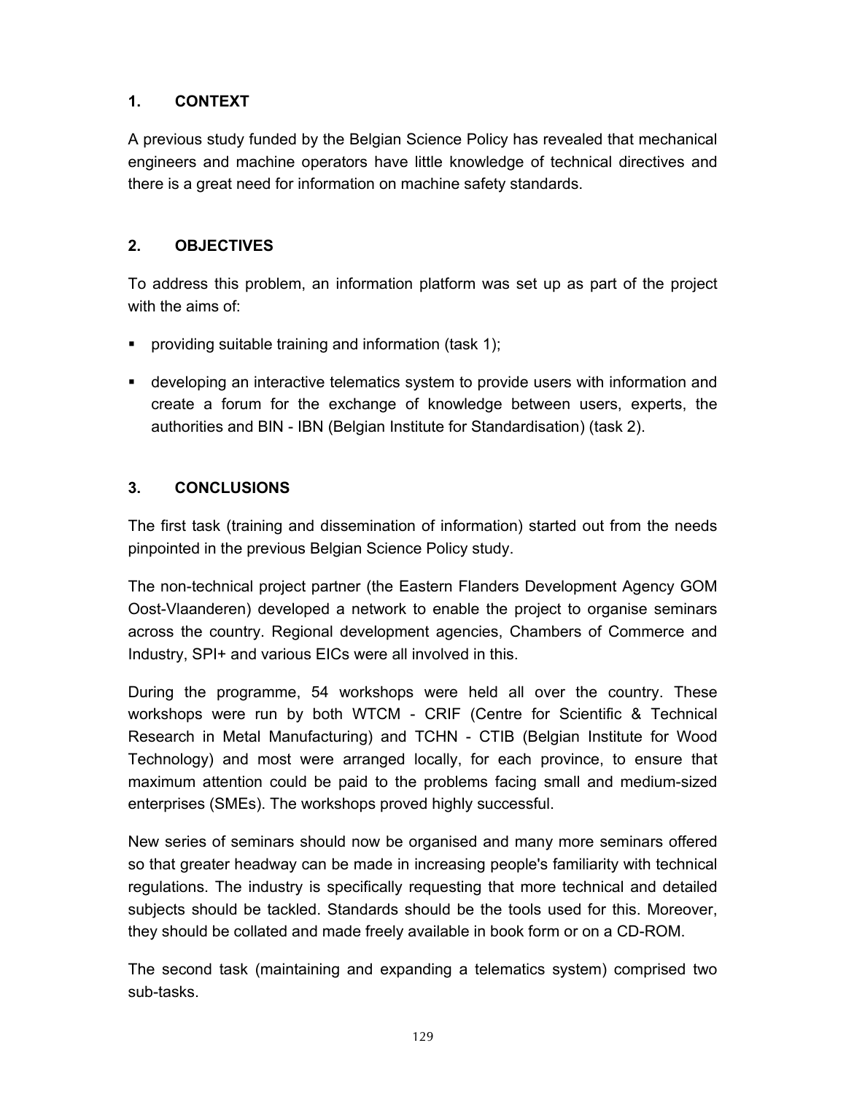A previous study funded by the Belgian Science Policy has revealed that mechanical engineers and machine operators have little knowledge of technical directives and there is a great need for information on machine safety standards.

### **2. OBJECTIVES**

To address this problem, an information platform was set up as part of the project with the aims of:

- **•** providing suitable training and information (task 1);
- developing an interactive telematics system to provide users with information and create a forum for the exchange of knowledge between users, experts, the authorities and BIN - IBN (Belgian Institute for Standardisation) (task 2).

#### **3. CONCLUSIONS**

The first task (training and dissemination of information) started out from the needs pinpointed in the previous Belgian Science Policy study.

The non-technical project partner (the Eastern Flanders Development Agency GOM Oost-Vlaanderen) developed a network to enable the project to organise seminars across the country. Regional development agencies, Chambers of Commerce and Industry, SPI+ and various EICs were all involved in this.

During the programme, 54 workshops were held all over the country. These workshops were run by both WTCM - CRIF (Centre for Scientific & Technical Research in Metal Manufacturing) and TCHN - CTIB (Belgian Institute for Wood Technology) and most were arranged locally, for each province, to ensure that maximum attention could be paid to the problems facing small and medium-sized enterprises (SMEs). The workshops proved highly successful.

New series of seminars should now be organised and many more seminars offered so that greater headway can be made in increasing people's familiarity with technical regulations. The industry is specifically requesting that more technical and detailed subjects should be tackled. Standards should be the tools used for this. Moreover, they should be collated and made freely available in book form or on a CD-ROM.

The second task (maintaining and expanding a telematics system) comprised two sub-tasks.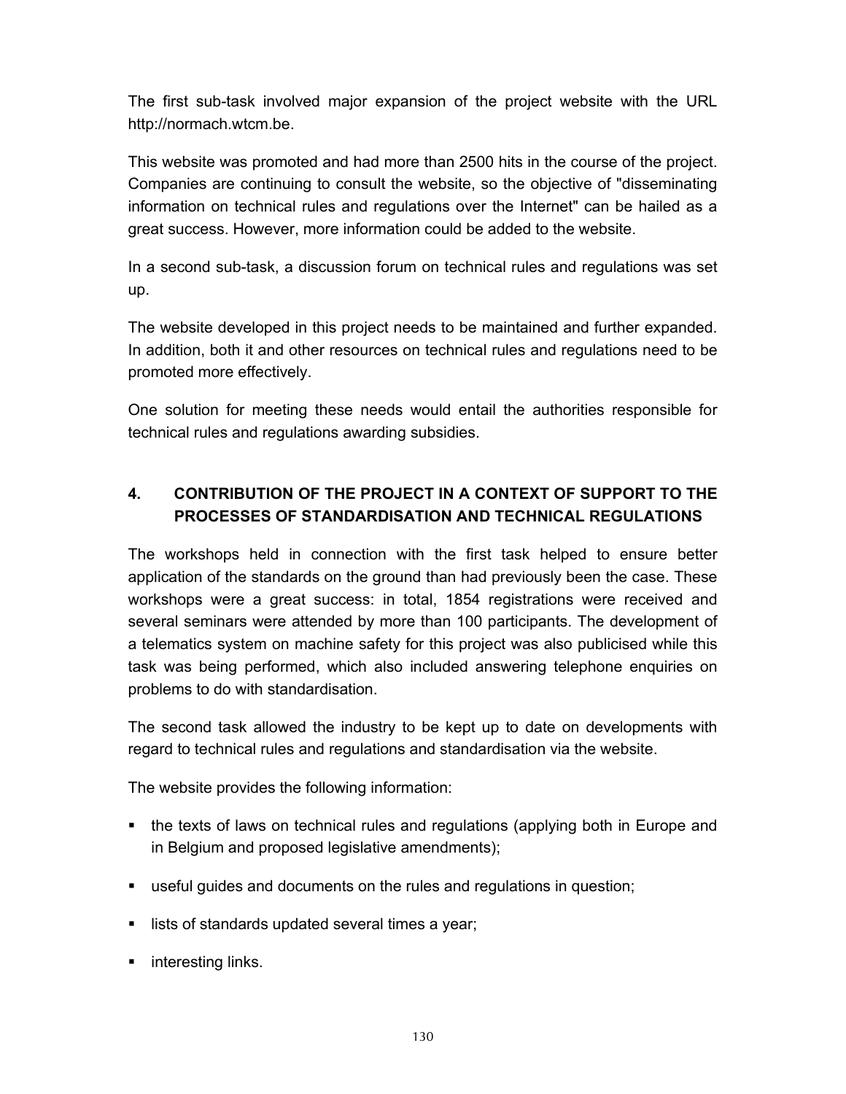The first sub-task involved major expansion of the project website with the URL http://normach.wtcm.be.

This website was promoted and had more than 2500 hits in the course of the project. Companies are continuing to consult the website, so the objective of "disseminating information on technical rules and regulations over the Internet" can be hailed as a great success. However, more information could be added to the website.

In a second sub-task, a discussion forum on technical rules and regulations was set up.

The website developed in this project needs to be maintained and further expanded. In addition, both it and other resources on technical rules and regulations need to be promoted more effectively.

One solution for meeting these needs would entail the authorities responsible for technical rules and regulations awarding subsidies.

## **4. CONTRIBUTION OF THE PROJECT IN A CONTEXT OF SUPPORT TO THE PROCESSES OF STANDARDISATION AND TECHNICAL REGULATIONS**

The workshops held in connection with the first task helped to ensure better application of the standards on the ground than had previously been the case. These workshops were a great success: in total, 1854 registrations were received and several seminars were attended by more than 100 participants. The development of a telematics system on machine safety for this project was also publicised while this task was being performed, which also included answering telephone enquiries on problems to do with standardisation.

The second task allowed the industry to be kept up to date on developments with regard to technical rules and regulations and standardisation via the website.

The website provides the following information:

- the texts of laws on technical rules and regulations (applying both in Europe and in Belgium and proposed legislative amendments);
- useful guides and documents on the rules and regulations in question;
- lists of standards updated several times a year;
- interesting links.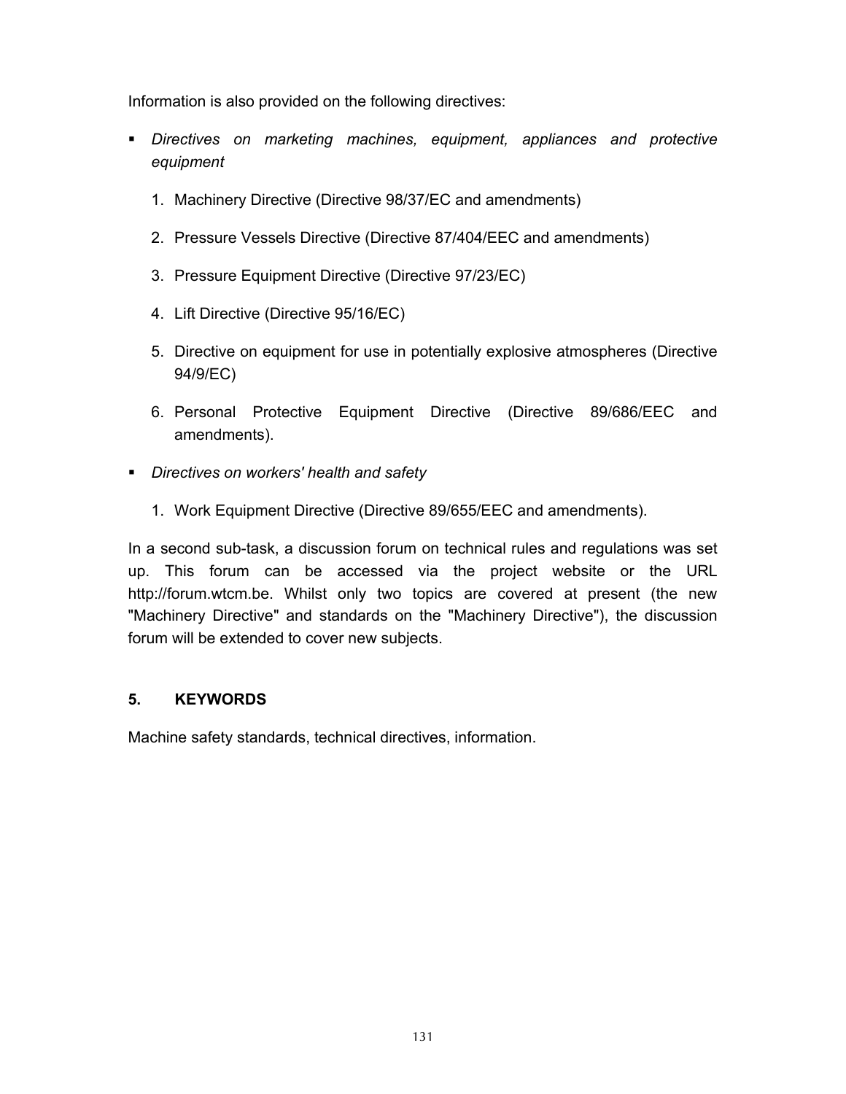Information is also provided on the following directives:

- *Directives on marketing machines, equipment, appliances and protective equipment* 
	- 1. Machinery Directive (Directive 98/37/EC and amendments)
	- 2. Pressure Vessels Directive (Directive 87/404/EEC and amendments)
	- 3. Pressure Equipment Directive (Directive 97/23/EC)
	- 4. Lift Directive (Directive 95/16/EC)
	- 5. Directive on equipment for use in potentially explosive atmospheres (Directive 94/9/EC)
	- 6. Personal Protective Equipment Directive (Directive 89/686/EEC and amendments).
- *Directives on workers' health and safety* 
	- 1. Work Equipment Directive (Directive 89/655/EEC and amendments).

In a second sub-task, a discussion forum on technical rules and regulations was set up. This forum can be accessed via the project website or the URL http://forum.wtcm.be. Whilst only two topics are covered at present (the new "Machinery Directive" and standards on the "Machinery Directive"), the discussion forum will be extended to cover new subjects.

#### **5. KEYWORDS**

Machine safety standards, technical directives, information.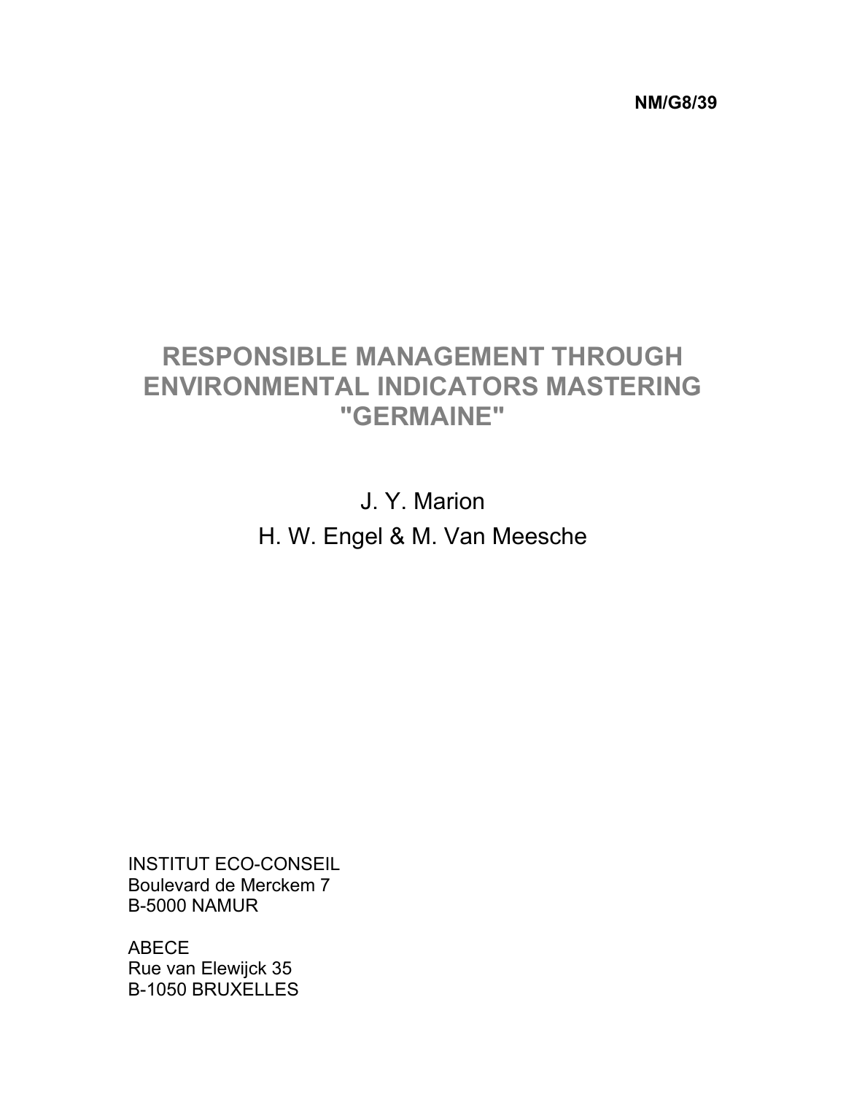**NM/G8/39** 

# **RESPONSIBLE MANAGEMENT THROUGH ENVIRONMENTAL INDICATORS MASTERING "GERMAINE"**

J. Y. Marion H. W. Engel & M. Van Meesche

INSTITUT ECO-CONSEIL Boulevard de Merckem 7 B-5000 NAMUR

ABECE Rue van Elewijck 35 B-1050 BRUXELLES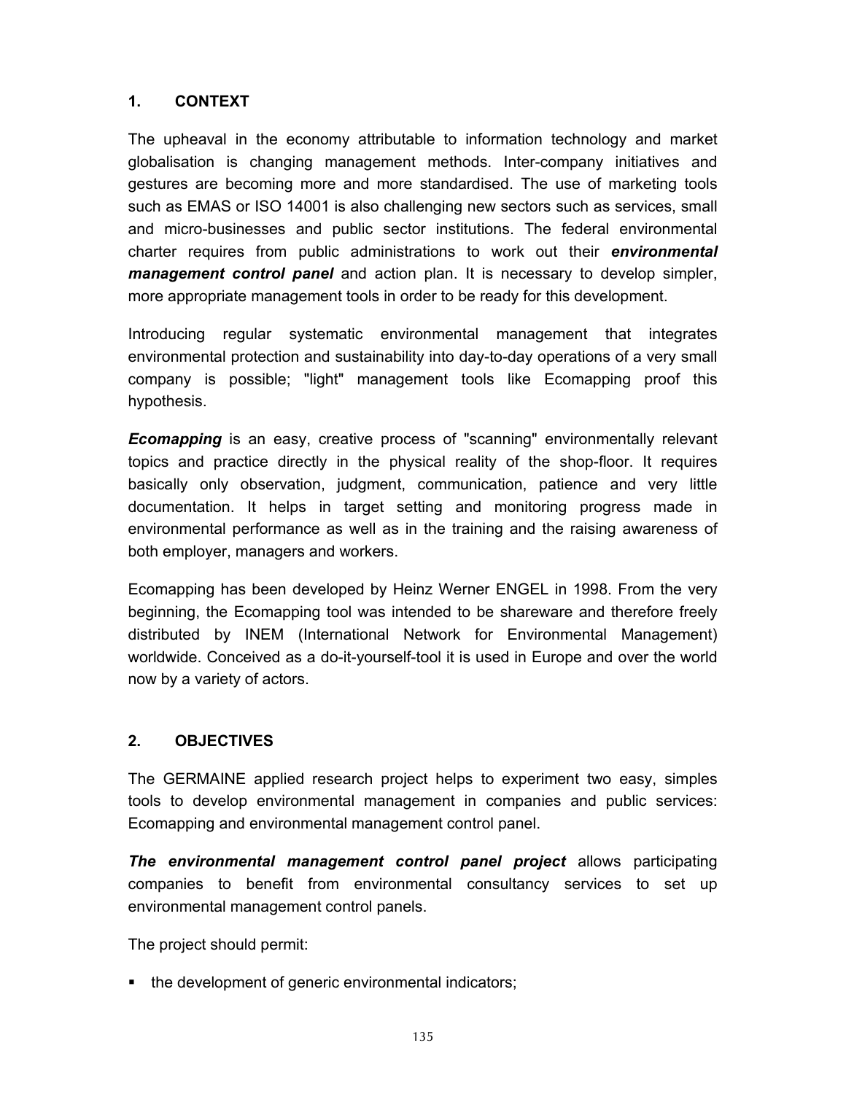The upheaval in the economy attributable to information technology and market globalisation is changing management methods. Inter-company initiatives and gestures are becoming more and more standardised. The use of marketing tools such as EMAS or ISO 14001 is also challenging new sectors such as services, small and micro-businesses and public sector institutions. The federal environmental charter requires from public administrations to work out their *environmental management control panel* and action plan. It is necessary to develop simpler, more appropriate management tools in order to be ready for this development.

Introducing regular systematic environmental management that integrates environmental protection and sustainability into day-to-day operations of a very small company is possible; "light" management tools like Ecomapping proof this hypothesis.

*Ecomapping* is an easy, creative process of "scanning" environmentally relevant topics and practice directly in the physical reality of the shop-floor. It requires basically only observation, judgment, communication, patience and very little documentation. It helps in target setting and monitoring progress made in environmental performance as well as in the training and the raising awareness of both employer, managers and workers.

Ecomapping has been developed by Heinz Werner ENGEL in 1998. From the very beginning, the Ecomapping tool was intended to be shareware and therefore freely distributed by INEM (International Network for Environmental Management) worldwide. Conceived as a do-it-yourself-tool it is used in Europe and over the world now by a variety of actors.

#### **2. OBJECTIVES**

The GERMAINE applied research project helps to experiment two easy, simples tools to develop environmental management in companies and public services: Ecomapping and environmental management control panel.

*The environmental management control panel project* allows participating companies to benefit from environmental consultancy services to set up environmental management control panels.

The project should permit:

• the development of generic environmental indicators;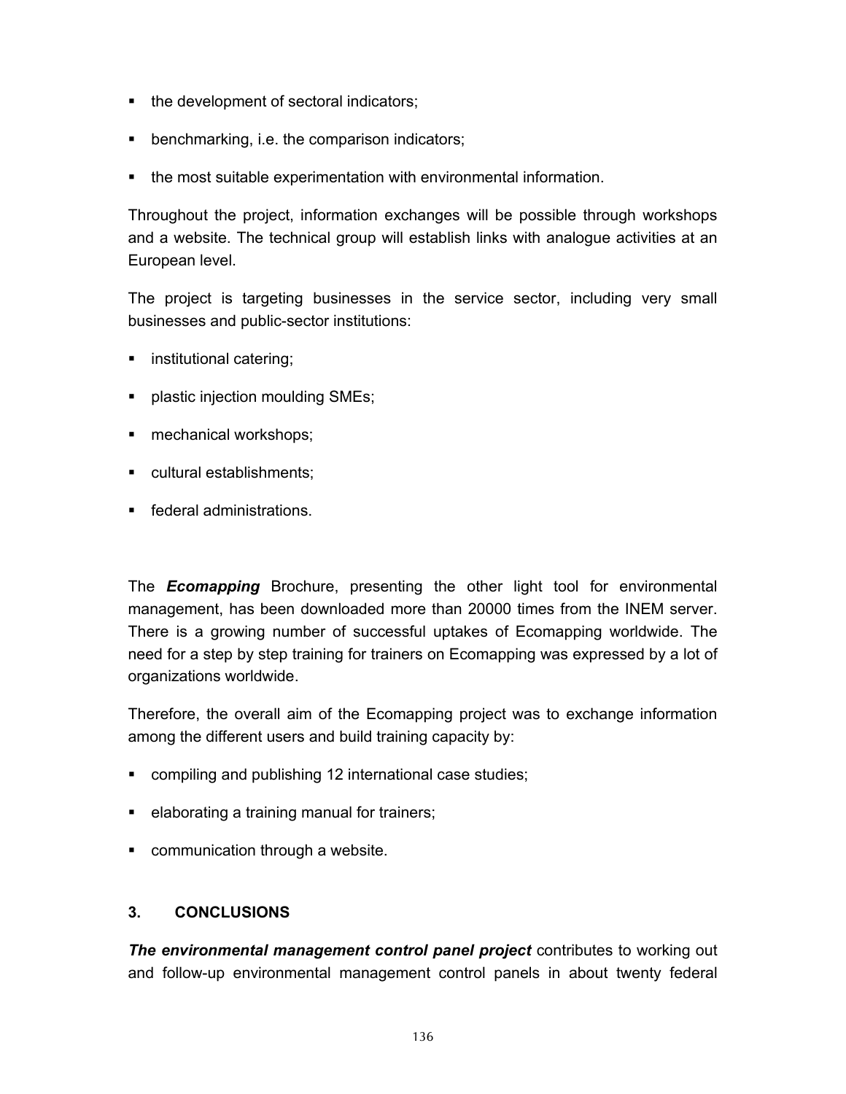- the development of sectoral indicators;
- **•** benchmarking, i.e. the comparison indicators;
- the most suitable experimentation with environmental information.

Throughout the project, information exchanges will be possible through workshops and a website. The technical group will establish links with analogue activities at an European level.

The project is targeting businesses in the service sector, including very small businesses and public-sector institutions:

- **·** institutional catering;
- **•** plastic injection moulding SMEs;
- **nechanical workshops;**
- cultural establishments;
- **Figure 1** federal administrations.

The *Ecomapping* Brochure, presenting the other light tool for environmental management, has been downloaded more than 20000 times from the INEM server. There is a growing number of successful uptakes of Ecomapping worldwide. The need for a step by step training for trainers on Ecomapping was expressed by a lot of organizations worldwide.

Therefore, the overall aim of the Ecomapping project was to exchange information among the different users and build training capacity by:

- compiling and publishing 12 international case studies;
- **EXE** elaborating a training manual for trainers;
- **•** communication through a website.

### **3. CONCLUSIONS**

*The environmental management control panel project* contributes to working out and follow-up environmental management control panels in about twenty federal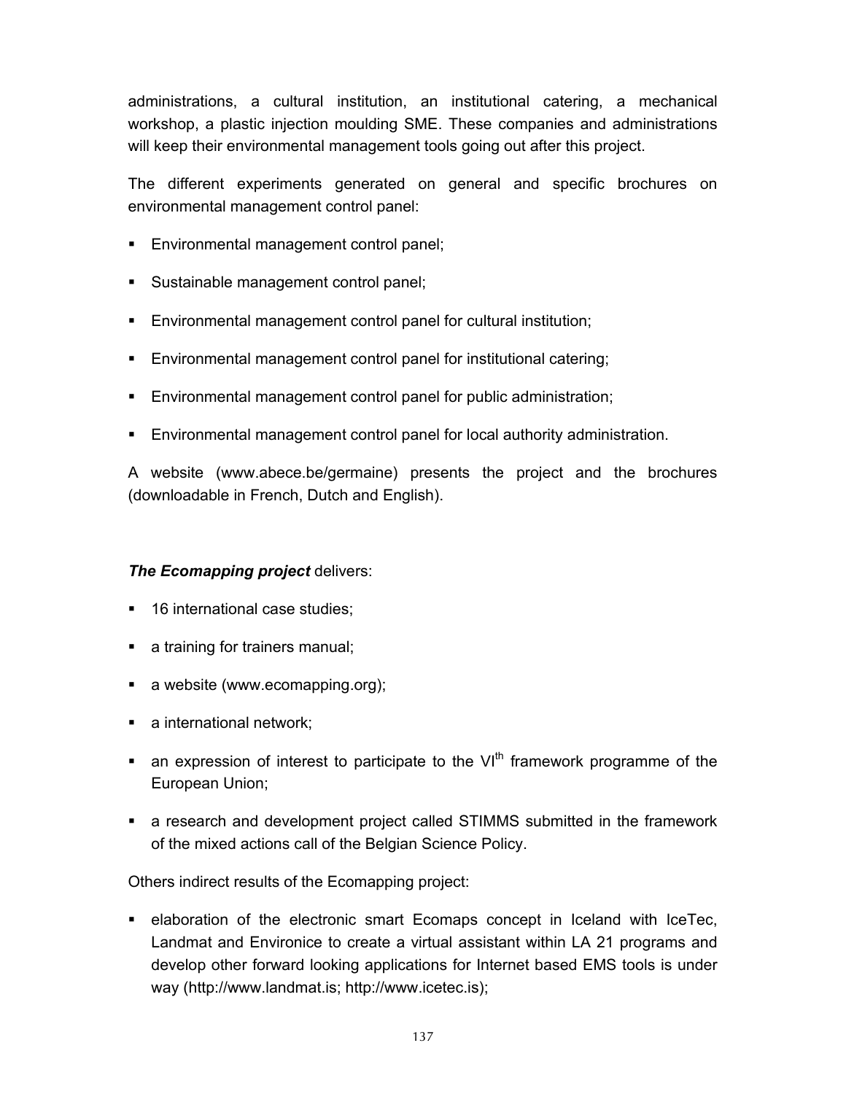administrations, a cultural institution, an institutional catering, a mechanical workshop, a plastic injection moulding SME. These companies and administrations will keep their environmental management tools going out after this project.

The different experiments generated on general and specific brochures on environmental management control panel:

- **Environmental management control panel;**
- Sustainable management control panel;
- Environmental management control panel for cultural institution;
- Environmental management control panel for institutional catering;
- Environmental management control panel for public administration;
- Environmental management control panel for local authority administration.

A website (www.abece.be/germaine) presents the project and the brochures (downloadable in French, Dutch and English).

#### *The Ecomapping project* delivers:

- 16 international case studies:
- a training for trainers manual;
- a website (www.ecomapping.org);
- a international network;
- an expression of interest to participate to the  $VI<sup>th</sup>$  framework programme of the European Union;
- a research and development project called STIMMS submitted in the framework of the mixed actions call of the Belgian Science Policy.

Others indirect results of the Ecomapping project:

 elaboration of the electronic smart Ecomaps concept in Iceland with IceTec, Landmat and Environice to create a virtual assistant within LA 21 programs and develop other forward looking applications for Internet based EMS tools is under way (http://www.landmat.is; http://www.icetec.is);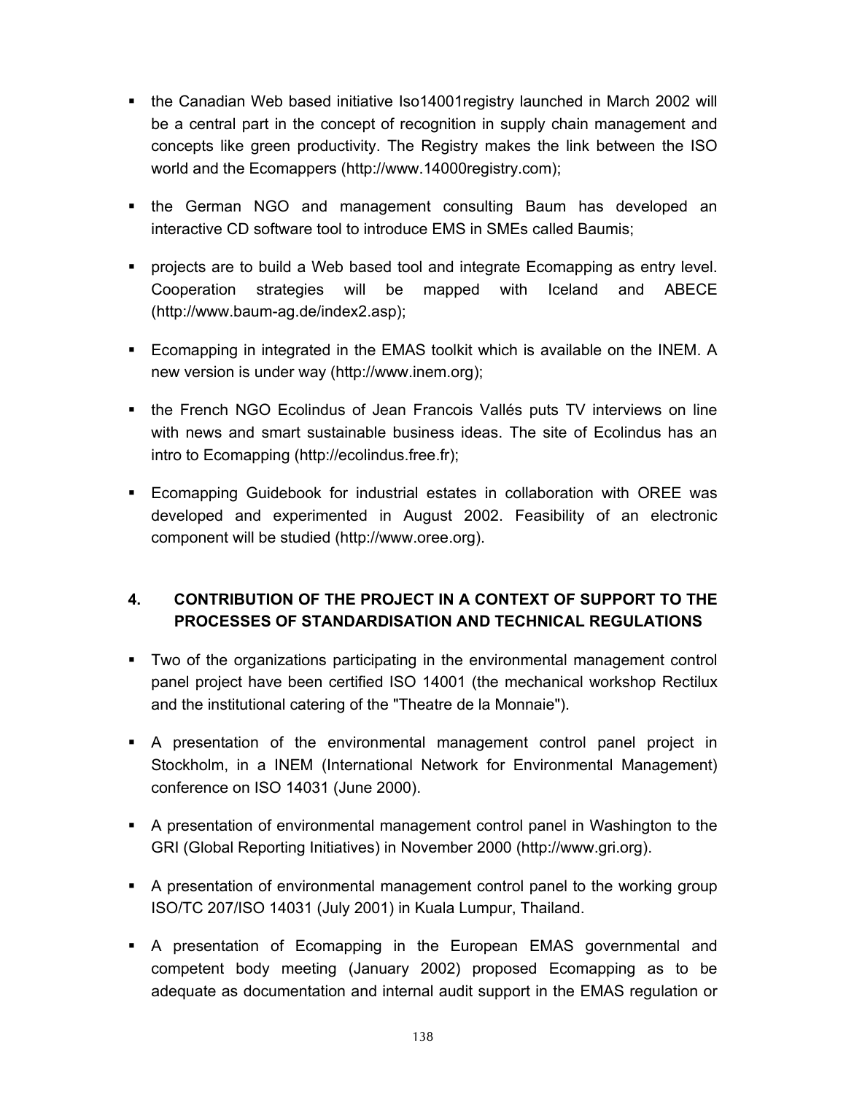- the Canadian Web based initiative Iso14001registry launched in March 2002 will be a central part in the concept of recognition in supply chain management and concepts like green productivity. The Registry makes the link between the ISO world and the Ecomappers (http://www.14000registry.com);
- **the German NGO and management consulting Baum has developed an** interactive CD software tool to introduce EMS in SMEs called Baumis;
- projects are to build a Web based tool and integrate Ecomapping as entry level. Cooperation strategies will be mapped with Iceland and ABECE (http://www.baum-ag.de/index2.asp);
- Ecomapping in integrated in the EMAS toolkit which is available on the INEM. A new version is under way (http://www.inem.org);
- the French NGO Ecolindus of Jean Francois Vallés puts TV interviews on line with news and smart sustainable business ideas. The site of Ecolindus has an intro to Ecomapping (http://ecolindus.free.fr);
- **Ecomapping Guidebook for industrial estates in collaboration with OREE was** developed and experimented in August 2002. Feasibility of an electronic component will be studied (http://www.oree.org).

## **4. CONTRIBUTION OF THE PROJECT IN A CONTEXT OF SUPPORT TO THE PROCESSES OF STANDARDISATION AND TECHNICAL REGULATIONS**

- Two of the organizations participating in the environmental management control panel project have been certified ISO 14001 (the mechanical workshop Rectilux and the institutional catering of the "Theatre de la Monnaie").
- A presentation of the environmental management control panel project in Stockholm, in a INEM (International Network for Environmental Management) conference on ISO 14031 (June 2000).
- A presentation of environmental management control panel in Washington to the GRI (Global Reporting Initiatives) in November 2000 (http://www.gri.org).
- A presentation of environmental management control panel to the working group ISO/TC 207/ISO 14031 (July 2001) in Kuala Lumpur, Thailand.
- A presentation of Ecomapping in the European EMAS governmental and competent body meeting (January 2002) proposed Ecomapping as to be adequate as documentation and internal audit support in the EMAS regulation or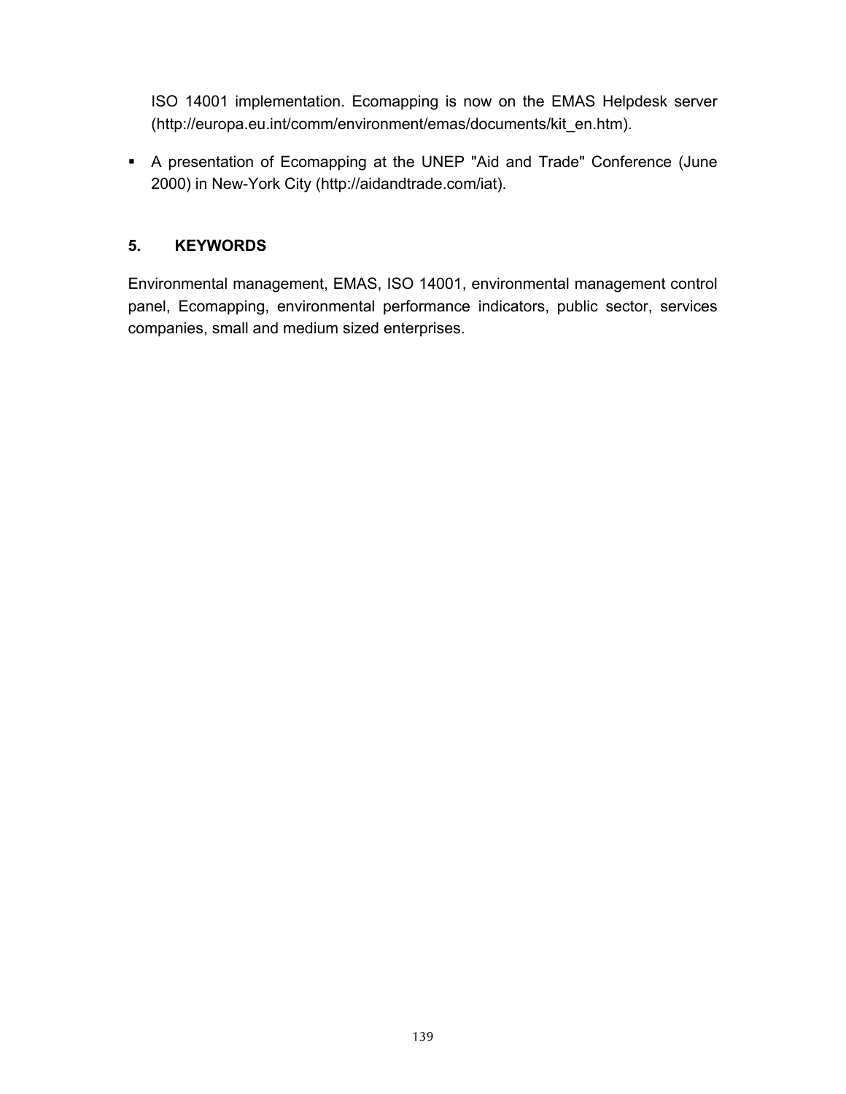ISO 14001 implementation. Ecomapping is now on the EMAS Helpdesk server (http://europa.eu.int/comm/environment/emas/documents/kit\_en.htm).

 A presentation of Ecomapping at the UNEP "Aid and Trade" Conference (June 2000) in New-York City (http://aidandtrade.com/iat).

#### **5. KEYWORDS**

Environmental management, EMAS, ISO 14001, environmental management control panel, Ecomapping, environmental performance indicators, public sector, services companies, small and medium sized enterprises.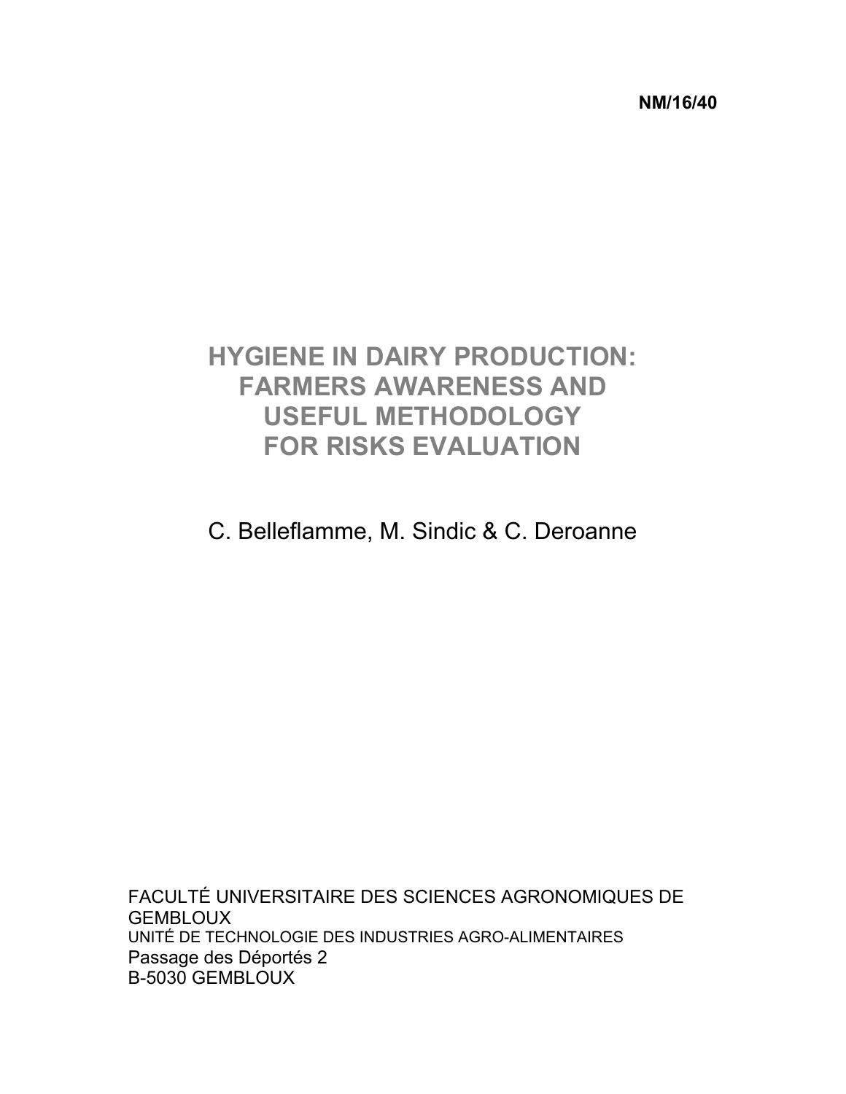**NM/16/40** 

# **HYGIENE IN DAIRY PRODUCTION: FARMERS AWARENESS AND USEFUL METHODOLOGY FOR RISKS EVALUATION**

C. Belleflamme, M. Sindic & C. Deroanne

FACULTÉ UNIVERSITAIRE DES SCIENCES AGRONOMIQUES DE **GEMBLOUX** UNITÉ DE TECHNOLOGIE DES INDUSTRIES AGRO-ALIMENTAIRES Passage des Déportés 2 B-5030 GEMBLOUX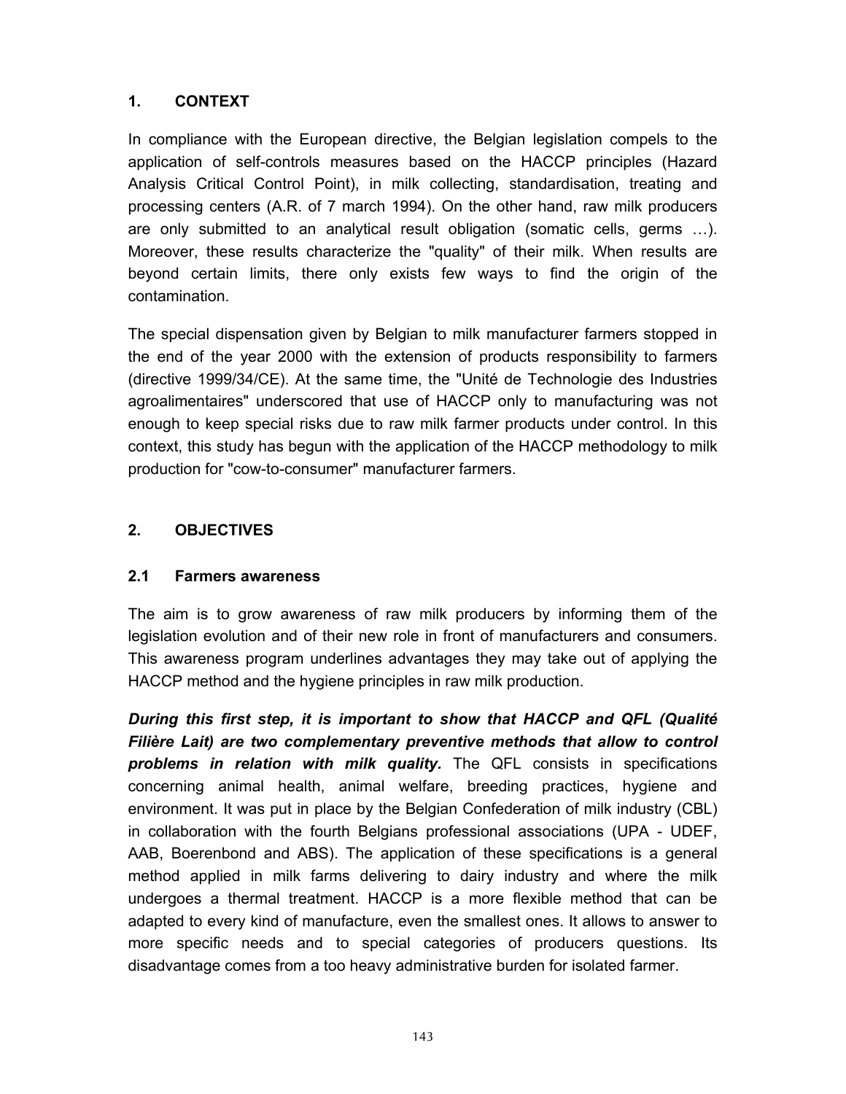In compliance with the European directive, the Belgian legislation compels to the application of self-controls measures based on the HACCP principles (Hazard Analysis Critical Control Point), in milk collecting, standardisation, treating and processing centers (A.R. of 7 march 1994). On the other hand, raw milk producers are only submitted to an analytical result obligation (somatic cells, germs …). Moreover, these results characterize the "quality" of their milk. When results are beyond certain limits, there only exists few ways to find the origin of the contamination.

The special dispensation given by Belgian to milk manufacturer farmers stopped in the end of the year 2000 with the extension of products responsibility to farmers (directive 1999/34/CE). At the same time, the "Unité de Technologie des Industries agroalimentaires" underscored that use of HACCP only to manufacturing was not enough to keep special risks due to raw milk farmer products under control. In this context, this study has begun with the application of the HACCP methodology to milk production for "cow-to-consumer" manufacturer farmers.

#### **2. OBJECTIVES**

#### **2.1 Farmers awareness**

The aim is to grow awareness of raw milk producers by informing them of the legislation evolution and of their new role in front of manufacturers and consumers. This awareness program underlines advantages they may take out of applying the HACCP method and the hygiene principles in raw milk production.

*During this first step, it is important to show that HACCP and QFL (Qualité Filière Lait) are two complementary preventive methods that allow to control problems in relation with milk quality.* The QFL consists in specifications concerning animal health, animal welfare, breeding practices, hygiene and environment. It was put in place by the Belgian Confederation of milk industry (CBL) in collaboration with the fourth Belgians professional associations (UPA - UDEF, AAB, Boerenbond and ABS). The application of these specifications is a general method applied in milk farms delivering to dairy industry and where the milk undergoes a thermal treatment. HACCP is a more flexible method that can be adapted to every kind of manufacture, even the smallest ones. It allows to answer to more specific needs and to special categories of producers questions. Its disadvantage comes from a too heavy administrative burden for isolated farmer.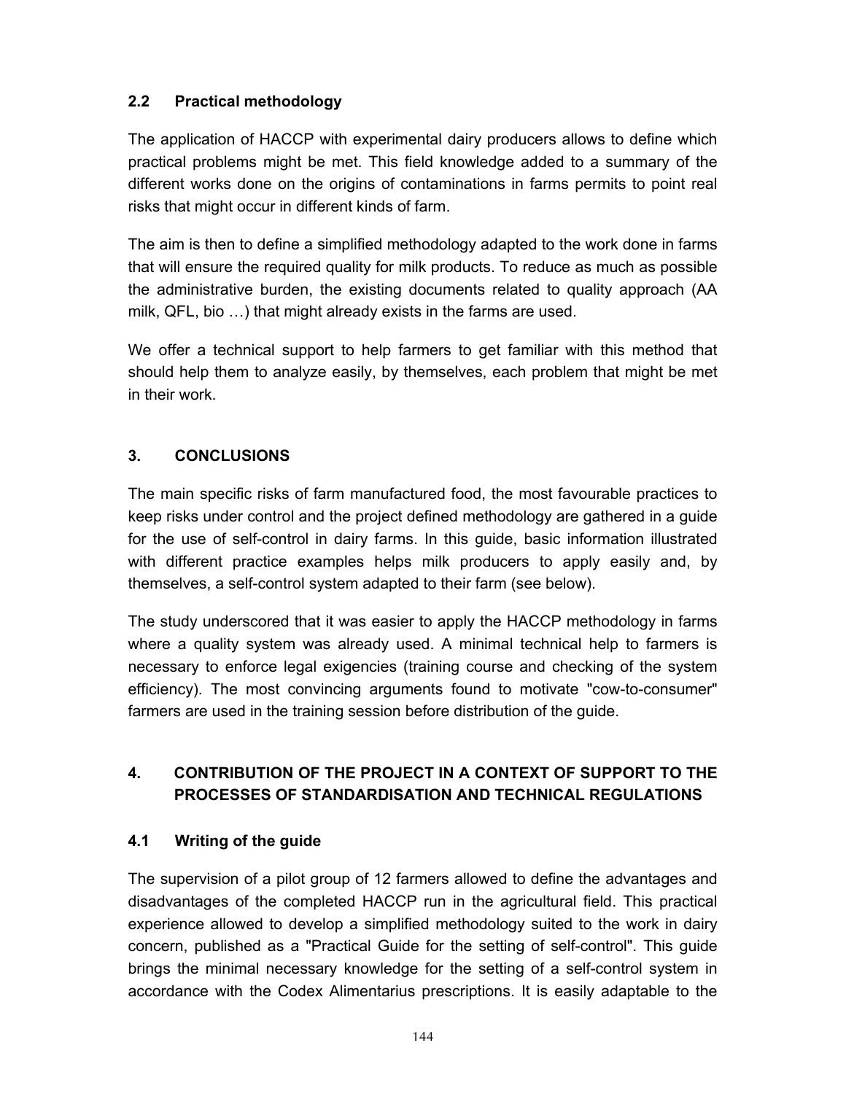### **2.2 Practical methodology**

The application of HACCP with experimental dairy producers allows to define which practical problems might be met. This field knowledge added to a summary of the different works done on the origins of contaminations in farms permits to point real risks that might occur in different kinds of farm.

The aim is then to define a simplified methodology adapted to the work done in farms that will ensure the required quality for milk products. To reduce as much as possible the administrative burden, the existing documents related to quality approach (AA milk, QFL, bio …) that might already exists in the farms are used.

We offer a technical support to help farmers to get familiar with this method that should help them to analyze easily, by themselves, each problem that might be met in their work.

## **3. CONCLUSIONS**

The main specific risks of farm manufactured food, the most favourable practices to keep risks under control and the project defined methodology are gathered in a guide for the use of self-control in dairy farms. In this guide, basic information illustrated with different practice examples helps milk producers to apply easily and, by themselves, a self-control system adapted to their farm (see below).

The study underscored that it was easier to apply the HACCP methodology in farms where a quality system was already used. A minimal technical help to farmers is necessary to enforce legal exigencies (training course and checking of the system efficiency). The most convincing arguments found to motivate "cow-to-consumer" farmers are used in the training session before distribution of the guide.

## **4. CONTRIBUTION OF THE PROJECT IN A CONTEXT OF SUPPORT TO THE PROCESSES OF STANDARDISATION AND TECHNICAL REGULATIONS**

### **4.1 Writing of the guide**

The supervision of a pilot group of 12 farmers allowed to define the advantages and disadvantages of the completed HACCP run in the agricultural field. This practical experience allowed to develop a simplified methodology suited to the work in dairy concern, published as a "Practical Guide for the setting of self-control". This guide brings the minimal necessary knowledge for the setting of a self-control system in accordance with the Codex Alimentarius prescriptions. It is easily adaptable to the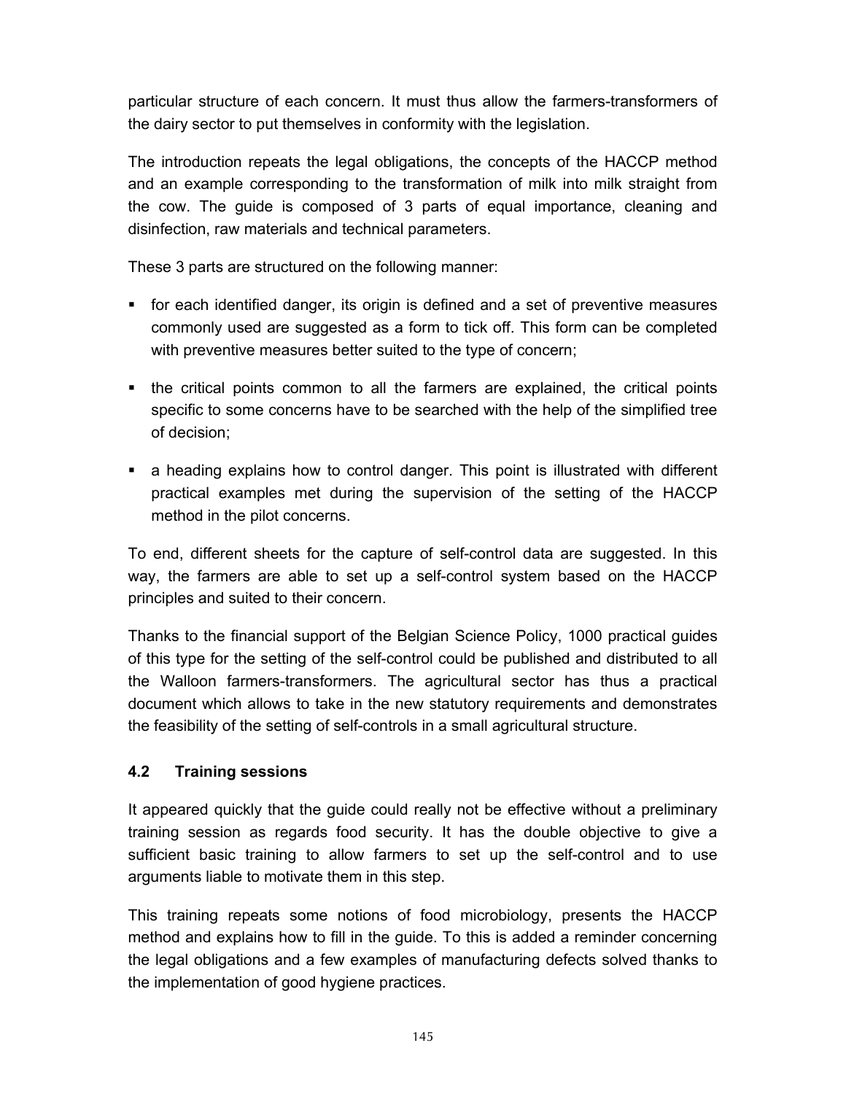particular structure of each concern. It must thus allow the farmers-transformers of the dairy sector to put themselves in conformity with the legislation.

The introduction repeats the legal obligations, the concepts of the HACCP method and an example corresponding to the transformation of milk into milk straight from the cow. The guide is composed of 3 parts of equal importance, cleaning and disinfection, raw materials and technical parameters.

These 3 parts are structured on the following manner:

- for each identified danger, its origin is defined and a set of preventive measures commonly used are suggested as a form to tick off. This form can be completed with preventive measures better suited to the type of concern;
- the critical points common to all the farmers are explained, the critical points specific to some concerns have to be searched with the help of the simplified tree of decision;
- a heading explains how to control danger. This point is illustrated with different practical examples met during the supervision of the setting of the HACCP method in the pilot concerns.

To end, different sheets for the capture of self-control data are suggested. In this way, the farmers are able to set up a self-control system based on the HACCP principles and suited to their concern.

Thanks to the financial support of the Belgian Science Policy, 1000 practical guides of this type for the setting of the self-control could be published and distributed to all the Walloon farmers-transformers. The agricultural sector has thus a practical document which allows to take in the new statutory requirements and demonstrates the feasibility of the setting of self-controls in a small agricultural structure.

## **4.2 Training sessions**

It appeared quickly that the guide could really not be effective without a preliminary training session as regards food security. It has the double objective to give a sufficient basic training to allow farmers to set up the self-control and to use arguments liable to motivate them in this step.

This training repeats some notions of food microbiology, presents the HACCP method and explains how to fill in the guide. To this is added a reminder concerning the legal obligations and a few examples of manufacturing defects solved thanks to the implementation of good hygiene practices.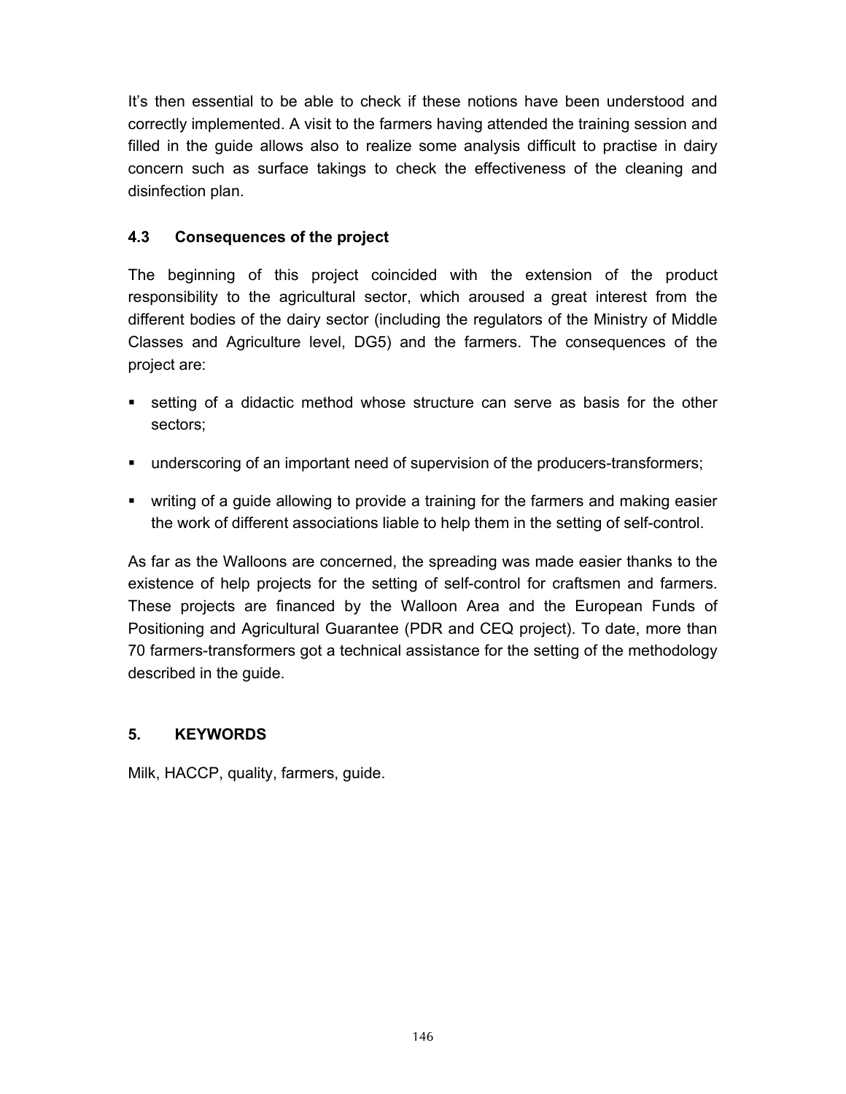It's then essential to be able to check if these notions have been understood and correctly implemented. A visit to the farmers having attended the training session and filled in the guide allows also to realize some analysis difficult to practise in dairy concern such as surface takings to check the effectiveness of the cleaning and disinfection plan.

## **4.3 Consequences of the project**

The beginning of this project coincided with the extension of the product responsibility to the agricultural sector, which aroused a great interest from the different bodies of the dairy sector (including the regulators of the Ministry of Middle Classes and Agriculture level, DG5) and the farmers. The consequences of the project are:

- setting of a didactic method whose structure can serve as basis for the other sectors;
- underscoring of an important need of supervision of the producers-transformers;
- writing of a guide allowing to provide a training for the farmers and making easier the work of different associations liable to help them in the setting of self-control.

As far as the Walloons are concerned, the spreading was made easier thanks to the existence of help projects for the setting of self-control for craftsmen and farmers. These projects are financed by the Walloon Area and the European Funds of Positioning and Agricultural Guarantee (PDR and CEQ project). To date, more than 70 farmers-transformers got a technical assistance for the setting of the methodology described in the guide.

## **5. KEYWORDS**

Milk, HACCP, quality, farmers, guide.